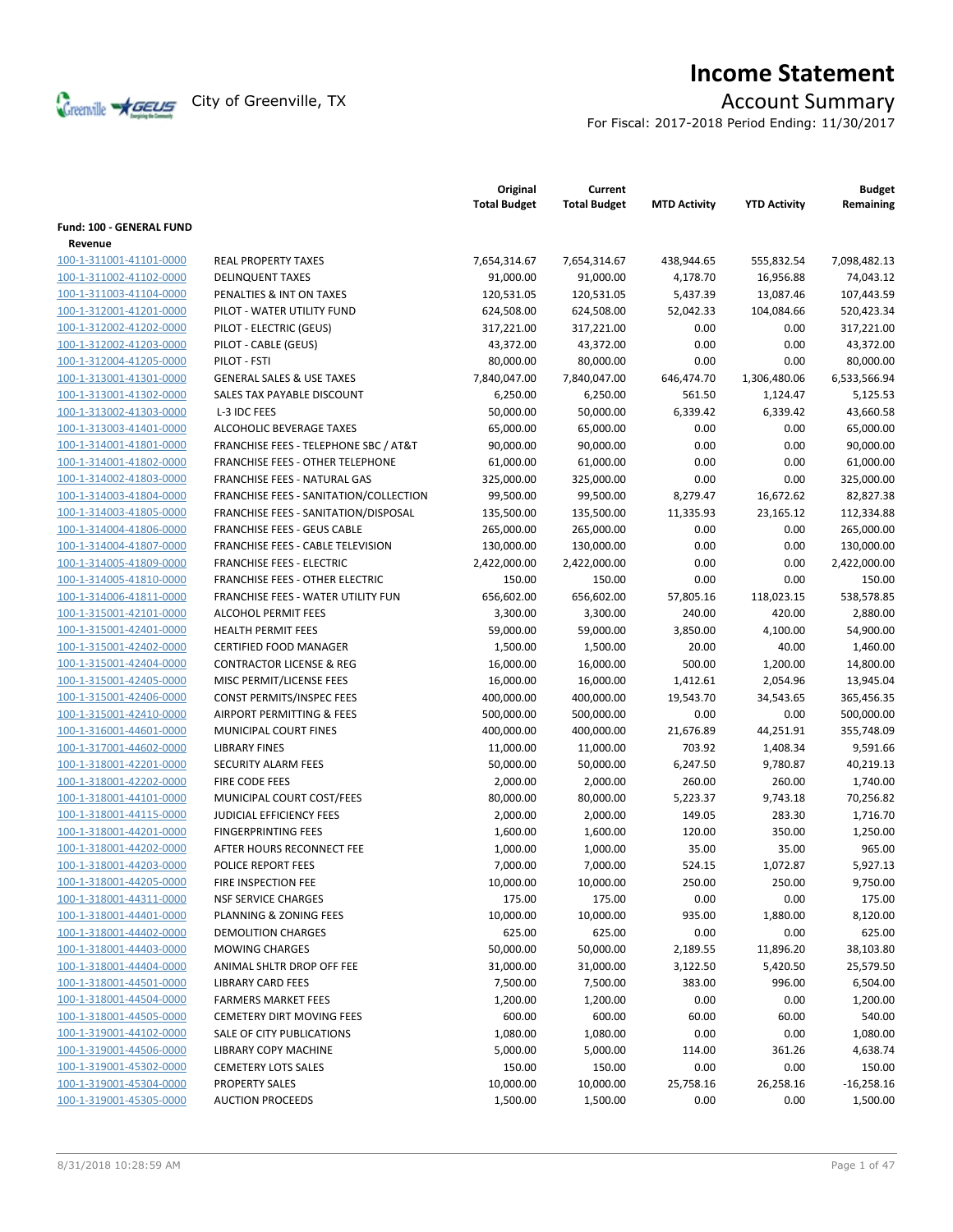

# **Income Statement**

For Fiscal: 2017-2018 Period Ending: 11/30/2017

|                          |                                         | Original<br><b>Total Budget</b> | Current<br><b>Total Budget</b> | <b>MTD Activity</b> | <b>YTD Activity</b> | <b>Budget</b><br>Remaining |
|--------------------------|-----------------------------------------|---------------------------------|--------------------------------|---------------------|---------------------|----------------------------|
| Fund: 100 - GENERAL FUND |                                         |                                 |                                |                     |                     |                            |
| Revenue                  |                                         |                                 |                                |                     |                     |                            |
| 100-1-311001-41101-0000  | <b>REAL PROPERTY TAXES</b>              | 7,654,314.67                    | 7,654,314.67                   | 438,944.65          | 555,832.54          | 7,098,482.13               |
| 100-1-311002-41102-0000  | <b>DELINQUENT TAXES</b>                 | 91,000.00                       | 91,000.00                      | 4,178.70            | 16,956.88           | 74,043.12                  |
| 100-1-311003-41104-0000  | PENALTIES & INT ON TAXES                | 120,531.05                      | 120,531.05                     | 5,437.39            | 13,087.46           | 107,443.59                 |
| 100-1-312001-41201-0000  | PILOT - WATER UTILITY FUND              | 624,508.00                      | 624,508.00                     | 52,042.33           | 104,084.66          | 520,423.34                 |
| 100-1-312002-41202-0000  | PILOT - ELECTRIC (GEUS)                 | 317,221.00                      | 317,221.00                     | 0.00                | 0.00                | 317,221.00                 |
| 100-1-312002-41203-0000  | PILOT - CABLE (GEUS)                    | 43,372.00                       | 43,372.00                      | 0.00                | 0.00                | 43,372.00                  |
| 100-1-312004-41205-0000  | PILOT - FSTI                            | 80,000.00                       | 80,000.00                      | 0.00                | 0.00                | 80,000.00                  |
| 100-1-313001-41301-0000  | <b>GENERAL SALES &amp; USE TAXES</b>    | 7,840,047.00                    | 7,840,047.00                   | 646,474.70          | 1,306,480.06        | 6,533,566.94               |
| 100-1-313001-41302-0000  | SALES TAX PAYABLE DISCOUNT              | 6,250.00                        | 6,250.00                       | 561.50              | 1,124.47            | 5,125.53                   |
| 100-1-313002-41303-0000  | L-3 IDC FEES                            | 50,000.00                       | 50,000.00                      | 6,339.42            | 6,339.42            | 43,660.58                  |
| 100-1-313003-41401-0000  | ALCOHOLIC BEVERAGE TAXES                | 65,000.00                       | 65,000.00                      | 0.00                | 0.00                | 65,000.00                  |
| 100-1-314001-41801-0000  | FRANCHISE FEES - TELEPHONE SBC / AT&T   | 90,000.00                       | 90,000.00                      | 0.00                | 0.00                | 90,000.00                  |
| 100-1-314001-41802-0000  | <b>FRANCHISE FEES - OTHER TELEPHONE</b> | 61,000.00                       | 61,000.00                      | 0.00                | 0.00                | 61,000.00                  |
| 100-1-314002-41803-0000  | FRANCHISE FEES - NATURAL GAS            | 325,000.00                      | 325,000.00                     | 0.00                | 0.00                | 325,000.00                 |
| 100-1-314003-41804-0000  | FRANCHISE FEES - SANITATION/COLLECTION  | 99,500.00                       | 99,500.00                      | 8,279.47            | 16,672.62           | 82,827.38                  |
| 100-1-314003-41805-0000  | FRANCHISE FEES - SANITATION/DISPOSAL    | 135,500.00                      | 135,500.00                     | 11,335.93           | 23,165.12           | 112,334.88                 |
| 100-1-314004-41806-0000  | <b>FRANCHISE FEES - GEUS CABLE</b>      | 265,000.00                      | 265,000.00                     | 0.00                | 0.00                | 265,000.00                 |
| 100-1-314004-41807-0000  | FRANCHISE FEES - CABLE TELEVISION       | 130,000.00                      | 130,000.00                     | 0.00                | 0.00                | 130,000.00                 |
| 100-1-314005-41809-0000  | <b>FRANCHISE FEES - ELECTRIC</b>        | 2,422,000.00                    | 2,422,000.00                   | 0.00                | 0.00                | 2,422,000.00               |
| 100-1-314005-41810-0000  | <b>FRANCHISE FEES - OTHER ELECTRIC</b>  | 150.00                          | 150.00                         | 0.00                | 0.00                | 150.00                     |
| 100-1-314006-41811-0000  | FRANCHISE FEES - WATER UTILITY FUN      | 656,602.00                      | 656,602.00                     | 57,805.16           | 118,023.15          | 538,578.85                 |
| 100-1-315001-42101-0000  | <b>ALCOHOL PERMIT FEES</b>              | 3,300.00                        | 3,300.00                       | 240.00              | 420.00              | 2,880.00                   |
| 100-1-315001-42401-0000  | <b>HEALTH PERMIT FEES</b>               | 59,000.00                       | 59,000.00                      | 3,850.00            | 4,100.00            | 54,900.00                  |
| 100-1-315001-42402-0000  | <b>CERTIFIED FOOD MANAGER</b>           | 1,500.00                        | 1,500.00                       | 20.00               | 40.00               | 1,460.00                   |
| 100-1-315001-42404-0000  | <b>CONTRACTOR LICENSE &amp; REG</b>     | 16,000.00                       | 16,000.00                      | 500.00              | 1,200.00            | 14,800.00                  |
| 100-1-315001-42405-0000  | MISC PERMIT/LICENSE FEES                | 16,000.00                       | 16,000.00                      | 1,412.61            | 2,054.96            | 13,945.04                  |
| 100-1-315001-42406-0000  | CONST PERMITS/INSPEC FEES               | 400,000.00                      | 400,000.00                     | 19,543.70           | 34,543.65           | 365,456.35                 |
| 100-1-315001-42410-0000  | AIRPORT PERMITTING & FEES               | 500,000.00                      | 500,000.00                     | 0.00                | 0.00                | 500,000.00                 |
| 100-1-316001-44601-0000  | MUNICIPAL COURT FINES                   | 400,000.00                      | 400,000.00                     | 21,676.89           | 44,251.91           | 355,748.09                 |
| 100-1-317001-44602-0000  | <b>LIBRARY FINES</b>                    | 11,000.00                       | 11,000.00                      | 703.92              | 1,408.34            | 9,591.66                   |
| 100-1-318001-42201-0000  | SECURITY ALARM FEES                     | 50,000.00                       | 50,000.00                      | 6,247.50            | 9,780.87            | 40,219.13                  |
| 100-1-318001-42202-0000  | FIRE CODE FEES                          | 2,000.00                        | 2,000.00                       | 260.00              | 260.00              | 1,740.00                   |
| 100-1-318001-44101-0000  | MUNICIPAL COURT COST/FEES               | 80,000.00                       | 80,000.00                      | 5,223.37            | 9,743.18            | 70,256.82                  |
| 100-1-318001-44115-0000  | <b>JUDICIAL EFFICIENCY FEES</b>         | 2,000.00                        | 2,000.00                       | 149.05              | 283.30              | 1,716.70                   |
| 100-1-318001-44201-0000  | <b>FINGERPRINTING FEES</b>              | 1,600.00                        | 1,600.00                       | 120.00              | 350.00              | 1,250.00                   |
| 100-1-318001-44202-0000  | AFTER HOURS RECONNECT FEE               | 1,000.00                        | 1,000.00                       | 35.00               | 35.00               | 965.00                     |
| 100-1-318001-44203-0000  | POLICE REPORT FEES                      | 7,000.00                        | 7,000.00                       | 524.15              | 1,072.87            | 5,927.13                   |
| 100-1-318001-44205-0000  | FIRE INSPECTION FEE                     | 10,000.00                       | 10,000.00                      | 250.00              | 250.00              | 9,750.00                   |
| 100-1-318001-44311-0000  | <b>NSF SERVICE CHARGES</b>              | 175.00                          | 175.00                         | 0.00                | 0.00                | 175.00                     |
| 100-1-318001-44401-0000  | PLANNING & ZONING FEES                  | 10,000.00                       | 10,000.00                      | 935.00              | 1,880.00            | 8,120.00                   |
| 100-1-318001-44402-0000  | <b>DEMOLITION CHARGES</b>               | 625.00                          | 625.00                         | 0.00                | 0.00                | 625.00                     |
| 100-1-318001-44403-0000  | <b>MOWING CHARGES</b>                   | 50,000.00                       | 50,000.00                      | 2,189.55            | 11,896.20           | 38,103.80                  |
| 100-1-318001-44404-0000  | ANIMAL SHLTR DROP OFF FEE               | 31,000.00                       | 31,000.00                      | 3,122.50            | 5,420.50            | 25,579.50                  |
| 100-1-318001-44501-0000  | <b>LIBRARY CARD FEES</b>                | 7,500.00                        | 7,500.00                       | 383.00              | 996.00              | 6,504.00                   |
| 100-1-318001-44504-0000  | <b>FARMERS MARKET FEES</b>              | 1,200.00                        | 1,200.00                       | 0.00                | 0.00                | 1,200.00                   |
| 100-1-318001-44505-0000  | <b>CEMETERY DIRT MOVING FEES</b>        | 600.00                          | 600.00                         | 60.00               | 60.00               | 540.00                     |
| 100-1-319001-44102-0000  | SALE OF CITY PUBLICATIONS               | 1,080.00                        | 1,080.00                       | 0.00                | 0.00                | 1,080.00                   |
| 100-1-319001-44506-0000  | LIBRARY COPY MACHINE                    | 5,000.00                        | 5,000.00                       | 114.00              | 361.26              | 4,638.74                   |
| 100-1-319001-45302-0000  | <b>CEMETERY LOTS SALES</b>              | 150.00                          | 150.00                         | 0.00                | 0.00                | 150.00                     |
| 100-1-319001-45304-0000  | PROPERTY SALES                          | 10,000.00                       | 10,000.00                      | 25,758.16           | 26,258.16           | $-16,258.16$               |
| 100-1-319001-45305-0000  | <b>AUCTION PROCEEDS</b>                 | 1,500.00                        | 1,500.00                       | 0.00                | 0.00                | 1,500.00                   |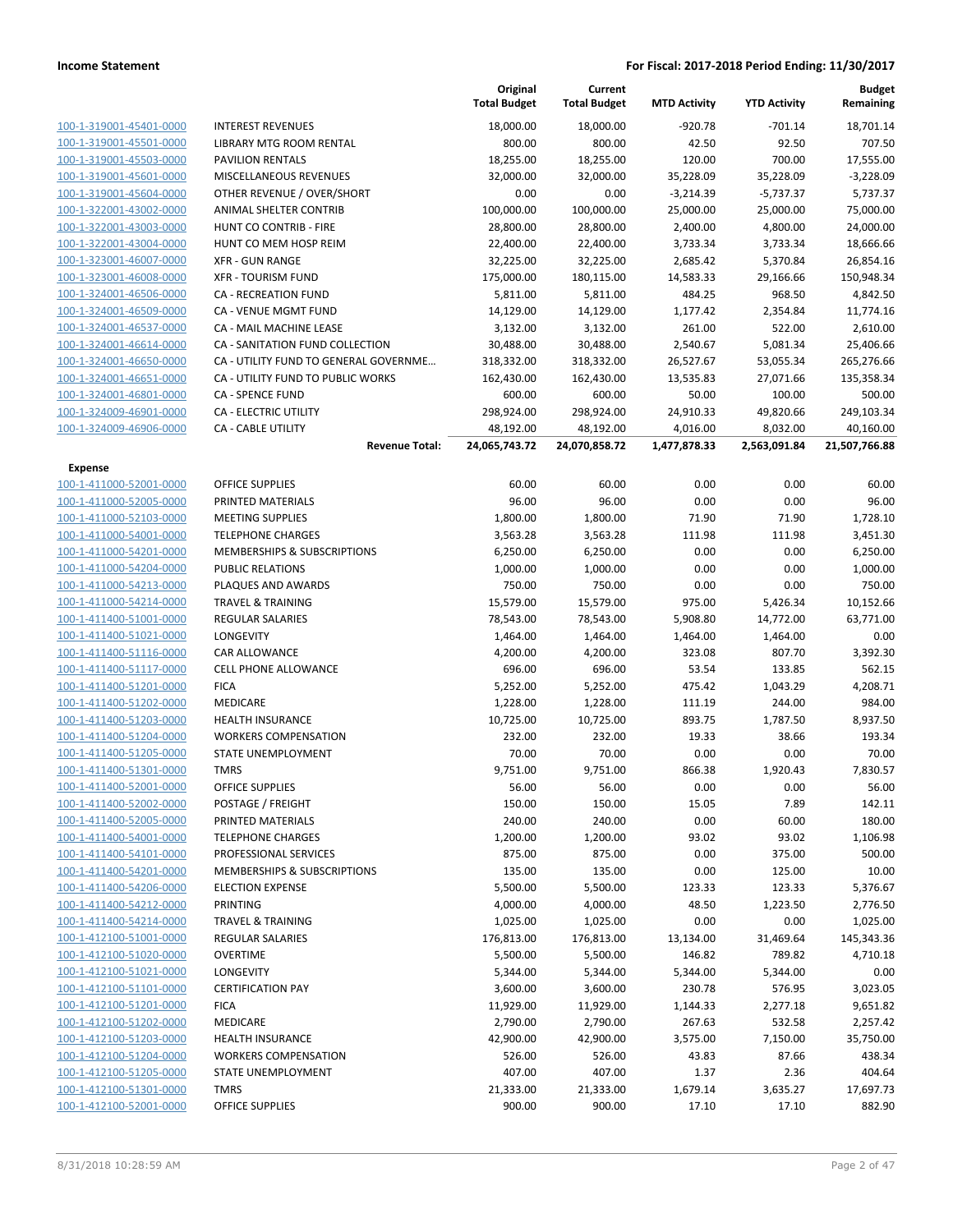|                         |                                        | Original<br><b>Total Budget</b> | Current<br><b>Total Budget</b> | <b>MTD Activity</b> | <b>YTD Activity</b> | <b>Budget</b><br>Remaining |
|-------------------------|----------------------------------------|---------------------------------|--------------------------------|---------------------|---------------------|----------------------------|
| 100-1-319001-45401-0000 | <b>INTEREST REVENUES</b>               | 18,000.00                       | 18,000.00                      | $-920.78$           | $-701.14$           | 18,701.14                  |
| 100-1-319001-45501-0000 | LIBRARY MTG ROOM RENTAL                | 800.00                          | 800.00                         | 42.50               | 92.50               | 707.50                     |
| 100-1-319001-45503-0000 | <b>PAVILION RENTALS</b>                | 18,255.00                       | 18,255.00                      | 120.00              | 700.00              | 17,555.00                  |
| 100-1-319001-45601-0000 | MISCELLANEOUS REVENUES                 | 32,000.00                       | 32,000.00                      | 35,228.09           | 35,228.09           | $-3,228.09$                |
| 100-1-319001-45604-0000 | OTHER REVENUE / OVER/SHORT             | 0.00                            | 0.00                           | $-3,214.39$         | $-5,737.37$         | 5,737.37                   |
| 100-1-322001-43002-0000 | ANIMAL SHELTER CONTRIB                 | 100,000.00                      | 100,000.00                     | 25,000.00           | 25,000.00           | 75,000.00                  |
| 100-1-322001-43003-0000 | HUNT CO CONTRIB - FIRE                 | 28,800.00                       | 28,800.00                      | 2,400.00            | 4,800.00            | 24,000.00                  |
| 100-1-322001-43004-0000 | HUNT CO MEM HOSP REIM                  | 22,400.00                       | 22,400.00                      | 3,733.34            | 3,733.34            | 18,666.66                  |
| 100-1-323001-46007-0000 | <b>XFR - GUN RANGE</b>                 | 32,225.00                       | 32,225.00                      | 2,685.42            | 5,370.84            | 26,854.16                  |
| 100-1-323001-46008-0000 | <b>XFR - TOURISM FUND</b>              | 175,000.00                      | 180,115.00                     | 14,583.33           | 29,166.66           | 150,948.34                 |
| 100-1-324001-46506-0000 | CA - RECREATION FUND                   | 5,811.00                        | 5,811.00                       | 484.25              | 968.50              | 4,842.50                   |
| 100-1-324001-46509-0000 | CA - VENUE MGMT FUND                   | 14,129.00                       | 14,129.00                      | 1,177.42            | 2,354.84            | 11,774.16                  |
| 100-1-324001-46537-0000 | CA - MAIL MACHINE LEASE                | 3,132.00                        | 3,132.00                       | 261.00              | 522.00              | 2,610.00                   |
| 100-1-324001-46614-0000 | CA - SANITATION FUND COLLECTION        | 30,488.00                       | 30,488.00                      | 2,540.67            | 5,081.34            | 25,406.66                  |
| 100-1-324001-46650-0000 | CA - UTILITY FUND TO GENERAL GOVERNME  | 318,332.00                      | 318,332.00                     | 26,527.67           | 53,055.34           | 265,276.66                 |
| 100-1-324001-46651-0000 | CA - UTILITY FUND TO PUBLIC WORKS      | 162,430.00                      | 162,430.00                     | 13,535.83           | 27,071.66           | 135,358.34                 |
| 100-1-324001-46801-0000 | <b>CA - SPENCE FUND</b>                | 600.00                          | 600.00                         | 50.00               | 100.00              | 500.00                     |
| 100-1-324009-46901-0000 | CA - ELECTRIC UTILITY                  | 298,924.00                      | 298,924.00                     | 24,910.33           | 49,820.66           | 249,103.34                 |
| 100-1-324009-46906-0000 | <b>CA - CABLE UTILITY</b>              | 48,192.00                       | 48,192.00                      | 4,016.00            | 8,032.00            | 40,160.00                  |
|                         | <b>Revenue Total:</b>                  | 24,065,743.72                   | 24,070,858.72                  | 1,477,878.33        | 2,563,091.84        | 21,507,766.88              |
| Expense                 |                                        |                                 |                                |                     |                     |                            |
| 100-1-411000-52001-0000 | OFFICE SUPPLIES                        | 60.00                           | 60.00                          | 0.00                | 0.00                | 60.00                      |
| 100-1-411000-52005-0000 | PRINTED MATERIALS                      | 96.00                           | 96.00                          | 0.00                | 0.00                | 96.00                      |
| 100-1-411000-52103-0000 | <b>MEETING SUPPLIES</b>                | 1,800.00                        | 1,800.00                       | 71.90               | 71.90               | 1,728.10                   |
| 100-1-411000-54001-0000 | <b>TELEPHONE CHARGES</b>               | 3,563.28                        | 3,563.28                       | 111.98              | 111.98              | 3,451.30                   |
| 100-1-411000-54201-0000 | <b>MEMBERSHIPS &amp; SUBSCRIPTIONS</b> | 6,250.00                        | 6,250.00                       | 0.00                | 0.00                | 6,250.00                   |
| 100-1-411000-54204-0000 | <b>PUBLIC RELATIONS</b>                | 1,000.00                        | 1,000.00                       | 0.00                | 0.00                | 1,000.00                   |
| 100-1-411000-54213-0000 | PLAQUES AND AWARDS                     | 750.00                          | 750.00                         | 0.00                | 0.00                | 750.00                     |
| 100-1-411000-54214-0000 | <b>TRAVEL &amp; TRAINING</b>           | 15,579.00                       | 15,579.00                      | 975.00              | 5,426.34            | 10,152.66                  |
| 100-1-411400-51001-0000 | <b>REGULAR SALARIES</b>                | 78,543.00                       | 78,543.00                      | 5,908.80            | 14,772.00           | 63,771.00                  |
| 100-1-411400-51021-0000 | LONGEVITY                              | 1,464.00                        | 1,464.00                       | 1,464.00            | 1,464.00            | 0.00                       |
| 100-1-411400-51116-0000 | CAR ALLOWANCE                          | 4,200.00                        | 4,200.00                       | 323.08              | 807.70              | 3,392.30                   |
| 100-1-411400-51117-0000 | <b>CELL PHONE ALLOWANCE</b>            | 696.00                          | 696.00                         | 53.54               | 133.85              | 562.15                     |
| 100-1-411400-51201-0000 | <b>FICA</b>                            | 5,252.00                        | 5,252.00                       | 475.42              | 1,043.29            | 4,208.71                   |
| 100-1-411400-51202-0000 | MEDICARE                               | 1,228.00                        | 1,228.00                       | 111.19              | 244.00              | 984.00                     |
| 100-1-411400-51203-0000 | <b>HEALTH INSURANCE</b>                | 10,725.00                       | 10,725.00                      | 893.75              | 1,787.50            | 8,937.50                   |
| 100-1-411400-51204-0000 | <b>WORKERS COMPENSATION</b>            | 232.00                          | 232.00                         | 19.33               | 38.66               | 193.34                     |
| 100-1-411400-51205-0000 | STATE UNEMPLOYMENT                     | 70.00                           | 70.00                          | 0.00                | 0.00                | 70.00                      |
| 100-1-411400-51301-0000 | <b>TMRS</b>                            | 9,751.00                        | 9,751.00                       | 866.38              | 1,920.43            | 7,830.57                   |
| 100-1-411400-52001-0000 | <b>OFFICE SUPPLIES</b>                 | 56.00                           | 56.00                          | 0.00                | 0.00                | 56.00                      |
| 100-1-411400-52002-0000 | POSTAGE / FREIGHT                      | 150.00                          | 150.00                         | 15.05               | 7.89                | 142.11                     |
| 100-1-411400-52005-0000 | PRINTED MATERIALS                      | 240.00                          | 240.00                         | 0.00                | 60.00               | 180.00                     |
| 100-1-411400-54001-0000 | <b>TELEPHONE CHARGES</b>               | 1,200.00                        | 1,200.00                       | 93.02               | 93.02               | 1,106.98                   |
| 100-1-411400-54101-0000 | PROFESSIONAL SERVICES                  | 875.00                          | 875.00                         | 0.00                | 375.00              | 500.00                     |
| 100-1-411400-54201-0000 | MEMBERSHIPS & SUBSCRIPTIONS            | 135.00                          | 135.00                         | 0.00                | 125.00              | 10.00                      |
| 100-1-411400-54206-0000 | <b>ELECTION EXPENSE</b>                | 5,500.00                        | 5,500.00                       | 123.33              | 123.33              | 5,376.67                   |
| 100-1-411400-54212-0000 | <b>PRINTING</b>                        | 4,000.00                        | 4,000.00                       | 48.50               | 1,223.50            | 2,776.50                   |
| 100-1-411400-54214-0000 | <b>TRAVEL &amp; TRAINING</b>           | 1,025.00                        | 1,025.00                       | 0.00                | 0.00                | 1,025.00                   |
| 100-1-412100-51001-0000 | <b>REGULAR SALARIES</b>                | 176,813.00                      | 176,813.00                     | 13,134.00           | 31,469.64           | 145,343.36                 |
| 100-1-412100-51020-0000 | <b>OVERTIME</b>                        | 5,500.00                        | 5,500.00                       | 146.82              | 789.82              | 4,710.18                   |
| 100-1-412100-51021-0000 | LONGEVITY                              | 5,344.00                        | 5,344.00                       | 5,344.00            | 5,344.00            | 0.00                       |
| 100-1-412100-51101-0000 | <b>CERTIFICATION PAY</b>               | 3,600.00                        | 3,600.00                       | 230.78              | 576.95              | 3,023.05                   |
| 100-1-412100-51201-0000 | <b>FICA</b>                            | 11,929.00                       | 11,929.00                      | 1,144.33            | 2,277.18            | 9,651.82                   |
| 100-1-412100-51202-0000 | MEDICARE                               | 2,790.00                        | 2,790.00                       | 267.63              | 532.58              | 2,257.42                   |
| 100-1-412100-51203-0000 | <b>HEALTH INSURANCE</b>                | 42,900.00                       | 42,900.00                      | 3,575.00            | 7,150.00            | 35,750.00                  |
| 100-1-412100-51204-0000 | <b>WORKERS COMPENSATION</b>            | 526.00                          | 526.00                         | 43.83               | 87.66               | 438.34                     |
| 100-1-412100-51205-0000 | STATE UNEMPLOYMENT                     | 407.00                          | 407.00                         | 1.37                | 2.36                | 404.64                     |
| 100-1-412100-51301-0000 | <b>TMRS</b>                            | 21,333.00                       | 21,333.00                      | 1,679.14            | 3,635.27            | 17,697.73                  |
| 100-1-412100-52001-0000 | OFFICE SUPPLIES                        | 900.00                          | 900.00                         | 17.10               | 17.10               | 882.90                     |
|                         |                                        |                                 |                                |                     |                     |                            |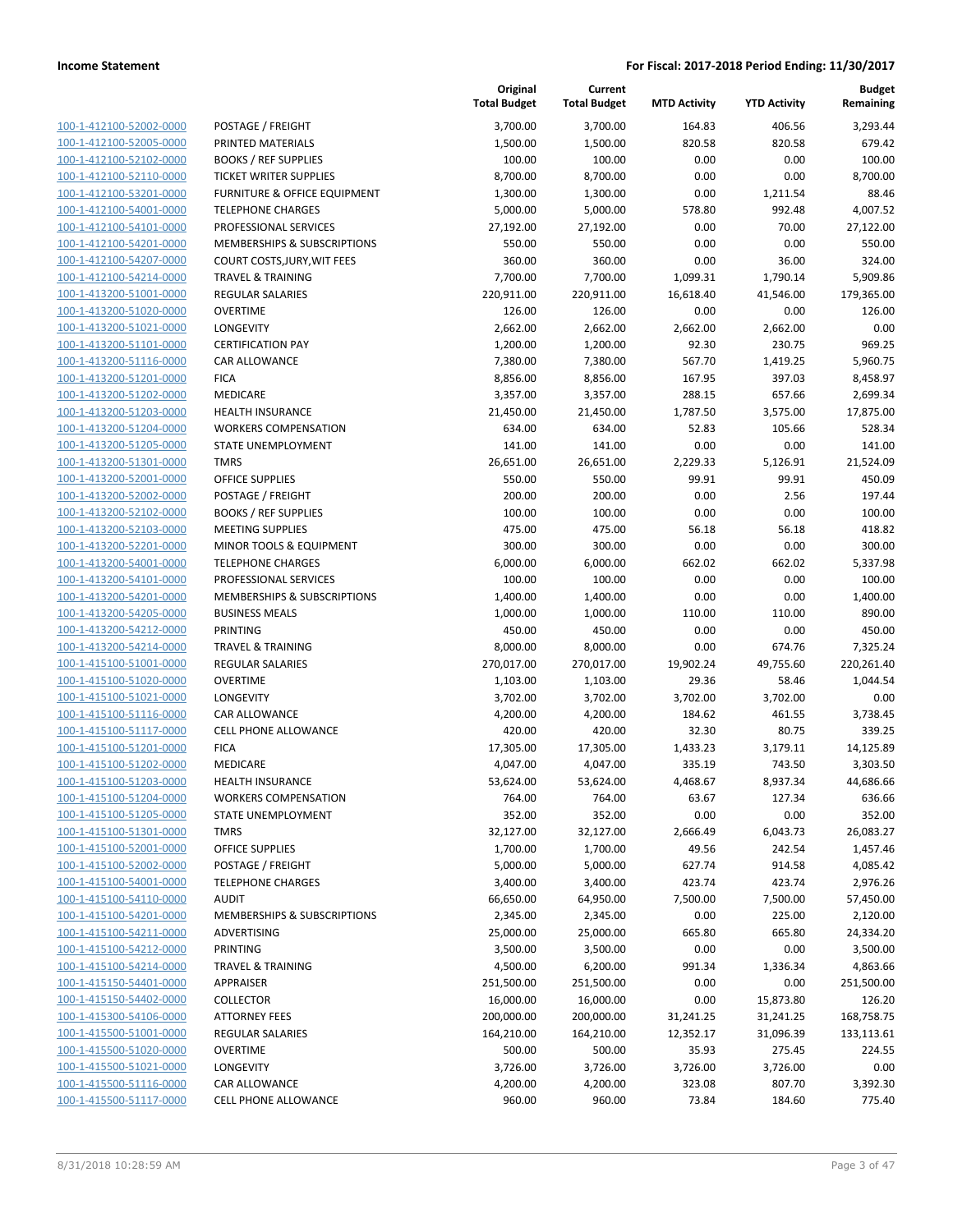| 100-1-412100-52002-0000        |
|--------------------------------|
| 100-1-412100-52005-0000        |
| 100-1-412100-52102-0000        |
| 100-1-412100-52110-0000        |
| 100-1-412100-53201-0000        |
| 100-1-412100-54001-0000        |
| 100-1-412100-54101-0000        |
| 100-1-412100-54201-0000        |
| 100-1-412100-54207-0000        |
| 100-1-412100-54214-0000        |
| 100-1-413200-51001-0000        |
| 100-1-413200-51020-0000        |
| 100-1-413200-51021-0000        |
| 100-1-413200-51101-0000        |
| <u>100-1-413200-51116-0000</u> |
| 100-1-413200-51201-0000        |
| 100-1-413200-51202-0000        |
| 100-1-413200-51203-0000        |
| 100-1-413200-51204-0000        |
| 100-1-413200-51205-0000        |
|                                |
| 100-1-413200-51301-0000        |
| 100-1-413200-52001-0000        |
| 100-1-413200-52002-0000        |
| 100-1-413200-52102-0000        |
| 100-1-413200-52103-0000        |
| 100-1-413200-52201-0000        |
| 100-1-413200-54001-0000        |
| 100-1-413200-54101-0000        |
| 100-1-413200-54201-0000        |
| 100-1-413200-54205-0000        |
| 100-1-413200-54212-0000        |
| 100-1-413200-54214-0000        |
| 100-1-415100-51001-0000        |
| 100-1-415100-51020-0000        |
| <u>100-1-415100-51021-0000</u> |
| 100-1-415100-51116-0000        |
| 100-1-415100-51117-0000        |
| 100-1-415100-51201-0000        |
| 100-1-415100-51202-0000        |
| 100-1-415100-51203-0000        |
| 100-1-415100-51204-0000        |
| 100-1-415100-51205-0000        |
| 100-1-415100-51301-0000        |
| <u>100-1-415100-52001-0000</u> |
|                                |
| <u>100-1-415100-52002-0000</u> |
| 100-1-415100-54001-0000        |
| 100-1-415100-54110-0000        |
| 100-1-415100-54201-0000        |
| 100-1-415100-54211-0000        |
| <u>100-1-415100-54212-0000</u> |
| <u>100-1-415100-54214-0000</u> |
| 100-1-415150-54401-0000        |
| 100-1-415150-54402-0000        |
| <u>100-1-415300-54106-0000</u> |
| <u>100-1-415500-51001-0000</u> |
| <u>100-1-415500-51020-0000</u> |
| <u>100-1-415500-51021-0000</u> |
| 100-1-415500-51116-0000        |
| 100-1-415500-51117-0000        |
|                                |

|                                                    |                                            | Original<br><b>Total Budget</b> | Current<br><b>Total Budget</b> | <b>MTD Activity</b> | <b>YTD Activity</b> | <b>Budget</b><br>Remaining |
|----------------------------------------------------|--------------------------------------------|---------------------------------|--------------------------------|---------------------|---------------------|----------------------------|
| 100-1-412100-52002-0000                            | POSTAGE / FREIGHT                          | 3,700.00                        | 3,700.00                       | 164.83              | 406.56              | 3,293.44                   |
| 100-1-412100-52005-0000                            | PRINTED MATERIALS                          | 1,500.00                        | 1,500.00                       | 820.58              | 820.58              | 679.42                     |
| 100-1-412100-52102-0000                            | <b>BOOKS / REF SUPPLIES</b>                | 100.00                          | 100.00                         | 0.00                | 0.00                | 100.00                     |
| 100-1-412100-52110-0000                            | <b>TICKET WRITER SUPPLIES</b>              | 8,700.00                        | 8,700.00                       | 0.00                | 0.00                | 8,700.00                   |
| 100-1-412100-53201-0000                            | FURNITURE & OFFICE EQUIPMENT               | 1,300.00                        | 1,300.00                       | 0.00                | 1,211.54            | 88.46                      |
| 100-1-412100-54001-0000                            | <b>TELEPHONE CHARGES</b>                   | 5,000.00                        | 5,000.00                       | 578.80              | 992.48              | 4,007.52                   |
| 100-1-412100-54101-0000                            | PROFESSIONAL SERVICES                      | 27,192.00                       | 27,192.00                      | 0.00                | 70.00               | 27,122.00                  |
| 100-1-412100-54201-0000                            | MEMBERSHIPS & SUBSCRIPTIONS                | 550.00                          | 550.00                         | 0.00                | 0.00                | 550.00                     |
| 100-1-412100-54207-0000                            | COURT COSTS, JURY, WIT FEES                | 360.00                          | 360.00                         | 0.00                | 36.00               | 324.00                     |
| 100-1-412100-54214-0000                            | <b>TRAVEL &amp; TRAINING</b>               | 7,700.00                        | 7,700.00                       | 1,099.31            | 1,790.14            | 5,909.86                   |
| 100-1-413200-51001-0000                            | <b>REGULAR SALARIES</b>                    | 220,911.00                      | 220,911.00                     | 16,618.40           | 41,546.00           | 179,365.00                 |
| 100-1-413200-51020-0000                            | <b>OVERTIME</b>                            | 126.00                          | 126.00                         | 0.00                | 0.00                | 126.00                     |
| 100-1-413200-51021-0000                            | <b>LONGEVITY</b>                           | 2,662.00                        | 2,662.00                       | 2,662.00            | 2,662.00            | 0.00                       |
| 100-1-413200-51101-0000                            | <b>CERTIFICATION PAY</b>                   | 1,200.00                        | 1,200.00                       | 92.30               | 230.75              | 969.25                     |
| 100-1-413200-51116-0000                            | <b>CAR ALLOWANCE</b>                       | 7,380.00                        | 7,380.00                       | 567.70              | 1,419.25            | 5,960.75                   |
| 100-1-413200-51201-0000                            | <b>FICA</b>                                | 8,856.00                        | 8,856.00                       | 167.95              | 397.03              | 8,458.97                   |
| 100-1-413200-51202-0000                            | MEDICARE                                   | 3,357.00                        | 3,357.00                       | 288.15              | 657.66              | 2,699.34                   |
| 100-1-413200-51203-0000                            | HEALTH INSURANCE                           | 21,450.00                       | 21,450.00                      | 1,787.50            | 3,575.00            | 17,875.00                  |
| 100-1-413200-51204-0000                            | <b>WORKERS COMPENSATION</b>                | 634.00                          | 634.00                         | 52.83               | 105.66              | 528.34                     |
| 100-1-413200-51205-0000                            | <b>STATE UNEMPLOYMENT</b>                  | 141.00                          | 141.00                         | 0.00                | 0.00                | 141.00                     |
| 100-1-413200-51301-0000                            | <b>TMRS</b>                                | 26,651.00                       | 26,651.00                      | 2,229.33            | 5,126.91            | 21,524.09                  |
| 100-1-413200-52001-0000                            | <b>OFFICE SUPPLIES</b>                     | 550.00                          | 550.00                         | 99.91               | 99.91               | 450.09                     |
| 100-1-413200-52002-0000                            | POSTAGE / FREIGHT                          | 200.00                          | 200.00                         | 0.00                | 2.56                | 197.44                     |
| 100-1-413200-52102-0000                            | <b>BOOKS / REF SUPPLIES</b>                | 100.00                          | 100.00                         | 0.00                | 0.00                | 100.00                     |
| 100-1-413200-52103-0000                            | <b>MEETING SUPPLIES</b>                    | 475.00                          | 475.00                         | 56.18               | 56.18               | 418.82                     |
| 100-1-413200-52201-0000                            | MINOR TOOLS & EQUIPMENT                    | 300.00                          | 300.00                         | 0.00                | 0.00                | 300.00                     |
| 100-1-413200-54001-0000                            | <b>TELEPHONE CHARGES</b>                   | 6,000.00                        | 6,000.00                       | 662.02              | 662.02              | 5,337.98                   |
| 100-1-413200-54101-0000                            | PROFESSIONAL SERVICES                      | 100.00                          | 100.00                         | 0.00                | 0.00                | 100.00                     |
| 100-1-413200-54201-0000                            | MEMBERSHIPS & SUBSCRIPTIONS                | 1,400.00                        | 1,400.00                       | 0.00                | 0.00                | 1,400.00                   |
| 100-1-413200-54205-0000                            | <b>BUSINESS MEALS</b>                      | 1,000.00                        | 1,000.00                       | 110.00              | 110.00              | 890.00                     |
| 100-1-413200-54212-0000                            | PRINTING                                   | 450.00                          | 450.00                         | 0.00                | 0.00                | 450.00                     |
| 100-1-413200-54214-0000                            | <b>TRAVEL &amp; TRAINING</b>               | 8,000.00                        | 8,000.00                       | 0.00                | 674.76              | 7,325.24<br>220,261.40     |
| 100-1-415100-51001-0000<br>100-1-415100-51020-0000 | <b>REGULAR SALARIES</b><br><b>OVERTIME</b> | 270,017.00                      | 270,017.00                     | 19,902.24           | 49,755.60           |                            |
| 100-1-415100-51021-0000                            | LONGEVITY                                  | 1,103.00<br>3,702.00            | 1,103.00<br>3,702.00           | 29.36<br>3,702.00   | 58.46<br>3,702.00   | 1,044.54<br>0.00           |
| 100-1-415100-51116-0000                            | <b>CAR ALLOWANCE</b>                       | 4,200.00                        | 4,200.00                       | 184.62              | 461.55              | 3,738.45                   |
| 100-1-415100-51117-0000                            | CELL PHONE ALLOWANCE                       | 420.00                          | 420.00                         | 32.30               | 80.75               | 339.25                     |
| 100-1-415100-51201-0000                            | <b>FICA</b>                                | 17,305.00                       | 17,305.00                      | 1,433.23            | 3,179.11            | 14,125.89                  |
| 100-1-415100-51202-0000                            | MEDICARE                                   | 4,047.00                        | 4,047.00                       | 335.19              | 743.50              | 3,303.50                   |
| 100-1-415100-51203-0000                            | HEALTH INSURANCE                           | 53,624.00                       | 53,624.00                      | 4,468.67            | 8,937.34            | 44,686.66                  |
| 100-1-415100-51204-0000                            | <b>WORKERS COMPENSATION</b>                | 764.00                          | 764.00                         | 63.67               | 127.34              | 636.66                     |
| 100-1-415100-51205-0000                            | STATE UNEMPLOYMENT                         | 352.00                          | 352.00                         | 0.00                | 0.00                | 352.00                     |
| 100-1-415100-51301-0000                            | <b>TMRS</b>                                | 32,127.00                       | 32,127.00                      | 2,666.49            | 6,043.73            | 26,083.27                  |
| 100-1-415100-52001-0000                            | <b>OFFICE SUPPLIES</b>                     | 1,700.00                        | 1,700.00                       | 49.56               | 242.54              | 1,457.46                   |
| 100-1-415100-52002-0000                            | POSTAGE / FREIGHT                          | 5,000.00                        | 5,000.00                       | 627.74              | 914.58              | 4,085.42                   |
| 100-1-415100-54001-0000                            | <b>TELEPHONE CHARGES</b>                   | 3,400.00                        | 3,400.00                       | 423.74              | 423.74              | 2,976.26                   |
| 100-1-415100-54110-0000                            | <b>AUDIT</b>                               | 66,650.00                       | 64,950.00                      | 7,500.00            | 7,500.00            | 57,450.00                  |
| 100-1-415100-54201-0000                            | <b>MEMBERSHIPS &amp; SUBSCRIPTIONS</b>     | 2,345.00                        | 2,345.00                       | 0.00                | 225.00              | 2,120.00                   |
| 100-1-415100-54211-0000                            | ADVERTISING                                | 25,000.00                       | 25,000.00                      | 665.80              | 665.80              | 24,334.20                  |
| 100-1-415100-54212-0000                            | <b>PRINTING</b>                            | 3,500.00                        | 3,500.00                       | 0.00                | 0.00                | 3,500.00                   |
| 100-1-415100-54214-0000                            | <b>TRAVEL &amp; TRAINING</b>               | 4,500.00                        | 6,200.00                       | 991.34              | 1,336.34            | 4,863.66                   |
| 100-1-415150-54401-0000                            | <b>APPRAISER</b>                           | 251,500.00                      | 251,500.00                     | 0.00                | 0.00                | 251,500.00                 |
| 100-1-415150-54402-0000                            | <b>COLLECTOR</b>                           | 16,000.00                       | 16,000.00                      | 0.00                | 15,873.80           | 126.20                     |
| 100-1-415300-54106-0000                            | <b>ATTORNEY FEES</b>                       | 200,000.00                      | 200,000.00                     | 31,241.25           | 31,241.25           | 168,758.75                 |
| 100-1-415500-51001-0000                            | <b>REGULAR SALARIES</b>                    | 164,210.00                      | 164,210.00                     | 12,352.17           | 31,096.39           | 133,113.61                 |
| 100-1-415500-51020-0000                            | <b>OVERTIME</b>                            | 500.00                          | 500.00                         | 35.93               | 275.45              | 224.55                     |
| 100-1-415500-51021-0000                            | <b>LONGEVITY</b>                           | 3,726.00                        | 3,726.00                       | 3,726.00            | 3,726.00            | 0.00                       |
| 100-1-415500-51116-0000                            | CAR ALLOWANCE                              | 4,200.00                        | 4,200.00                       | 323.08              | 807.70              | 3,392.30                   |
| 100-1-415500-51117-0000                            | <b>CELL PHONE ALLOWANCE</b>                | 960.00                          | 960.00                         | 73.84               | 184.60              | 775.40                     |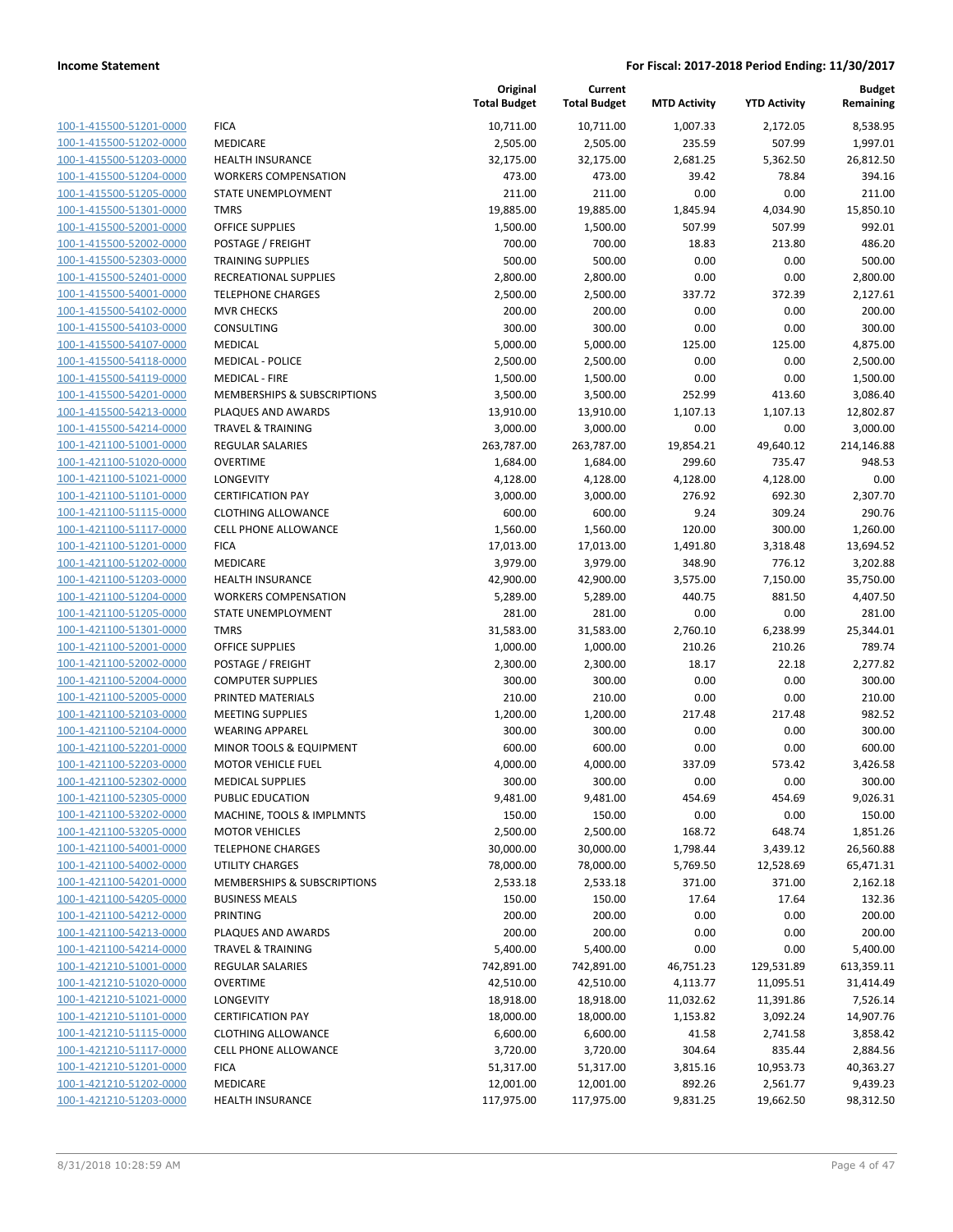| 100-1-415500-51201-0000        |
|--------------------------------|
| 100-1-415500-51202-0000        |
| 100-1-415500-51203-0000        |
| 100-1-415500-51204-0000        |
| 100-1-415500-51205-0000        |
| 100-1-415500-51301-0000        |
| 100-1-415500-52001-0000        |
| 100-1-415500-52002-0000        |
| 100-1-415500-52303-0000        |
| 100-1-415500-52401-0000        |
| 100-1-415500-54001-0000        |
| 100-1-415500-54102-0000        |
| 100-1-415500-54103-0000        |
| 100-1-415500-54107-0000        |
| 100-1-415500-54118-0000        |
| 100-1-415500-54119-0000        |
| 100-1-415500-54201-0000        |
| 100-1-415500-54213-0000        |
| 100-1-415500-54214-0000        |
| 100-1-421100-51001-0000        |
| 100-1-421100-51020-0000        |
| 100-1-421100-51021-0000        |
| 100-1-421100-51101-0000        |
| 100-1-421100-51115-0000        |
| 100-1-421100-51117-0000        |
| 100-1-421100-51201-0000        |
| 100-1-421100-51202-0000        |
| 100-1-421100-51203-0000        |
| 100-1-421100-51204-0000        |
| 100-1-421100-51205-0000        |
| 100-1-421100-51301-0000        |
| 100-1-421100-52001-0000        |
| 100-1-421100-52002-0000        |
| 100-1-421100-52004-0000        |
|                                |
| 100-1-421100-52005-0000        |
| 100-1-421100-52103-0000        |
| 100-1-421100-52104-0000        |
| 100-1-421100-52201-0000        |
| 100-1-421100-52203-0000        |
| 100-1-421100-52302-0000        |
| <u>100-1-421100-52305-0000</u> |
| 100-1-421100-53202-0000        |
| 100-1-421100-53205-0000        |
| 100-1-421100-54001-0000        |
| 100-1-421100-54002-0000        |
| 100-1-421100-54201-0000        |
| 100-1-421100-54205-0000        |
| 100-1-421100-54212-0000        |
| 100-1-421100-54213-0000        |
| 100-1-421100-54214-0000        |
| 100-1-421210-51001-0000        |
| <u>100-1-421210-51020-0000</u> |
| 100-1-421210-51021-0000        |
| 100-1-421210-51101-0000        |
| 100-1-421210-51115-0000        |
| 100-1-421210-51117-0000        |
| 100-1-421210-51201-0000        |
| <u>100-1-421210-51202-0000</u> |
| 100-1-421210-51203-0000        |
|                                |

|                         |                                    | Original<br><b>Total Budget</b> | Current<br><b>Total Budget</b> | <b>MTD Activity</b> | <b>YTD Activity</b> | <b>Budget</b><br>Remaining |
|-------------------------|------------------------------------|---------------------------------|--------------------------------|---------------------|---------------------|----------------------------|
| 100-1-415500-51201-0000 | <b>FICA</b>                        | 10,711.00                       | 10,711.00                      | 1,007.33            | 2,172.05            | 8,538.95                   |
| 100-1-415500-51202-0000 | MEDICARE                           | 2,505.00                        | 2,505.00                       | 235.59              | 507.99              | 1,997.01                   |
| 100-1-415500-51203-0000 | <b>HEALTH INSURANCE</b>            | 32,175.00                       | 32,175.00                      | 2,681.25            | 5,362.50            | 26,812.50                  |
| 100-1-415500-51204-0000 | <b>WORKERS COMPENSATION</b>        | 473.00                          | 473.00                         | 39.42               | 78.84               | 394.16                     |
| 100-1-415500-51205-0000 | STATE UNEMPLOYMENT                 | 211.00                          | 211.00                         | 0.00                | 0.00                | 211.00                     |
| 100-1-415500-51301-0000 | <b>TMRS</b>                        | 19,885.00                       | 19,885.00                      | 1,845.94            | 4,034.90            | 15,850.10                  |
| 100-1-415500-52001-0000 | <b>OFFICE SUPPLIES</b>             | 1,500.00                        | 1,500.00                       | 507.99              | 507.99              | 992.01                     |
| 100-1-415500-52002-0000 | POSTAGE / FREIGHT                  | 700.00                          | 700.00                         | 18.83               | 213.80              | 486.20                     |
| 100-1-415500-52303-0000 | <b>TRAINING SUPPLIES</b>           | 500.00                          | 500.00                         | 0.00                | 0.00                | 500.00                     |
| 100-1-415500-52401-0000 | RECREATIONAL SUPPLIES              | 2,800.00                        | 2,800.00                       | 0.00                | 0.00                | 2,800.00                   |
| 100-1-415500-54001-0000 | <b>TELEPHONE CHARGES</b>           | 2,500.00                        | 2,500.00                       | 337.72              | 372.39              | 2,127.61                   |
| 100-1-415500-54102-0000 | <b>MVR CHECKS</b>                  | 200.00                          | 200.00                         | 0.00                | 0.00                | 200.00                     |
| 100-1-415500-54103-0000 | CONSULTING                         | 300.00                          | 300.00                         | 0.00                | 0.00                | 300.00                     |
| 100-1-415500-54107-0000 | <b>MEDICAL</b>                     | 5,000.00                        | 5,000.00                       | 125.00              | 125.00              | 4,875.00                   |
| 100-1-415500-54118-0000 | <b>MEDICAL - POLICE</b>            | 2,500.00                        | 2,500.00                       | 0.00                | 0.00                | 2,500.00                   |
| 100-1-415500-54119-0000 | <b>MEDICAL - FIRE</b>              | 1,500.00                        | 1,500.00                       | 0.00                | 0.00                | 1,500.00                   |
| 100-1-415500-54201-0000 | MEMBERSHIPS & SUBSCRIPTIONS        | 3,500.00                        | 3,500.00                       | 252.99              | 413.60              | 3,086.40                   |
| 100-1-415500-54213-0000 | PLAQUES AND AWARDS                 | 13,910.00                       | 13,910.00                      | 1,107.13            | 1,107.13            | 12,802.87                  |
| 100-1-415500-54214-0000 | <b>TRAVEL &amp; TRAINING</b>       | 3,000.00                        | 3,000.00                       | 0.00                | 0.00                | 3,000.00                   |
| 100-1-421100-51001-0000 | <b>REGULAR SALARIES</b>            | 263,787.00                      | 263,787.00                     | 19,854.21           | 49,640.12           | 214,146.88                 |
| 100-1-421100-51020-0000 | <b>OVERTIME</b>                    | 1,684.00                        | 1,684.00                       | 299.60              | 735.47              | 948.53                     |
| 100-1-421100-51021-0000 | <b>LONGEVITY</b>                   | 4,128.00                        | 4,128.00                       | 4,128.00            | 4,128.00            | 0.00                       |
| 100-1-421100-51101-0000 | <b>CERTIFICATION PAY</b>           | 3,000.00                        | 3,000.00                       | 276.92              | 692.30              | 2,307.70                   |
| 100-1-421100-51115-0000 | <b>CLOTHING ALLOWANCE</b>          | 600.00                          | 600.00                         | 9.24                | 309.24              | 290.76                     |
| 100-1-421100-51117-0000 | <b>CELL PHONE ALLOWANCE</b>        | 1,560.00                        | 1,560.00                       | 120.00              | 300.00              | 1,260.00                   |
| 100-1-421100-51201-0000 | <b>FICA</b>                        | 17,013.00                       | 17,013.00                      | 1,491.80            | 3,318.48            | 13,694.52                  |
| 100-1-421100-51202-0000 | MEDICARE                           | 3,979.00                        | 3,979.00                       | 348.90              | 776.12              | 3,202.88                   |
| 100-1-421100-51203-0000 | <b>HEALTH INSURANCE</b>            | 42,900.00                       | 42,900.00                      | 3,575.00            | 7,150.00            | 35,750.00                  |
| 100-1-421100-51204-0000 | <b>WORKERS COMPENSATION</b>        | 5,289.00                        | 5,289.00                       | 440.75              | 881.50              | 4,407.50                   |
| 100-1-421100-51205-0000 | STATE UNEMPLOYMENT                 | 281.00                          | 281.00                         | 0.00                | 0.00                | 281.00                     |
| 100-1-421100-51301-0000 | <b>TMRS</b>                        | 31,583.00                       | 31,583.00                      | 2,760.10            | 6,238.99            | 25,344.01                  |
| 100-1-421100-52001-0000 | <b>OFFICE SUPPLIES</b>             | 1,000.00                        | 1,000.00                       | 210.26              | 210.26              | 789.74                     |
| 100-1-421100-52002-0000 | POSTAGE / FREIGHT                  | 2,300.00                        | 2,300.00                       | 18.17               | 22.18               | 2,277.82                   |
| 100-1-421100-52004-0000 | <b>COMPUTER SUPPLIES</b>           | 300.00                          | 300.00                         | 0.00                | 0.00                | 300.00                     |
| 100-1-421100-52005-0000 | PRINTED MATERIALS                  | 210.00                          | 210.00                         | 0.00                | 0.00                | 210.00                     |
| 100-1-421100-52103-0000 | <b>MEETING SUPPLIES</b>            | 1,200.00                        | 1,200.00                       | 217.48              | 217.48              | 982.52                     |
| 100-1-421100-52104-0000 | <b>WEARING APPAREL</b>             | 300.00                          | 300.00                         | 0.00                | 0.00                | 300.00                     |
| 100-1-421100-52201-0000 | <b>MINOR TOOLS &amp; EQUIPMENT</b> | 600.00                          | 600.00                         | 0.00                | 0.00                | 600.00                     |
| 100-1-421100-52203-0000 | <b>MOTOR VEHICLE FUEL</b>          | 4,000.00                        | 4,000.00                       | 337.09              | 573.42              | 3,426.58                   |
| 100-1-421100-52302-0000 | <b>MEDICAL SUPPLIES</b>            | 300.00                          | 300.00                         | 0.00                | 0.00                | 300.00                     |
| 100-1-421100-52305-0000 | PUBLIC EDUCATION                   | 9,481.00                        | 9,481.00                       | 454.69              | 454.69              | 9,026.31                   |
| 100-1-421100-53202-0000 | MACHINE, TOOLS & IMPLMNTS          | 150.00                          | 150.00                         | 0.00                | 0.00                | 150.00                     |
| 100-1-421100-53205-0000 | <b>MOTOR VEHICLES</b>              | 2,500.00                        | 2,500.00                       | 168.72              | 648.74              | 1,851.26                   |
| 100-1-421100-54001-0000 | <b>TELEPHONE CHARGES</b>           | 30,000.00                       | 30,000.00                      | 1,798.44            | 3,439.12            | 26,560.88                  |
| 100-1-421100-54002-0000 | <b>UTILITY CHARGES</b>             | 78,000.00                       | 78,000.00                      | 5,769.50            | 12,528.69           | 65,471.31                  |
| 100-1-421100-54201-0000 | MEMBERSHIPS & SUBSCRIPTIONS        | 2,533.18                        | 2,533.18                       | 371.00              | 371.00              | 2,162.18                   |
| 100-1-421100-54205-0000 | <b>BUSINESS MEALS</b>              | 150.00                          | 150.00                         | 17.64               | 17.64               | 132.36                     |
| 100-1-421100-54212-0000 | PRINTING                           | 200.00                          | 200.00                         | 0.00                | 0.00                | 200.00                     |
| 100-1-421100-54213-0000 | PLAQUES AND AWARDS                 | 200.00                          | 200.00                         | 0.00                | 0.00                | 200.00                     |
| 100-1-421100-54214-0000 | <b>TRAVEL &amp; TRAINING</b>       | 5,400.00                        | 5,400.00                       | 0.00                | 0.00                | 5,400.00                   |
| 100-1-421210-51001-0000 | REGULAR SALARIES                   | 742,891.00                      | 742,891.00                     | 46,751.23           | 129,531.89          | 613,359.11                 |
| 100-1-421210-51020-0000 | <b>OVERTIME</b>                    | 42,510.00                       | 42,510.00                      | 4,113.77            | 11,095.51           | 31,414.49                  |
| 100-1-421210-51021-0000 | LONGEVITY                          | 18,918.00                       | 18,918.00                      | 11,032.62           | 11,391.86           | 7,526.14                   |
| 100-1-421210-51101-0000 | <b>CERTIFICATION PAY</b>           | 18,000.00                       | 18,000.00                      | 1,153.82            | 3,092.24            | 14,907.76                  |
| 100-1-421210-51115-0000 | <b>CLOTHING ALLOWANCE</b>          | 6,600.00                        | 6,600.00                       | 41.58               | 2,741.58            | 3,858.42                   |
| 100-1-421210-51117-0000 | <b>CELL PHONE ALLOWANCE</b>        | 3,720.00                        | 3,720.00                       | 304.64              | 835.44              | 2,884.56                   |
| 100-1-421210-51201-0000 | <b>FICA</b>                        | 51,317.00                       | 51,317.00                      | 3,815.16            | 10,953.73           | 40,363.27                  |
| 100-1-421210-51202-0000 | MEDICARE                           | 12,001.00                       | 12,001.00                      | 892.26              | 2,561.77            | 9,439.23                   |
| 100-1-421210-51203-0000 | HEALTH INSURANCE                   | 117,975.00                      | 117,975.00                     | 9,831.25            | 19,662.50           | 98,312.50                  |
|                         |                                    |                                 |                                |                     |                     |                            |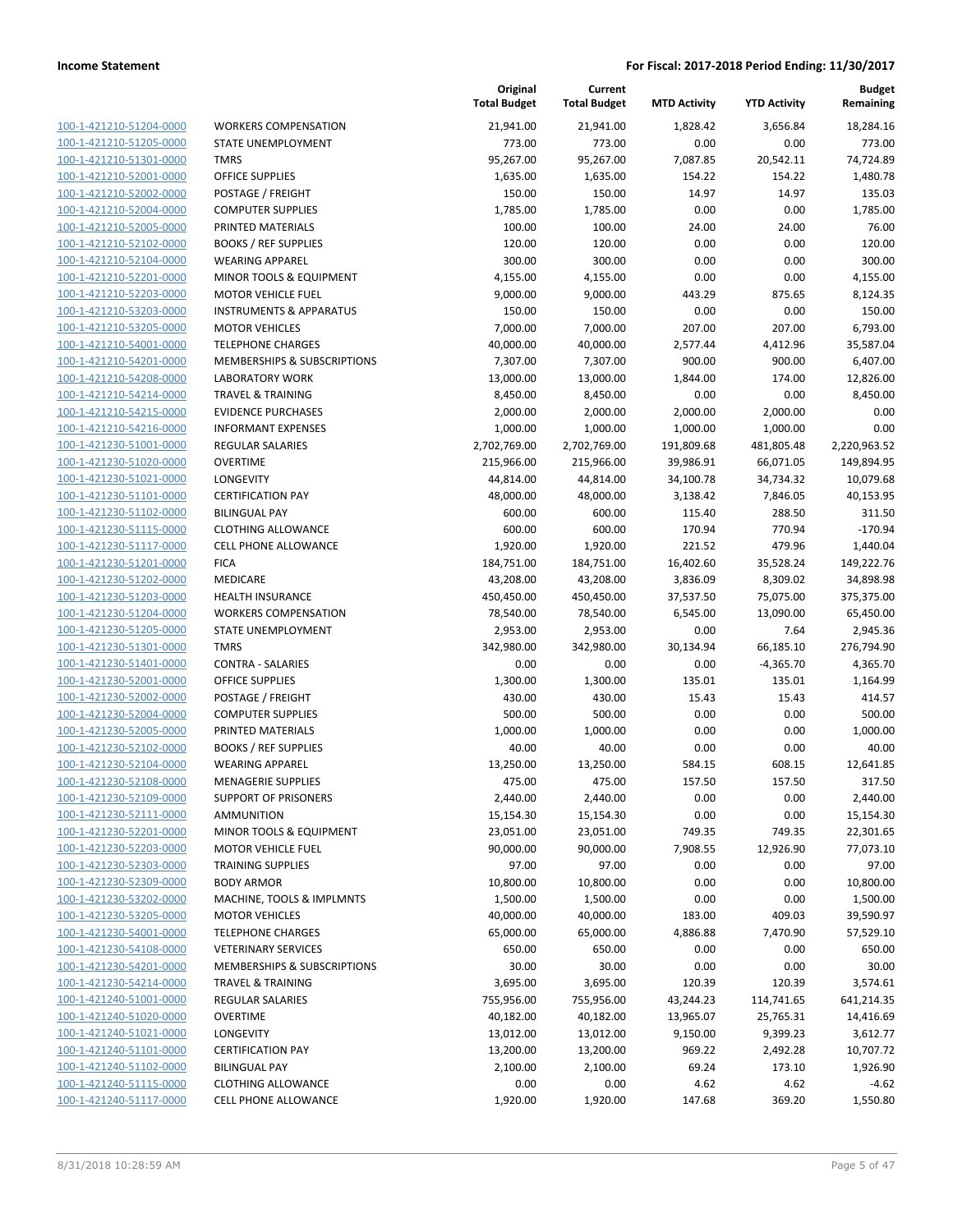|                         |                                    | Original<br><b>Total Budget</b> | Current<br><b>Total Budget</b> | <b>MTD Activity</b> | <b>YTD Activity</b> | Budget<br>Remaining |
|-------------------------|------------------------------------|---------------------------------|--------------------------------|---------------------|---------------------|---------------------|
| 100-1-421210-51204-0000 | <b>WORKERS COMPENSATION</b>        | 21,941.00                       | 21,941.00                      | 1,828.42            | 3,656.84            | 18,284.16           |
| 100-1-421210-51205-0000 | STATE UNEMPLOYMENT                 | 773.00                          | 773.00                         | 0.00                | 0.00                | 773.00              |
| 100-1-421210-51301-0000 | <b>TMRS</b>                        | 95,267.00                       | 95,267.00                      | 7,087.85            | 20,542.11           | 74,724.89           |
| 100-1-421210-52001-0000 | <b>OFFICE SUPPLIES</b>             | 1,635.00                        | 1,635.00                       | 154.22              | 154.22              | 1,480.78            |
| 100-1-421210-52002-0000 | POSTAGE / FREIGHT                  | 150.00                          | 150.00                         | 14.97               | 14.97               | 135.03              |
| 100-1-421210-52004-0000 | <b>COMPUTER SUPPLIES</b>           | 1,785.00                        | 1,785.00                       | 0.00                | 0.00                | 1,785.00            |
| 100-1-421210-52005-0000 | PRINTED MATERIALS                  | 100.00                          | 100.00                         | 24.00               | 24.00               | 76.00               |
| 100-1-421210-52102-0000 | <b>BOOKS / REF SUPPLIES</b>        | 120.00                          | 120.00                         | 0.00                | 0.00                | 120.00              |
| 100-1-421210-52104-0000 | <b>WEARING APPAREL</b>             | 300.00                          | 300.00                         | 0.00                | 0.00                | 300.00              |
| 100-1-421210-52201-0000 | MINOR TOOLS & EQUIPMENT            | 4,155.00                        | 4,155.00                       | 0.00                | 0.00                | 4,155.00            |
| 100-1-421210-52203-0000 | <b>MOTOR VEHICLE FUEL</b>          | 9,000.00                        | 9,000.00                       | 443.29              | 875.65              | 8,124.35            |
| 100-1-421210-53203-0000 | <b>INSTRUMENTS &amp; APPARATUS</b> | 150.00                          | 150.00                         | 0.00                | 0.00                | 150.00              |
| 100-1-421210-53205-0000 | <b>MOTOR VEHICLES</b>              | 7,000.00                        | 7,000.00                       | 207.00              | 207.00              | 6,793.00            |
| 100-1-421210-54001-0000 | <b>TELEPHONE CHARGES</b>           | 40,000.00                       | 40,000.00                      | 2,577.44            | 4,412.96            | 35,587.04           |
| 100-1-421210-54201-0000 | MEMBERSHIPS & SUBSCRIPTIONS        | 7,307.00                        | 7,307.00                       | 900.00              | 900.00              | 6,407.00            |
| 100-1-421210-54208-0000 | <b>LABORATORY WORK</b>             | 13,000.00                       | 13,000.00                      | 1,844.00            | 174.00              | 12,826.00           |
| 100-1-421210-54214-0000 | <b>TRAVEL &amp; TRAINING</b>       | 8,450.00                        | 8,450.00                       | 0.00                | 0.00                | 8,450.00            |
| 100-1-421210-54215-0000 | <b>EVIDENCE PURCHASES</b>          | 2,000.00                        | 2,000.00                       | 2,000.00            | 2,000.00            | 0.00                |
| 100-1-421210-54216-0000 | <b>INFORMANT EXPENSES</b>          | 1,000.00                        | 1,000.00                       | 1,000.00            | 1,000.00            | 0.00                |
| 100-1-421230-51001-0000 | <b>REGULAR SALARIES</b>            | 2,702,769.00                    | 2,702,769.00                   | 191,809.68          | 481,805.48          | 2,220,963.52        |
| 100-1-421230-51020-0000 | <b>OVERTIME</b>                    | 215,966.00                      | 215,966.00                     | 39,986.91           | 66,071.05           | 149,894.95          |
| 100-1-421230-51021-0000 | LONGEVITY                          | 44,814.00                       | 44,814.00                      | 34,100.78           | 34,734.32           | 10,079.68           |
| 100-1-421230-51101-0000 | <b>CERTIFICATION PAY</b>           | 48,000.00                       | 48,000.00                      | 3,138.42            | 7,846.05            | 40,153.95           |
| 100-1-421230-51102-0000 | <b>BILINGUAL PAY</b>               | 600.00                          | 600.00                         | 115.40              | 288.50              | 311.50              |
| 100-1-421230-51115-0000 | <b>CLOTHING ALLOWANCE</b>          | 600.00                          | 600.00                         | 170.94              | 770.94              | $-170.94$           |
| 100-1-421230-51117-0000 | <b>CELL PHONE ALLOWANCE</b>        | 1,920.00                        | 1,920.00                       | 221.52              | 479.96              | 1,440.04            |
| 100-1-421230-51201-0000 | <b>FICA</b>                        | 184,751.00                      | 184,751.00                     | 16,402.60           | 35,528.24           | 149,222.76          |
| 100-1-421230-51202-0000 | <b>MEDICARE</b>                    | 43,208.00                       | 43,208.00                      | 3,836.09            | 8,309.02            | 34,898.98           |
| 100-1-421230-51203-0000 | <b>HEALTH INSURANCE</b>            | 450,450.00                      | 450,450.00                     | 37,537.50           | 75,075.00           | 375,375.00          |
| 100-1-421230-51204-0000 | <b>WORKERS COMPENSATION</b>        | 78,540.00                       | 78,540.00                      | 6,545.00            | 13,090.00           | 65,450.00           |
| 100-1-421230-51205-0000 | STATE UNEMPLOYMENT                 | 2,953.00                        | 2,953.00                       | 0.00                | 7.64                | 2,945.36            |
| 100-1-421230-51301-0000 | <b>TMRS</b>                        | 342,980.00                      | 342,980.00                     | 30,134.94           | 66,185.10           | 276,794.90          |
| 100-1-421230-51401-0000 | <b>CONTRA - SALARIES</b>           | 0.00                            | 0.00                           | 0.00                | $-4,365.70$         | 4,365.70            |
| 100-1-421230-52001-0000 | <b>OFFICE SUPPLIES</b>             | 1,300.00                        | 1,300.00                       | 135.01              | 135.01              | 1,164.99            |
| 100-1-421230-52002-0000 | POSTAGE / FREIGHT                  | 430.00                          | 430.00                         | 15.43               | 15.43               | 414.57              |
| 100-1-421230-52004-0000 | <b>COMPUTER SUPPLIES</b>           | 500.00                          | 500.00                         | 0.00                | 0.00                | 500.00              |
| 100-1-421230-52005-0000 | PRINTED MATERIALS                  | 1,000.00                        | 1,000.00                       | 0.00                | 0.00                | 1,000.00            |
| 100-1-421230-52102-0000 | <b>BOOKS / REF SUPPLIES</b>        | 40.00                           | 40.00                          | 0.00                | 0.00                | 40.00               |
| 100-1-421230-52104-0000 | <b>WEARING APPAREL</b>             | 13,250.00                       | 13,250.00                      | 584.15              | 608.15              | 12,641.85           |
| 100-1-421230-52108-0000 | <b>MENAGERIE SUPPLIES</b>          | 475.00                          | 475.00                         | 157.50              | 157.50              | 317.50              |
| 100-1-421230-52109-0000 | <b>SUPPORT OF PRISONERS</b>        | 2,440.00                        | 2,440.00                       | 0.00                | 0.00                | 2,440.00            |
| 100-1-421230-52111-0000 | AMMUNITION                         | 15,154.30                       | 15,154.30                      | 0.00                | 0.00                | 15,154.30           |
| 100-1-421230-52201-0000 | <b>MINOR TOOLS &amp; EQUIPMENT</b> | 23,051.00                       | 23,051.00                      | 749.35              | 749.35              | 22,301.65           |
| 100-1-421230-52203-0000 | <b>MOTOR VEHICLE FUEL</b>          | 90,000.00                       | 90,000.00                      | 7,908.55            | 12,926.90           | 77,073.10           |
| 100-1-421230-52303-0000 | <b>TRAINING SUPPLIES</b>           | 97.00                           | 97.00                          | 0.00                | 0.00                | 97.00               |
| 100-1-421230-52309-0000 | <b>BODY ARMOR</b>                  | 10,800.00                       | 10,800.00                      | 0.00                | 0.00                | 10,800.00           |
| 100-1-421230-53202-0000 | MACHINE, TOOLS & IMPLMNTS          | 1,500.00                        | 1,500.00                       | 0.00                | 0.00                | 1,500.00            |
| 100-1-421230-53205-0000 | <b>MOTOR VEHICLES</b>              | 40,000.00                       | 40,000.00                      | 183.00              | 409.03              | 39,590.97           |
| 100-1-421230-54001-0000 | <b>TELEPHONE CHARGES</b>           | 65,000.00                       | 65,000.00                      | 4,886.88            | 7,470.90            | 57,529.10           |
| 100-1-421230-54108-0000 | <b>VETERINARY SERVICES</b>         | 650.00                          | 650.00                         | 0.00                | 0.00                | 650.00              |
| 100-1-421230-54201-0000 | MEMBERSHIPS & SUBSCRIPTIONS        | 30.00                           | 30.00                          | 0.00                | 0.00                | 30.00               |
| 100-1-421230-54214-0000 | <b>TRAVEL &amp; TRAINING</b>       | 3,695.00                        | 3,695.00                       | 120.39              | 120.39              | 3,574.61            |
| 100-1-421240-51001-0000 | <b>REGULAR SALARIES</b>            | 755,956.00                      | 755,956.00                     | 43,244.23           | 114,741.65          | 641,214.35          |
| 100-1-421240-51020-0000 | <b>OVERTIME</b>                    | 40,182.00                       | 40,182.00                      | 13,965.07           | 25,765.31           | 14,416.69           |
| 100-1-421240-51021-0000 | LONGEVITY                          | 13,012.00                       | 13,012.00                      | 9,150.00            | 9,399.23            | 3,612.77            |
| 100-1-421240-51101-0000 | <b>CERTIFICATION PAY</b>           | 13,200.00                       | 13,200.00                      | 969.22              | 2,492.28            | 10,707.72           |
| 100-1-421240-51102-0000 | <b>BILINGUAL PAY</b>               | 2,100.00                        | 2,100.00                       | 69.24               | 173.10              | 1,926.90            |
| 100-1-421240-51115-0000 | <b>CLOTHING ALLOWANCE</b>          | 0.00                            | 0.00                           | 4.62                | 4.62                | $-4.62$             |
| 100-1-421240-51117-0000 | CELL PHONE ALLOWANCE               | 1,920.00                        | 1,920.00                       | 147.68              | 369.20              | 1,550.80            |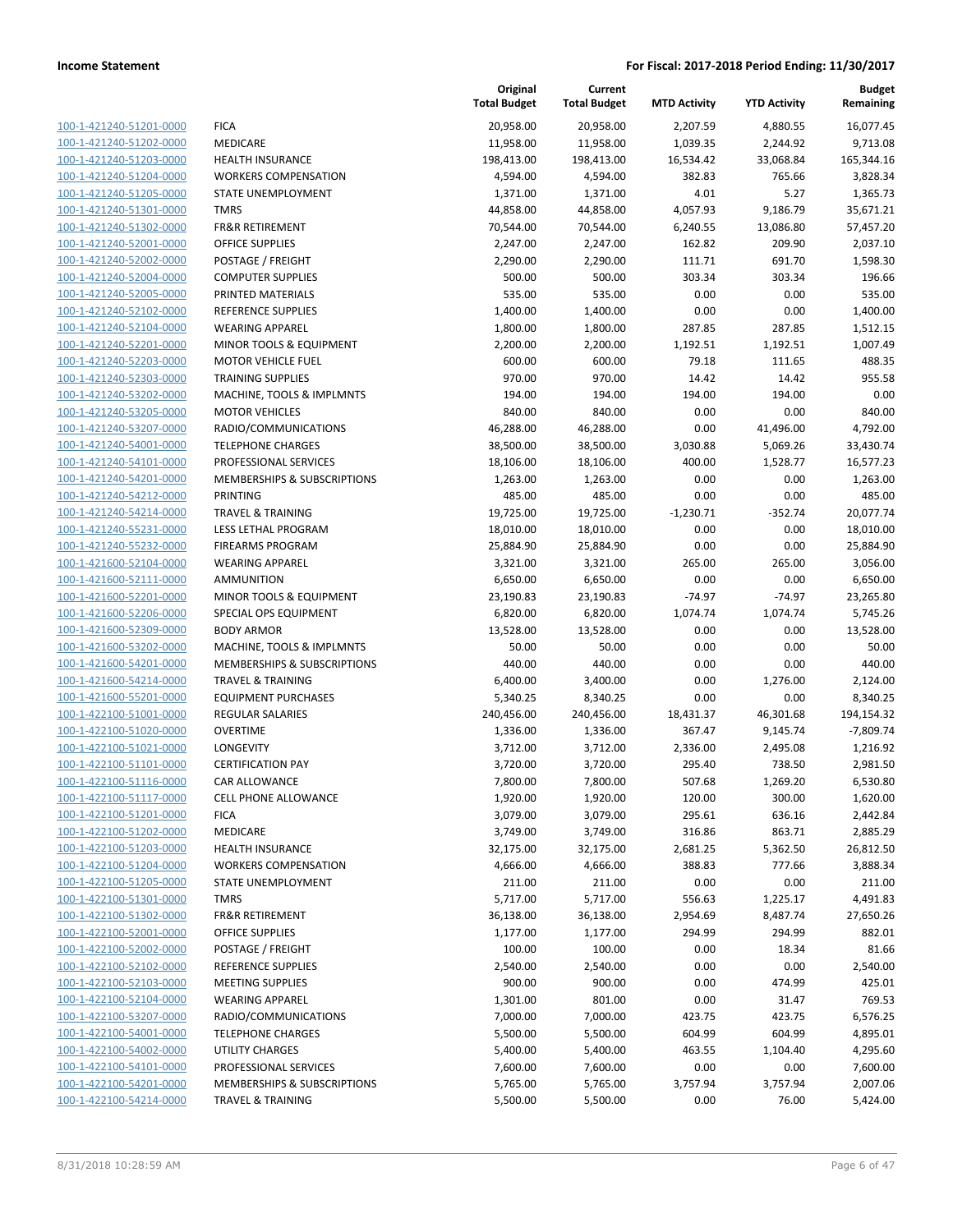| 100-1-421240-51201-0000        |
|--------------------------------|
| 100-1-421240-51202-0000        |
| 100-1-421240-51203-0000        |
| 100-1-421240-51204-0000        |
| 100-1-421240-51205-0000        |
| 100-1-421240-51301-0000        |
| 100-1-421240-51302-0000        |
| 100-1-421240-52001-0000        |
| 100-1-421240-52002-0000        |
| 100-1-421240-52004-0000        |
| 100-1-421240-52005-0000        |
| 100-1-421240-52102-0000        |
| 100-1-421240-52104-0000        |
| 100-1-421240-52201-0000        |
| <u>100-1-421240-52203-0000</u> |
| 100-1-421240-52303-0000        |
| 100-1-421240-53202-0000        |
| 100-1-421240-53205-0000        |
| 100-1-421240-53207-0000        |
| 100-1-421240-54001-0000        |
| 100-1-421240-54101-0000        |
| 100-1-421240-54201-0000        |
| 100-1-421240-54212-0000        |
| 100-1-421240-54214-0000        |
| 100-1-421240-55231-0000        |
| 100-1-421240-55232-0000        |
| 100-1-421600-52104-0000        |
| 100-1-421600-52111-0000        |
|                                |
| 100-1-421600-52201-0000        |
| 100-1-421600-52206-0000        |
| 100-1-421600-52309-0000        |
| 100-1-421600-53202-0000        |
| 100-1-421600-54201-0000        |
| 100-1-421600-54214-0000        |
| 100-1-421600-55201-0000        |
| 100-1-422100-51001-0000        |
| 100-1-422100-51020-0000        |
| 100-1-422100-51021-0000        |
| 100-1-422100-51101-0000        |
| 100-1-422100-51116-0000        |
| 100-1-422100-51117-0000        |
| <u>100-1-422100-51201-0000</u> |
| 100-1-422100-51202-0000        |
| 100-1-422100-51203-0000        |
| <u>100-1-422100-51204-0000</u> |
| 100-1-422100-51205-0000        |
| 100-1-422100-51301-0000        |
| 100-1-422100-51302-0000        |
| 100-1-422100-52001-0000        |
| <u>100-1-422100-52002-0000</u> |
| <u>100-1-422100-52102-0000</u> |
| <u>100-1-422100-52103-0000</u> |
| <u>100-1-422100-52104-0000</u> |
| <u>100-1-422100-53207-0000</u> |
| <u>100-1-422100-54001-0000</u> |
| <u>100-1-422100-54002-0000</u> |
|                                |
| <u>100-1-422100-54101-0000</u> |
| <u>100-1-422100-54201-0000</u> |
| 100-1-422100-54214-0000        |

| <b>FICA</b>                            |
|----------------------------------------|
| <b>MEDICARE</b>                        |
| <b>HEALTH INSURANCE</b>                |
| <b>WORKERS COMPENSATION</b>            |
| STATE UNEMPLOYMENT                     |
| <b>TMRS</b>                            |
| <b>FR&amp;R RETIREMENT</b>             |
| <b>OFFICE SUPPLIES</b>                 |
| POSTAGE / FREIGHT                      |
| <b>COMPUTER SUPPLIES</b>               |
| PRINTED MATERIALS                      |
| <b>REFERENCE SUPPLIES</b>              |
| <b>WEARING APPAREL</b>                 |
| <b>MINOR TOOLS &amp; EQUIPMENT</b>     |
| <b>MOTOR VEHICLE FUEL</b>              |
| TRAINING SUPPLIES                      |
| MACHINE, TOOLS & IMPLMNTS              |
| <b>MOTOR VEHICLES</b>                  |
| RADIO/COMMUNICATIONS                   |
| <b>TELEPHONE CHARGES</b>               |
| PROFESSIONAL SERVICES                  |
| <b>MEMBERSHIPS &amp; SUBSCRIPTIONS</b> |
| PRINTING                               |
| <b>TRAVEL &amp; TRAINING</b>           |
| LESS LETHAL PROGRAM                    |
| <b>FIREARMS PROGRAM</b>                |
| <b>WEARING APPAREL</b>                 |
| <b>AMMUNITION</b>                      |
| <b>MINOR TOOLS &amp; EQUIPMENT</b>     |
| SPECIAL OPS EQUIPMENT                  |
| <b>BODY ARMOR</b>                      |
| MACHINE, TOOLS & IMPLMNTS              |
| <b>MEMBERSHIPS &amp; SUBSCRIPTIONS</b> |
| <b>TRAVEL &amp; TRAINING</b>           |
| <b>EQUIPMENT PURCHASES</b>             |
| <b>REGULAR SALARIES</b>                |
| <b>OVERTIME</b>                        |
| LONGEVITY                              |
| <b>CERTIFICATION PAY</b>               |
| CAR ALLOWANCE                          |
| <b>CELL PHONE ALLOWANCE</b>            |
| <b>FICA</b>                            |
| <b>MEDICARE</b>                        |
| <b>HEALTH INSURANCE</b>                |
| <b>WORKERS COMPENSATION</b>            |
| STATE UNEMPLOYMENT                     |
| <b>TMRS</b>                            |
| <b>FR&amp;R RETIREMENT</b>             |
| <b>OFFICE SUPPLIES</b>                 |
| POSTAGE / FREIGHT                      |
| REFERENCE SUPPLIES                     |
| <b>MEETING SUPPLIES</b>                |
| <b>WEARING APPAREL</b>                 |
| RADIO/COMMUNICATIONS                   |
| <b>TELEPHONE CHARGES</b>               |
| <b>UTILITY CHARGES</b>                 |
| PROFESSIONAL SERVICES                  |
| <b>MEMBERSHIPS &amp; SUBSCRIPTIONS</b> |

|                                                    |                                                   | Original<br><b>Total Budget</b> | Current<br><b>Total Budget</b> | <b>MTD Activity</b> | <b>YTD Activity</b> | <b>Budget</b><br>Remaining |
|----------------------------------------------------|---------------------------------------------------|---------------------------------|--------------------------------|---------------------|---------------------|----------------------------|
| 100-1-421240-51201-0000                            | <b>FICA</b>                                       | 20,958.00                       | 20,958.00                      | 2,207.59            | 4,880.55            | 16,077.45                  |
| 100-1-421240-51202-0000                            | MEDICARE                                          | 11,958.00                       | 11,958.00                      | 1,039.35            | 2,244.92            | 9,713.08                   |
| 100-1-421240-51203-0000                            | <b>HEALTH INSURANCE</b>                           | 198,413.00                      | 198,413.00                     | 16,534.42           | 33,068.84           | 165,344.16                 |
| 100-1-421240-51204-0000                            | <b>WORKERS COMPENSATION</b>                       | 4,594.00                        | 4,594.00                       | 382.83              | 765.66              | 3,828.34                   |
| 100-1-421240-51205-0000                            | STATE UNEMPLOYMENT                                | 1,371.00                        | 1,371.00                       | 4.01                | 5.27                | 1,365.73                   |
| 100-1-421240-51301-0000                            | <b>TMRS</b>                                       | 44,858.00                       | 44,858.00                      | 4,057.93            | 9,186.79            | 35,671.21                  |
| 100-1-421240-51302-0000                            | <b>FR&amp;R RETIREMENT</b>                        | 70,544.00                       | 70,544.00                      | 6,240.55            | 13,086.80           | 57,457.20                  |
| 100-1-421240-52001-0000                            | <b>OFFICE SUPPLIES</b>                            | 2,247.00                        | 2,247.00                       | 162.82              | 209.90              | 2,037.10                   |
| 100-1-421240-52002-0000                            | POSTAGE / FREIGHT                                 | 2,290.00                        | 2,290.00                       | 111.71              | 691.70              | 1,598.30                   |
| 100-1-421240-52004-0000                            | <b>COMPUTER SUPPLIES</b>                          | 500.00                          | 500.00                         | 303.34              | 303.34              | 196.66                     |
| 100-1-421240-52005-0000                            | PRINTED MATERIALS                                 | 535.00                          | 535.00                         | 0.00                | 0.00                | 535.00                     |
| 100-1-421240-52102-0000                            | REFERENCE SUPPLIES                                | 1,400.00                        | 1,400.00                       | 0.00                | 0.00                | 1,400.00                   |
| 100-1-421240-52104-0000                            | <b>WEARING APPAREL</b>                            | 1,800.00                        | 1,800.00                       | 287.85              | 287.85              | 1,512.15                   |
| 100-1-421240-52201-0000                            | MINOR TOOLS & EQUIPMENT                           | 2,200.00                        | 2,200.00                       | 1,192.51            | 1,192.51            | 1,007.49                   |
| 100-1-421240-52203-0000                            | <b>MOTOR VEHICLE FUEL</b>                         | 600.00                          | 600.00                         | 79.18               | 111.65              | 488.35                     |
| 100-1-421240-52303-0000                            | <b>TRAINING SUPPLIES</b>                          | 970.00                          | 970.00                         | 14.42               | 14.42               | 955.58                     |
| 100-1-421240-53202-0000                            | MACHINE, TOOLS & IMPLMNTS                         | 194.00                          | 194.00                         | 194.00              | 194.00              | 0.00                       |
| 100-1-421240-53205-0000                            | <b>MOTOR VEHICLES</b>                             | 840.00                          | 840.00                         | 0.00                | 0.00                | 840.00                     |
| 100-1-421240-53207-0000                            | RADIO/COMMUNICATIONS                              | 46,288.00                       | 46,288.00                      | 0.00                | 41,496.00           | 4,792.00                   |
| 100-1-421240-54001-0000                            | <b>TELEPHONE CHARGES</b><br>PROFESSIONAL SERVICES | 38,500.00                       | 38,500.00                      | 3,030.88            | 5,069.26            | 33,430.74                  |
| 100-1-421240-54101-0000                            | MEMBERSHIPS & SUBSCRIPTIONS                       | 18,106.00                       | 18,106.00                      | 400.00<br>0.00      | 1,528.77<br>0.00    | 16,577.23                  |
| 100-1-421240-54201-0000<br>100-1-421240-54212-0000 | <b>PRINTING</b>                                   | 1,263.00<br>485.00              | 1,263.00<br>485.00             | 0.00                | 0.00                | 1,263.00<br>485.00         |
| 100-1-421240-54214-0000                            | <b>TRAVEL &amp; TRAINING</b>                      | 19,725.00                       | 19,725.00                      | $-1,230.71$         | $-352.74$           | 20,077.74                  |
| 100-1-421240-55231-0000                            | LESS LETHAL PROGRAM                               | 18,010.00                       | 18,010.00                      | 0.00                | 0.00                | 18,010.00                  |
| 100-1-421240-55232-0000                            | <b>FIREARMS PROGRAM</b>                           | 25,884.90                       | 25,884.90                      | 0.00                | 0.00                | 25,884.90                  |
| 100-1-421600-52104-0000                            | <b>WEARING APPAREL</b>                            | 3,321.00                        | 3,321.00                       | 265.00              | 265.00              | 3,056.00                   |
| 100-1-421600-52111-0000                            | <b>AMMUNITION</b>                                 | 6,650.00                        | 6,650.00                       | 0.00                | 0.00                | 6,650.00                   |
| 100-1-421600-52201-0000                            | MINOR TOOLS & EQUIPMENT                           | 23,190.83                       | 23,190.83                      | $-74.97$            | $-74.97$            | 23,265.80                  |
| 100-1-421600-52206-0000                            | SPECIAL OPS EQUIPMENT                             | 6,820.00                        | 6,820.00                       | 1,074.74            | 1,074.74            | 5,745.26                   |
| 100-1-421600-52309-0000                            | <b>BODY ARMOR</b>                                 | 13,528.00                       | 13,528.00                      | 0.00                | 0.00                | 13,528.00                  |
| 100-1-421600-53202-0000                            | MACHINE, TOOLS & IMPLMNTS                         | 50.00                           | 50.00                          | 0.00                | 0.00                | 50.00                      |
| 100-1-421600-54201-0000                            | MEMBERSHIPS & SUBSCRIPTIONS                       | 440.00                          | 440.00                         | 0.00                | 0.00                | 440.00                     |
| 100-1-421600-54214-0000                            | <b>TRAVEL &amp; TRAINING</b>                      | 6,400.00                        | 3,400.00                       | 0.00                | 1,276.00            | 2,124.00                   |
| 100-1-421600-55201-0000                            | <b>EQUIPMENT PURCHASES</b>                        | 5,340.25                        | 8,340.25                       | 0.00                | 0.00                | 8,340.25                   |
| 100-1-422100-51001-0000                            | REGULAR SALARIES                                  | 240,456.00                      | 240,456.00                     | 18,431.37           | 46,301.68           | 194,154.32                 |
| 100-1-422100-51020-0000                            | <b>OVERTIME</b>                                   | 1,336.00                        | 1,336.00                       | 367.47              | 9,145.74            | $-7,809.74$                |
| 100-1-422100-51021-0000                            | <b>LONGEVITY</b>                                  | 3,712.00                        | 3,712.00                       | 2,336.00            | 2,495.08            | 1,216.92                   |
| 100-1-422100-51101-0000                            | <b>CERTIFICATION PAY</b>                          | 3,720.00                        | 3,720.00                       | 295.40              | 738.50              | 2,981.50                   |
| 100-1-422100-51116-0000                            | CAR ALLOWANCE                                     | 7,800.00                        | 7,800.00                       | 507.68              | 1,269.20            | 6,530.80                   |
| 100-1-422100-51117-0000                            | <b>CELL PHONE ALLOWANCE</b>                       | 1,920.00                        | 1,920.00                       | 120.00              | 300.00              | 1,620.00                   |
| 100-1-422100-51201-0000                            | <b>FICA</b>                                       | 3,079.00                        | 3,079.00                       | 295.61              | 636.16              | 2,442.84                   |
| 100-1-422100-51202-0000                            | MEDICARE                                          | 3,749.00                        | 3,749.00                       | 316.86              | 863.71              | 2,885.29                   |
| 100-1-422100-51203-0000                            | <b>HEALTH INSURANCE</b>                           | 32,175.00                       | 32,175.00                      | 2,681.25            | 5,362.50            | 26,812.50                  |
| 100-1-422100-51204-0000                            | <b>WORKERS COMPENSATION</b>                       | 4,666.00                        | 4,666.00                       | 388.83              | 777.66              | 3,888.34                   |
| 100-1-422100-51205-0000                            | STATE UNEMPLOYMENT                                | 211.00                          | 211.00                         | 0.00                | 0.00                | 211.00                     |
| 100-1-422100-51301-0000                            | <b>TMRS</b>                                       | 5,717.00                        | 5,717.00                       | 556.63              | 1,225.17            | 4,491.83                   |
| 100-1-422100-51302-0000                            | <b>FR&amp;R RETIREMENT</b>                        | 36,138.00                       | 36,138.00                      | 2,954.69            | 8,487.74            | 27,650.26                  |
| 100-1-422100-52001-0000                            | <b>OFFICE SUPPLIES</b>                            | 1,177.00                        | 1,177.00                       | 294.99              | 294.99              | 882.01                     |
| 100-1-422100-52002-0000                            | POSTAGE / FREIGHT                                 | 100.00                          | 100.00                         | 0.00                | 18.34               | 81.66                      |
| 100-1-422100-52102-0000                            | REFERENCE SUPPLIES                                | 2,540.00                        | 2,540.00                       | 0.00                | 0.00                | 2,540.00                   |
| 100-1-422100-52103-0000                            | <b>MEETING SUPPLIES</b>                           | 900.00                          | 900.00                         | 0.00                | 474.99              | 425.01                     |
| 100-1-422100-52104-0000                            | <b>WEARING APPAREL</b>                            | 1,301.00                        | 801.00                         | 0.00                | 31.47               | 769.53                     |
| 100-1-422100-53207-0000                            | RADIO/COMMUNICATIONS                              | 7,000.00                        | 7,000.00                       | 423.75              | 423.75              | 6,576.25                   |
| 100-1-422100-54001-0000                            | <b>TELEPHONE CHARGES</b>                          | 5,500.00                        | 5,500.00                       | 604.99              | 604.99              | 4,895.01                   |
| 100-1-422100-54002-0000                            | UTILITY CHARGES                                   | 5,400.00                        | 5,400.00                       | 463.55              | 1,104.40            | 4,295.60                   |
| 100-1-422100-54101-0000                            | PROFESSIONAL SERVICES                             | 7,600.00                        | 7,600.00                       | 0.00                | 0.00                | 7,600.00                   |
| 100-1-422100-54201-0000                            | MEMBERSHIPS & SUBSCRIPTIONS                       | 5,765.00                        | 5,765.00                       | 3,757.94            | 3,757.94            | 2,007.06                   |
| 100-1-422100-54214-0000                            | <b>TRAVEL &amp; TRAINING</b>                      | 5,500.00                        | 5,500.00                       | 0.00                | 76.00               | 5,424.00                   |
|                                                    |                                                   |                                 |                                |                     |                     |                            |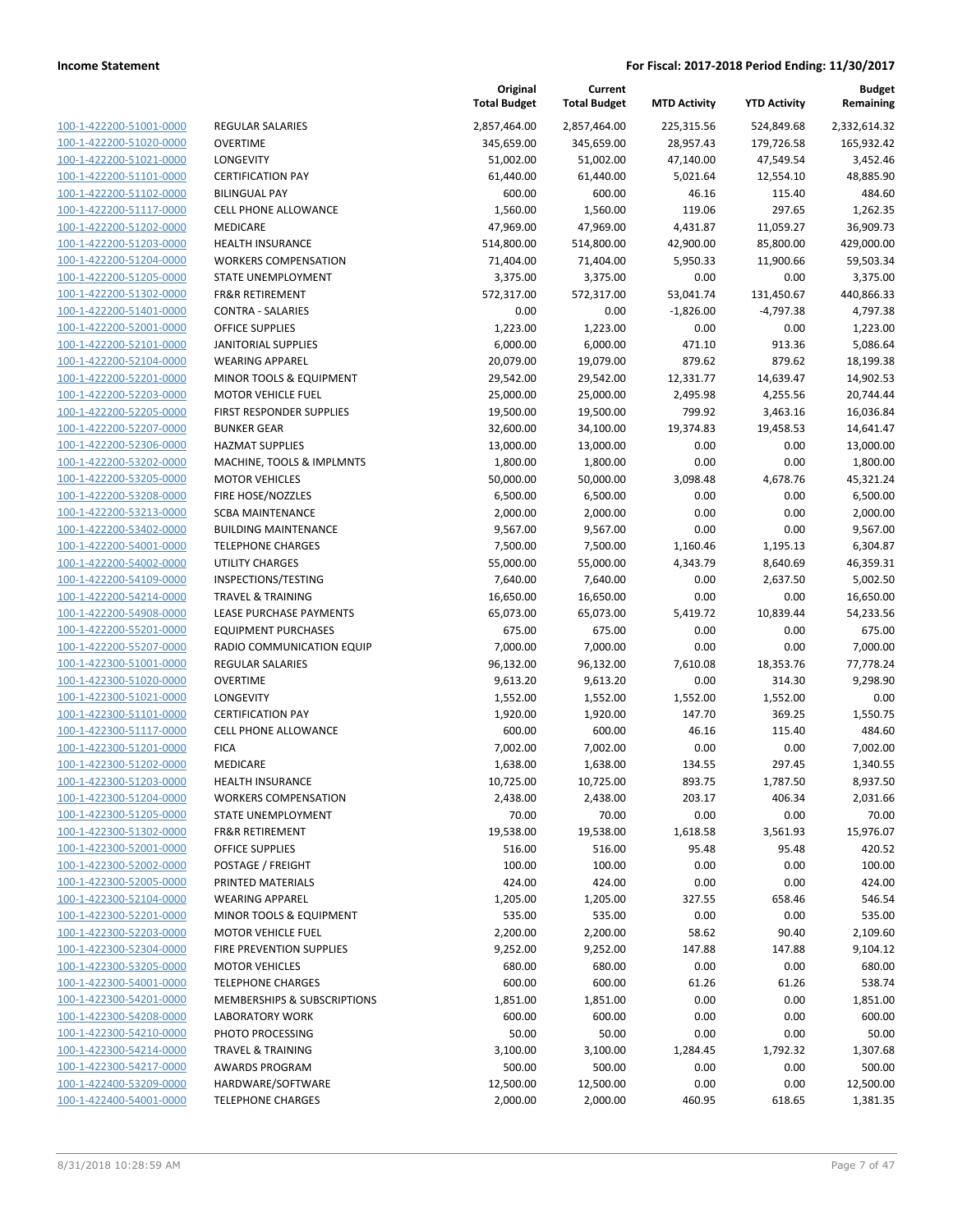| 100-1-422200-51001-0000        |
|--------------------------------|
| 100-1-422200-51020-0000        |
| 100-1-422200-51021-0000        |
| 100-1-422200-51101-0000        |
| 100-1-422200-51102-0000        |
| 100-1-422200-51117-0000        |
| 100-1-422200-51202-0000        |
| 100-1-422200-51203-0000        |
| 100-1-422200-51204-0000        |
| 100-1-422200-51205-0000        |
| 100-1-422200-51302-0000        |
|                                |
| 100-1-422200-51401-0000        |
| 100-1-422200-52001-0000        |
| 100-1-422200-52101-0000        |
| 100-1-422200-52104-0000        |
| 100-1-422200-52201-0000        |
| 100-1-422200-52203-0000        |
| 100-1-422200-52205-0000        |
| 100-1-422200-52207-0000        |
| 100-1-422200-52306-0000        |
| 100-1-422200-53202-0000        |
| 100-1-422200-53205-0000        |
| 100-1-422200-53208-0000        |
| 100-1-422200-53213-0000        |
| 100-1-422200-53402-0000        |
|                                |
| 100-1-422200-54001-0000        |
| 100-1-422200-54002-0000        |
| 100-1-422200-54109-0000        |
| 100-1-422200-54214-0000        |
| 100-1-422200-54908-0000        |
| 100-1-422200-55201-0000        |
| 100-1-422200-55207-0000        |
| 100-1-422300-51001-0000        |
| 100-1-422300-51020-0000        |
| 100-1-422300-51021-0000        |
| 100-1-422300-51101-0000        |
| 100-1-422300-51117-0000        |
| 100-1-422300-51201-0000        |
| 100-1-422300-51202-0000        |
| 100-1-422300-51203-0000        |
| 100-1-422300-51204-0000        |
|                                |
| 100-1-422300-51205-0000        |
| <u>100-1-422300-51302-0000</u> |
| <u>100-1-422300-52001-0000</u> |
| 100-1-422300-52002-0000        |
| 100-1-422300-52005-0000        |
| 100-1-422300-52104-0000        |
| <u>100-1-422300-52201-0000</u> |
| <u>100-1-422300-52203-0000</u> |
| 100-1-422300-52304-0000        |
| 100-1-422300-53205-0000        |
| 100-1-422300-54001-0000        |
| <u>100-1-422300-54201-0000</u> |
| <u>100-1-422300-54208-0000</u> |
| <u>100-1-422300-54210-0000</u> |
|                                |
| 100-1-422300-54214-0000        |
| 100-1-422300-54217-0000        |
| <u>100-1-422400-53209-0000</u> |
| <u>100-1-422400-54001-0000</u> |
|                                |

| <b>EGULAR SALARIES</b>                                          |
|-----------------------------------------------------------------|
| <b>VERTIME</b>                                                  |
| ONGEVITY                                                        |
| <b>ERTIFICATION PAY</b>                                         |
| <b>ILINGUAL PAY</b>                                             |
| ELL PHONE ALLOWANCE                                             |
| 1EDICARE                                                        |
| <b>IEALTH INSURANCE</b>                                         |
| VORKERS COMPENSATION<br>TATE UNEMPLOYMENT                       |
| R&R RETIREMENT                                                  |
| <b>ONTRA - SALARIES</b>                                         |
| <b>FFICE SUPPLIES</b>                                           |
| <b>ANITORIAL SUPPLIES</b>                                       |
| VEARING APPAREL                                                 |
| 1INOR TOOLS & EQUIPMENT                                         |
| 1OTOR VEHICLE FUEL                                              |
| IRST RESPONDER SUPPLIES                                         |
| <b>UNKER GEAR</b>                                               |
| <b>AZMAT SUPPLIES</b>                                           |
| 1ACHINE, TOOLS & IMPLMNTS                                       |
| <b>1OTOR VEHICLES</b>                                           |
| <b>IRE HOSE/NOZZLES</b>                                         |
| CBA MAINTENANCE<br>UILDING MAINTENANCE                          |
| ELEPHONE CHARGES                                                |
| <b>ITILITY CHARGES</b>                                          |
| NSPECTIONS/TESTING                                              |
| <b>RAVEL &amp; TRAINING</b>                                     |
| EASE PURCHASE PAYMENTS                                          |
| QUIPMENT PURCHASES                                              |
| ADIO COMMUNICATION EQUIP                                        |
| <b>EGULAR SALARIES</b>                                          |
| <b>VERTIME</b>                                                  |
| ONGEVITY                                                        |
| <b>ERTIFICATION PAY</b>                                         |
| ELL PHONE ALLOWANCE<br>ICA                                      |
| <b><i>AEDICARE</i></b>                                          |
| <b>EALTH INSURANCE</b>                                          |
| <b>VORKERS COMPENSATION</b>                                     |
| <b>TATE UNEMPLOYMENT</b>                                        |
| R&R RETIREMENT                                                  |
| <b>FFICE SUPPLIES</b>                                           |
| OSTAGE / FREIGHT                                                |
| <b>RINTED MATERIALS</b>                                         |
| <b>VEARING APPAREL</b>                                          |
| 1INOR TOOLS & EQUIPMENT                                         |
| <b>1OTOR VEHICLE FUEL</b>                                       |
| IRE PREVENTION SUPPLIES                                         |
| <b>IOTOR VEHICLES</b>                                           |
| <b>ELEPHONE CHARGES</b>                                         |
| <b>IEMBERSHIPS &amp; SUBSCRIPTIONS</b><br><b>ABORATORY WORK</b> |
| <b>HOTO PROCESSING</b>                                          |
| RAVEL & TRAINING                                                |
| WARDS PROGRAM                                                   |
| <b>ARDWARE/SOFTWARE</b>                                         |
|                                                                 |

|                         |                              | Original<br><b>Total Budget</b> | Current<br><b>Total Budget</b> | <b>MTD Activity</b> | <b>YTD Activity</b> | <b>Budget</b><br>Remaining |
|-------------------------|------------------------------|---------------------------------|--------------------------------|---------------------|---------------------|----------------------------|
| 100-1-422200-51001-0000 | <b>REGULAR SALARIES</b>      | 2,857,464.00                    | 2,857,464.00                   | 225,315.56          | 524,849.68          | 2,332,614.32               |
| 100-1-422200-51020-0000 | <b>OVERTIME</b>              | 345,659.00                      | 345,659.00                     | 28,957.43           | 179,726.58          | 165,932.42                 |
| 100-1-422200-51021-0000 | <b>LONGEVITY</b>             | 51,002.00                       | 51,002.00                      | 47,140.00           | 47,549.54           | 3,452.46                   |
| 100-1-422200-51101-0000 | <b>CERTIFICATION PAY</b>     | 61,440.00                       | 61,440.00                      | 5,021.64            | 12,554.10           | 48,885.90                  |
| 100-1-422200-51102-0000 | <b>BILINGUAL PAY</b>         | 600.00                          | 600.00                         | 46.16               | 115.40              | 484.60                     |
| 100-1-422200-51117-0000 | <b>CELL PHONE ALLOWANCE</b>  | 1,560.00                        | 1,560.00                       | 119.06              | 297.65              | 1,262.35                   |
| 100-1-422200-51202-0000 | MEDICARE                     | 47,969.00                       | 47,969.00                      | 4,431.87            | 11,059.27           | 36,909.73                  |
| 100-1-422200-51203-0000 | <b>HEALTH INSURANCE</b>      | 514,800.00                      | 514,800.00                     | 42,900.00           | 85,800.00           | 429,000.00                 |
| 100-1-422200-51204-0000 | <b>WORKERS COMPENSATION</b>  | 71,404.00                       | 71,404.00                      | 5,950.33            | 11,900.66           | 59,503.34                  |
| 100-1-422200-51205-0000 | STATE UNEMPLOYMENT           | 3,375.00                        | 3,375.00                       | 0.00                | 0.00                | 3,375.00                   |
| 100-1-422200-51302-0000 | <b>FR&amp;R RETIREMENT</b>   | 572,317.00                      | 572,317.00                     | 53,041.74           | 131,450.67          | 440,866.33                 |
| 100-1-422200-51401-0000 | <b>CONTRA - SALARIES</b>     | 0.00                            | 0.00                           | $-1,826.00$         | $-4,797.38$         | 4,797.38                   |
| 100-1-422200-52001-0000 | <b>OFFICE SUPPLIES</b>       | 1,223.00                        | 1,223.00                       | 0.00                | 0.00                | 1,223.00                   |
| 100-1-422200-52101-0000 | <b>JANITORIAL SUPPLIES</b>   | 6,000.00                        | 6,000.00                       | 471.10              | 913.36              | 5,086.64                   |
| 100-1-422200-52104-0000 | <b>WEARING APPAREL</b>       | 20,079.00                       | 19,079.00                      | 879.62              | 879.62              | 18,199.38                  |
| 100-1-422200-52201-0000 | MINOR TOOLS & EQUIPMENT      | 29,542.00                       | 29,542.00                      | 12,331.77           | 14,639.47           | 14,902.53                  |
| 100-1-422200-52203-0000 | <b>MOTOR VEHICLE FUEL</b>    | 25,000.00                       | 25,000.00                      | 2,495.98            | 4,255.56            | 20,744.44                  |
| 100-1-422200-52205-0000 | FIRST RESPONDER SUPPLIES     | 19,500.00                       | 19,500.00                      | 799.92              | 3,463.16            | 16,036.84                  |
| 100-1-422200-52207-0000 | <b>BUNKER GEAR</b>           | 32,600.00                       | 34,100.00                      | 19,374.83           | 19,458.53           | 14,641.47                  |
| 100-1-422200-52306-0000 | <b>HAZMAT SUPPLIES</b>       | 13,000.00                       | 13,000.00                      | 0.00                | 0.00                | 13,000.00                  |
| 100-1-422200-53202-0000 | MACHINE, TOOLS & IMPLMNTS    | 1,800.00                        | 1,800.00                       | 0.00                | 0.00                | 1,800.00                   |
| 100-1-422200-53205-0000 | <b>MOTOR VEHICLES</b>        | 50,000.00                       | 50,000.00                      | 3,098.48            | 4,678.76            | 45,321.24                  |
| 100-1-422200-53208-0000 | FIRE HOSE/NOZZLES            | 6,500.00                        | 6,500.00                       | 0.00                | 0.00                | 6,500.00                   |
| 100-1-422200-53213-0000 | <b>SCBA MAINTENANCE</b>      | 2,000.00                        | 2,000.00                       | 0.00                | 0.00                | 2,000.00                   |
| 100-1-422200-53402-0000 | <b>BUILDING MAINTENANCE</b>  | 9,567.00                        | 9,567.00                       | 0.00                | 0.00                | 9,567.00                   |
| 100-1-422200-54001-0000 | <b>TELEPHONE CHARGES</b>     | 7,500.00                        | 7,500.00                       | 1,160.46            | 1,195.13            | 6,304.87                   |
| 100-1-422200-54002-0000 | UTILITY CHARGES              | 55,000.00                       | 55,000.00                      | 4,343.79            | 8,640.69            | 46,359.31                  |
| 100-1-422200-54109-0000 | INSPECTIONS/TESTING          | 7,640.00                        | 7,640.00                       | 0.00                | 2,637.50            | 5,002.50                   |
| 100-1-422200-54214-0000 | <b>TRAVEL &amp; TRAINING</b> | 16,650.00                       | 16,650.00                      | 0.00                | 0.00                | 16,650.00                  |
| 100-1-422200-54908-0000 | LEASE PURCHASE PAYMENTS      | 65,073.00                       | 65,073.00                      | 5,419.72            | 10,839.44           | 54,233.56                  |
| 100-1-422200-55201-0000 | <b>EQUIPMENT PURCHASES</b>   | 675.00                          | 675.00                         | 0.00                | 0.00                | 675.00                     |
| 100-1-422200-55207-0000 | RADIO COMMUNICATION EQUIP    | 7,000.00                        | 7,000.00                       | 0.00                | 0.00                | 7,000.00                   |
| 100-1-422300-51001-0000 | <b>REGULAR SALARIES</b>      | 96,132.00                       | 96,132.00                      | 7,610.08            | 18,353.76           | 77,778.24                  |
| 100-1-422300-51020-0000 | <b>OVERTIME</b>              | 9,613.20                        | 9,613.20                       | 0.00                | 314.30              | 9,298.90                   |
| 100-1-422300-51021-0000 | LONGEVITY                    | 1,552.00                        | 1,552.00                       | 1,552.00            | 1,552.00            | 0.00                       |
| 100-1-422300-51101-0000 | <b>CERTIFICATION PAY</b>     | 1,920.00                        | 1,920.00                       | 147.70              | 369.25              | 1,550.75                   |
| 100-1-422300-51117-0000 | CELL PHONE ALLOWANCE         | 600.00                          | 600.00                         | 46.16               | 115.40              | 484.60                     |
| 100-1-422300-51201-0000 | <b>FICA</b>                  | 7,002.00                        | 7,002.00                       | 0.00                | 0.00                | 7,002.00                   |
| 100-1-422300-51202-0000 | MEDICARE                     | 1,638.00                        | 1,638.00                       | 134.55              | 297.45              | 1,340.55                   |
| 100-1-422300-51203-0000 | <b>HEALTH INSURANCE</b>      | 10,725.00                       | 10,725.00                      | 893.75              | 1,787.50            | 8,937.50                   |
| 100-1-422300-51204-0000 | <b>WORKERS COMPENSATION</b>  | 2,438.00                        | 2,438.00                       | 203.17              | 406.34              | 2,031.66                   |
| 100-1-422300-51205-0000 | STATE UNEMPLOYMENT           | 70.00                           | 70.00                          | 0.00                | 0.00                | 70.00                      |
| 100-1-422300-51302-0000 | <b>FR&amp;R RETIREMENT</b>   | 19,538.00                       | 19,538.00                      | 1,618.58            | 3,561.93            | 15,976.07                  |
| 100-1-422300-52001-0000 | <b>OFFICE SUPPLIES</b>       | 516.00                          | 516.00                         | 95.48               | 95.48               | 420.52                     |
| 100-1-422300-52002-0000 | POSTAGE / FREIGHT            | 100.00                          | 100.00                         | 0.00                | 0.00                | 100.00                     |
| 100-1-422300-52005-0000 | PRINTED MATERIALS            | 424.00                          | 424.00                         | 0.00                | 0.00                | 424.00                     |
| 100-1-422300-52104-0000 | <b>WEARING APPAREL</b>       | 1,205.00                        | 1,205.00                       | 327.55              | 658.46              | 546.54                     |
| 100-1-422300-52201-0000 | MINOR TOOLS & EQUIPMENT      | 535.00                          | 535.00                         | 0.00                | 0.00                | 535.00                     |
| 100-1-422300-52203-0000 | <b>MOTOR VEHICLE FUEL</b>    | 2,200.00                        | 2,200.00                       | 58.62               | 90.40               | 2,109.60                   |
| 100-1-422300-52304-0000 | FIRE PREVENTION SUPPLIES     | 9,252.00                        | 9,252.00                       | 147.88              | 147.88              | 9,104.12                   |
| 100-1-422300-53205-0000 | <b>MOTOR VEHICLES</b>        | 680.00                          | 680.00                         | 0.00                | 0.00                | 680.00                     |
| 100-1-422300-54001-0000 | <b>TELEPHONE CHARGES</b>     | 600.00                          | 600.00                         | 61.26               | 61.26               | 538.74                     |
| 100-1-422300-54201-0000 | MEMBERSHIPS & SUBSCRIPTIONS  | 1,851.00                        | 1,851.00                       | 0.00                | 0.00                | 1,851.00                   |
| 100-1-422300-54208-0000 | <b>LABORATORY WORK</b>       | 600.00                          | 600.00                         | 0.00                | 0.00                | 600.00                     |
| 100-1-422300-54210-0000 | PHOTO PROCESSING             | 50.00                           | 50.00                          | 0.00                | 0.00                | 50.00                      |
| 100-1-422300-54214-0000 | <b>TRAVEL &amp; TRAINING</b> | 3,100.00                        | 3,100.00                       | 1,284.45            | 1,792.32            | 1,307.68                   |
| 100-1-422300-54217-0000 | <b>AWARDS PROGRAM</b>        | 500.00                          | 500.00                         | 0.00                | 0.00                | 500.00                     |
| 100-1-422400-53209-0000 | HARDWARE/SOFTWARE            | 12,500.00                       | 12,500.00                      | 0.00                | 0.00                | 12,500.00                  |
| 100-1-422400-54001-0000 | <b>TELEPHONE CHARGES</b>     | 2,000.00                        | 2,000.00                       | 460.95              | 618.65              | 1,381.35                   |
|                         |                              |                                 |                                |                     |                     |                            |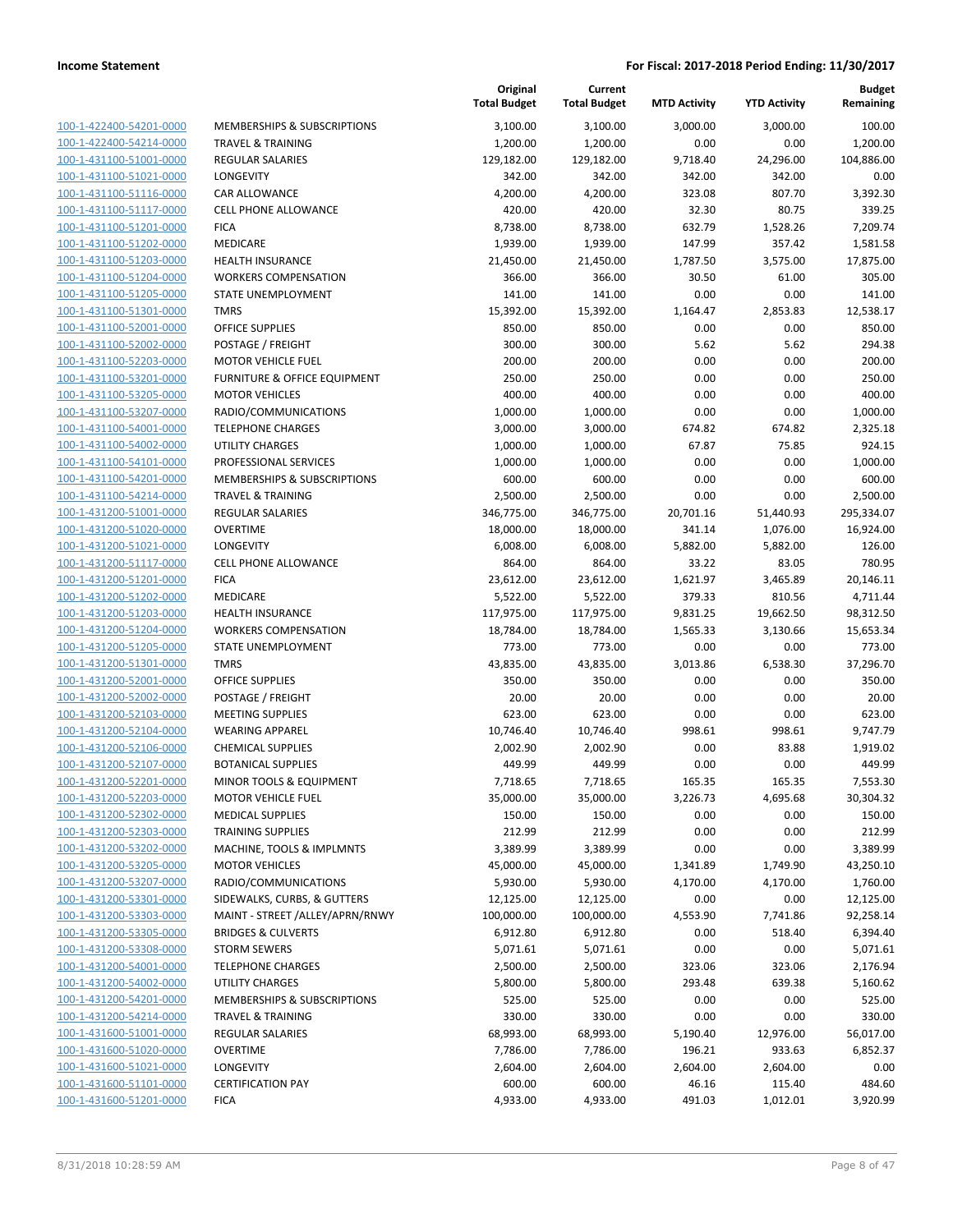**Budget Remaining**

**MTD Activity YTD Activity**

**Current Total Budget**

**Original**

| 3,100.00<br>3,100.00<br>3,000.00<br>3,000.00<br>100-1-422400-54201-0000<br>MEMBERSHIPS & SUBSCRIPTIONS<br>1,200.00<br>1,200.00<br>0.00<br>0.00<br>100-1-422400-54214-0000<br><b>TRAVEL &amp; TRAINING</b><br>100-1-431100-51001-0000<br>129,182.00<br>129,182.00<br>9,718.40<br>24,296.00<br><b>REGULAR SALARIES</b><br>100-1-431100-51021-0000<br>342.00<br>342.00<br>342.00<br><b>LONGEVITY</b><br>342.00<br>323.08<br>807.70<br>100-1-431100-51116-0000<br>4,200.00<br>4,200.00<br>CAR ALLOWANCE<br>32.30<br>80.75<br><b>CELL PHONE ALLOWANCE</b><br>420.00<br>420.00<br>100-1-431100-51117-0000<br>100-1-431100-51201-0000<br>8,738.00<br>8,738.00<br>632.79<br>1,528.26<br><b>FICA</b><br>100-1-431100-51202-0000<br>MEDICARE<br>1,939.00<br>1,939.00<br>147.99<br>357.42<br>100-1-431100-51203-0000<br><b>HEALTH INSURANCE</b><br>21,450.00<br>21,450.00<br>1,787.50<br>3,575.00<br>366.00<br>366.00<br>30.50<br>61.00<br>100-1-431100-51204-0000<br><b>WORKERS COMPENSATION</b><br>0.00<br>141.00<br>141.00<br>0.00<br>100-1-431100-51205-0000<br>STATE UNEMPLOYMENT<br>100-1-431100-51301-0000<br><b>TMRS</b><br>15,392.00<br>15,392.00<br>1,164.47<br>2,853.83<br>0.00<br>100-1-431100-52001-0000<br><b>OFFICE SUPPLIES</b><br>850.00<br>850.00<br>0.00<br>100-1-431100-52002-0000<br>300.00<br>5.62<br>POSTAGE / FREIGHT<br>300.00<br>5.62<br>200.00<br>0.00<br>0.00<br>100-1-431100-52203-0000<br>200.00<br><b>MOTOR VEHICLE FUEL</b><br>250.00<br>FURNITURE & OFFICE EQUIPMENT<br>250.00<br>0.00<br>0.00<br>100-1-431100-53201-0000<br>100-1-431100-53205-0000<br><b>MOTOR VEHICLES</b><br>400.00<br>400.00<br>0.00<br>0.00<br>0.00<br>0.00<br>100-1-431100-53207-0000<br>RADIO/COMMUNICATIONS<br>1,000.00<br>1,000.00<br>100-1-431100-54001-0000<br><b>TELEPHONE CHARGES</b><br>3,000.00<br>3,000.00<br>674.82<br>674.82<br>100-1-431100-54002-0000<br>1,000.00<br>1,000.00<br>67.87<br>75.85<br>UTILITY CHARGES<br>0.00<br>0.00<br>PROFESSIONAL SERVICES<br>1,000.00<br>1,000.00<br>100-1-431100-54101-0000<br>0.00<br>0.00<br>100-1-431100-54201-0000<br>MEMBERSHIPS & SUBSCRIPTIONS<br>600.00<br>600.00<br>0.00<br>100-1-431100-54214-0000<br><b>TRAVEL &amp; TRAINING</b><br>2,500.00<br>2,500.00<br>0.00<br>100-1-431200-51001-0000<br><b>REGULAR SALARIES</b><br>346,775.00<br>346,775.00<br>20,701.16<br>51,440.93<br>100-1-431200-51020-0000<br><b>OVERTIME</b><br>18,000.00<br>18,000.00<br>341.14<br>1,076.00<br>LONGEVITY<br>6,008.00<br>6,008.00<br>5,882.00<br>5,882.00<br>100-1-431200-51021-0000<br>100-1-431200-51117-0000<br>CELL PHONE ALLOWANCE<br>864.00<br>864.00<br>33.22<br>83.05<br>100-1-431200-51201-0000<br><b>FICA</b><br>23,612.00<br>23,612.00<br>1,621.97<br>3,465.89<br>100-1-431200-51202-0000<br>MEDICARE<br>5,522.00<br>5,522.00<br>379.33<br>810.56<br>100-1-431200-51203-0000<br><b>HEALTH INSURANCE</b><br>117,975.00<br>117,975.00<br>9,831.25<br>19,662.50<br>98,312.50<br><b>WORKERS COMPENSATION</b><br>18,784.00<br>18,784.00<br>1,565.33<br>3,130.66<br>15,653.34<br>100-1-431200-51204-0000<br>100-1-431200-51205-0000<br>STATE UNEMPLOYMENT<br>773.00<br>773.00<br>0.00<br>0.00<br>773.00<br>100-1-431200-51301-0000<br><b>TMRS</b><br>43,835.00<br>43,835.00<br>3,013.86<br>6,538.30<br>37,296.70<br>100-1-431200-52001-0000<br>350.00<br>350.00<br>0.00<br>0.00<br>350.00<br><b>OFFICE SUPPLIES</b><br>20.00<br>20.00<br>0.00<br>0.00<br>100-1-431200-52002-0000<br>20.00<br>POSTAGE / FREIGHT<br>0.00<br>100-1-431200-52103-0000<br><b>MEETING SUPPLIES</b><br>623.00<br>623.00<br>0.00<br>623.00<br>100-1-431200-52104-0000<br><b>WEARING APPAREL</b><br>10,746.40<br>10,746.40<br>998.61<br>998.61<br>9,747.79<br>100-1-431200-52106-0000<br><b>CHEMICAL SUPPLIES</b><br>2,002.90<br>2,002.90<br>0.00<br>83.88<br>1,919.02<br>100-1-431200-52107-0000<br><b>BOTANICAL SUPPLIES</b><br>449.99<br>449.99<br>0.00<br>0.00<br>100-1-431200-52201-0000<br>MINOR TOOLS & EQUIPMENT<br>7,718.65<br>7,718.65<br>165.35<br>165.35<br>7,553.30<br>30,304.32<br>35,000.00<br>35,000.00<br>3,226.73<br>100-1-431200-52203-0000<br><b>MOTOR VEHICLE FUEL</b><br>4,695.68<br>150.00<br>150.00<br>0.00<br>0.00<br>100-1-431200-52302-0000<br><b>MEDICAL SUPPLIES</b><br>212.99<br>0.00<br>0.00<br>100-1-431200-52303-0000<br><b>TRAINING SUPPLIES</b><br>212.99<br>100-1-431200-53202-0000<br>0.00<br>MACHINE, TOOLS & IMPLMNTS<br>3,389.99<br>3,389.99<br>0.00<br><b>MOTOR VEHICLES</b><br>45,000.00<br>45,000.00<br>1,749.90<br>100-1-431200-53205-0000<br>1,341.89<br>RADIO/COMMUNICATIONS<br>5,930.00<br>5,930.00<br>4,170.00<br>100-1-431200-53207-0000<br>4,170.00<br>100-1-431200-53301-0000<br>SIDEWALKS, CURBS, & GUTTERS<br>12,125.00<br>12,125.00<br>0.00<br>0.00<br>12,125.00<br>100-1-431200-53303-0000<br>MAINT - STREET /ALLEY/APRN/RNWY<br>100,000.00<br>100,000.00<br>4,553.90<br>7,741.86<br>92,258.14<br>100-1-431200-53305-0000<br>0.00<br>518.40<br><b>BRIDGES &amp; CULVERTS</b><br>6,912.80<br>6,912.80<br>0.00<br>0.00<br>100-1-431200-53308-0000<br><b>STORM SEWERS</b><br>5,071.61<br>5,071.61<br>100-1-431200-54001-0000<br><b>TELEPHONE CHARGES</b><br>2,500.00<br>2,500.00<br>323.06<br>323.06<br>100-1-431200-54002-0000<br><b>UTILITY CHARGES</b><br>5,800.00<br>5,800.00<br>293.48<br>639.38<br>100-1-431200-54201-0000<br>MEMBERSHIPS & SUBSCRIPTIONS<br>525.00<br>525.00<br>0.00<br>0.00<br>100-1-431200-54214-0000<br>0.00<br><b>TRAVEL &amp; TRAINING</b><br>330.00<br>330.00<br>0.00<br>68,993.00<br>68,993.00<br>5,190.40<br>12,976.00<br>100-1-431600-51001-0000<br><b>REGULAR SALARIES</b><br>100-1-431600-51020-0000<br><b>OVERTIME</b><br>7,786.00<br>7,786.00<br>196.21<br>933.63<br>100-1-431600-51021-0000<br>LONGEVITY<br>2,604.00<br>2,604.00<br>2,604.00<br>2,604.00<br>100-1-431600-51101-0000<br><b>CERTIFICATION PAY</b><br>600.00<br>600.00<br>46.16<br>115.40<br>100-1-431600-51201-0000<br><b>FICA</b><br>4,933.00<br>4,933.00<br>491.03<br>1,012.01 |  | <b>Total Budget</b> | <b>Total Budget</b> | <b>MTD Activity</b> | <b>YTD Activity</b> | Remaining  |
|-------------------------------------------------------------------------------------------------------------------------------------------------------------------------------------------------------------------------------------------------------------------------------------------------------------------------------------------------------------------------------------------------------------------------------------------------------------------------------------------------------------------------------------------------------------------------------------------------------------------------------------------------------------------------------------------------------------------------------------------------------------------------------------------------------------------------------------------------------------------------------------------------------------------------------------------------------------------------------------------------------------------------------------------------------------------------------------------------------------------------------------------------------------------------------------------------------------------------------------------------------------------------------------------------------------------------------------------------------------------------------------------------------------------------------------------------------------------------------------------------------------------------------------------------------------------------------------------------------------------------------------------------------------------------------------------------------------------------------------------------------------------------------------------------------------------------------------------------------------------------------------------------------------------------------------------------------------------------------------------------------------------------------------------------------------------------------------------------------------------------------------------------------------------------------------------------------------------------------------------------------------------------------------------------------------------------------------------------------------------------------------------------------------------------------------------------------------------------------------------------------------------------------------------------------------------------------------------------------------------------------------------------------------------------------------------------------------------------------------------------------------------------------------------------------------------------------------------------------------------------------------------------------------------------------------------------------------------------------------------------------------------------------------------------------------------------------------------------------------------------------------------------------------------------------------------------------------------------------------------------------------------------------------------------------------------------------------------------------------------------------------------------------------------------------------------------------------------------------------------------------------------------------------------------------------------------------------------------------------------------------------------------------------------------------------------------------------------------------------------------------------------------------------------------------------------------------------------------------------------------------------------------------------------------------------------------------------------------------------------------------------------------------------------------------------------------------------------------------------------------------------------------------------------------------------------------------------------------------------------------------------------------------------------------------------------------------------------------------------------------------------------------------------------------------------------------------------------------------------------------------------------------------------------------------------------------------------------------------------------------------------------------------------------------------------------------------------------------------------------------------------------------------------------------------------------------------------------------------------------------------------------------------------------------------------------------------------------------------------------------------------------------------------------------------------------------------------------------------------------------------------------------------------------------------------------------------------------------------------------------------------------------------------------------------------------------------------------------------------------------------------------------------------------------------------------------------------------------------------------------------------------------------------------------------------------------------------------------------------------------------------------------------------------------------------------------------------------------------------------------------------------------------------------------------------------------------------------------------------------------------------------------------------------------------------------------------------|--|---------------------|---------------------|---------------------|---------------------|------------|
|                                                                                                                                                                                                                                                                                                                                                                                                                                                                                                                                                                                                                                                                                                                                                                                                                                                                                                                                                                                                                                                                                                                                                                                                                                                                                                                                                                                                                                                                                                                                                                                                                                                                                                                                                                                                                                                                                                                                                                                                                                                                                                                                                                                                                                                                                                                                                                                                                                                                                                                                                                                                                                                                                                                                                                                                                                                                                                                                                                                                                                                                                                                                                                                                                                                                                                                                                                                                                                                                                                                                                                                                                                                                                                                                                                                                                                                                                                                                                                                                                                                                                                                                                                                                                                                                                                                                                                                                                                                                                                                                                                                                                                                                                                                                                                                                                                                                                                                                                                                                                                                                                                                                                                                                                                                                                                                                                                                                                                                                                                                                                                                                                                                                                                                                                                                                                                                                                                                                                             |  |                     |                     |                     |                     | 100.00     |
|                                                                                                                                                                                                                                                                                                                                                                                                                                                                                                                                                                                                                                                                                                                                                                                                                                                                                                                                                                                                                                                                                                                                                                                                                                                                                                                                                                                                                                                                                                                                                                                                                                                                                                                                                                                                                                                                                                                                                                                                                                                                                                                                                                                                                                                                                                                                                                                                                                                                                                                                                                                                                                                                                                                                                                                                                                                                                                                                                                                                                                                                                                                                                                                                                                                                                                                                                                                                                                                                                                                                                                                                                                                                                                                                                                                                                                                                                                                                                                                                                                                                                                                                                                                                                                                                                                                                                                                                                                                                                                                                                                                                                                                                                                                                                                                                                                                                                                                                                                                                                                                                                                                                                                                                                                                                                                                                                                                                                                                                                                                                                                                                                                                                                                                                                                                                                                                                                                                                                             |  |                     |                     |                     |                     | 1,200.00   |
|                                                                                                                                                                                                                                                                                                                                                                                                                                                                                                                                                                                                                                                                                                                                                                                                                                                                                                                                                                                                                                                                                                                                                                                                                                                                                                                                                                                                                                                                                                                                                                                                                                                                                                                                                                                                                                                                                                                                                                                                                                                                                                                                                                                                                                                                                                                                                                                                                                                                                                                                                                                                                                                                                                                                                                                                                                                                                                                                                                                                                                                                                                                                                                                                                                                                                                                                                                                                                                                                                                                                                                                                                                                                                                                                                                                                                                                                                                                                                                                                                                                                                                                                                                                                                                                                                                                                                                                                                                                                                                                                                                                                                                                                                                                                                                                                                                                                                                                                                                                                                                                                                                                                                                                                                                                                                                                                                                                                                                                                                                                                                                                                                                                                                                                                                                                                                                                                                                                                                             |  |                     |                     |                     |                     | 104,886.00 |
|                                                                                                                                                                                                                                                                                                                                                                                                                                                                                                                                                                                                                                                                                                                                                                                                                                                                                                                                                                                                                                                                                                                                                                                                                                                                                                                                                                                                                                                                                                                                                                                                                                                                                                                                                                                                                                                                                                                                                                                                                                                                                                                                                                                                                                                                                                                                                                                                                                                                                                                                                                                                                                                                                                                                                                                                                                                                                                                                                                                                                                                                                                                                                                                                                                                                                                                                                                                                                                                                                                                                                                                                                                                                                                                                                                                                                                                                                                                                                                                                                                                                                                                                                                                                                                                                                                                                                                                                                                                                                                                                                                                                                                                                                                                                                                                                                                                                                                                                                                                                                                                                                                                                                                                                                                                                                                                                                                                                                                                                                                                                                                                                                                                                                                                                                                                                                                                                                                                                                             |  |                     |                     |                     |                     | 0.00       |
|                                                                                                                                                                                                                                                                                                                                                                                                                                                                                                                                                                                                                                                                                                                                                                                                                                                                                                                                                                                                                                                                                                                                                                                                                                                                                                                                                                                                                                                                                                                                                                                                                                                                                                                                                                                                                                                                                                                                                                                                                                                                                                                                                                                                                                                                                                                                                                                                                                                                                                                                                                                                                                                                                                                                                                                                                                                                                                                                                                                                                                                                                                                                                                                                                                                                                                                                                                                                                                                                                                                                                                                                                                                                                                                                                                                                                                                                                                                                                                                                                                                                                                                                                                                                                                                                                                                                                                                                                                                                                                                                                                                                                                                                                                                                                                                                                                                                                                                                                                                                                                                                                                                                                                                                                                                                                                                                                                                                                                                                                                                                                                                                                                                                                                                                                                                                                                                                                                                                                             |  |                     |                     |                     |                     | 3,392.30   |
|                                                                                                                                                                                                                                                                                                                                                                                                                                                                                                                                                                                                                                                                                                                                                                                                                                                                                                                                                                                                                                                                                                                                                                                                                                                                                                                                                                                                                                                                                                                                                                                                                                                                                                                                                                                                                                                                                                                                                                                                                                                                                                                                                                                                                                                                                                                                                                                                                                                                                                                                                                                                                                                                                                                                                                                                                                                                                                                                                                                                                                                                                                                                                                                                                                                                                                                                                                                                                                                                                                                                                                                                                                                                                                                                                                                                                                                                                                                                                                                                                                                                                                                                                                                                                                                                                                                                                                                                                                                                                                                                                                                                                                                                                                                                                                                                                                                                                                                                                                                                                                                                                                                                                                                                                                                                                                                                                                                                                                                                                                                                                                                                                                                                                                                                                                                                                                                                                                                                                             |  |                     |                     |                     |                     | 339.25     |
|                                                                                                                                                                                                                                                                                                                                                                                                                                                                                                                                                                                                                                                                                                                                                                                                                                                                                                                                                                                                                                                                                                                                                                                                                                                                                                                                                                                                                                                                                                                                                                                                                                                                                                                                                                                                                                                                                                                                                                                                                                                                                                                                                                                                                                                                                                                                                                                                                                                                                                                                                                                                                                                                                                                                                                                                                                                                                                                                                                                                                                                                                                                                                                                                                                                                                                                                                                                                                                                                                                                                                                                                                                                                                                                                                                                                                                                                                                                                                                                                                                                                                                                                                                                                                                                                                                                                                                                                                                                                                                                                                                                                                                                                                                                                                                                                                                                                                                                                                                                                                                                                                                                                                                                                                                                                                                                                                                                                                                                                                                                                                                                                                                                                                                                                                                                                                                                                                                                                                             |  |                     |                     |                     |                     | 7,209.74   |
|                                                                                                                                                                                                                                                                                                                                                                                                                                                                                                                                                                                                                                                                                                                                                                                                                                                                                                                                                                                                                                                                                                                                                                                                                                                                                                                                                                                                                                                                                                                                                                                                                                                                                                                                                                                                                                                                                                                                                                                                                                                                                                                                                                                                                                                                                                                                                                                                                                                                                                                                                                                                                                                                                                                                                                                                                                                                                                                                                                                                                                                                                                                                                                                                                                                                                                                                                                                                                                                                                                                                                                                                                                                                                                                                                                                                                                                                                                                                                                                                                                                                                                                                                                                                                                                                                                                                                                                                                                                                                                                                                                                                                                                                                                                                                                                                                                                                                                                                                                                                                                                                                                                                                                                                                                                                                                                                                                                                                                                                                                                                                                                                                                                                                                                                                                                                                                                                                                                                                             |  |                     |                     |                     |                     | 1,581.58   |
|                                                                                                                                                                                                                                                                                                                                                                                                                                                                                                                                                                                                                                                                                                                                                                                                                                                                                                                                                                                                                                                                                                                                                                                                                                                                                                                                                                                                                                                                                                                                                                                                                                                                                                                                                                                                                                                                                                                                                                                                                                                                                                                                                                                                                                                                                                                                                                                                                                                                                                                                                                                                                                                                                                                                                                                                                                                                                                                                                                                                                                                                                                                                                                                                                                                                                                                                                                                                                                                                                                                                                                                                                                                                                                                                                                                                                                                                                                                                                                                                                                                                                                                                                                                                                                                                                                                                                                                                                                                                                                                                                                                                                                                                                                                                                                                                                                                                                                                                                                                                                                                                                                                                                                                                                                                                                                                                                                                                                                                                                                                                                                                                                                                                                                                                                                                                                                                                                                                                                             |  |                     |                     |                     |                     | 17,875.00  |
|                                                                                                                                                                                                                                                                                                                                                                                                                                                                                                                                                                                                                                                                                                                                                                                                                                                                                                                                                                                                                                                                                                                                                                                                                                                                                                                                                                                                                                                                                                                                                                                                                                                                                                                                                                                                                                                                                                                                                                                                                                                                                                                                                                                                                                                                                                                                                                                                                                                                                                                                                                                                                                                                                                                                                                                                                                                                                                                                                                                                                                                                                                                                                                                                                                                                                                                                                                                                                                                                                                                                                                                                                                                                                                                                                                                                                                                                                                                                                                                                                                                                                                                                                                                                                                                                                                                                                                                                                                                                                                                                                                                                                                                                                                                                                                                                                                                                                                                                                                                                                                                                                                                                                                                                                                                                                                                                                                                                                                                                                                                                                                                                                                                                                                                                                                                                                                                                                                                                                             |  |                     |                     |                     |                     | 305.00     |
|                                                                                                                                                                                                                                                                                                                                                                                                                                                                                                                                                                                                                                                                                                                                                                                                                                                                                                                                                                                                                                                                                                                                                                                                                                                                                                                                                                                                                                                                                                                                                                                                                                                                                                                                                                                                                                                                                                                                                                                                                                                                                                                                                                                                                                                                                                                                                                                                                                                                                                                                                                                                                                                                                                                                                                                                                                                                                                                                                                                                                                                                                                                                                                                                                                                                                                                                                                                                                                                                                                                                                                                                                                                                                                                                                                                                                                                                                                                                                                                                                                                                                                                                                                                                                                                                                                                                                                                                                                                                                                                                                                                                                                                                                                                                                                                                                                                                                                                                                                                                                                                                                                                                                                                                                                                                                                                                                                                                                                                                                                                                                                                                                                                                                                                                                                                                                                                                                                                                                             |  |                     |                     |                     |                     | 141.00     |
|                                                                                                                                                                                                                                                                                                                                                                                                                                                                                                                                                                                                                                                                                                                                                                                                                                                                                                                                                                                                                                                                                                                                                                                                                                                                                                                                                                                                                                                                                                                                                                                                                                                                                                                                                                                                                                                                                                                                                                                                                                                                                                                                                                                                                                                                                                                                                                                                                                                                                                                                                                                                                                                                                                                                                                                                                                                                                                                                                                                                                                                                                                                                                                                                                                                                                                                                                                                                                                                                                                                                                                                                                                                                                                                                                                                                                                                                                                                                                                                                                                                                                                                                                                                                                                                                                                                                                                                                                                                                                                                                                                                                                                                                                                                                                                                                                                                                                                                                                                                                                                                                                                                                                                                                                                                                                                                                                                                                                                                                                                                                                                                                                                                                                                                                                                                                                                                                                                                                                             |  |                     |                     |                     |                     | 12,538.17  |
|                                                                                                                                                                                                                                                                                                                                                                                                                                                                                                                                                                                                                                                                                                                                                                                                                                                                                                                                                                                                                                                                                                                                                                                                                                                                                                                                                                                                                                                                                                                                                                                                                                                                                                                                                                                                                                                                                                                                                                                                                                                                                                                                                                                                                                                                                                                                                                                                                                                                                                                                                                                                                                                                                                                                                                                                                                                                                                                                                                                                                                                                                                                                                                                                                                                                                                                                                                                                                                                                                                                                                                                                                                                                                                                                                                                                                                                                                                                                                                                                                                                                                                                                                                                                                                                                                                                                                                                                                                                                                                                                                                                                                                                                                                                                                                                                                                                                                                                                                                                                                                                                                                                                                                                                                                                                                                                                                                                                                                                                                                                                                                                                                                                                                                                                                                                                                                                                                                                                                             |  |                     |                     |                     |                     | 850.00     |
|                                                                                                                                                                                                                                                                                                                                                                                                                                                                                                                                                                                                                                                                                                                                                                                                                                                                                                                                                                                                                                                                                                                                                                                                                                                                                                                                                                                                                                                                                                                                                                                                                                                                                                                                                                                                                                                                                                                                                                                                                                                                                                                                                                                                                                                                                                                                                                                                                                                                                                                                                                                                                                                                                                                                                                                                                                                                                                                                                                                                                                                                                                                                                                                                                                                                                                                                                                                                                                                                                                                                                                                                                                                                                                                                                                                                                                                                                                                                                                                                                                                                                                                                                                                                                                                                                                                                                                                                                                                                                                                                                                                                                                                                                                                                                                                                                                                                                                                                                                                                                                                                                                                                                                                                                                                                                                                                                                                                                                                                                                                                                                                                                                                                                                                                                                                                                                                                                                                                                             |  |                     |                     |                     |                     | 294.38     |
|                                                                                                                                                                                                                                                                                                                                                                                                                                                                                                                                                                                                                                                                                                                                                                                                                                                                                                                                                                                                                                                                                                                                                                                                                                                                                                                                                                                                                                                                                                                                                                                                                                                                                                                                                                                                                                                                                                                                                                                                                                                                                                                                                                                                                                                                                                                                                                                                                                                                                                                                                                                                                                                                                                                                                                                                                                                                                                                                                                                                                                                                                                                                                                                                                                                                                                                                                                                                                                                                                                                                                                                                                                                                                                                                                                                                                                                                                                                                                                                                                                                                                                                                                                                                                                                                                                                                                                                                                                                                                                                                                                                                                                                                                                                                                                                                                                                                                                                                                                                                                                                                                                                                                                                                                                                                                                                                                                                                                                                                                                                                                                                                                                                                                                                                                                                                                                                                                                                                                             |  |                     |                     |                     |                     | 200.00     |
|                                                                                                                                                                                                                                                                                                                                                                                                                                                                                                                                                                                                                                                                                                                                                                                                                                                                                                                                                                                                                                                                                                                                                                                                                                                                                                                                                                                                                                                                                                                                                                                                                                                                                                                                                                                                                                                                                                                                                                                                                                                                                                                                                                                                                                                                                                                                                                                                                                                                                                                                                                                                                                                                                                                                                                                                                                                                                                                                                                                                                                                                                                                                                                                                                                                                                                                                                                                                                                                                                                                                                                                                                                                                                                                                                                                                                                                                                                                                                                                                                                                                                                                                                                                                                                                                                                                                                                                                                                                                                                                                                                                                                                                                                                                                                                                                                                                                                                                                                                                                                                                                                                                                                                                                                                                                                                                                                                                                                                                                                                                                                                                                                                                                                                                                                                                                                                                                                                                                                             |  |                     |                     |                     |                     | 250.00     |
|                                                                                                                                                                                                                                                                                                                                                                                                                                                                                                                                                                                                                                                                                                                                                                                                                                                                                                                                                                                                                                                                                                                                                                                                                                                                                                                                                                                                                                                                                                                                                                                                                                                                                                                                                                                                                                                                                                                                                                                                                                                                                                                                                                                                                                                                                                                                                                                                                                                                                                                                                                                                                                                                                                                                                                                                                                                                                                                                                                                                                                                                                                                                                                                                                                                                                                                                                                                                                                                                                                                                                                                                                                                                                                                                                                                                                                                                                                                                                                                                                                                                                                                                                                                                                                                                                                                                                                                                                                                                                                                                                                                                                                                                                                                                                                                                                                                                                                                                                                                                                                                                                                                                                                                                                                                                                                                                                                                                                                                                                                                                                                                                                                                                                                                                                                                                                                                                                                                                                             |  |                     |                     |                     |                     | 400.00     |
|                                                                                                                                                                                                                                                                                                                                                                                                                                                                                                                                                                                                                                                                                                                                                                                                                                                                                                                                                                                                                                                                                                                                                                                                                                                                                                                                                                                                                                                                                                                                                                                                                                                                                                                                                                                                                                                                                                                                                                                                                                                                                                                                                                                                                                                                                                                                                                                                                                                                                                                                                                                                                                                                                                                                                                                                                                                                                                                                                                                                                                                                                                                                                                                                                                                                                                                                                                                                                                                                                                                                                                                                                                                                                                                                                                                                                                                                                                                                                                                                                                                                                                                                                                                                                                                                                                                                                                                                                                                                                                                                                                                                                                                                                                                                                                                                                                                                                                                                                                                                                                                                                                                                                                                                                                                                                                                                                                                                                                                                                                                                                                                                                                                                                                                                                                                                                                                                                                                                                             |  |                     |                     |                     |                     | 1,000.00   |
|                                                                                                                                                                                                                                                                                                                                                                                                                                                                                                                                                                                                                                                                                                                                                                                                                                                                                                                                                                                                                                                                                                                                                                                                                                                                                                                                                                                                                                                                                                                                                                                                                                                                                                                                                                                                                                                                                                                                                                                                                                                                                                                                                                                                                                                                                                                                                                                                                                                                                                                                                                                                                                                                                                                                                                                                                                                                                                                                                                                                                                                                                                                                                                                                                                                                                                                                                                                                                                                                                                                                                                                                                                                                                                                                                                                                                                                                                                                                                                                                                                                                                                                                                                                                                                                                                                                                                                                                                                                                                                                                                                                                                                                                                                                                                                                                                                                                                                                                                                                                                                                                                                                                                                                                                                                                                                                                                                                                                                                                                                                                                                                                                                                                                                                                                                                                                                                                                                                                                             |  |                     |                     |                     |                     | 2,325.18   |
|                                                                                                                                                                                                                                                                                                                                                                                                                                                                                                                                                                                                                                                                                                                                                                                                                                                                                                                                                                                                                                                                                                                                                                                                                                                                                                                                                                                                                                                                                                                                                                                                                                                                                                                                                                                                                                                                                                                                                                                                                                                                                                                                                                                                                                                                                                                                                                                                                                                                                                                                                                                                                                                                                                                                                                                                                                                                                                                                                                                                                                                                                                                                                                                                                                                                                                                                                                                                                                                                                                                                                                                                                                                                                                                                                                                                                                                                                                                                                                                                                                                                                                                                                                                                                                                                                                                                                                                                                                                                                                                                                                                                                                                                                                                                                                                                                                                                                                                                                                                                                                                                                                                                                                                                                                                                                                                                                                                                                                                                                                                                                                                                                                                                                                                                                                                                                                                                                                                                                             |  |                     |                     |                     |                     | 924.15     |
|                                                                                                                                                                                                                                                                                                                                                                                                                                                                                                                                                                                                                                                                                                                                                                                                                                                                                                                                                                                                                                                                                                                                                                                                                                                                                                                                                                                                                                                                                                                                                                                                                                                                                                                                                                                                                                                                                                                                                                                                                                                                                                                                                                                                                                                                                                                                                                                                                                                                                                                                                                                                                                                                                                                                                                                                                                                                                                                                                                                                                                                                                                                                                                                                                                                                                                                                                                                                                                                                                                                                                                                                                                                                                                                                                                                                                                                                                                                                                                                                                                                                                                                                                                                                                                                                                                                                                                                                                                                                                                                                                                                                                                                                                                                                                                                                                                                                                                                                                                                                                                                                                                                                                                                                                                                                                                                                                                                                                                                                                                                                                                                                                                                                                                                                                                                                                                                                                                                                                             |  |                     |                     |                     |                     | 1,000.00   |
|                                                                                                                                                                                                                                                                                                                                                                                                                                                                                                                                                                                                                                                                                                                                                                                                                                                                                                                                                                                                                                                                                                                                                                                                                                                                                                                                                                                                                                                                                                                                                                                                                                                                                                                                                                                                                                                                                                                                                                                                                                                                                                                                                                                                                                                                                                                                                                                                                                                                                                                                                                                                                                                                                                                                                                                                                                                                                                                                                                                                                                                                                                                                                                                                                                                                                                                                                                                                                                                                                                                                                                                                                                                                                                                                                                                                                                                                                                                                                                                                                                                                                                                                                                                                                                                                                                                                                                                                                                                                                                                                                                                                                                                                                                                                                                                                                                                                                                                                                                                                                                                                                                                                                                                                                                                                                                                                                                                                                                                                                                                                                                                                                                                                                                                                                                                                                                                                                                                                                             |  |                     |                     |                     |                     | 600.00     |
|                                                                                                                                                                                                                                                                                                                                                                                                                                                                                                                                                                                                                                                                                                                                                                                                                                                                                                                                                                                                                                                                                                                                                                                                                                                                                                                                                                                                                                                                                                                                                                                                                                                                                                                                                                                                                                                                                                                                                                                                                                                                                                                                                                                                                                                                                                                                                                                                                                                                                                                                                                                                                                                                                                                                                                                                                                                                                                                                                                                                                                                                                                                                                                                                                                                                                                                                                                                                                                                                                                                                                                                                                                                                                                                                                                                                                                                                                                                                                                                                                                                                                                                                                                                                                                                                                                                                                                                                                                                                                                                                                                                                                                                                                                                                                                                                                                                                                                                                                                                                                                                                                                                                                                                                                                                                                                                                                                                                                                                                                                                                                                                                                                                                                                                                                                                                                                                                                                                                                             |  |                     |                     |                     |                     | 2,500.00   |
|                                                                                                                                                                                                                                                                                                                                                                                                                                                                                                                                                                                                                                                                                                                                                                                                                                                                                                                                                                                                                                                                                                                                                                                                                                                                                                                                                                                                                                                                                                                                                                                                                                                                                                                                                                                                                                                                                                                                                                                                                                                                                                                                                                                                                                                                                                                                                                                                                                                                                                                                                                                                                                                                                                                                                                                                                                                                                                                                                                                                                                                                                                                                                                                                                                                                                                                                                                                                                                                                                                                                                                                                                                                                                                                                                                                                                                                                                                                                                                                                                                                                                                                                                                                                                                                                                                                                                                                                                                                                                                                                                                                                                                                                                                                                                                                                                                                                                                                                                                                                                                                                                                                                                                                                                                                                                                                                                                                                                                                                                                                                                                                                                                                                                                                                                                                                                                                                                                                                                             |  |                     |                     |                     |                     | 295,334.07 |
|                                                                                                                                                                                                                                                                                                                                                                                                                                                                                                                                                                                                                                                                                                                                                                                                                                                                                                                                                                                                                                                                                                                                                                                                                                                                                                                                                                                                                                                                                                                                                                                                                                                                                                                                                                                                                                                                                                                                                                                                                                                                                                                                                                                                                                                                                                                                                                                                                                                                                                                                                                                                                                                                                                                                                                                                                                                                                                                                                                                                                                                                                                                                                                                                                                                                                                                                                                                                                                                                                                                                                                                                                                                                                                                                                                                                                                                                                                                                                                                                                                                                                                                                                                                                                                                                                                                                                                                                                                                                                                                                                                                                                                                                                                                                                                                                                                                                                                                                                                                                                                                                                                                                                                                                                                                                                                                                                                                                                                                                                                                                                                                                                                                                                                                                                                                                                                                                                                                                                             |  |                     |                     |                     |                     | 16,924.00  |
|                                                                                                                                                                                                                                                                                                                                                                                                                                                                                                                                                                                                                                                                                                                                                                                                                                                                                                                                                                                                                                                                                                                                                                                                                                                                                                                                                                                                                                                                                                                                                                                                                                                                                                                                                                                                                                                                                                                                                                                                                                                                                                                                                                                                                                                                                                                                                                                                                                                                                                                                                                                                                                                                                                                                                                                                                                                                                                                                                                                                                                                                                                                                                                                                                                                                                                                                                                                                                                                                                                                                                                                                                                                                                                                                                                                                                                                                                                                                                                                                                                                                                                                                                                                                                                                                                                                                                                                                                                                                                                                                                                                                                                                                                                                                                                                                                                                                                                                                                                                                                                                                                                                                                                                                                                                                                                                                                                                                                                                                                                                                                                                                                                                                                                                                                                                                                                                                                                                                                             |  |                     |                     |                     |                     | 126.00     |
|                                                                                                                                                                                                                                                                                                                                                                                                                                                                                                                                                                                                                                                                                                                                                                                                                                                                                                                                                                                                                                                                                                                                                                                                                                                                                                                                                                                                                                                                                                                                                                                                                                                                                                                                                                                                                                                                                                                                                                                                                                                                                                                                                                                                                                                                                                                                                                                                                                                                                                                                                                                                                                                                                                                                                                                                                                                                                                                                                                                                                                                                                                                                                                                                                                                                                                                                                                                                                                                                                                                                                                                                                                                                                                                                                                                                                                                                                                                                                                                                                                                                                                                                                                                                                                                                                                                                                                                                                                                                                                                                                                                                                                                                                                                                                                                                                                                                                                                                                                                                                                                                                                                                                                                                                                                                                                                                                                                                                                                                                                                                                                                                                                                                                                                                                                                                                                                                                                                                                             |  |                     |                     |                     |                     | 780.95     |
|                                                                                                                                                                                                                                                                                                                                                                                                                                                                                                                                                                                                                                                                                                                                                                                                                                                                                                                                                                                                                                                                                                                                                                                                                                                                                                                                                                                                                                                                                                                                                                                                                                                                                                                                                                                                                                                                                                                                                                                                                                                                                                                                                                                                                                                                                                                                                                                                                                                                                                                                                                                                                                                                                                                                                                                                                                                                                                                                                                                                                                                                                                                                                                                                                                                                                                                                                                                                                                                                                                                                                                                                                                                                                                                                                                                                                                                                                                                                                                                                                                                                                                                                                                                                                                                                                                                                                                                                                                                                                                                                                                                                                                                                                                                                                                                                                                                                                                                                                                                                                                                                                                                                                                                                                                                                                                                                                                                                                                                                                                                                                                                                                                                                                                                                                                                                                                                                                                                                                             |  |                     |                     |                     |                     | 20,146.11  |
|                                                                                                                                                                                                                                                                                                                                                                                                                                                                                                                                                                                                                                                                                                                                                                                                                                                                                                                                                                                                                                                                                                                                                                                                                                                                                                                                                                                                                                                                                                                                                                                                                                                                                                                                                                                                                                                                                                                                                                                                                                                                                                                                                                                                                                                                                                                                                                                                                                                                                                                                                                                                                                                                                                                                                                                                                                                                                                                                                                                                                                                                                                                                                                                                                                                                                                                                                                                                                                                                                                                                                                                                                                                                                                                                                                                                                                                                                                                                                                                                                                                                                                                                                                                                                                                                                                                                                                                                                                                                                                                                                                                                                                                                                                                                                                                                                                                                                                                                                                                                                                                                                                                                                                                                                                                                                                                                                                                                                                                                                                                                                                                                                                                                                                                                                                                                                                                                                                                                                             |  |                     |                     |                     |                     | 4,711.44   |
|                                                                                                                                                                                                                                                                                                                                                                                                                                                                                                                                                                                                                                                                                                                                                                                                                                                                                                                                                                                                                                                                                                                                                                                                                                                                                                                                                                                                                                                                                                                                                                                                                                                                                                                                                                                                                                                                                                                                                                                                                                                                                                                                                                                                                                                                                                                                                                                                                                                                                                                                                                                                                                                                                                                                                                                                                                                                                                                                                                                                                                                                                                                                                                                                                                                                                                                                                                                                                                                                                                                                                                                                                                                                                                                                                                                                                                                                                                                                                                                                                                                                                                                                                                                                                                                                                                                                                                                                                                                                                                                                                                                                                                                                                                                                                                                                                                                                                                                                                                                                                                                                                                                                                                                                                                                                                                                                                                                                                                                                                                                                                                                                                                                                                                                                                                                                                                                                                                                                                             |  |                     |                     |                     |                     |            |
|                                                                                                                                                                                                                                                                                                                                                                                                                                                                                                                                                                                                                                                                                                                                                                                                                                                                                                                                                                                                                                                                                                                                                                                                                                                                                                                                                                                                                                                                                                                                                                                                                                                                                                                                                                                                                                                                                                                                                                                                                                                                                                                                                                                                                                                                                                                                                                                                                                                                                                                                                                                                                                                                                                                                                                                                                                                                                                                                                                                                                                                                                                                                                                                                                                                                                                                                                                                                                                                                                                                                                                                                                                                                                                                                                                                                                                                                                                                                                                                                                                                                                                                                                                                                                                                                                                                                                                                                                                                                                                                                                                                                                                                                                                                                                                                                                                                                                                                                                                                                                                                                                                                                                                                                                                                                                                                                                                                                                                                                                                                                                                                                                                                                                                                                                                                                                                                                                                                                                             |  |                     |                     |                     |                     |            |
|                                                                                                                                                                                                                                                                                                                                                                                                                                                                                                                                                                                                                                                                                                                                                                                                                                                                                                                                                                                                                                                                                                                                                                                                                                                                                                                                                                                                                                                                                                                                                                                                                                                                                                                                                                                                                                                                                                                                                                                                                                                                                                                                                                                                                                                                                                                                                                                                                                                                                                                                                                                                                                                                                                                                                                                                                                                                                                                                                                                                                                                                                                                                                                                                                                                                                                                                                                                                                                                                                                                                                                                                                                                                                                                                                                                                                                                                                                                                                                                                                                                                                                                                                                                                                                                                                                                                                                                                                                                                                                                                                                                                                                                                                                                                                                                                                                                                                                                                                                                                                                                                                                                                                                                                                                                                                                                                                                                                                                                                                                                                                                                                                                                                                                                                                                                                                                                                                                                                                             |  |                     |                     |                     |                     |            |
|                                                                                                                                                                                                                                                                                                                                                                                                                                                                                                                                                                                                                                                                                                                                                                                                                                                                                                                                                                                                                                                                                                                                                                                                                                                                                                                                                                                                                                                                                                                                                                                                                                                                                                                                                                                                                                                                                                                                                                                                                                                                                                                                                                                                                                                                                                                                                                                                                                                                                                                                                                                                                                                                                                                                                                                                                                                                                                                                                                                                                                                                                                                                                                                                                                                                                                                                                                                                                                                                                                                                                                                                                                                                                                                                                                                                                                                                                                                                                                                                                                                                                                                                                                                                                                                                                                                                                                                                                                                                                                                                                                                                                                                                                                                                                                                                                                                                                                                                                                                                                                                                                                                                                                                                                                                                                                                                                                                                                                                                                                                                                                                                                                                                                                                                                                                                                                                                                                                                                             |  |                     |                     |                     |                     |            |
|                                                                                                                                                                                                                                                                                                                                                                                                                                                                                                                                                                                                                                                                                                                                                                                                                                                                                                                                                                                                                                                                                                                                                                                                                                                                                                                                                                                                                                                                                                                                                                                                                                                                                                                                                                                                                                                                                                                                                                                                                                                                                                                                                                                                                                                                                                                                                                                                                                                                                                                                                                                                                                                                                                                                                                                                                                                                                                                                                                                                                                                                                                                                                                                                                                                                                                                                                                                                                                                                                                                                                                                                                                                                                                                                                                                                                                                                                                                                                                                                                                                                                                                                                                                                                                                                                                                                                                                                                                                                                                                                                                                                                                                                                                                                                                                                                                                                                                                                                                                                                                                                                                                                                                                                                                                                                                                                                                                                                                                                                                                                                                                                                                                                                                                                                                                                                                                                                                                                                             |  |                     |                     |                     |                     |            |
|                                                                                                                                                                                                                                                                                                                                                                                                                                                                                                                                                                                                                                                                                                                                                                                                                                                                                                                                                                                                                                                                                                                                                                                                                                                                                                                                                                                                                                                                                                                                                                                                                                                                                                                                                                                                                                                                                                                                                                                                                                                                                                                                                                                                                                                                                                                                                                                                                                                                                                                                                                                                                                                                                                                                                                                                                                                                                                                                                                                                                                                                                                                                                                                                                                                                                                                                                                                                                                                                                                                                                                                                                                                                                                                                                                                                                                                                                                                                                                                                                                                                                                                                                                                                                                                                                                                                                                                                                                                                                                                                                                                                                                                                                                                                                                                                                                                                                                                                                                                                                                                                                                                                                                                                                                                                                                                                                                                                                                                                                                                                                                                                                                                                                                                                                                                                                                                                                                                                                             |  |                     |                     |                     |                     |            |
|                                                                                                                                                                                                                                                                                                                                                                                                                                                                                                                                                                                                                                                                                                                                                                                                                                                                                                                                                                                                                                                                                                                                                                                                                                                                                                                                                                                                                                                                                                                                                                                                                                                                                                                                                                                                                                                                                                                                                                                                                                                                                                                                                                                                                                                                                                                                                                                                                                                                                                                                                                                                                                                                                                                                                                                                                                                                                                                                                                                                                                                                                                                                                                                                                                                                                                                                                                                                                                                                                                                                                                                                                                                                                                                                                                                                                                                                                                                                                                                                                                                                                                                                                                                                                                                                                                                                                                                                                                                                                                                                                                                                                                                                                                                                                                                                                                                                                                                                                                                                                                                                                                                                                                                                                                                                                                                                                                                                                                                                                                                                                                                                                                                                                                                                                                                                                                                                                                                                                             |  |                     |                     |                     |                     |            |
|                                                                                                                                                                                                                                                                                                                                                                                                                                                                                                                                                                                                                                                                                                                                                                                                                                                                                                                                                                                                                                                                                                                                                                                                                                                                                                                                                                                                                                                                                                                                                                                                                                                                                                                                                                                                                                                                                                                                                                                                                                                                                                                                                                                                                                                                                                                                                                                                                                                                                                                                                                                                                                                                                                                                                                                                                                                                                                                                                                                                                                                                                                                                                                                                                                                                                                                                                                                                                                                                                                                                                                                                                                                                                                                                                                                                                                                                                                                                                                                                                                                                                                                                                                                                                                                                                                                                                                                                                                                                                                                                                                                                                                                                                                                                                                                                                                                                                                                                                                                                                                                                                                                                                                                                                                                                                                                                                                                                                                                                                                                                                                                                                                                                                                                                                                                                                                                                                                                                                             |  |                     |                     |                     |                     |            |
|                                                                                                                                                                                                                                                                                                                                                                                                                                                                                                                                                                                                                                                                                                                                                                                                                                                                                                                                                                                                                                                                                                                                                                                                                                                                                                                                                                                                                                                                                                                                                                                                                                                                                                                                                                                                                                                                                                                                                                                                                                                                                                                                                                                                                                                                                                                                                                                                                                                                                                                                                                                                                                                                                                                                                                                                                                                                                                                                                                                                                                                                                                                                                                                                                                                                                                                                                                                                                                                                                                                                                                                                                                                                                                                                                                                                                                                                                                                                                                                                                                                                                                                                                                                                                                                                                                                                                                                                                                                                                                                                                                                                                                                                                                                                                                                                                                                                                                                                                                                                                                                                                                                                                                                                                                                                                                                                                                                                                                                                                                                                                                                                                                                                                                                                                                                                                                                                                                                                                             |  |                     |                     |                     |                     | 449.99     |
|                                                                                                                                                                                                                                                                                                                                                                                                                                                                                                                                                                                                                                                                                                                                                                                                                                                                                                                                                                                                                                                                                                                                                                                                                                                                                                                                                                                                                                                                                                                                                                                                                                                                                                                                                                                                                                                                                                                                                                                                                                                                                                                                                                                                                                                                                                                                                                                                                                                                                                                                                                                                                                                                                                                                                                                                                                                                                                                                                                                                                                                                                                                                                                                                                                                                                                                                                                                                                                                                                                                                                                                                                                                                                                                                                                                                                                                                                                                                                                                                                                                                                                                                                                                                                                                                                                                                                                                                                                                                                                                                                                                                                                                                                                                                                                                                                                                                                                                                                                                                                                                                                                                                                                                                                                                                                                                                                                                                                                                                                                                                                                                                                                                                                                                                                                                                                                                                                                                                                             |  |                     |                     |                     |                     |            |
|                                                                                                                                                                                                                                                                                                                                                                                                                                                                                                                                                                                                                                                                                                                                                                                                                                                                                                                                                                                                                                                                                                                                                                                                                                                                                                                                                                                                                                                                                                                                                                                                                                                                                                                                                                                                                                                                                                                                                                                                                                                                                                                                                                                                                                                                                                                                                                                                                                                                                                                                                                                                                                                                                                                                                                                                                                                                                                                                                                                                                                                                                                                                                                                                                                                                                                                                                                                                                                                                                                                                                                                                                                                                                                                                                                                                                                                                                                                                                                                                                                                                                                                                                                                                                                                                                                                                                                                                                                                                                                                                                                                                                                                                                                                                                                                                                                                                                                                                                                                                                                                                                                                                                                                                                                                                                                                                                                                                                                                                                                                                                                                                                                                                                                                                                                                                                                                                                                                                                             |  |                     |                     |                     |                     |            |
|                                                                                                                                                                                                                                                                                                                                                                                                                                                                                                                                                                                                                                                                                                                                                                                                                                                                                                                                                                                                                                                                                                                                                                                                                                                                                                                                                                                                                                                                                                                                                                                                                                                                                                                                                                                                                                                                                                                                                                                                                                                                                                                                                                                                                                                                                                                                                                                                                                                                                                                                                                                                                                                                                                                                                                                                                                                                                                                                                                                                                                                                                                                                                                                                                                                                                                                                                                                                                                                                                                                                                                                                                                                                                                                                                                                                                                                                                                                                                                                                                                                                                                                                                                                                                                                                                                                                                                                                                                                                                                                                                                                                                                                                                                                                                                                                                                                                                                                                                                                                                                                                                                                                                                                                                                                                                                                                                                                                                                                                                                                                                                                                                                                                                                                                                                                                                                                                                                                                                             |  |                     |                     |                     |                     | 150.00     |
|                                                                                                                                                                                                                                                                                                                                                                                                                                                                                                                                                                                                                                                                                                                                                                                                                                                                                                                                                                                                                                                                                                                                                                                                                                                                                                                                                                                                                                                                                                                                                                                                                                                                                                                                                                                                                                                                                                                                                                                                                                                                                                                                                                                                                                                                                                                                                                                                                                                                                                                                                                                                                                                                                                                                                                                                                                                                                                                                                                                                                                                                                                                                                                                                                                                                                                                                                                                                                                                                                                                                                                                                                                                                                                                                                                                                                                                                                                                                                                                                                                                                                                                                                                                                                                                                                                                                                                                                                                                                                                                                                                                                                                                                                                                                                                                                                                                                                                                                                                                                                                                                                                                                                                                                                                                                                                                                                                                                                                                                                                                                                                                                                                                                                                                                                                                                                                                                                                                                                             |  |                     |                     |                     |                     | 212.99     |
|                                                                                                                                                                                                                                                                                                                                                                                                                                                                                                                                                                                                                                                                                                                                                                                                                                                                                                                                                                                                                                                                                                                                                                                                                                                                                                                                                                                                                                                                                                                                                                                                                                                                                                                                                                                                                                                                                                                                                                                                                                                                                                                                                                                                                                                                                                                                                                                                                                                                                                                                                                                                                                                                                                                                                                                                                                                                                                                                                                                                                                                                                                                                                                                                                                                                                                                                                                                                                                                                                                                                                                                                                                                                                                                                                                                                                                                                                                                                                                                                                                                                                                                                                                                                                                                                                                                                                                                                                                                                                                                                                                                                                                                                                                                                                                                                                                                                                                                                                                                                                                                                                                                                                                                                                                                                                                                                                                                                                                                                                                                                                                                                                                                                                                                                                                                                                                                                                                                                                             |  |                     |                     |                     |                     | 3,389.99   |
|                                                                                                                                                                                                                                                                                                                                                                                                                                                                                                                                                                                                                                                                                                                                                                                                                                                                                                                                                                                                                                                                                                                                                                                                                                                                                                                                                                                                                                                                                                                                                                                                                                                                                                                                                                                                                                                                                                                                                                                                                                                                                                                                                                                                                                                                                                                                                                                                                                                                                                                                                                                                                                                                                                                                                                                                                                                                                                                                                                                                                                                                                                                                                                                                                                                                                                                                                                                                                                                                                                                                                                                                                                                                                                                                                                                                                                                                                                                                                                                                                                                                                                                                                                                                                                                                                                                                                                                                                                                                                                                                                                                                                                                                                                                                                                                                                                                                                                                                                                                                                                                                                                                                                                                                                                                                                                                                                                                                                                                                                                                                                                                                                                                                                                                                                                                                                                                                                                                                                             |  |                     |                     |                     |                     | 43,250.10  |
|                                                                                                                                                                                                                                                                                                                                                                                                                                                                                                                                                                                                                                                                                                                                                                                                                                                                                                                                                                                                                                                                                                                                                                                                                                                                                                                                                                                                                                                                                                                                                                                                                                                                                                                                                                                                                                                                                                                                                                                                                                                                                                                                                                                                                                                                                                                                                                                                                                                                                                                                                                                                                                                                                                                                                                                                                                                                                                                                                                                                                                                                                                                                                                                                                                                                                                                                                                                                                                                                                                                                                                                                                                                                                                                                                                                                                                                                                                                                                                                                                                                                                                                                                                                                                                                                                                                                                                                                                                                                                                                                                                                                                                                                                                                                                                                                                                                                                                                                                                                                                                                                                                                                                                                                                                                                                                                                                                                                                                                                                                                                                                                                                                                                                                                                                                                                                                                                                                                                                             |  |                     |                     |                     |                     | 1,760.00   |
|                                                                                                                                                                                                                                                                                                                                                                                                                                                                                                                                                                                                                                                                                                                                                                                                                                                                                                                                                                                                                                                                                                                                                                                                                                                                                                                                                                                                                                                                                                                                                                                                                                                                                                                                                                                                                                                                                                                                                                                                                                                                                                                                                                                                                                                                                                                                                                                                                                                                                                                                                                                                                                                                                                                                                                                                                                                                                                                                                                                                                                                                                                                                                                                                                                                                                                                                                                                                                                                                                                                                                                                                                                                                                                                                                                                                                                                                                                                                                                                                                                                                                                                                                                                                                                                                                                                                                                                                                                                                                                                                                                                                                                                                                                                                                                                                                                                                                                                                                                                                                                                                                                                                                                                                                                                                                                                                                                                                                                                                                                                                                                                                                                                                                                                                                                                                                                                                                                                                                             |  |                     |                     |                     |                     |            |
|                                                                                                                                                                                                                                                                                                                                                                                                                                                                                                                                                                                                                                                                                                                                                                                                                                                                                                                                                                                                                                                                                                                                                                                                                                                                                                                                                                                                                                                                                                                                                                                                                                                                                                                                                                                                                                                                                                                                                                                                                                                                                                                                                                                                                                                                                                                                                                                                                                                                                                                                                                                                                                                                                                                                                                                                                                                                                                                                                                                                                                                                                                                                                                                                                                                                                                                                                                                                                                                                                                                                                                                                                                                                                                                                                                                                                                                                                                                                                                                                                                                                                                                                                                                                                                                                                                                                                                                                                                                                                                                                                                                                                                                                                                                                                                                                                                                                                                                                                                                                                                                                                                                                                                                                                                                                                                                                                                                                                                                                                                                                                                                                                                                                                                                                                                                                                                                                                                                                                             |  |                     |                     |                     |                     |            |
|                                                                                                                                                                                                                                                                                                                                                                                                                                                                                                                                                                                                                                                                                                                                                                                                                                                                                                                                                                                                                                                                                                                                                                                                                                                                                                                                                                                                                                                                                                                                                                                                                                                                                                                                                                                                                                                                                                                                                                                                                                                                                                                                                                                                                                                                                                                                                                                                                                                                                                                                                                                                                                                                                                                                                                                                                                                                                                                                                                                                                                                                                                                                                                                                                                                                                                                                                                                                                                                                                                                                                                                                                                                                                                                                                                                                                                                                                                                                                                                                                                                                                                                                                                                                                                                                                                                                                                                                                                                                                                                                                                                                                                                                                                                                                                                                                                                                                                                                                                                                                                                                                                                                                                                                                                                                                                                                                                                                                                                                                                                                                                                                                                                                                                                                                                                                                                                                                                                                                             |  |                     |                     |                     |                     | 6,394.40   |
|                                                                                                                                                                                                                                                                                                                                                                                                                                                                                                                                                                                                                                                                                                                                                                                                                                                                                                                                                                                                                                                                                                                                                                                                                                                                                                                                                                                                                                                                                                                                                                                                                                                                                                                                                                                                                                                                                                                                                                                                                                                                                                                                                                                                                                                                                                                                                                                                                                                                                                                                                                                                                                                                                                                                                                                                                                                                                                                                                                                                                                                                                                                                                                                                                                                                                                                                                                                                                                                                                                                                                                                                                                                                                                                                                                                                                                                                                                                                                                                                                                                                                                                                                                                                                                                                                                                                                                                                                                                                                                                                                                                                                                                                                                                                                                                                                                                                                                                                                                                                                                                                                                                                                                                                                                                                                                                                                                                                                                                                                                                                                                                                                                                                                                                                                                                                                                                                                                                                                             |  |                     |                     |                     |                     | 5,071.61   |
|                                                                                                                                                                                                                                                                                                                                                                                                                                                                                                                                                                                                                                                                                                                                                                                                                                                                                                                                                                                                                                                                                                                                                                                                                                                                                                                                                                                                                                                                                                                                                                                                                                                                                                                                                                                                                                                                                                                                                                                                                                                                                                                                                                                                                                                                                                                                                                                                                                                                                                                                                                                                                                                                                                                                                                                                                                                                                                                                                                                                                                                                                                                                                                                                                                                                                                                                                                                                                                                                                                                                                                                                                                                                                                                                                                                                                                                                                                                                                                                                                                                                                                                                                                                                                                                                                                                                                                                                                                                                                                                                                                                                                                                                                                                                                                                                                                                                                                                                                                                                                                                                                                                                                                                                                                                                                                                                                                                                                                                                                                                                                                                                                                                                                                                                                                                                                                                                                                                                                             |  |                     |                     |                     |                     | 2,176.94   |
|                                                                                                                                                                                                                                                                                                                                                                                                                                                                                                                                                                                                                                                                                                                                                                                                                                                                                                                                                                                                                                                                                                                                                                                                                                                                                                                                                                                                                                                                                                                                                                                                                                                                                                                                                                                                                                                                                                                                                                                                                                                                                                                                                                                                                                                                                                                                                                                                                                                                                                                                                                                                                                                                                                                                                                                                                                                                                                                                                                                                                                                                                                                                                                                                                                                                                                                                                                                                                                                                                                                                                                                                                                                                                                                                                                                                                                                                                                                                                                                                                                                                                                                                                                                                                                                                                                                                                                                                                                                                                                                                                                                                                                                                                                                                                                                                                                                                                                                                                                                                                                                                                                                                                                                                                                                                                                                                                                                                                                                                                                                                                                                                                                                                                                                                                                                                                                                                                                                                                             |  |                     |                     |                     |                     | 5,160.62   |
|                                                                                                                                                                                                                                                                                                                                                                                                                                                                                                                                                                                                                                                                                                                                                                                                                                                                                                                                                                                                                                                                                                                                                                                                                                                                                                                                                                                                                                                                                                                                                                                                                                                                                                                                                                                                                                                                                                                                                                                                                                                                                                                                                                                                                                                                                                                                                                                                                                                                                                                                                                                                                                                                                                                                                                                                                                                                                                                                                                                                                                                                                                                                                                                                                                                                                                                                                                                                                                                                                                                                                                                                                                                                                                                                                                                                                                                                                                                                                                                                                                                                                                                                                                                                                                                                                                                                                                                                                                                                                                                                                                                                                                                                                                                                                                                                                                                                                                                                                                                                                                                                                                                                                                                                                                                                                                                                                                                                                                                                                                                                                                                                                                                                                                                                                                                                                                                                                                                                                             |  |                     |                     |                     |                     | 525.00     |
|                                                                                                                                                                                                                                                                                                                                                                                                                                                                                                                                                                                                                                                                                                                                                                                                                                                                                                                                                                                                                                                                                                                                                                                                                                                                                                                                                                                                                                                                                                                                                                                                                                                                                                                                                                                                                                                                                                                                                                                                                                                                                                                                                                                                                                                                                                                                                                                                                                                                                                                                                                                                                                                                                                                                                                                                                                                                                                                                                                                                                                                                                                                                                                                                                                                                                                                                                                                                                                                                                                                                                                                                                                                                                                                                                                                                                                                                                                                                                                                                                                                                                                                                                                                                                                                                                                                                                                                                                                                                                                                                                                                                                                                                                                                                                                                                                                                                                                                                                                                                                                                                                                                                                                                                                                                                                                                                                                                                                                                                                                                                                                                                                                                                                                                                                                                                                                                                                                                                                             |  |                     |                     |                     |                     | 330.00     |
|                                                                                                                                                                                                                                                                                                                                                                                                                                                                                                                                                                                                                                                                                                                                                                                                                                                                                                                                                                                                                                                                                                                                                                                                                                                                                                                                                                                                                                                                                                                                                                                                                                                                                                                                                                                                                                                                                                                                                                                                                                                                                                                                                                                                                                                                                                                                                                                                                                                                                                                                                                                                                                                                                                                                                                                                                                                                                                                                                                                                                                                                                                                                                                                                                                                                                                                                                                                                                                                                                                                                                                                                                                                                                                                                                                                                                                                                                                                                                                                                                                                                                                                                                                                                                                                                                                                                                                                                                                                                                                                                                                                                                                                                                                                                                                                                                                                                                                                                                                                                                                                                                                                                                                                                                                                                                                                                                                                                                                                                                                                                                                                                                                                                                                                                                                                                                                                                                                                                                             |  |                     |                     |                     |                     | 56,017.00  |
|                                                                                                                                                                                                                                                                                                                                                                                                                                                                                                                                                                                                                                                                                                                                                                                                                                                                                                                                                                                                                                                                                                                                                                                                                                                                                                                                                                                                                                                                                                                                                                                                                                                                                                                                                                                                                                                                                                                                                                                                                                                                                                                                                                                                                                                                                                                                                                                                                                                                                                                                                                                                                                                                                                                                                                                                                                                                                                                                                                                                                                                                                                                                                                                                                                                                                                                                                                                                                                                                                                                                                                                                                                                                                                                                                                                                                                                                                                                                                                                                                                                                                                                                                                                                                                                                                                                                                                                                                                                                                                                                                                                                                                                                                                                                                                                                                                                                                                                                                                                                                                                                                                                                                                                                                                                                                                                                                                                                                                                                                                                                                                                                                                                                                                                                                                                                                                                                                                                                                             |  |                     |                     |                     |                     | 6,852.37   |
|                                                                                                                                                                                                                                                                                                                                                                                                                                                                                                                                                                                                                                                                                                                                                                                                                                                                                                                                                                                                                                                                                                                                                                                                                                                                                                                                                                                                                                                                                                                                                                                                                                                                                                                                                                                                                                                                                                                                                                                                                                                                                                                                                                                                                                                                                                                                                                                                                                                                                                                                                                                                                                                                                                                                                                                                                                                                                                                                                                                                                                                                                                                                                                                                                                                                                                                                                                                                                                                                                                                                                                                                                                                                                                                                                                                                                                                                                                                                                                                                                                                                                                                                                                                                                                                                                                                                                                                                                                                                                                                                                                                                                                                                                                                                                                                                                                                                                                                                                                                                                                                                                                                                                                                                                                                                                                                                                                                                                                                                                                                                                                                                                                                                                                                                                                                                                                                                                                                                                             |  |                     |                     |                     |                     | 0.00       |
|                                                                                                                                                                                                                                                                                                                                                                                                                                                                                                                                                                                                                                                                                                                                                                                                                                                                                                                                                                                                                                                                                                                                                                                                                                                                                                                                                                                                                                                                                                                                                                                                                                                                                                                                                                                                                                                                                                                                                                                                                                                                                                                                                                                                                                                                                                                                                                                                                                                                                                                                                                                                                                                                                                                                                                                                                                                                                                                                                                                                                                                                                                                                                                                                                                                                                                                                                                                                                                                                                                                                                                                                                                                                                                                                                                                                                                                                                                                                                                                                                                                                                                                                                                                                                                                                                                                                                                                                                                                                                                                                                                                                                                                                                                                                                                                                                                                                                                                                                                                                                                                                                                                                                                                                                                                                                                                                                                                                                                                                                                                                                                                                                                                                                                                                                                                                                                                                                                                                                             |  |                     |                     |                     |                     | 484.60     |
|                                                                                                                                                                                                                                                                                                                                                                                                                                                                                                                                                                                                                                                                                                                                                                                                                                                                                                                                                                                                                                                                                                                                                                                                                                                                                                                                                                                                                                                                                                                                                                                                                                                                                                                                                                                                                                                                                                                                                                                                                                                                                                                                                                                                                                                                                                                                                                                                                                                                                                                                                                                                                                                                                                                                                                                                                                                                                                                                                                                                                                                                                                                                                                                                                                                                                                                                                                                                                                                                                                                                                                                                                                                                                                                                                                                                                                                                                                                                                                                                                                                                                                                                                                                                                                                                                                                                                                                                                                                                                                                                                                                                                                                                                                                                                                                                                                                                                                                                                                                                                                                                                                                                                                                                                                                                                                                                                                                                                                                                                                                                                                                                                                                                                                                                                                                                                                                                                                                                                             |  |                     |                     |                     |                     | 3,920.99   |
|                                                                                                                                                                                                                                                                                                                                                                                                                                                                                                                                                                                                                                                                                                                                                                                                                                                                                                                                                                                                                                                                                                                                                                                                                                                                                                                                                                                                                                                                                                                                                                                                                                                                                                                                                                                                                                                                                                                                                                                                                                                                                                                                                                                                                                                                                                                                                                                                                                                                                                                                                                                                                                                                                                                                                                                                                                                                                                                                                                                                                                                                                                                                                                                                                                                                                                                                                                                                                                                                                                                                                                                                                                                                                                                                                                                                                                                                                                                                                                                                                                                                                                                                                                                                                                                                                                                                                                                                                                                                                                                                                                                                                                                                                                                                                                                                                                                                                                                                                                                                                                                                                                                                                                                                                                                                                                                                                                                                                                                                                                                                                                                                                                                                                                                                                                                                                                                                                                                                                             |  |                     |                     |                     |                     |            |

| 100-1-422400-54214-0000 | <b>TRAVEL &amp; TRAINING</b>           | 1,200.00   | 1,200.00   | 0.00            | 0.00      | 1,200.00   |
|-------------------------|----------------------------------------|------------|------------|-----------------|-----------|------------|
| 100-1-431100-51001-0000 | <b>REGULAR SALARIES</b>                | 129,182.00 | 129,182.00 | 9,718.40        | 24,296.00 | 104,886.00 |
| 100-1-431100-51021-0000 | <b>LONGEVITY</b>                       | 342.00     | 342.00     | 342.00          | 342.00    | 0.00       |
| 100-1-431100-51116-0000 | CAR ALLOWANCE                          | 4,200.00   | 4,200.00   | 323.08          | 807.70    | 3,392.30   |
| 100-1-431100-51117-0000 | <b>CELL PHONE ALLOWANCE</b>            | 420.00     | 420.00     | 32.30           | 80.75     | 339.25     |
| 100-1-431100-51201-0000 | <b>FICA</b>                            | 8,738.00   | 8,738.00   | 632.79          | 1,528.26  | 7,209.74   |
| 100-1-431100-51202-0000 | MEDICARE                               | 1,939.00   | 1,939.00   | 147.99          | 357.42    | 1,581.58   |
| 100-1-431100-51203-0000 | <b>HEALTH INSURANCE</b>                | 21,450.00  | 21,450.00  | 1,787.50        | 3,575.00  | 17,875.00  |
| 100-1-431100-51204-0000 | <b>WORKERS COMPENSATION</b>            | 366.00     | 366.00     | 30.50           | 61.00     | 305.00     |
| 100-1-431100-51205-0000 | STATE UNEMPLOYMENT                     | 141.00     | 141.00     | 0.00            | 0.00      | 141.00     |
| 100-1-431100-51301-0000 | <b>TMRS</b>                            | 15,392.00  | 15,392.00  | 1,164.47        | 2,853.83  | 12,538.17  |
| 100-1-431100-52001-0000 | OFFICE SUPPLIES                        | 850.00     | 850.00     | 0.00            | 0.00      | 850.00     |
| 100-1-431100-52002-0000 | POSTAGE / FREIGHT                      | 300.00     | 300.00     | 5.62            | 5.62      | 294.38     |
| 100-1-431100-52203-0000 | <b>MOTOR VEHICLE FUEL</b>              | 200.00     | 200.00     | 0.00            | 0.00      | 200.00     |
| 100-1-431100-53201-0000 | FURNITURE & OFFICE EQUIPMENT           | 250.00     | 250.00     | 0.00            | 0.00      | 250.00     |
| 100-1-431100-53205-0000 | <b>MOTOR VEHICLES</b>                  | 400.00     | 400.00     | 0.00            | 0.00      | 400.00     |
| 100-1-431100-53207-0000 | RADIO/COMMUNICATIONS                   | 1,000.00   | 1,000.00   | 0.00            | 0.00      | 1,000.00   |
| 100-1-431100-54001-0000 | <b>TELEPHONE CHARGES</b>               |            |            |                 |           |            |
|                         |                                        | 3,000.00   | 3,000.00   | 674.82<br>67.87 | 674.82    | 2,325.18   |
| 100-1-431100-54002-0000 | UTILITY CHARGES                        | 1,000.00   | 1,000.00   |                 | 75.85     | 924.15     |
| 100-1-431100-54101-0000 | PROFESSIONAL SERVICES                  | 1,000.00   | 1,000.00   | 0.00            | 0.00      | 1,000.00   |
| 100-1-431100-54201-0000 | MEMBERSHIPS & SUBSCRIPTIONS            | 600.00     | 600.00     | 0.00            | 0.00      | 600.00     |
| 100-1-431100-54214-0000 | <b>TRAVEL &amp; TRAINING</b>           | 2,500.00   | 2,500.00   | 0.00            | 0.00      | 2,500.00   |
| 100-1-431200-51001-0000 | <b>REGULAR SALARIES</b>                | 346,775.00 | 346,775.00 | 20,701.16       | 51,440.93 | 295,334.07 |
| 100-1-431200-51020-0000 | <b>OVERTIME</b>                        | 18,000.00  | 18,000.00  | 341.14          | 1,076.00  | 16,924.00  |
| 100-1-431200-51021-0000 | LONGEVITY                              | 6,008.00   | 6,008.00   | 5,882.00        | 5,882.00  | 126.00     |
| 100-1-431200-51117-0000 | CELL PHONE ALLOWANCE                   | 864.00     | 864.00     | 33.22           | 83.05     | 780.95     |
| 100-1-431200-51201-0000 | <b>FICA</b>                            | 23,612.00  | 23,612.00  | 1,621.97        | 3,465.89  | 20,146.11  |
| 100-1-431200-51202-0000 | MEDICARE                               | 5,522.00   | 5,522.00   | 379.33          | 810.56    | 4,711.44   |
| 100-1-431200-51203-0000 | HEALTH INSURANCE                       | 117,975.00 | 117,975.00 | 9,831.25        | 19,662.50 | 98,312.50  |
| 100-1-431200-51204-0000 | <b>WORKERS COMPENSATION</b>            | 18,784.00  | 18,784.00  | 1,565.33        | 3,130.66  | 15,653.34  |
| 100-1-431200-51205-0000 | STATE UNEMPLOYMENT                     | 773.00     | 773.00     | 0.00            | 0.00      | 773.00     |
| 100-1-431200-51301-0000 | <b>TMRS</b>                            | 43,835.00  | 43,835.00  | 3,013.86        | 6,538.30  | 37,296.70  |
| 100-1-431200-52001-0000 | OFFICE SUPPLIES                        | 350.00     | 350.00     | 0.00            | 0.00      | 350.00     |
| 100-1-431200-52002-0000 | POSTAGE / FREIGHT                      | 20.00      | 20.00      | 0.00            | 0.00      | 20.00      |
| 100-1-431200-52103-0000 | MEETING SUPPLIES                       | 623.00     | 623.00     | 0.00            | 0.00      | 623.00     |
| 100-1-431200-52104-0000 | <b>WEARING APPAREL</b>                 | 10,746.40  | 10,746.40  | 998.61          | 998.61    | 9,747.79   |
| 100-1-431200-52106-0000 | <b>CHEMICAL SUPPLIES</b>               | 2,002.90   | 2,002.90   | 0.00            | 83.88     | 1,919.02   |
| 100-1-431200-52107-0000 | <b>BOTANICAL SUPPLIES</b>              | 449.99     | 449.99     | 0.00            | 0.00      | 449.99     |
| 100-1-431200-52201-0000 | MINOR TOOLS & EQUIPMENT                | 7,718.65   | 7,718.65   | 165.35          | 165.35    | 7,553.30   |
| 100-1-431200-52203-0000 | <b>MOTOR VEHICLE FUEL</b>              | 35,000.00  | 35,000.00  | 3,226.73        | 4,695.68  | 30,304.32  |
| 100-1-431200-52302-0000 | <b>MEDICAL SUPPLIES</b>                | 150.00     | 150.00     | 0.00            | 0.00      | 150.00     |
| 100-1-431200-52303-0000 | <b>TRAINING SUPPLIES</b>               | 212.99     | 212.99     | 0.00            | 0.00      | 212.99     |
| 100-1-431200-53202-0000 | MACHINE, TOOLS & IMPLMNTS              | 3,389.99   | 3,389.99   | 0.00            | 0.00      | 3,389.99   |
| 100-1-431200-53205-0000 | <b>MOTOR VEHICLES</b>                  | 45,000.00  | 45,000.00  | 1,341.89        | 1,749.90  | 43,250.10  |
| 100-1-431200-53207-0000 | RADIO/COMMUNICATIONS                   | 5,930.00   | 5,930.00   | 4,170.00        | 4,170.00  | 1,760.00   |
| 100-1-431200-53301-0000 | SIDEWALKS, CURBS, & GUTTERS            | 12,125.00  | 12,125.00  | 0.00            | 0.00      | 12,125.00  |
| 100-1-431200-53303-0000 | MAINT - STREET /ALLEY/APRN/RNWY        | 100,000.00 | 100,000.00 | 4,553.90        | 7,741.86  | 92,258.14  |
| 100-1-431200-53305-0000 | <b>BRIDGES &amp; CULVERTS</b>          | 6,912.80   | 6,912.80   | 0.00            | 518.40    | 6,394.40   |
| 100-1-431200-53308-0000 | <b>STORM SEWERS</b>                    | 5,071.61   | 5,071.61   | 0.00            | 0.00      | 5,071.61   |
| 100-1-431200-54001-0000 | <b>TELEPHONE CHARGES</b>               | 2,500.00   | 2,500.00   | 323.06          | 323.06    | 2,176.94   |
| 100-1-431200-54002-0000 | <b>UTILITY CHARGES</b>                 | 5,800.00   | 5,800.00   | 293.48          | 639.38    | 5,160.62   |
| 100-1-431200-54201-0000 | <b>MEMBERSHIPS &amp; SUBSCRIPTIONS</b> | 525.00     | 525.00     | 0.00            | 0.00      | 525.00     |
| 100-1-431200-54214-0000 | <b>TRAVEL &amp; TRAINING</b>           | 330.00     | 330.00     | 0.00            | 0.00      | 330.00     |
| 100-1-431600-51001-0000 | <b>REGULAR SALARIES</b>                | 68,993.00  | 68,993.00  | 5,190.40        | 12,976.00 | 56,017.00  |
| 100-1-431600-51020-0000 | <b>OVERTIME</b>                        | 7,786.00   | 7,786.00   | 196.21          | 933.63    | 6,852.37   |
| 100-1-431600-51021-0000 | LONGEVITY                              | 2,604.00   | 2,604.00   | 2,604.00        | 2,604.00  | 0.00       |
| 100-1-431600-51101-0000 | <b>CERTIFICATION PAY</b>               | 600.00     | 600.00     | 46.16           | 115.40    | 484.60     |
|                         |                                        |            |            |                 |           |            |
| 100-1-431600-51201-0000 | <b>FICA</b>                            | 4,933.00   | 4,933.00   | 491.03          | 1,012.01  | 3,920.99   |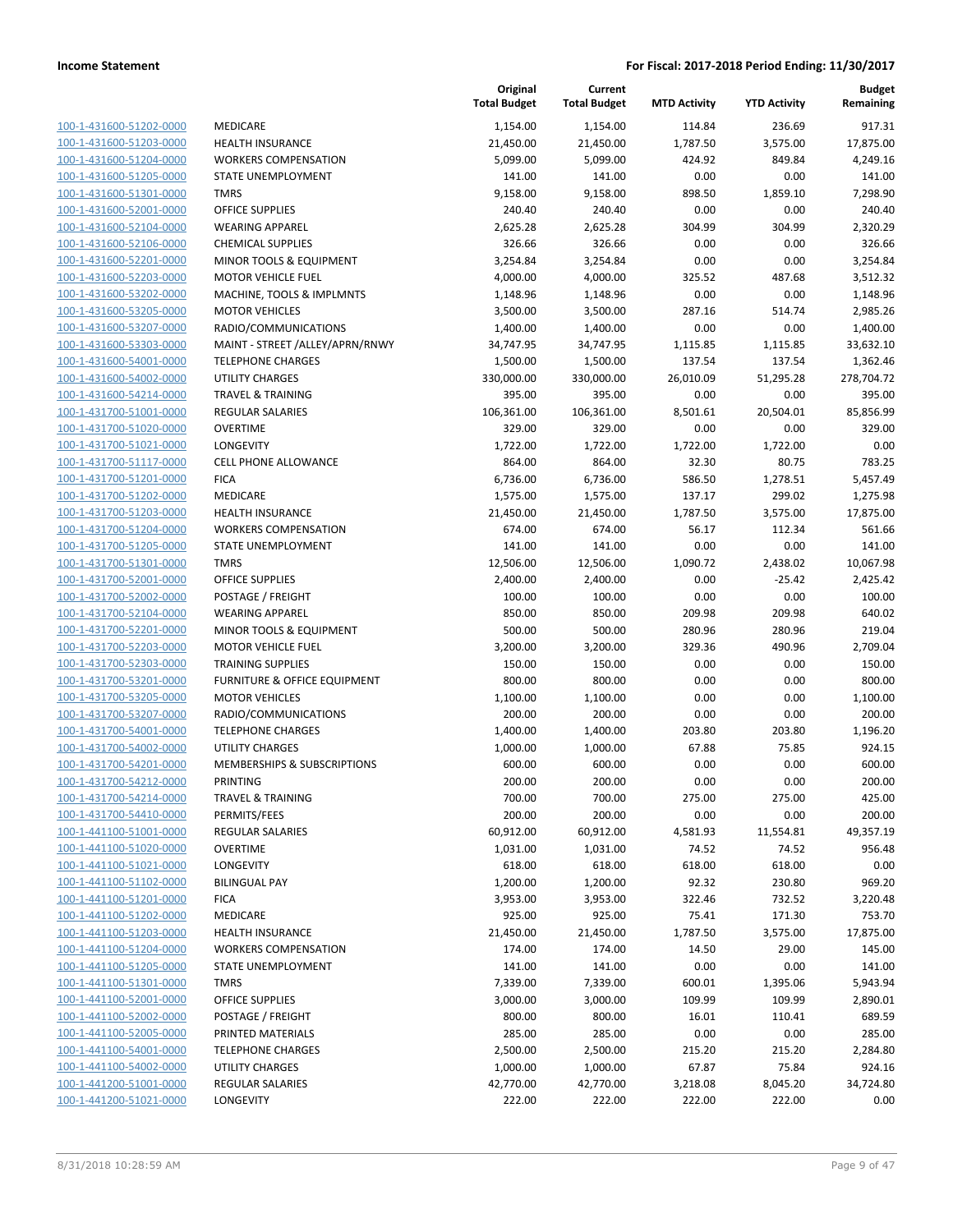| 100-1-431600-51202-0000                 |
|-----------------------------------------|
| 100-1-431600-51203-0000                 |
| 100-1-431600-51204-0000                 |
| 100-1-431600-51205-0000                 |
| <u>100-1-431600-51301-0000</u>          |
| 100-1-431600-52001-0000                 |
| 100-1-431600-52104-0000                 |
| 100-1-431600-52106-0000                 |
| 100-1-431600-52201-0000                 |
| 100-1-431600-52203-0000                 |
| 100-1-431600-53202-0000                 |
| $100 - 1$<br>-431600-53205-0000         |
| 100-1-431600-53207-0000                 |
| 100-1-431600-53303-0000                 |
| <u>100-1-431600-54001-0000</u>          |
| 100-1-431600-54002-0000                 |
| $100 - 1$<br>-431600-54214-0000         |
| 100-1-431700-51001-0000                 |
| 100-1-431700-51020-0000                 |
| 100-1-431700-51021-0000                 |
| 100-1-431700-51117-0000                 |
| $-431700 - 51201$<br>$100 - 1$<br>-0000 |
| 100-1-431700-51202-0000                 |
| 100-1-431700-51203-0000                 |
| 100-1-431700-51204-0000                 |
| 100-1-431700-51205-0000                 |
| 100-1-431700-51301-0000                 |
| 100-1-431700-52001-0000                 |
| 100-1-431700-52002-0000                 |
| 100-1-431700-52104-0000                 |
| 100-1-431700-52201-0000                 |
| -431700-52203-0000<br>$100 - 1$         |
| 100-1-431700-52303-0000                 |
| 100-1-431700-53201-0000                 |
| 100-1-431700-53205-0000                 |
| 100-1-431700-53207-0000                 |
| 100-1-431700-54001-0000                 |
| 100-1-431700-54002-0000                 |
| 100-1-431700-54201-0000                 |
| 100-1-431700-54212-0000                 |
| 100-1-431700-54214-0000                 |
| <u>100-1-431700-54410-0000</u>          |
| 100-1-441100-51001-0000                 |
| 100-1-441100-51020-0000                 |
| 100-1-441100-51021-0000                 |
| <u>100-1-441100-51102-0000</u>          |
| 100-1-441100-51201-0000                 |
| 100-1-441100-51202-0000                 |
| <u>100-1-441100-51203-0000</u>          |
| 100-1-441100-51204-0000                 |
| 100-1-441100-51205-0000                 |
| 100-1-441100-51301-0000                 |
| 100-1-441100-52001-0000                 |
| <u>100-1-441100-52002-0000</u>          |
| <u>100-1-441100-52005-0000</u>          |
| <u>100-1-441100-54001-0000</u>          |
| 100-1-441100-54002-0000                 |
| 100-1-441200-51001-0000                 |
| 100-1-441200-51021-0000                 |
|                                         |

|                         |                                 | Original<br><b>Total Budget</b> | Current<br><b>Total Budget</b> | <b>MTD Activity</b> | <b>YTD Activity</b> | <b>Budget</b><br>Remaining |
|-------------------------|---------------------------------|---------------------------------|--------------------------------|---------------------|---------------------|----------------------------|
| 100-1-431600-51202-0000 | MEDICARE                        | 1,154.00                        | 1,154.00                       | 114.84              | 236.69              | 917.31                     |
| 100-1-431600-51203-0000 | <b>HEALTH INSURANCE</b>         | 21,450.00                       | 21,450.00                      | 1,787.50            | 3,575.00            | 17,875.00                  |
| 100-1-431600-51204-0000 | <b>WORKERS COMPENSATION</b>     | 5,099.00                        | 5,099.00                       | 424.92              | 849.84              | 4,249.16                   |
| 100-1-431600-51205-0000 | STATE UNEMPLOYMENT              | 141.00                          | 141.00                         | 0.00                | 0.00                | 141.00                     |
| 100-1-431600-51301-0000 | <b>TMRS</b>                     | 9,158.00                        | 9,158.00                       | 898.50              | 1,859.10            | 7,298.90                   |
| 100-1-431600-52001-0000 | <b>OFFICE SUPPLIES</b>          | 240.40                          | 240.40                         | 0.00                | 0.00                | 240.40                     |
| 100-1-431600-52104-0000 | <b>WEARING APPAREL</b>          | 2,625.28                        | 2,625.28                       | 304.99              | 304.99              | 2,320.29                   |
| 100-1-431600-52106-0000 | <b>CHEMICAL SUPPLIES</b>        | 326.66                          | 326.66                         | 0.00                | 0.00                | 326.66                     |
| 100-1-431600-52201-0000 | MINOR TOOLS & EQUIPMENT         | 3,254.84                        | 3,254.84                       | 0.00                | 0.00                | 3,254.84                   |
| 100-1-431600-52203-0000 | <b>MOTOR VEHICLE FUEL</b>       | 4,000.00                        | 4,000.00                       | 325.52              | 487.68              | 3,512.32                   |
| 100-1-431600-53202-0000 | MACHINE, TOOLS & IMPLMNTS       | 1,148.96                        | 1,148.96                       | 0.00                | 0.00                | 1,148.96                   |
| 100-1-431600-53205-0000 | <b>MOTOR VEHICLES</b>           | 3,500.00                        | 3,500.00                       | 287.16              | 514.74              | 2,985.26                   |
| 100-1-431600-53207-0000 | RADIO/COMMUNICATIONS            | 1,400.00                        | 1,400.00                       | 0.00                | 0.00                | 1,400.00                   |
| 100-1-431600-53303-0000 | MAINT - STREET /ALLEY/APRN/RNWY | 34,747.95                       | 34,747.95                      | 1,115.85            | 1,115.85            | 33,632.10                  |
| 100-1-431600-54001-0000 | <b>TELEPHONE CHARGES</b>        | 1,500.00                        | 1,500.00                       | 137.54              | 137.54              | 1,362.46                   |
| 100-1-431600-54002-0000 | <b>UTILITY CHARGES</b>          | 330,000.00                      | 330,000.00                     | 26,010.09           | 51,295.28           | 278,704.72                 |
| 100-1-431600-54214-0000 | <b>TRAVEL &amp; TRAINING</b>    | 395.00                          | 395.00                         | 0.00                | 0.00                | 395.00                     |
| 100-1-431700-51001-0000 | <b>REGULAR SALARIES</b>         | 106,361.00                      | 106,361.00                     | 8,501.61            | 20,504.01           | 85,856.99                  |
| 100-1-431700-51020-0000 | <b>OVERTIME</b>                 | 329.00                          | 329.00                         | 0.00                | 0.00                | 329.00                     |
| 100-1-431700-51021-0000 | LONGEVITY                       | 1,722.00                        | 1,722.00                       | 1,722.00            | 1,722.00            | 0.00                       |
| 100-1-431700-51117-0000 | CELL PHONE ALLOWANCE            | 864.00                          | 864.00                         | 32.30               | 80.75               | 783.25                     |
| 100-1-431700-51201-0000 | <b>FICA</b>                     | 6,736.00                        | 6,736.00                       | 586.50              | 1,278.51            | 5,457.49                   |
| 100-1-431700-51202-0000 | MEDICARE                        | 1,575.00                        | 1,575.00                       | 137.17              | 299.02              | 1,275.98                   |
| 100-1-431700-51203-0000 | <b>HEALTH INSURANCE</b>         | 21,450.00                       | 21,450.00                      | 1,787.50            | 3,575.00            | 17,875.00                  |
| 100-1-431700-51204-0000 | <b>WORKERS COMPENSATION</b>     | 674.00                          | 674.00                         | 56.17               | 112.34              | 561.66                     |
| 100-1-431700-51205-0000 | STATE UNEMPLOYMENT              | 141.00                          | 141.00                         | 0.00                | 0.00                | 141.00                     |
| 100-1-431700-51301-0000 | <b>TMRS</b>                     | 12,506.00                       | 12,506.00                      | 1,090.72            | 2,438.02            | 10,067.98                  |
| 100-1-431700-52001-0000 | <b>OFFICE SUPPLIES</b>          | 2,400.00                        | 2,400.00                       | 0.00                | $-25.42$            | 2,425.42                   |
| 100-1-431700-52002-0000 | POSTAGE / FREIGHT               | 100.00                          | 100.00                         | 0.00                | 0.00                | 100.00                     |
| 100-1-431700-52104-0000 | <b>WEARING APPAREL</b>          | 850.00                          | 850.00                         | 209.98              | 209.98              | 640.02                     |
| 100-1-431700-52201-0000 | MINOR TOOLS & EQUIPMENT         | 500.00                          | 500.00                         | 280.96              | 280.96              | 219.04                     |
| 100-1-431700-52203-0000 | <b>MOTOR VEHICLE FUEL</b>       | 3,200.00                        | 3,200.00                       | 329.36              | 490.96              | 2,709.04                   |
| 100-1-431700-52303-0000 | <b>TRAINING SUPPLIES</b>        | 150.00                          | 150.00                         | 0.00                | 0.00                | 150.00                     |
| 100-1-431700-53201-0000 | FURNITURE & OFFICE EQUIPMENT    | 800.00                          | 800.00                         | 0.00                | 0.00                | 800.00                     |
| 100-1-431700-53205-0000 | <b>MOTOR VEHICLES</b>           | 1,100.00                        | 1,100.00                       | 0.00                | 0.00                | 1,100.00                   |
| 100-1-431700-53207-0000 | RADIO/COMMUNICATIONS            | 200.00                          | 200.00                         | 0.00                | 0.00                | 200.00                     |
| 100-1-431700-54001-0000 | <b>TELEPHONE CHARGES</b>        | 1,400.00                        | 1,400.00                       | 203.80              | 203.80              | 1,196.20                   |
| 100-1-431700-54002-0000 | <b>UTILITY CHARGES</b>          | 1,000.00                        | 1,000.00                       | 67.88               | 75.85               | 924.15                     |
| 100-1-431700-54201-0000 | MEMBERSHIPS & SUBSCRIPTIONS     | 600.00                          | 600.00                         | 0.00                | 0.00                | 600.00                     |
| 100-1-431700-54212-0000 | PRINTING                        | 200.00                          | 200.00                         | 0.00                | 0.00                | 200.00                     |
| 100-1-431700-54214-0000 | <b>TRAVEL &amp; TRAINING</b>    | 700.00                          | 700.00                         | 275.00              | 275.00              | 425.00                     |
| 100-1-431700-54410-0000 | PERMITS/FEES                    | 200.00                          | 200.00                         | 0.00                | 0.00                | 200.00                     |
| 100-1-441100-51001-0000 | REGULAR SALARIES                | 60,912.00                       | 60,912.00                      | 4,581.93            | 11,554.81           | 49,357.19                  |
| 100-1-441100-51020-0000 | <b>OVERTIME</b>                 | 1,031.00                        | 1,031.00                       | 74.52               | 74.52               | 956.48                     |
| 100-1-441100-51021-0000 | LONGEVITY                       | 618.00                          | 618.00                         | 618.00              | 618.00              | 0.00                       |
| 100-1-441100-51102-0000 | <b>BILINGUAL PAY</b>            | 1,200.00                        | 1,200.00                       | 92.32               | 230.80              | 969.20                     |
| 100-1-441100-51201-0000 | <b>FICA</b>                     | 3,953.00                        | 3,953.00                       | 322.46              | 732.52              | 3,220.48                   |
| 100-1-441100-51202-0000 | MEDICARE                        | 925.00                          | 925.00                         | 75.41               | 171.30              | 753.70                     |
| 100-1-441100-51203-0000 | <b>HEALTH INSURANCE</b>         | 21,450.00                       | 21,450.00                      | 1,787.50            | 3,575.00            | 17,875.00                  |
| 100-1-441100-51204-0000 | <b>WORKERS COMPENSATION</b>     | 174.00                          | 174.00                         | 14.50               | 29.00               | 145.00                     |
| 100-1-441100-51205-0000 | STATE UNEMPLOYMENT              | 141.00                          | 141.00                         | 0.00                | 0.00                | 141.00                     |
| 100-1-441100-51301-0000 | <b>TMRS</b>                     | 7,339.00                        | 7,339.00                       | 600.01              | 1,395.06            | 5,943.94                   |
| 100-1-441100-52001-0000 | <b>OFFICE SUPPLIES</b>          | 3,000.00                        | 3,000.00                       | 109.99              | 109.99              | 2,890.01                   |
| 100-1-441100-52002-0000 | POSTAGE / FREIGHT               | 800.00                          | 800.00                         | 16.01               | 110.41              | 689.59                     |
| 100-1-441100-52005-0000 | PRINTED MATERIALS               | 285.00                          | 285.00                         | 0.00                | 0.00                | 285.00                     |
| 100-1-441100-54001-0000 | <b>TELEPHONE CHARGES</b>        | 2,500.00                        | 2,500.00                       | 215.20              | 215.20              | 2,284.80                   |
| 100-1-441100-54002-0000 | UTILITY CHARGES                 | 1,000.00                        | 1,000.00                       | 67.87               | 75.84               | 924.16                     |
| 100-1-441200-51001-0000 | <b>REGULAR SALARIES</b>         | 42,770.00                       | 42,770.00                      | 3,218.08            | 8,045.20            | 34,724.80                  |
| 100-1-441200-51021-0000 | LONGEVITY                       | 222.00                          | 222.00                         | 222.00              | 222.00              | 0.00                       |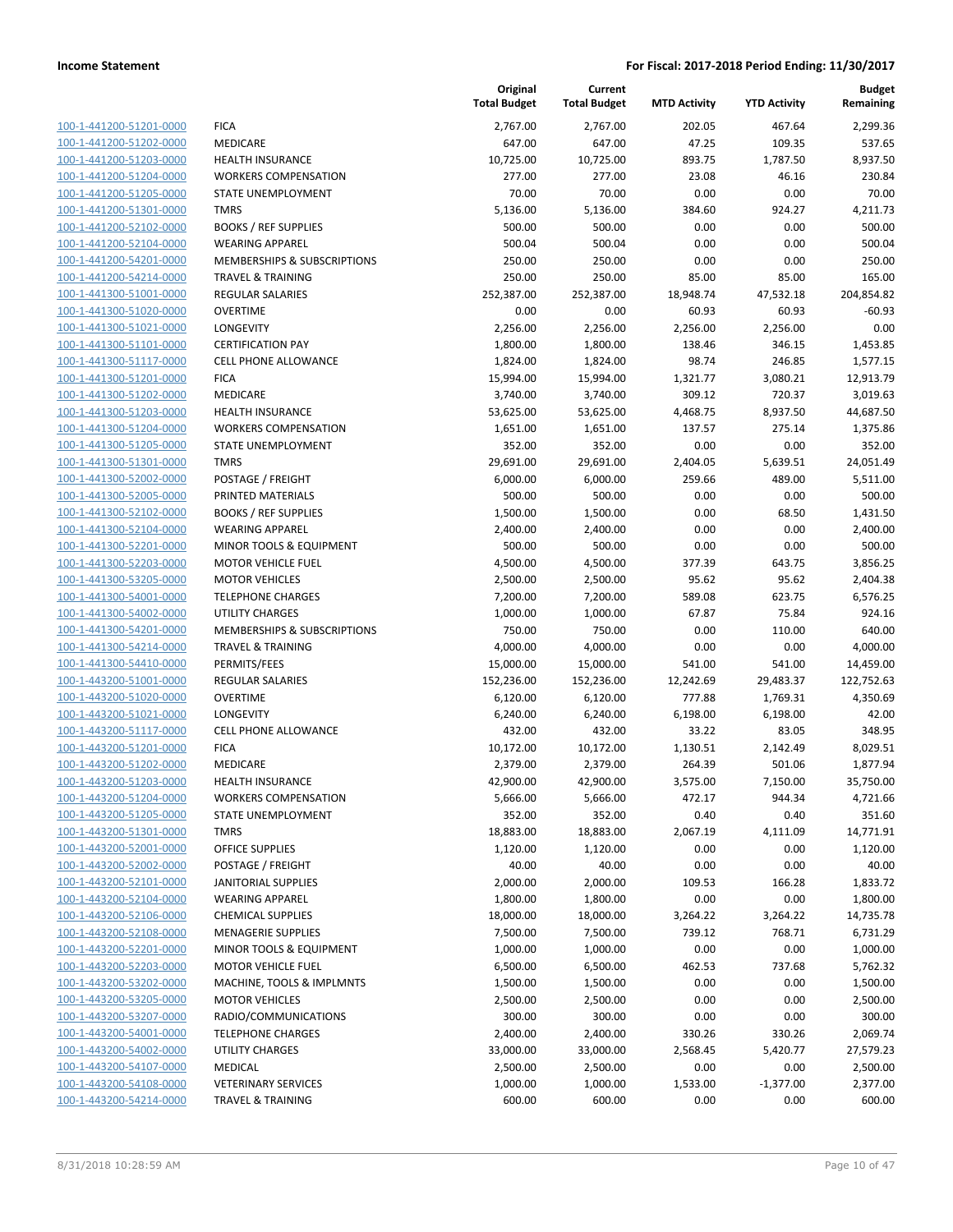|                                                    |                                                       | Original<br><b>Total Budget</b> | Current<br><b>Total Budget</b> | <b>MTD Activity</b> | <b>YTD Activity</b> | <b>Budget</b><br>Remaining |
|----------------------------------------------------|-------------------------------------------------------|---------------------------------|--------------------------------|---------------------|---------------------|----------------------------|
| 100-1-441200-51201-0000                            | <b>FICA</b>                                           | 2,767.00                        | 2,767.00                       | 202.05              | 467.64              | 2,299.36                   |
| 100-1-441200-51202-0000                            | MEDICARE                                              | 647.00                          | 647.00                         | 47.25               | 109.35              | 537.65                     |
| 100-1-441200-51203-0000                            | <b>HEALTH INSURANCE</b>                               | 10,725.00                       | 10,725.00                      | 893.75              | 1,787.50            | 8,937.50                   |
| 100-1-441200-51204-0000                            | <b>WORKERS COMPENSATION</b>                           | 277.00                          | 277.00                         | 23.08               | 46.16               | 230.84                     |
| 100-1-441200-51205-0000                            | <b>STATE UNEMPLOYMENT</b>                             | 70.00                           | 70.00                          | 0.00                | 0.00                | 70.00                      |
| 100-1-441200-51301-0000                            | <b>TMRS</b>                                           | 5,136.00                        | 5,136.00                       | 384.60              | 924.27              | 4,211.73                   |
| 100-1-441200-52102-0000                            | <b>BOOKS / REF SUPPLIES</b>                           | 500.00                          | 500.00                         | 0.00                | 0.00                | 500.00                     |
| 100-1-441200-52104-0000                            | <b>WEARING APPAREL</b>                                | 500.04                          | 500.04                         | 0.00                | 0.00                | 500.04                     |
| 100-1-441200-54201-0000                            | <b>MEMBERSHIPS &amp; SUBSCRIPTIONS</b>                | 250.00                          | 250.00                         | 0.00                | 0.00                | 250.00                     |
| 100-1-441200-54214-0000                            | <b>TRAVEL &amp; TRAINING</b>                          | 250.00                          | 250.00                         | 85.00               | 85.00               | 165.00                     |
| 100-1-441300-51001-0000                            | REGULAR SALARIES                                      | 252,387.00                      | 252,387.00                     | 18,948.74           | 47,532.18           | 204,854.82                 |
| 100-1-441300-51020-0000                            | <b>OVERTIME</b>                                       | 0.00                            | 0.00                           | 60.93               | 60.93               | $-60.93$                   |
| 100-1-441300-51021-0000                            | LONGEVITY                                             | 2,256.00                        | 2,256.00                       | 2,256.00            | 2,256.00            | 0.00                       |
| 100-1-441300-51101-0000                            | <b>CERTIFICATION PAY</b>                              | 1,800.00                        | 1,800.00                       | 138.46              | 346.15              | 1,453.85                   |
| 100-1-441300-51117-0000                            | <b>CELL PHONE ALLOWANCE</b>                           | 1,824.00                        | 1,824.00                       | 98.74               | 246.85              | 1,577.15                   |
| 100-1-441300-51201-0000                            | <b>FICA</b>                                           | 15,994.00                       | 15,994.00                      | 1,321.77            | 3,080.21            | 12,913.79                  |
| 100-1-441300-51202-0000                            | MEDICARE                                              | 3,740.00                        | 3,740.00                       | 309.12              | 720.37              | 3,019.63                   |
| 100-1-441300-51203-0000                            | <b>HEALTH INSURANCE</b>                               | 53,625.00                       | 53,625.00                      | 4,468.75            | 8,937.50            | 44,687.50                  |
| 100-1-441300-51204-0000                            | <b>WORKERS COMPENSATION</b>                           | 1,651.00                        | 1,651.00                       | 137.57              | 275.14              | 1,375.86                   |
| 100-1-441300-51205-0000                            | STATE UNEMPLOYMENT                                    | 352.00                          | 352.00                         | 0.00                | 0.00                | 352.00                     |
| 100-1-441300-51301-0000<br>100-1-441300-52002-0000 | <b>TMRS</b>                                           | 29,691.00                       | 29,691.00                      | 2,404.05            | 5,639.51            | 24,051.49                  |
|                                                    | POSTAGE / FREIGHT<br>PRINTED MATERIALS                | 6,000.00                        | 6,000.00                       | 259.66              | 489.00              | 5,511.00                   |
| 100-1-441300-52005-0000<br>100-1-441300-52102-0000 |                                                       | 500.00                          | 500.00                         | 0.00                | 0.00                | 500.00                     |
|                                                    | <b>BOOKS / REF SUPPLIES</b><br><b>WEARING APPAREL</b> | 1,500.00                        | 1,500.00                       | 0.00<br>0.00        | 68.50<br>0.00       | 1,431.50                   |
| 100-1-441300-52104-0000<br>100-1-441300-52201-0000 | MINOR TOOLS & EQUIPMENT                               | 2,400.00<br>500.00              | 2,400.00<br>500.00             | 0.00                | 0.00                | 2,400.00<br>500.00         |
| 100-1-441300-52203-0000                            | <b>MOTOR VEHICLE FUEL</b>                             | 4,500.00                        | 4,500.00                       | 377.39              | 643.75              | 3,856.25                   |
| 100-1-441300-53205-0000                            | <b>MOTOR VEHICLES</b>                                 | 2,500.00                        | 2,500.00                       | 95.62               | 95.62               | 2,404.38                   |
| 100-1-441300-54001-0000                            | <b>TELEPHONE CHARGES</b>                              | 7,200.00                        | 7,200.00                       | 589.08              | 623.75              | 6,576.25                   |
| 100-1-441300-54002-0000                            | <b>UTILITY CHARGES</b>                                | 1,000.00                        | 1,000.00                       | 67.87               | 75.84               | 924.16                     |
| 100-1-441300-54201-0000                            | MEMBERSHIPS & SUBSCRIPTIONS                           | 750.00                          | 750.00                         | 0.00                | 110.00              | 640.00                     |
| 100-1-441300-54214-0000                            | <b>TRAVEL &amp; TRAINING</b>                          | 4,000.00                        | 4,000.00                       | 0.00                | 0.00                | 4,000.00                   |
| 100-1-441300-54410-0000                            | PERMITS/FEES                                          | 15,000.00                       | 15,000.00                      | 541.00              | 541.00              | 14,459.00                  |
| 100-1-443200-51001-0000                            | REGULAR SALARIES                                      | 152,236.00                      | 152,236.00                     | 12,242.69           | 29,483.37           | 122,752.63                 |
| 100-1-443200-51020-0000                            | <b>OVERTIME</b>                                       | 6,120.00                        | 6,120.00                       | 777.88              | 1,769.31            | 4,350.69                   |
| 100-1-443200-51021-0000                            | LONGEVITY                                             | 6,240.00                        | 6,240.00                       | 6,198.00            | 6,198.00            | 42.00                      |
| 100-1-443200-51117-0000                            | <b>CELL PHONE ALLOWANCE</b>                           | 432.00                          | 432.00                         | 33.22               | 83.05               | 348.95                     |
| 100-1-443200-51201-0000                            | <b>FICA</b>                                           | 10,172.00                       | 10,172.00                      | 1,130.51            | 2,142.49            | 8,029.51                   |
| 100-1-443200-51202-0000                            | <b>MEDICARE</b>                                       | 2,379.00                        | 2,379.00                       | 264.39              | 501.06              | 1,877.94                   |
| 100-1-443200-51203-0000                            | <b>HEALTH INSURANCE</b>                               | 42,900.00                       | 42,900.00                      | 3,575.00            | 7,150.00            | 35,750.00                  |
| 100-1-443200-51204-0000                            | <b>WORKERS COMPENSATION</b>                           | 5,666.00                        | 5,666.00                       | 472.17              | 944.34              | 4,721.66                   |
| 100-1-443200-51205-0000                            | STATE UNEMPLOYMENT                                    | 352.00                          | 352.00                         | 0.40                | 0.40                | 351.60                     |
| 100-1-443200-51301-0000                            | <b>TMRS</b>                                           | 18,883.00                       | 18,883.00                      | 2,067.19            | 4,111.09            | 14,771.91                  |
| 100-1-443200-52001-0000                            | <b>OFFICE SUPPLIES</b>                                | 1,120.00                        | 1,120.00                       | 0.00                | 0.00                | 1,120.00                   |
| 100-1-443200-52002-0000                            | POSTAGE / FREIGHT                                     | 40.00                           | 40.00                          | 0.00                | 0.00                | 40.00                      |
| 100-1-443200-52101-0000                            | <b>JANITORIAL SUPPLIES</b>                            | 2,000.00                        | 2,000.00                       | 109.53              | 166.28              | 1,833.72                   |
| 100-1-443200-52104-0000                            | <b>WEARING APPAREL</b>                                | 1,800.00                        | 1,800.00                       | 0.00                | 0.00                | 1,800.00                   |
| 100-1-443200-52106-0000                            | <b>CHEMICAL SUPPLIES</b>                              | 18,000.00                       | 18,000.00                      | 3,264.22            | 3,264.22            | 14,735.78                  |
| 100-1-443200-52108-0000                            | <b>MENAGERIE SUPPLIES</b>                             | 7,500.00                        | 7,500.00                       | 739.12              | 768.71              | 6,731.29                   |
| 100-1-443200-52201-0000                            | MINOR TOOLS & EQUIPMENT                               | 1,000.00                        | 1,000.00                       | 0.00                | 0.00                | 1,000.00                   |
| 100-1-443200-52203-0000                            | <b>MOTOR VEHICLE FUEL</b>                             | 6,500.00                        | 6,500.00                       | 462.53              | 737.68              | 5,762.32                   |
| 100-1-443200-53202-0000                            | MACHINE, TOOLS & IMPLMNTS                             | 1,500.00                        | 1,500.00                       | 0.00                | 0.00                | 1,500.00                   |
| 100-1-443200-53205-0000                            | <b>MOTOR VEHICLES</b>                                 | 2,500.00                        | 2,500.00                       | 0.00                | 0.00                | 2,500.00                   |
| 100-1-443200-53207-0000                            | RADIO/COMMUNICATIONS                                  | 300.00                          | 300.00                         | 0.00                | 0.00                | 300.00                     |
| 100-1-443200-54001-0000                            | <b>TELEPHONE CHARGES</b>                              | 2,400.00                        | 2,400.00                       | 330.26              | 330.26              | 2,069.74                   |
| 100-1-443200-54002-0000                            | UTILITY CHARGES                                       | 33,000.00                       | 33,000.00                      | 2,568.45            | 5,420.77            | 27,579.23                  |
| 100-1-443200-54107-0000                            | MEDICAL                                               | 2,500.00                        | 2,500.00                       | 0.00                | 0.00                | 2,500.00                   |
| 100-1-443200-54108-0000                            | <b>VETERINARY SERVICES</b>                            | 1,000.00                        | 1,000.00                       | 1,533.00            | $-1,377.00$         | 2,377.00                   |
| 100-1-443200-54214-0000                            | <b>TRAVEL &amp; TRAINING</b>                          | 600.00                          | 600.00                         | 0.00                | 0.00                | 600.00                     |
|                                                    |                                                       |                                 |                                |                     |                     |                            |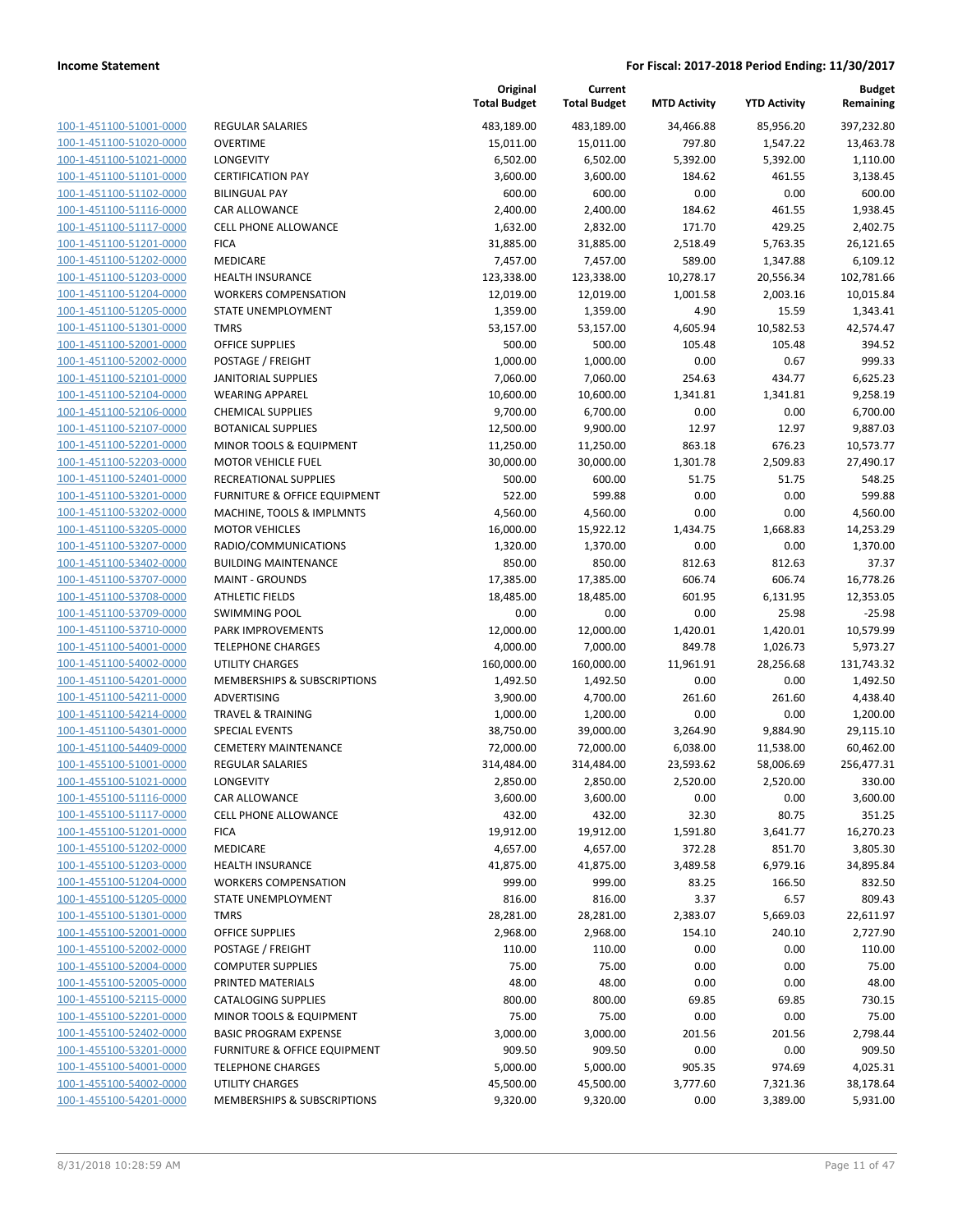|                                                    |                                               | Original<br><b>Total Budget</b> | Current<br><b>Total Budget</b> | <b>MTD Activity</b>   | <b>YTD Activity</b>    | Budget<br>Remaining     |
|----------------------------------------------------|-----------------------------------------------|---------------------------------|--------------------------------|-----------------------|------------------------|-------------------------|
| 100-1-451100-51001-0000                            | <b>REGULAR SALARIES</b>                       | 483,189.00                      | 483,189.00                     | 34,466.88             | 85,956.20              | 397,232.80              |
| 100-1-451100-51020-0000                            | <b>OVERTIME</b>                               | 15,011.00                       | 15,011.00                      | 797.80                | 1,547.22               | 13,463.78               |
| 100-1-451100-51021-0000                            | <b>LONGEVITY</b>                              | 6,502.00                        | 6,502.00                       | 5,392.00              | 5,392.00               | 1,110.00                |
| 100-1-451100-51101-0000                            | <b>CERTIFICATION PAY</b>                      | 3,600.00                        | 3,600.00                       | 184.62                | 461.55                 | 3,138.45                |
| 100-1-451100-51102-0000                            | <b>BILINGUAL PAY</b>                          | 600.00                          | 600.00                         | 0.00                  | 0.00                   | 600.00                  |
| 100-1-451100-51116-0000                            | CAR ALLOWANCE                                 | 2,400.00                        | 2,400.00                       | 184.62                | 461.55                 | 1,938.45                |
| 100-1-451100-51117-0000                            | <b>CELL PHONE ALLOWANCE</b>                   | 1,632.00                        | 2,832.00                       | 171.70                | 429.25                 | 2,402.75                |
| 100-1-451100-51201-0000                            | <b>FICA</b>                                   | 31,885.00                       | 31,885.00                      | 2,518.49              | 5,763.35               | 26,121.65               |
| 100-1-451100-51202-0000                            | MEDICARE                                      | 7,457.00                        | 7,457.00                       | 589.00                | 1,347.88               | 6,109.12                |
| 100-1-451100-51203-0000                            | HEALTH INSURANCE                              | 123,338.00                      | 123,338.00                     | 10,278.17             | 20,556.34              | 102,781.66              |
| 100-1-451100-51204-0000                            | <b>WORKERS COMPENSATION</b>                   | 12,019.00                       | 12,019.00                      | 1,001.58              | 2,003.16               | 10,015.84               |
| 100-1-451100-51205-0000                            | STATE UNEMPLOYMENT                            | 1,359.00                        | 1,359.00                       | 4.90                  | 15.59                  | 1,343.41                |
| 100-1-451100-51301-0000                            | <b>TMRS</b>                                   | 53,157.00                       | 53,157.00                      | 4,605.94              | 10,582.53              | 42,574.47               |
| 100-1-451100-52001-0000                            | <b>OFFICE SUPPLIES</b>                        | 500.00                          | 500.00                         | 105.48                | 105.48                 | 394.52                  |
| 100-1-451100-52002-0000                            | POSTAGE / FREIGHT                             | 1,000.00                        | 1,000.00                       | 0.00                  | 0.67                   | 999.33                  |
| 100-1-451100-52101-0000                            | <b>JANITORIAL SUPPLIES</b>                    | 7,060.00                        | 7,060.00                       | 254.63                | 434.77                 | 6,625.23                |
| 100-1-451100-52104-0000                            | <b>WEARING APPAREL</b>                        | 10,600.00                       | 10,600.00                      | 1,341.81              | 1,341.81               | 9,258.19                |
| 100-1-451100-52106-0000                            | <b>CHEMICAL SUPPLIES</b>                      | 9,700.00                        | 6,700.00                       | 0.00                  | 0.00                   | 6,700.00                |
| 100-1-451100-52107-0000                            | <b>BOTANICAL SUPPLIES</b>                     | 12,500.00                       | 9,900.00                       | 12.97                 | 12.97                  | 9,887.03                |
| 100-1-451100-52201-0000                            | MINOR TOOLS & EQUIPMENT                       | 11,250.00                       | 11,250.00                      | 863.18                | 676.23                 | 10,573.77               |
| 100-1-451100-52203-0000                            | <b>MOTOR VEHICLE FUEL</b>                     | 30,000.00                       | 30,000.00                      | 1,301.78              | 2,509.83               | 27,490.17               |
| 100-1-451100-52401-0000                            | RECREATIONAL SUPPLIES                         | 500.00                          | 600.00                         | 51.75                 | 51.75                  | 548.25                  |
| 100-1-451100-53201-0000                            | <b>FURNITURE &amp; OFFICE EQUIPMENT</b>       | 522.00                          | 599.88                         | 0.00                  | 0.00                   | 599.88                  |
| 100-1-451100-53202-0000                            | MACHINE, TOOLS & IMPLMNTS                     | 4,560.00                        | 4,560.00                       | 0.00                  | 0.00                   | 4,560.00                |
| 100-1-451100-53205-0000                            | <b>MOTOR VEHICLES</b>                         | 16,000.00                       | 15,922.12                      | 1,434.75              | 1,668.83               | 14,253.29               |
| 100-1-451100-53207-0000                            | RADIO/COMMUNICATIONS                          | 1,320.00                        | 1,370.00                       | 0.00                  | 0.00                   | 1,370.00                |
| 100-1-451100-53402-0000                            | <b>BUILDING MAINTENANCE</b>                   | 850.00                          | 850.00                         | 812.63                | 812.63                 | 37.37                   |
| 100-1-451100-53707-0000                            | <b>MAINT - GROUNDS</b>                        | 17,385.00                       | 17,385.00                      | 606.74                | 606.74                 | 16,778.26               |
| 100-1-451100-53708-0000                            | <b>ATHLETIC FIELDS</b>                        | 18,485.00                       | 18,485.00                      | 601.95                | 6,131.95               | 12,353.05               |
| 100-1-451100-53709-0000                            | <b>SWIMMING POOL</b>                          | 0.00                            | 0.00                           | 0.00                  | 25.98                  | $-25.98$                |
| 100-1-451100-53710-0000                            | PARK IMPROVEMENTS                             | 12,000.00                       | 12,000.00                      | 1,420.01              | 1,420.01               | 10,579.99               |
| 100-1-451100-54001-0000                            | <b>TELEPHONE CHARGES</b>                      | 4,000.00                        | 7,000.00                       | 849.78                | 1,026.73               | 5,973.27                |
| 100-1-451100-54002-0000                            | <b>UTILITY CHARGES</b>                        | 160,000.00                      | 160,000.00                     | 11,961.91             | 28,256.68              | 131,743.32              |
| 100-1-451100-54201-0000                            | MEMBERSHIPS & SUBSCRIPTIONS                   | 1,492.50                        | 1,492.50                       | 0.00                  | 0.00                   | 1,492.50                |
| 100-1-451100-54211-0000                            | ADVERTISING                                   | 3,900.00                        | 4,700.00                       | 261.60                | 261.60                 | 4,438.40                |
| 100-1-451100-54214-0000                            | <b>TRAVEL &amp; TRAINING</b>                  | 1,000.00                        | 1,200.00                       | 0.00                  | 0.00<br>9,884.90       | 1,200.00                |
| 100-1-451100-54301-0000                            | SPECIAL EVENTS<br><b>CEMETERY MAINTENANCE</b> | 38,750.00                       | 39,000.00                      | 3,264.90              |                        | 29,115.10               |
| 100-1-451100-54409-0000<br>100-1-455100-51001-0000 | <b>REGULAR SALARIES</b>                       | 72,000.00<br>314,484.00         | 72,000.00<br>314,484.00        | 6,038.00<br>23,593.62 | 11,538.00<br>58,006.69 | 60,462.00<br>256,477.31 |
| 100-1-455100-51021-0000                            | LONGEVITY                                     | 2,850.00                        | 2,850.00                       | 2,520.00              | 2,520.00               | 330.00                  |
| 100-1-455100-51116-0000                            | CAR ALLOWANCE                                 | 3,600.00                        | 3,600.00                       | 0.00                  | 0.00                   | 3,600.00                |
| 100-1-455100-51117-0000                            | <b>CELL PHONE ALLOWANCE</b>                   | 432.00                          | 432.00                         | 32.30                 | 80.75                  | 351.25                  |
| 100-1-455100-51201-0000                            | <b>FICA</b>                                   | 19,912.00                       | 19,912.00                      | 1,591.80              | 3,641.77               | 16,270.23               |
| 100-1-455100-51202-0000                            | MEDICARE                                      | 4,657.00                        | 4,657.00                       | 372.28                | 851.70                 | 3,805.30                |
| 100-1-455100-51203-0000                            | <b>HEALTH INSURANCE</b>                       | 41,875.00                       | 41,875.00                      | 3,489.58              | 6,979.16               | 34,895.84               |
| 100-1-455100-51204-0000                            | <b>WORKERS COMPENSATION</b>                   | 999.00                          | 999.00                         | 83.25                 | 166.50                 | 832.50                  |
| 100-1-455100-51205-0000                            | <b>STATE UNEMPLOYMENT</b>                     | 816.00                          | 816.00                         | 3.37                  | 6.57                   | 809.43                  |
| 100-1-455100-51301-0000                            | <b>TMRS</b>                                   | 28,281.00                       | 28,281.00                      | 2,383.07              | 5,669.03               | 22,611.97               |
| 100-1-455100-52001-0000                            | <b>OFFICE SUPPLIES</b>                        | 2,968.00                        | 2,968.00                       | 154.10                | 240.10                 | 2,727.90                |
| 100-1-455100-52002-0000                            | POSTAGE / FREIGHT                             | 110.00                          | 110.00                         | 0.00                  | 0.00                   | 110.00                  |
| 100-1-455100-52004-0000                            | <b>COMPUTER SUPPLIES</b>                      | 75.00                           | 75.00                          | 0.00                  | 0.00                   | 75.00                   |
| 100-1-455100-52005-0000                            | PRINTED MATERIALS                             | 48.00                           | 48.00                          | 0.00                  | 0.00                   | 48.00                   |
| 100-1-455100-52115-0000                            | <b>CATALOGING SUPPLIES</b>                    | 800.00                          | 800.00                         | 69.85                 | 69.85                  | 730.15                  |
| 100-1-455100-52201-0000                            | MINOR TOOLS & EQUIPMENT                       | 75.00                           | 75.00                          | 0.00                  | 0.00                   | 75.00                   |
| 100-1-455100-52402-0000                            | <b>BASIC PROGRAM EXPENSE</b>                  | 3,000.00                        | 3,000.00                       | 201.56                | 201.56                 | 2,798.44                |
| 100-1-455100-53201-0000                            | <b>FURNITURE &amp; OFFICE EQUIPMENT</b>       | 909.50                          | 909.50                         | 0.00                  | 0.00                   | 909.50                  |
| 100-1-455100-54001-0000                            | <b>TELEPHONE CHARGES</b>                      | 5,000.00                        | 5,000.00                       | 905.35                | 974.69                 | 4,025.31                |
| 100-1-455100-54002-0000                            | <b>UTILITY CHARGES</b>                        | 45,500.00                       | 45,500.00                      | 3,777.60              | 7,321.36               | 38,178.64               |
| 100-1-455100-54201-0000                            | MEMBERSHIPS & SUBSCRIPTIONS                   | 9,320.00                        | 9,320.00                       | 0.00                  | 3,389.00               | 5,931.00                |
|                                                    |                                               |                                 |                                |                       |                        |                         |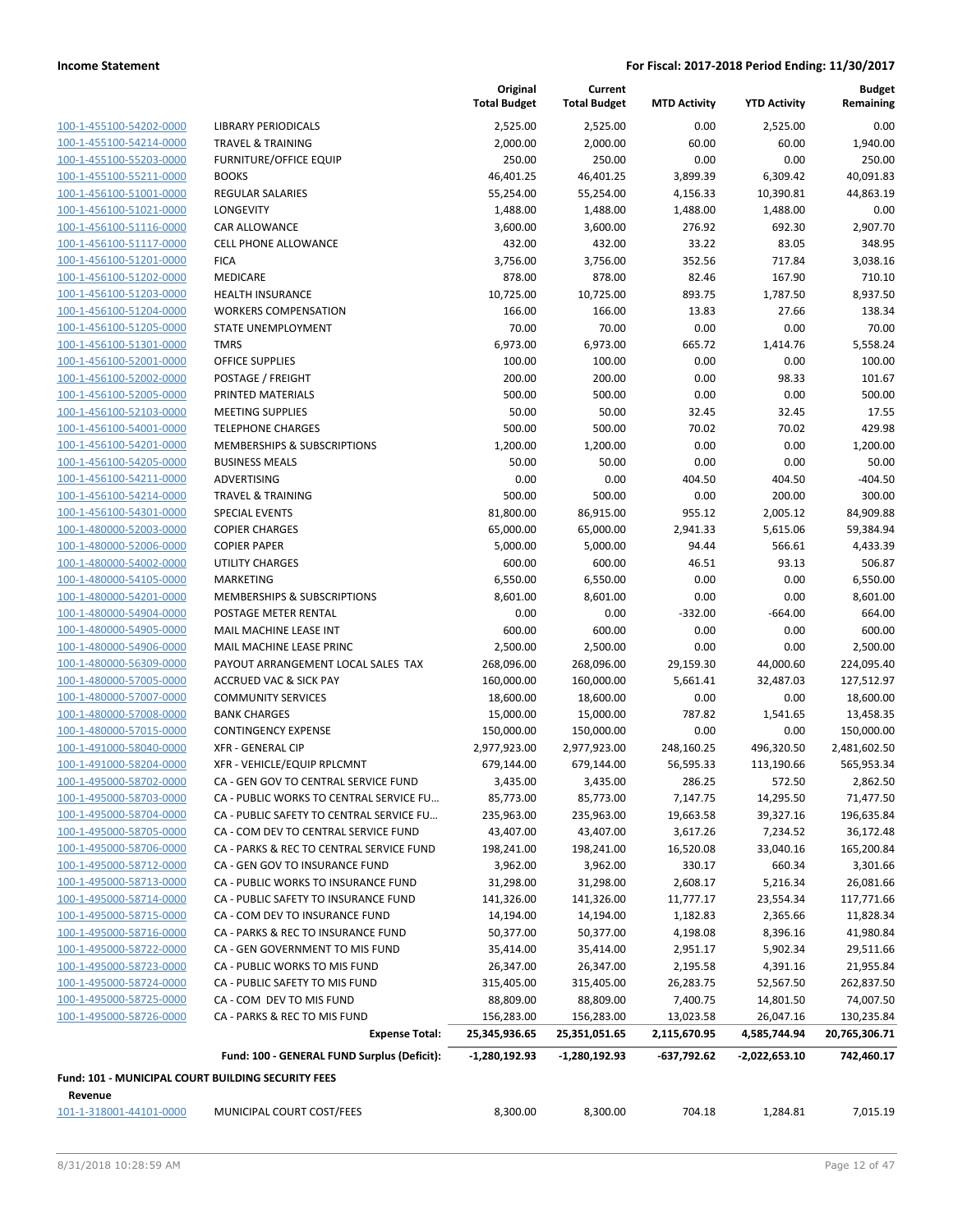| 100-1-455100-54202-0000                            | LIBRAR'                        |
|----------------------------------------------------|--------------------------------|
| 100-1-455100-54214-0000                            | <b>TRAVEL</b>                  |
| 100-1-455100-55203-0000                            | <b>FURNIT</b>                  |
| 100-1-455100-55211-0000                            | <b>BOOKS</b>                   |
| 100-1-456100-51001-0000                            | <b>REGULA</b>                  |
| 100-1-456100-51021-0000                            | <b>LONGEY</b>                  |
| 100-1-456100-51116-0000                            | <b>CAR ALI</b>                 |
| 100-1-456100-51117-0000                            | CELL PH                        |
| 100-1-456100-51201-0000                            | <b>FICA</b>                    |
| 100-1-456100-51202-0000                            | <b>MEDICA</b>                  |
| 100-1-456100-51203-0000                            | <b>HEALTH</b>                  |
| 100-1-456100-51204-0000                            | <b>WORKE</b>                   |
| 100-1-456100-51205-0000                            | <b>STATE L</b>                 |
| 100-1-456100-51301-0000                            | <b>TMRS</b>                    |
| 100-1-456100-52001-0000                            | <b>OFFICE</b>                  |
| 100-1-456100-52002-0000                            | <b>POSTAC</b>                  |
| 100-1-456100-52005-0000                            | <b>PRINTEI</b>                 |
| 100-1-456100-52103-0000                            | <b>MEETIN</b>                  |
| 100-1-456100-54001-0000                            | <b>TELEPH</b>                  |
| 100-1-456100-54201-0000                            | <b>MEMBE</b>                   |
| 100-1-456100-54205-0000                            | <b>BUSINE</b>                  |
| 100-1-456100-54211-0000                            | <b>ADVERT</b>                  |
| 100-1-456100-54214-0000                            | <b>TRAVEL</b>                  |
| 100-1-456100-54301-0000                            | SPECIAL                        |
| 100-1-480000-52003-0000                            | <b>COPIER</b>                  |
| 100-1-480000-52006-0000                            | <b>COPIER</b>                  |
| 100-1-480000-54002-0000                            | UTILITY                        |
| 100-1-480000-54105-0000                            | <b>MARKE</b>                   |
| 100-1-480000-54201-0000                            | <b>MEMBE</b>                   |
| 100-1-480000-54904-0000                            | <b>POSTAC</b>                  |
| 100-1-480000-54905-0000                            | <b>MAIL M</b><br><b>MAIL M</b> |
| 100-1-480000-54906-0000<br>100-1-480000-56309-0000 | PAYOU <sup>-</sup>             |
| 100-1-480000-57005-0000                            | <b>ACCRUI</b>                  |
| 100-1-480000-57007-0000                            | <b>COMM</b>                    |
| 100-1-480000-57008-0000                            | <b>BANK C</b>                  |
| 100-1-480000-57015-0000                            | <b>CONTIN</b>                  |
| 100-1-491000-58040-0000                            | XFR - GI                       |
| 100-1-491000-58204-0000                            | XFR-VI                         |
| 100-1-495000-58702-0000                            | CA - GE                        |
| 100-1-495000-58703-0000                            | CA - PU                        |
| 100-1-495000-58704-0000                            | CA - PU                        |
| 100-1-495000-58705-0000                            | CA - CO                        |
| 100-1-495000-58706-0000                            | CA - PA                        |
| <u>100-1-495000-58712-0000</u>                     | CA - GE                        |
| 100-1-495000-58713-0000                            | CA - PU                        |
| 100-1-495000-58714-0000                            | CA - PU                        |
| 100-1-495000-58715-0000                            | CA - CO                        |
| 100-1-495000-58716-0000                            | CA - PA                        |
| 100-1-495000-58722-0000                            | CA - GE                        |
| 100-1-495000-58723-0000                            | CA - PU                        |
| 100-1-495000-58724-0000                            | CA - PU                        |
| 100-1-495000-58725-0000                            | CA - CO                        |
| 100-1-495000-58726-0000                            | CA - PA                        |
|                                                    |                                |
|                                                    |                                |

|                                                               |                                             | Original<br><b>Total Budget</b> | Current<br><b>Total Budget</b> | <b>MTD Activity</b> | <b>YTD Activity</b> | <b>Budget</b><br>Remaining |
|---------------------------------------------------------------|---------------------------------------------|---------------------------------|--------------------------------|---------------------|---------------------|----------------------------|
| 100-1-455100-54202-0000                                       | <b>LIBRARY PERIODICALS</b>                  | 2,525.00                        | 2,525.00                       | 0.00                | 2,525.00            | 0.00                       |
| 100-1-455100-54214-0000                                       | <b>TRAVEL &amp; TRAINING</b>                | 2,000.00                        | 2,000.00                       | 60.00               | 60.00               | 1,940.00                   |
| 100-1-455100-55203-0000                                       | <b>FURNITURE/OFFICE EQUIP</b>               | 250.00                          | 250.00                         | 0.00                | 0.00                | 250.00                     |
| 100-1-455100-55211-0000                                       | <b>BOOKS</b>                                | 46,401.25                       | 46,401.25                      | 3,899.39            | 6,309.42            | 40,091.83                  |
| 100-1-456100-51001-0000                                       | REGULAR SALARIES                            | 55,254.00                       | 55,254.00                      | 4,156.33            | 10,390.81           | 44,863.19                  |
| 100-1-456100-51021-0000                                       | LONGEVITY                                   | 1,488.00                        | 1,488.00                       | 1,488.00            | 1,488.00            | 0.00                       |
| 100-1-456100-51116-0000                                       | CAR ALLOWANCE                               | 3,600.00                        | 3,600.00                       | 276.92              | 692.30              | 2,907.70                   |
| 100-1-456100-51117-0000                                       | <b>CELL PHONE ALLOWANCE</b>                 | 432.00                          | 432.00                         | 33.22               | 83.05               | 348.95                     |
| 100-1-456100-51201-0000                                       | <b>FICA</b>                                 | 3,756.00                        | 3,756.00                       | 352.56              | 717.84              | 3,038.16                   |
| 100-1-456100-51202-0000                                       | MEDICARE                                    | 878.00                          | 878.00                         | 82.46               | 167.90              | 710.10                     |
| 100-1-456100-51203-0000                                       | <b>HEALTH INSURANCE</b>                     | 10,725.00                       | 10,725.00                      | 893.75              | 1,787.50            | 8,937.50                   |
| 100-1-456100-51204-0000                                       | <b>WORKERS COMPENSATION</b>                 | 166.00                          | 166.00                         | 13.83               | 27.66               | 138.34                     |
| 100-1-456100-51205-0000                                       | STATE UNEMPLOYMENT                          | 70.00                           | 70.00                          | 0.00                | 0.00                | 70.00                      |
| 100-1-456100-51301-0000                                       | <b>TMRS</b>                                 | 6,973.00                        | 6,973.00                       | 665.72              | 1,414.76            | 5,558.24                   |
| 100-1-456100-52001-0000                                       | <b>OFFICE SUPPLIES</b>                      | 100.00                          | 100.00                         | 0.00                | 0.00                | 100.00                     |
| 100-1-456100-52002-0000                                       | POSTAGE / FREIGHT                           | 200.00                          | 200.00                         | 0.00                | 98.33               | 101.67                     |
| 100-1-456100-52005-0000                                       | PRINTED MATERIALS                           | 500.00                          | 500.00                         | 0.00                | 0.00                | 500.00                     |
| 100-1-456100-52103-0000                                       | <b>MEETING SUPPLIES</b>                     | 50.00                           | 50.00                          | 32.45               | 32.45               | 17.55                      |
| 100-1-456100-54001-0000                                       | <b>TELEPHONE CHARGES</b>                    | 500.00                          | 500.00                         | 70.02               | 70.02               | 429.98                     |
| 100-1-456100-54201-0000                                       | <b>MEMBERSHIPS &amp; SUBSCRIPTIONS</b>      | 1,200.00                        | 1,200.00                       | 0.00                | 0.00                | 1,200.00                   |
| 100-1-456100-54205-0000                                       | <b>BUSINESS MEALS</b>                       | 50.00                           | 50.00                          | 0.00                | 0.00                | 50.00                      |
| 100-1-456100-54211-0000                                       | <b>ADVERTISING</b>                          | 0.00                            | 0.00                           | 404.50              | 404.50              | $-404.50$                  |
| 100-1-456100-54214-0000                                       | <b>TRAVEL &amp; TRAINING</b>                | 500.00                          | 500.00                         | 0.00                | 200.00              | 300.00                     |
| 100-1-456100-54301-0000                                       | <b>SPECIAL EVENTS</b>                       | 81,800.00                       | 86,915.00                      | 955.12              | 2,005.12            | 84,909.88                  |
| 100-1-480000-52003-0000                                       | <b>COPIER CHARGES</b>                       | 65,000.00                       | 65,000.00                      | 2,941.33            | 5,615.06            | 59,384.94                  |
| 100-1-480000-52006-0000                                       | <b>COPIER PAPER</b>                         | 5,000.00                        | 5,000.00                       | 94.44               | 566.61              | 4,433.39                   |
| 100-1-480000-54002-0000                                       | <b>UTILITY CHARGES</b>                      | 600.00                          | 600.00                         | 46.51               | 93.13               | 506.87                     |
| 100-1-480000-54105-0000                                       | <b>MARKETING</b>                            | 6,550.00                        | 6,550.00                       | 0.00                | 0.00                | 6,550.00                   |
| 100-1-480000-54201-0000                                       | MEMBERSHIPS & SUBSCRIPTIONS                 | 8,601.00                        | 8,601.00                       | 0.00                | 0.00                | 8,601.00                   |
| 100-1-480000-54904-0000                                       | POSTAGE METER RENTAL                        | 0.00                            | 0.00                           | $-332.00$           | $-664.00$           | 664.00                     |
| 100-1-480000-54905-0000                                       | <b>MAIL MACHINE LEASE INT</b>               | 600.00                          | 600.00                         | 0.00                | 0.00                | 600.00                     |
| 100-1-480000-54906-0000                                       | MAIL MACHINE LEASE PRINC                    | 2,500.00                        | 2,500.00                       | 0.00                | 0.00                | 2,500.00                   |
| 100-1-480000-56309-0000                                       | PAYOUT ARRANGEMENT LOCAL SALES TAX          | 268,096.00                      | 268,096.00                     | 29,159.30           | 44,000.60           | 224,095.40                 |
| 100-1-480000-57005-0000                                       | <b>ACCRUED VAC &amp; SICK PAY</b>           | 160,000.00                      | 160,000.00                     | 5,661.41            | 32,487.03           | 127,512.97                 |
| 100-1-480000-57007-0000                                       | <b>COMMUNITY SERVICES</b>                   | 18,600.00                       | 18,600.00                      | 0.00                | 0.00                | 18,600.00                  |
| 100-1-480000-57008-0000                                       | <b>BANK CHARGES</b>                         | 15,000.00                       | 15,000.00                      | 787.82              | 1,541.65            | 13,458.35                  |
| 100-1-480000-57015-0000                                       | <b>CONTINGENCY EXPENSE</b>                  | 150,000.00                      | 150,000.00                     | 0.00                | 0.00                | 150,000.00                 |
| 100-1-491000-58040-0000                                       | <b>XFR - GENERAL CIP</b>                    | 2,977,923.00                    | 2,977,923.00                   | 248,160.25          | 496,320.50          | 2,481,602.50               |
| 100-1-491000-58204-0000                                       | XFR - VEHICLE/EQUIP RPLCMNT                 | 679,144.00                      | 679,144.00                     | 56,595.33           | 113,190.66          | 565,953.34                 |
| 100-1-495000-58702-0000                                       | CA - GEN GOV TO CENTRAL SERVICE FUND        | 3,435.00                        | 3,435.00                       | 286.25              | 572.50              | 2,862.50                   |
| 100-1-495000-58703-0000                                       | CA - PUBLIC WORKS TO CENTRAL SERVICE FU     | 85,773.00                       | 85,773.00                      | 7,147.75            | 14,295.50           | 71,477.50                  |
| 100-1-495000-58704-0000                                       | CA - PUBLIC SAFETY TO CENTRAL SERVICE FU    | 235,963.00                      | 235,963.00                     | 19,663.58           | 39,327.16           | 196,635.84                 |
| 100-1-495000-58705-0000                                       | CA - COM DEV TO CENTRAL SERVICE FUND        | 43,407.00                       | 43,407.00                      | 3,617.26            | 7,234.52            | 36,172.48                  |
| 100-1-495000-58706-0000                                       | CA - PARKS & REC TO CENTRAL SERVICE FUND    | 198,241.00                      | 198,241.00                     | 16,520.08           | 33,040.16           | 165,200.84                 |
| 100-1-495000-58712-0000                                       | CA - GEN GOV TO INSURANCE FUND              | 3,962.00                        | 3,962.00                       | 330.17              | 660.34              | 3,301.66                   |
| 100-1-495000-58713-0000                                       | CA - PUBLIC WORKS TO INSURANCE FUND         | 31,298.00                       | 31,298.00                      | 2,608.17            | 5,216.34            | 26,081.66                  |
| 100-1-495000-58714-0000                                       | CA - PUBLIC SAFETY TO INSURANCE FUND        | 141,326.00                      | 141,326.00                     | 11,777.17           | 23,554.34           | 117,771.66                 |
| 100-1-495000-58715-0000                                       | CA - COM DEV TO INSURANCE FUND              | 14,194.00                       | 14,194.00                      | 1,182.83            | 2,365.66            | 11,828.34                  |
| 100-1-495000-58716-0000                                       | CA - PARKS & REC TO INSURANCE FUND          | 50,377.00                       | 50,377.00                      | 4,198.08            | 8,396.16            | 41,980.84                  |
| 100-1-495000-58722-0000                                       | CA - GEN GOVERNMENT TO MIS FUND             | 35,414.00                       | 35,414.00                      | 2,951.17            | 5,902.34            | 29,511.66                  |
| 100-1-495000-58723-0000                                       | CA - PUBLIC WORKS TO MIS FUND               | 26,347.00                       | 26,347.00                      | 2,195.58            | 4,391.16            | 21,955.84                  |
| 100-1-495000-58724-0000                                       | CA - PUBLIC SAFETY TO MIS FUND              | 315,405.00                      | 315,405.00                     | 26,283.75           | 52,567.50           | 262,837.50                 |
| 100-1-495000-58725-0000                                       | CA - COM DEV TO MIS FUND                    | 88,809.00                       | 88,809.00                      | 7,400.75            | 14,801.50           | 74,007.50                  |
| 100-1-495000-58726-0000                                       | CA - PARKS & REC TO MIS FUND                | 156,283.00                      | 156,283.00                     | 13,023.58           | 26,047.16           | 130,235.84                 |
|                                                               | <b>Expense Total:</b>                       | 25,345,936.65                   | 25,351,051.65                  | 2,115,670.95        | 4,585,744.94        | 20,765,306.71              |
|                                                               | Fund: 100 - GENERAL FUND Surplus (Deficit): | $-1,280,192.93$                 | $-1,280,192.93$                | -637,792.62         | $-2,022,653.10$     | 742,460.17                 |
| Fund: 101 - MUNICIPAL COURT BUILDING SECURITY FEES<br>Revenue |                                             |                                 |                                |                     |                     |                            |
| 101-1-318001-44101-0000                                       | MUNICIPAL COURT COST/FEES                   | 8,300.00                        | 8,300.00                       | 704.18              | 1,284.81            | 7,015.19                   |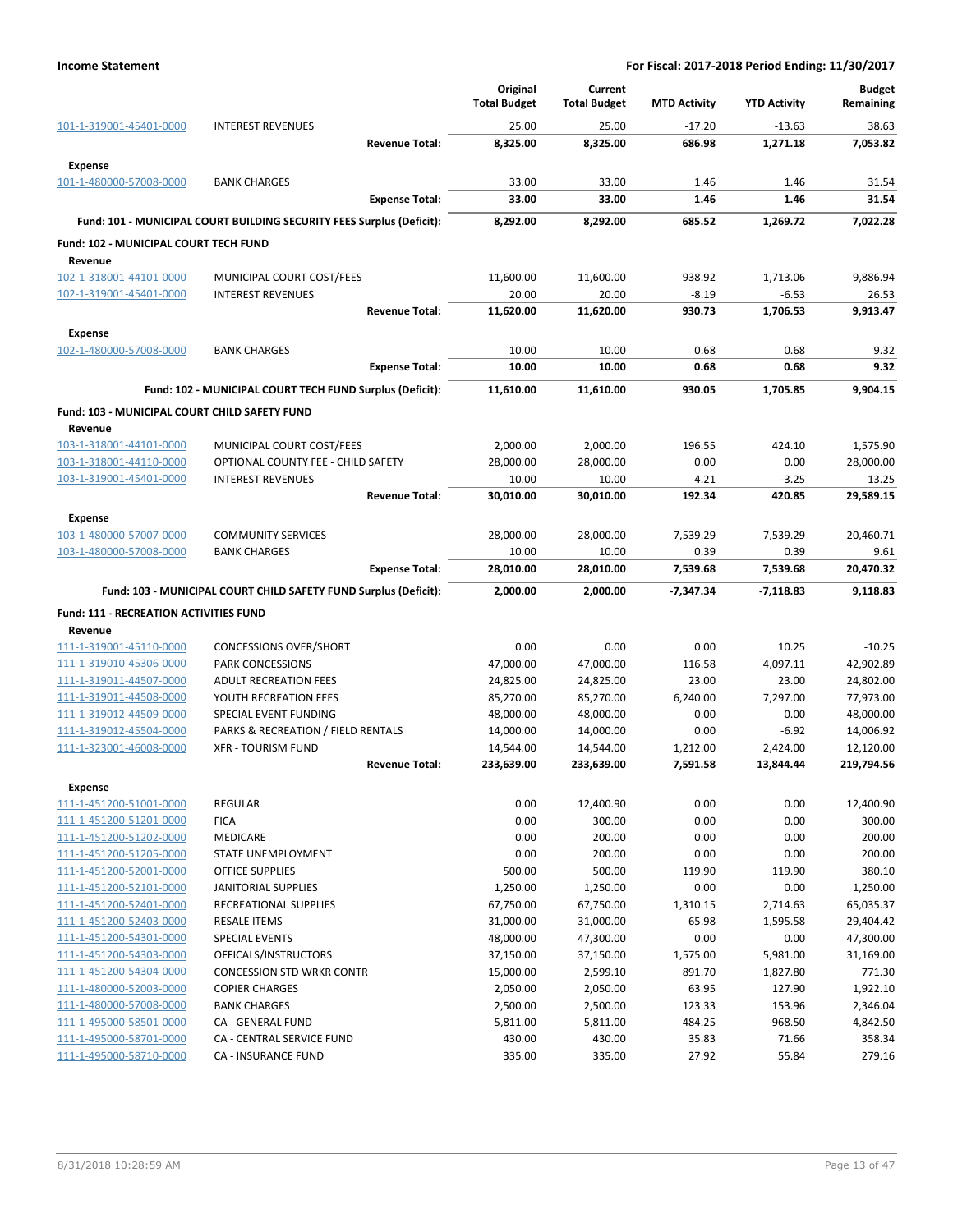| <b>INTEREST REVENUES</b><br>25.00<br>25.00<br>$-17.20$<br>$-13.63$<br>38.63<br>8,325.00<br>8,325.00<br>686.98<br>1,271.18<br>7,053.82<br><b>Revenue Total:</b><br><b>Expense</b><br>33.00<br>33.00<br>1.46<br>1.46<br><b>BANK CHARGES</b><br>31.54<br>33.00<br>33.00<br>1.46<br>1.46<br>31.54<br><b>Expense Total:</b><br>7,022.28<br>Fund: 101 - MUNICIPAL COURT BUILDING SECURITY FEES Surplus (Deficit):<br>8,292.00<br>8,292.00<br>685.52<br>1,269.72<br>Fund: 102 - MUNICIPAL COURT TECH FUND<br>Revenue<br>MUNICIPAL COURT COST/FEES<br>11,600.00<br>11,600.00<br>938.92<br>1,713.06<br>9,886.94<br><b>INTEREST REVENUES</b><br>20.00<br>20.00<br>$-8.19$<br>$-6.53$<br>26.53<br>11,620.00<br>11,620.00<br>930.73<br>1,706.53<br>9,913.47<br><b>Revenue Total:</b><br><b>Expense</b><br>10.00<br>10.00<br>0.68<br>0.68<br>9.32<br><b>BANK CHARGES</b><br>10.00<br>10.00<br>0.68<br>0.68<br>9.32<br><b>Expense Total:</b><br>9,904.15<br>Fund: 102 - MUNICIPAL COURT TECH FUND Surplus (Deficit):<br>11,610.00<br>11,610.00<br>930.05<br>1,705.85<br>Fund: 103 - MUNICIPAL COURT CHILD SAFETY FUND<br>Revenue<br>103-1-318001-44101-0000<br>MUNICIPAL COURT COST/FEES<br>2,000.00<br>2,000.00<br>196.55<br>424.10<br>1,575.90<br>0.00<br>OPTIONAL COUNTY FEE - CHILD SAFETY<br>28,000.00<br>28,000.00<br>0.00<br>28,000.00<br>10.00<br>10.00<br>$-4.21$<br>$-3.25$<br>13.25<br><b>INTEREST REVENUES</b><br><b>Revenue Total:</b><br>30,010.00<br>30,010.00<br>192.34<br>420.85<br>29,589.15<br><b>Expense</b><br><b>COMMUNITY SERVICES</b><br>28,000.00<br>28,000.00<br>7,539.29<br>7,539.29<br>20,460.71<br>103-1-480000-57007-0000<br>103-1-480000-57008-0000<br>10.00<br>10.00<br>0.39<br>0.39<br>9.61<br><b>BANK CHARGES</b><br>28,010.00<br>28,010.00<br>7,539.68<br>7,539.68<br>20,470.32<br><b>Expense Total:</b><br>Fund: 103 - MUNICIPAL COURT CHILD SAFETY FUND Surplus (Deficit):<br>2,000.00<br>2,000.00<br>-7,347.34<br>$-7,118.83$<br>9,118.83<br><b>Fund: 111 - RECREATION ACTIVITIES FUND</b><br>Revenue<br>0.00<br>0.00<br>0.00<br>10.25<br>111-1-319001-45110-0000<br><b>CONCESSIONS OVER/SHORT</b><br>$-10.25$<br>PARK CONCESSIONS<br>47,000.00<br>47,000.00<br>116.58<br>4,097.11<br>42,902.89<br><b>ADULT RECREATION FEES</b><br>24,825.00<br>24,825.00<br>23.00<br>23.00<br>24,802.00<br>YOUTH RECREATION FEES<br>85,270.00<br>85,270.00<br>6,240.00<br>7,297.00<br>77,973.00<br>SPECIAL EVENT FUNDING<br>48,000.00<br>48,000.00<br>0.00<br>0.00<br>48,000.00<br>PARKS & RECREATION / FIELD RENTALS<br>14,000.00<br>14,000.00<br>0.00<br>$-6.92$<br>14,006.92<br><b>XFR - TOURISM FUND</b><br>1,212.00<br>2,424.00<br>12,120.00<br>14,544.00<br>14,544.00<br><b>Revenue Total:</b><br>233,639.00<br>233,639.00<br>7,591.58<br>13,844.44<br>219,794.56<br><b>Expense</b><br><b>REGULAR</b><br>0.00<br>12,400.90<br>0.00<br>0.00<br>12,400.90<br>0.00<br>300.00<br>0.00<br><b>FICA</b><br>0.00<br>300.00<br>MEDICARE<br>0.00<br>200.00<br>0.00<br>0.00<br>200.00<br>0.00<br>0.00<br>200.00<br>0.00<br>200.00<br>STATE UNEMPLOYMENT<br>500.00<br>500.00<br>119.90<br>380.10<br>OFFICE SUPPLIES<br>119.90<br>1,250.00<br>1,250.00<br>0.00<br>0.00<br>1,250.00<br><b>JANITORIAL SUPPLIES</b><br>RECREATIONAL SUPPLIES<br>67,750.00<br>67,750.00<br>1,310.15<br>2,714.63<br>65,035.37<br><b>RESALE ITEMS</b><br>31,000.00<br>31,000.00<br>65.98<br>1,595.58<br>111-1-451200-52403-0000<br>29,404.42<br>0.00<br><b>SPECIAL EVENTS</b><br>48,000.00<br>111-1-451200-54301-0000<br>47,300.00<br>0.00<br>47,300.00<br>111-1-451200-54303-0000<br>OFFICALS/INSTRUCTORS<br>1,575.00<br>5,981.00<br>31,169.00<br>37,150.00<br>37,150.00<br>111-1-451200-54304-0000<br>15,000.00<br>2,599.10<br>891.70<br>1,827.80<br>771.30<br><b>CONCESSION STD WRKR CONTR</b><br>111-1-480000-52003-0000<br><b>COPIER CHARGES</b><br>2,050.00<br>2,050.00<br>63.95<br>127.90<br>1,922.10<br><b>BANK CHARGES</b><br>123.33<br>153.96<br>2,346.04<br>111-1-480000-57008-0000<br>2,500.00<br>2,500.00<br>484.25<br>968.50<br>4,842.50<br>111-1-495000-58501-0000<br>CA - GENERAL FUND<br>5,811.00<br>5,811.00<br>111-1-495000-58701-0000<br>CA - CENTRAL SERVICE FUND<br>430.00<br>430.00<br>35.83<br>71.66<br>358.34<br>27.92<br>55.84<br>CA - INSURANCE FUND<br>335.00<br>335.00<br>279.16 |                         | Original<br><b>Total Budget</b> | Current<br><b>Total Budget</b> | <b>MTD Activity</b> | <b>YTD Activity</b> | <b>Budget</b><br>Remaining |
|-------------------------------------------------------------------------------------------------------------------------------------------------------------------------------------------------------------------------------------------------------------------------------------------------------------------------------------------------------------------------------------------------------------------------------------------------------------------------------------------------------------------------------------------------------------------------------------------------------------------------------------------------------------------------------------------------------------------------------------------------------------------------------------------------------------------------------------------------------------------------------------------------------------------------------------------------------------------------------------------------------------------------------------------------------------------------------------------------------------------------------------------------------------------------------------------------------------------------------------------------------------------------------------------------------------------------------------------------------------------------------------------------------------------------------------------------------------------------------------------------------------------------------------------------------------------------------------------------------------------------------------------------------------------------------------------------------------------------------------------------------------------------------------------------------------------------------------------------------------------------------------------------------------------------------------------------------------------------------------------------------------------------------------------------------------------------------------------------------------------------------------------------------------------------------------------------------------------------------------------------------------------------------------------------------------------------------------------------------------------------------------------------------------------------------------------------------------------------------------------------------------------------------------------------------------------------------------------------------------------------------------------------------------------------------------------------------------------------------------------------------------------------------------------------------------------------------------------------------------------------------------------------------------------------------------------------------------------------------------------------------------------------------------------------------------------------------------------------------------------------------------------------------------------------------------------------------------------------------------------------------------------------------------------------------------------------------------------------------------------------------------------------------------------------------------------------------------------------------------------------------------------------------------------------------------------------------------------------------------------------------------------------------------------------------------------------------------------------------------------------------------------------------------------------------------------------------------------------------------------------------------------------------------------------------------------------------------------------------------------------------------------------------------------------------------------------------------------------------------------------------------------------------------------------------------------------------------------------------------------------------------------------------------------|-------------------------|---------------------------------|--------------------------------|---------------------|---------------------|----------------------------|
|                                                                                                                                                                                                                                                                                                                                                                                                                                                                                                                                                                                                                                                                                                                                                                                                                                                                                                                                                                                                                                                                                                                                                                                                                                                                                                                                                                                                                                                                                                                                                                                                                                                                                                                                                                                                                                                                                                                                                                                                                                                                                                                                                                                                                                                                                                                                                                                                                                                                                                                                                                                                                                                                                                                                                                                                                                                                                                                                                                                                                                                                                                                                                                                                                                                                                                                                                                                                                                                                                                                                                                                                                                                                                                                                                                                                                                                                                                                                                                                                                                                                                                                                                                                                                                                                                           | 101-1-319001-45401-0000 |                                 |                                |                     |                     |                            |
|                                                                                                                                                                                                                                                                                                                                                                                                                                                                                                                                                                                                                                                                                                                                                                                                                                                                                                                                                                                                                                                                                                                                                                                                                                                                                                                                                                                                                                                                                                                                                                                                                                                                                                                                                                                                                                                                                                                                                                                                                                                                                                                                                                                                                                                                                                                                                                                                                                                                                                                                                                                                                                                                                                                                                                                                                                                                                                                                                                                                                                                                                                                                                                                                                                                                                                                                                                                                                                                                                                                                                                                                                                                                                                                                                                                                                                                                                                                                                                                                                                                                                                                                                                                                                                                                                           |                         |                                 |                                |                     |                     |                            |
|                                                                                                                                                                                                                                                                                                                                                                                                                                                                                                                                                                                                                                                                                                                                                                                                                                                                                                                                                                                                                                                                                                                                                                                                                                                                                                                                                                                                                                                                                                                                                                                                                                                                                                                                                                                                                                                                                                                                                                                                                                                                                                                                                                                                                                                                                                                                                                                                                                                                                                                                                                                                                                                                                                                                                                                                                                                                                                                                                                                                                                                                                                                                                                                                                                                                                                                                                                                                                                                                                                                                                                                                                                                                                                                                                                                                                                                                                                                                                                                                                                                                                                                                                                                                                                                                                           |                         |                                 |                                |                     |                     |                            |
|                                                                                                                                                                                                                                                                                                                                                                                                                                                                                                                                                                                                                                                                                                                                                                                                                                                                                                                                                                                                                                                                                                                                                                                                                                                                                                                                                                                                                                                                                                                                                                                                                                                                                                                                                                                                                                                                                                                                                                                                                                                                                                                                                                                                                                                                                                                                                                                                                                                                                                                                                                                                                                                                                                                                                                                                                                                                                                                                                                                                                                                                                                                                                                                                                                                                                                                                                                                                                                                                                                                                                                                                                                                                                                                                                                                                                                                                                                                                                                                                                                                                                                                                                                                                                                                                                           | 101-1-480000-57008-0000 |                                 |                                |                     |                     |                            |
|                                                                                                                                                                                                                                                                                                                                                                                                                                                                                                                                                                                                                                                                                                                                                                                                                                                                                                                                                                                                                                                                                                                                                                                                                                                                                                                                                                                                                                                                                                                                                                                                                                                                                                                                                                                                                                                                                                                                                                                                                                                                                                                                                                                                                                                                                                                                                                                                                                                                                                                                                                                                                                                                                                                                                                                                                                                                                                                                                                                                                                                                                                                                                                                                                                                                                                                                                                                                                                                                                                                                                                                                                                                                                                                                                                                                                                                                                                                                                                                                                                                                                                                                                                                                                                                                                           |                         |                                 |                                |                     |                     |                            |
|                                                                                                                                                                                                                                                                                                                                                                                                                                                                                                                                                                                                                                                                                                                                                                                                                                                                                                                                                                                                                                                                                                                                                                                                                                                                                                                                                                                                                                                                                                                                                                                                                                                                                                                                                                                                                                                                                                                                                                                                                                                                                                                                                                                                                                                                                                                                                                                                                                                                                                                                                                                                                                                                                                                                                                                                                                                                                                                                                                                                                                                                                                                                                                                                                                                                                                                                                                                                                                                                                                                                                                                                                                                                                                                                                                                                                                                                                                                                                                                                                                                                                                                                                                                                                                                                                           |                         |                                 |                                |                     |                     |                            |
|                                                                                                                                                                                                                                                                                                                                                                                                                                                                                                                                                                                                                                                                                                                                                                                                                                                                                                                                                                                                                                                                                                                                                                                                                                                                                                                                                                                                                                                                                                                                                                                                                                                                                                                                                                                                                                                                                                                                                                                                                                                                                                                                                                                                                                                                                                                                                                                                                                                                                                                                                                                                                                                                                                                                                                                                                                                                                                                                                                                                                                                                                                                                                                                                                                                                                                                                                                                                                                                                                                                                                                                                                                                                                                                                                                                                                                                                                                                                                                                                                                                                                                                                                                                                                                                                                           |                         |                                 |                                |                     |                     |                            |
|                                                                                                                                                                                                                                                                                                                                                                                                                                                                                                                                                                                                                                                                                                                                                                                                                                                                                                                                                                                                                                                                                                                                                                                                                                                                                                                                                                                                                                                                                                                                                                                                                                                                                                                                                                                                                                                                                                                                                                                                                                                                                                                                                                                                                                                                                                                                                                                                                                                                                                                                                                                                                                                                                                                                                                                                                                                                                                                                                                                                                                                                                                                                                                                                                                                                                                                                                                                                                                                                                                                                                                                                                                                                                                                                                                                                                                                                                                                                                                                                                                                                                                                                                                                                                                                                                           |                         |                                 |                                |                     |                     |                            |
|                                                                                                                                                                                                                                                                                                                                                                                                                                                                                                                                                                                                                                                                                                                                                                                                                                                                                                                                                                                                                                                                                                                                                                                                                                                                                                                                                                                                                                                                                                                                                                                                                                                                                                                                                                                                                                                                                                                                                                                                                                                                                                                                                                                                                                                                                                                                                                                                                                                                                                                                                                                                                                                                                                                                                                                                                                                                                                                                                                                                                                                                                                                                                                                                                                                                                                                                                                                                                                                                                                                                                                                                                                                                                                                                                                                                                                                                                                                                                                                                                                                                                                                                                                                                                                                                                           | 102-1-318001-44101-0000 |                                 |                                |                     |                     |                            |
|                                                                                                                                                                                                                                                                                                                                                                                                                                                                                                                                                                                                                                                                                                                                                                                                                                                                                                                                                                                                                                                                                                                                                                                                                                                                                                                                                                                                                                                                                                                                                                                                                                                                                                                                                                                                                                                                                                                                                                                                                                                                                                                                                                                                                                                                                                                                                                                                                                                                                                                                                                                                                                                                                                                                                                                                                                                                                                                                                                                                                                                                                                                                                                                                                                                                                                                                                                                                                                                                                                                                                                                                                                                                                                                                                                                                                                                                                                                                                                                                                                                                                                                                                                                                                                                                                           | 102-1-319001-45401-0000 |                                 |                                |                     |                     |                            |
|                                                                                                                                                                                                                                                                                                                                                                                                                                                                                                                                                                                                                                                                                                                                                                                                                                                                                                                                                                                                                                                                                                                                                                                                                                                                                                                                                                                                                                                                                                                                                                                                                                                                                                                                                                                                                                                                                                                                                                                                                                                                                                                                                                                                                                                                                                                                                                                                                                                                                                                                                                                                                                                                                                                                                                                                                                                                                                                                                                                                                                                                                                                                                                                                                                                                                                                                                                                                                                                                                                                                                                                                                                                                                                                                                                                                                                                                                                                                                                                                                                                                                                                                                                                                                                                                                           |                         |                                 |                                |                     |                     |                            |
|                                                                                                                                                                                                                                                                                                                                                                                                                                                                                                                                                                                                                                                                                                                                                                                                                                                                                                                                                                                                                                                                                                                                                                                                                                                                                                                                                                                                                                                                                                                                                                                                                                                                                                                                                                                                                                                                                                                                                                                                                                                                                                                                                                                                                                                                                                                                                                                                                                                                                                                                                                                                                                                                                                                                                                                                                                                                                                                                                                                                                                                                                                                                                                                                                                                                                                                                                                                                                                                                                                                                                                                                                                                                                                                                                                                                                                                                                                                                                                                                                                                                                                                                                                                                                                                                                           |                         |                                 |                                |                     |                     |                            |
|                                                                                                                                                                                                                                                                                                                                                                                                                                                                                                                                                                                                                                                                                                                                                                                                                                                                                                                                                                                                                                                                                                                                                                                                                                                                                                                                                                                                                                                                                                                                                                                                                                                                                                                                                                                                                                                                                                                                                                                                                                                                                                                                                                                                                                                                                                                                                                                                                                                                                                                                                                                                                                                                                                                                                                                                                                                                                                                                                                                                                                                                                                                                                                                                                                                                                                                                                                                                                                                                                                                                                                                                                                                                                                                                                                                                                                                                                                                                                                                                                                                                                                                                                                                                                                                                                           | 102-1-480000-57008-0000 |                                 |                                |                     |                     |                            |
|                                                                                                                                                                                                                                                                                                                                                                                                                                                                                                                                                                                                                                                                                                                                                                                                                                                                                                                                                                                                                                                                                                                                                                                                                                                                                                                                                                                                                                                                                                                                                                                                                                                                                                                                                                                                                                                                                                                                                                                                                                                                                                                                                                                                                                                                                                                                                                                                                                                                                                                                                                                                                                                                                                                                                                                                                                                                                                                                                                                                                                                                                                                                                                                                                                                                                                                                                                                                                                                                                                                                                                                                                                                                                                                                                                                                                                                                                                                                                                                                                                                                                                                                                                                                                                                                                           |                         |                                 |                                |                     |                     |                            |
|                                                                                                                                                                                                                                                                                                                                                                                                                                                                                                                                                                                                                                                                                                                                                                                                                                                                                                                                                                                                                                                                                                                                                                                                                                                                                                                                                                                                                                                                                                                                                                                                                                                                                                                                                                                                                                                                                                                                                                                                                                                                                                                                                                                                                                                                                                                                                                                                                                                                                                                                                                                                                                                                                                                                                                                                                                                                                                                                                                                                                                                                                                                                                                                                                                                                                                                                                                                                                                                                                                                                                                                                                                                                                                                                                                                                                                                                                                                                                                                                                                                                                                                                                                                                                                                                                           |                         |                                 |                                |                     |                     |                            |
|                                                                                                                                                                                                                                                                                                                                                                                                                                                                                                                                                                                                                                                                                                                                                                                                                                                                                                                                                                                                                                                                                                                                                                                                                                                                                                                                                                                                                                                                                                                                                                                                                                                                                                                                                                                                                                                                                                                                                                                                                                                                                                                                                                                                                                                                                                                                                                                                                                                                                                                                                                                                                                                                                                                                                                                                                                                                                                                                                                                                                                                                                                                                                                                                                                                                                                                                                                                                                                                                                                                                                                                                                                                                                                                                                                                                                                                                                                                                                                                                                                                                                                                                                                                                                                                                                           |                         |                                 |                                |                     |                     |                            |
|                                                                                                                                                                                                                                                                                                                                                                                                                                                                                                                                                                                                                                                                                                                                                                                                                                                                                                                                                                                                                                                                                                                                                                                                                                                                                                                                                                                                                                                                                                                                                                                                                                                                                                                                                                                                                                                                                                                                                                                                                                                                                                                                                                                                                                                                                                                                                                                                                                                                                                                                                                                                                                                                                                                                                                                                                                                                                                                                                                                                                                                                                                                                                                                                                                                                                                                                                                                                                                                                                                                                                                                                                                                                                                                                                                                                                                                                                                                                                                                                                                                                                                                                                                                                                                                                                           |                         |                                 |                                |                     |                     |                            |
|                                                                                                                                                                                                                                                                                                                                                                                                                                                                                                                                                                                                                                                                                                                                                                                                                                                                                                                                                                                                                                                                                                                                                                                                                                                                                                                                                                                                                                                                                                                                                                                                                                                                                                                                                                                                                                                                                                                                                                                                                                                                                                                                                                                                                                                                                                                                                                                                                                                                                                                                                                                                                                                                                                                                                                                                                                                                                                                                                                                                                                                                                                                                                                                                                                                                                                                                                                                                                                                                                                                                                                                                                                                                                                                                                                                                                                                                                                                                                                                                                                                                                                                                                                                                                                                                                           |                         |                                 |                                |                     |                     |                            |
|                                                                                                                                                                                                                                                                                                                                                                                                                                                                                                                                                                                                                                                                                                                                                                                                                                                                                                                                                                                                                                                                                                                                                                                                                                                                                                                                                                                                                                                                                                                                                                                                                                                                                                                                                                                                                                                                                                                                                                                                                                                                                                                                                                                                                                                                                                                                                                                                                                                                                                                                                                                                                                                                                                                                                                                                                                                                                                                                                                                                                                                                                                                                                                                                                                                                                                                                                                                                                                                                                                                                                                                                                                                                                                                                                                                                                                                                                                                                                                                                                                                                                                                                                                                                                                                                                           | 103-1-318001-44110-0000 |                                 |                                |                     |                     |                            |
|                                                                                                                                                                                                                                                                                                                                                                                                                                                                                                                                                                                                                                                                                                                                                                                                                                                                                                                                                                                                                                                                                                                                                                                                                                                                                                                                                                                                                                                                                                                                                                                                                                                                                                                                                                                                                                                                                                                                                                                                                                                                                                                                                                                                                                                                                                                                                                                                                                                                                                                                                                                                                                                                                                                                                                                                                                                                                                                                                                                                                                                                                                                                                                                                                                                                                                                                                                                                                                                                                                                                                                                                                                                                                                                                                                                                                                                                                                                                                                                                                                                                                                                                                                                                                                                                                           | 103-1-319001-45401-0000 |                                 |                                |                     |                     |                            |
|                                                                                                                                                                                                                                                                                                                                                                                                                                                                                                                                                                                                                                                                                                                                                                                                                                                                                                                                                                                                                                                                                                                                                                                                                                                                                                                                                                                                                                                                                                                                                                                                                                                                                                                                                                                                                                                                                                                                                                                                                                                                                                                                                                                                                                                                                                                                                                                                                                                                                                                                                                                                                                                                                                                                                                                                                                                                                                                                                                                                                                                                                                                                                                                                                                                                                                                                                                                                                                                                                                                                                                                                                                                                                                                                                                                                                                                                                                                                                                                                                                                                                                                                                                                                                                                                                           |                         |                                 |                                |                     |                     |                            |
|                                                                                                                                                                                                                                                                                                                                                                                                                                                                                                                                                                                                                                                                                                                                                                                                                                                                                                                                                                                                                                                                                                                                                                                                                                                                                                                                                                                                                                                                                                                                                                                                                                                                                                                                                                                                                                                                                                                                                                                                                                                                                                                                                                                                                                                                                                                                                                                                                                                                                                                                                                                                                                                                                                                                                                                                                                                                                                                                                                                                                                                                                                                                                                                                                                                                                                                                                                                                                                                                                                                                                                                                                                                                                                                                                                                                                                                                                                                                                                                                                                                                                                                                                                                                                                                                                           |                         |                                 |                                |                     |                     |                            |
|                                                                                                                                                                                                                                                                                                                                                                                                                                                                                                                                                                                                                                                                                                                                                                                                                                                                                                                                                                                                                                                                                                                                                                                                                                                                                                                                                                                                                                                                                                                                                                                                                                                                                                                                                                                                                                                                                                                                                                                                                                                                                                                                                                                                                                                                                                                                                                                                                                                                                                                                                                                                                                                                                                                                                                                                                                                                                                                                                                                                                                                                                                                                                                                                                                                                                                                                                                                                                                                                                                                                                                                                                                                                                                                                                                                                                                                                                                                                                                                                                                                                                                                                                                                                                                                                                           |                         |                                 |                                |                     |                     |                            |
|                                                                                                                                                                                                                                                                                                                                                                                                                                                                                                                                                                                                                                                                                                                                                                                                                                                                                                                                                                                                                                                                                                                                                                                                                                                                                                                                                                                                                                                                                                                                                                                                                                                                                                                                                                                                                                                                                                                                                                                                                                                                                                                                                                                                                                                                                                                                                                                                                                                                                                                                                                                                                                                                                                                                                                                                                                                                                                                                                                                                                                                                                                                                                                                                                                                                                                                                                                                                                                                                                                                                                                                                                                                                                                                                                                                                                                                                                                                                                                                                                                                                                                                                                                                                                                                                                           |                         |                                 |                                |                     |                     |                            |
|                                                                                                                                                                                                                                                                                                                                                                                                                                                                                                                                                                                                                                                                                                                                                                                                                                                                                                                                                                                                                                                                                                                                                                                                                                                                                                                                                                                                                                                                                                                                                                                                                                                                                                                                                                                                                                                                                                                                                                                                                                                                                                                                                                                                                                                                                                                                                                                                                                                                                                                                                                                                                                                                                                                                                                                                                                                                                                                                                                                                                                                                                                                                                                                                                                                                                                                                                                                                                                                                                                                                                                                                                                                                                                                                                                                                                                                                                                                                                                                                                                                                                                                                                                                                                                                                                           |                         |                                 |                                |                     |                     |                            |
|                                                                                                                                                                                                                                                                                                                                                                                                                                                                                                                                                                                                                                                                                                                                                                                                                                                                                                                                                                                                                                                                                                                                                                                                                                                                                                                                                                                                                                                                                                                                                                                                                                                                                                                                                                                                                                                                                                                                                                                                                                                                                                                                                                                                                                                                                                                                                                                                                                                                                                                                                                                                                                                                                                                                                                                                                                                                                                                                                                                                                                                                                                                                                                                                                                                                                                                                                                                                                                                                                                                                                                                                                                                                                                                                                                                                                                                                                                                                                                                                                                                                                                                                                                                                                                                                                           |                         |                                 |                                |                     |                     |                            |
|                                                                                                                                                                                                                                                                                                                                                                                                                                                                                                                                                                                                                                                                                                                                                                                                                                                                                                                                                                                                                                                                                                                                                                                                                                                                                                                                                                                                                                                                                                                                                                                                                                                                                                                                                                                                                                                                                                                                                                                                                                                                                                                                                                                                                                                                                                                                                                                                                                                                                                                                                                                                                                                                                                                                                                                                                                                                                                                                                                                                                                                                                                                                                                                                                                                                                                                                                                                                                                                                                                                                                                                                                                                                                                                                                                                                                                                                                                                                                                                                                                                                                                                                                                                                                                                                                           |                         |                                 |                                |                     |                     |                            |
|                                                                                                                                                                                                                                                                                                                                                                                                                                                                                                                                                                                                                                                                                                                                                                                                                                                                                                                                                                                                                                                                                                                                                                                                                                                                                                                                                                                                                                                                                                                                                                                                                                                                                                                                                                                                                                                                                                                                                                                                                                                                                                                                                                                                                                                                                                                                                                                                                                                                                                                                                                                                                                                                                                                                                                                                                                                                                                                                                                                                                                                                                                                                                                                                                                                                                                                                                                                                                                                                                                                                                                                                                                                                                                                                                                                                                                                                                                                                                                                                                                                                                                                                                                                                                                                                                           |                         |                                 |                                |                     |                     |                            |
|                                                                                                                                                                                                                                                                                                                                                                                                                                                                                                                                                                                                                                                                                                                                                                                                                                                                                                                                                                                                                                                                                                                                                                                                                                                                                                                                                                                                                                                                                                                                                                                                                                                                                                                                                                                                                                                                                                                                                                                                                                                                                                                                                                                                                                                                                                                                                                                                                                                                                                                                                                                                                                                                                                                                                                                                                                                                                                                                                                                                                                                                                                                                                                                                                                                                                                                                                                                                                                                                                                                                                                                                                                                                                                                                                                                                                                                                                                                                                                                                                                                                                                                                                                                                                                                                                           |                         |                                 |                                |                     |                     |                            |
|                                                                                                                                                                                                                                                                                                                                                                                                                                                                                                                                                                                                                                                                                                                                                                                                                                                                                                                                                                                                                                                                                                                                                                                                                                                                                                                                                                                                                                                                                                                                                                                                                                                                                                                                                                                                                                                                                                                                                                                                                                                                                                                                                                                                                                                                                                                                                                                                                                                                                                                                                                                                                                                                                                                                                                                                                                                                                                                                                                                                                                                                                                                                                                                                                                                                                                                                                                                                                                                                                                                                                                                                                                                                                                                                                                                                                                                                                                                                                                                                                                                                                                                                                                                                                                                                                           | 111-1-319010-45306-0000 |                                 |                                |                     |                     |                            |
|                                                                                                                                                                                                                                                                                                                                                                                                                                                                                                                                                                                                                                                                                                                                                                                                                                                                                                                                                                                                                                                                                                                                                                                                                                                                                                                                                                                                                                                                                                                                                                                                                                                                                                                                                                                                                                                                                                                                                                                                                                                                                                                                                                                                                                                                                                                                                                                                                                                                                                                                                                                                                                                                                                                                                                                                                                                                                                                                                                                                                                                                                                                                                                                                                                                                                                                                                                                                                                                                                                                                                                                                                                                                                                                                                                                                                                                                                                                                                                                                                                                                                                                                                                                                                                                                                           | 111-1-319011-44507-0000 |                                 |                                |                     |                     |                            |
|                                                                                                                                                                                                                                                                                                                                                                                                                                                                                                                                                                                                                                                                                                                                                                                                                                                                                                                                                                                                                                                                                                                                                                                                                                                                                                                                                                                                                                                                                                                                                                                                                                                                                                                                                                                                                                                                                                                                                                                                                                                                                                                                                                                                                                                                                                                                                                                                                                                                                                                                                                                                                                                                                                                                                                                                                                                                                                                                                                                                                                                                                                                                                                                                                                                                                                                                                                                                                                                                                                                                                                                                                                                                                                                                                                                                                                                                                                                                                                                                                                                                                                                                                                                                                                                                                           | 111-1-319011-44508-0000 |                                 |                                |                     |                     |                            |
|                                                                                                                                                                                                                                                                                                                                                                                                                                                                                                                                                                                                                                                                                                                                                                                                                                                                                                                                                                                                                                                                                                                                                                                                                                                                                                                                                                                                                                                                                                                                                                                                                                                                                                                                                                                                                                                                                                                                                                                                                                                                                                                                                                                                                                                                                                                                                                                                                                                                                                                                                                                                                                                                                                                                                                                                                                                                                                                                                                                                                                                                                                                                                                                                                                                                                                                                                                                                                                                                                                                                                                                                                                                                                                                                                                                                                                                                                                                                                                                                                                                                                                                                                                                                                                                                                           | 111-1-319012-44509-0000 |                                 |                                |                     |                     |                            |
|                                                                                                                                                                                                                                                                                                                                                                                                                                                                                                                                                                                                                                                                                                                                                                                                                                                                                                                                                                                                                                                                                                                                                                                                                                                                                                                                                                                                                                                                                                                                                                                                                                                                                                                                                                                                                                                                                                                                                                                                                                                                                                                                                                                                                                                                                                                                                                                                                                                                                                                                                                                                                                                                                                                                                                                                                                                                                                                                                                                                                                                                                                                                                                                                                                                                                                                                                                                                                                                                                                                                                                                                                                                                                                                                                                                                                                                                                                                                                                                                                                                                                                                                                                                                                                                                                           | 111-1-319012-45504-0000 |                                 |                                |                     |                     |                            |
|                                                                                                                                                                                                                                                                                                                                                                                                                                                                                                                                                                                                                                                                                                                                                                                                                                                                                                                                                                                                                                                                                                                                                                                                                                                                                                                                                                                                                                                                                                                                                                                                                                                                                                                                                                                                                                                                                                                                                                                                                                                                                                                                                                                                                                                                                                                                                                                                                                                                                                                                                                                                                                                                                                                                                                                                                                                                                                                                                                                                                                                                                                                                                                                                                                                                                                                                                                                                                                                                                                                                                                                                                                                                                                                                                                                                                                                                                                                                                                                                                                                                                                                                                                                                                                                                                           | 111-1-323001-46008-0000 |                                 |                                |                     |                     |                            |
|                                                                                                                                                                                                                                                                                                                                                                                                                                                                                                                                                                                                                                                                                                                                                                                                                                                                                                                                                                                                                                                                                                                                                                                                                                                                                                                                                                                                                                                                                                                                                                                                                                                                                                                                                                                                                                                                                                                                                                                                                                                                                                                                                                                                                                                                                                                                                                                                                                                                                                                                                                                                                                                                                                                                                                                                                                                                                                                                                                                                                                                                                                                                                                                                                                                                                                                                                                                                                                                                                                                                                                                                                                                                                                                                                                                                                                                                                                                                                                                                                                                                                                                                                                                                                                                                                           |                         |                                 |                                |                     |                     |                            |
|                                                                                                                                                                                                                                                                                                                                                                                                                                                                                                                                                                                                                                                                                                                                                                                                                                                                                                                                                                                                                                                                                                                                                                                                                                                                                                                                                                                                                                                                                                                                                                                                                                                                                                                                                                                                                                                                                                                                                                                                                                                                                                                                                                                                                                                                                                                                                                                                                                                                                                                                                                                                                                                                                                                                                                                                                                                                                                                                                                                                                                                                                                                                                                                                                                                                                                                                                                                                                                                                                                                                                                                                                                                                                                                                                                                                                                                                                                                                                                                                                                                                                                                                                                                                                                                                                           |                         |                                 |                                |                     |                     |                            |
|                                                                                                                                                                                                                                                                                                                                                                                                                                                                                                                                                                                                                                                                                                                                                                                                                                                                                                                                                                                                                                                                                                                                                                                                                                                                                                                                                                                                                                                                                                                                                                                                                                                                                                                                                                                                                                                                                                                                                                                                                                                                                                                                                                                                                                                                                                                                                                                                                                                                                                                                                                                                                                                                                                                                                                                                                                                                                                                                                                                                                                                                                                                                                                                                                                                                                                                                                                                                                                                                                                                                                                                                                                                                                                                                                                                                                                                                                                                                                                                                                                                                                                                                                                                                                                                                                           | 111-1-451200-51001-0000 |                                 |                                |                     |                     |                            |
|                                                                                                                                                                                                                                                                                                                                                                                                                                                                                                                                                                                                                                                                                                                                                                                                                                                                                                                                                                                                                                                                                                                                                                                                                                                                                                                                                                                                                                                                                                                                                                                                                                                                                                                                                                                                                                                                                                                                                                                                                                                                                                                                                                                                                                                                                                                                                                                                                                                                                                                                                                                                                                                                                                                                                                                                                                                                                                                                                                                                                                                                                                                                                                                                                                                                                                                                                                                                                                                                                                                                                                                                                                                                                                                                                                                                                                                                                                                                                                                                                                                                                                                                                                                                                                                                                           | 111-1-451200-51201-0000 |                                 |                                |                     |                     |                            |
|                                                                                                                                                                                                                                                                                                                                                                                                                                                                                                                                                                                                                                                                                                                                                                                                                                                                                                                                                                                                                                                                                                                                                                                                                                                                                                                                                                                                                                                                                                                                                                                                                                                                                                                                                                                                                                                                                                                                                                                                                                                                                                                                                                                                                                                                                                                                                                                                                                                                                                                                                                                                                                                                                                                                                                                                                                                                                                                                                                                                                                                                                                                                                                                                                                                                                                                                                                                                                                                                                                                                                                                                                                                                                                                                                                                                                                                                                                                                                                                                                                                                                                                                                                                                                                                                                           | 111-1-451200-51202-0000 |                                 |                                |                     |                     |                            |
|                                                                                                                                                                                                                                                                                                                                                                                                                                                                                                                                                                                                                                                                                                                                                                                                                                                                                                                                                                                                                                                                                                                                                                                                                                                                                                                                                                                                                                                                                                                                                                                                                                                                                                                                                                                                                                                                                                                                                                                                                                                                                                                                                                                                                                                                                                                                                                                                                                                                                                                                                                                                                                                                                                                                                                                                                                                                                                                                                                                                                                                                                                                                                                                                                                                                                                                                                                                                                                                                                                                                                                                                                                                                                                                                                                                                                                                                                                                                                                                                                                                                                                                                                                                                                                                                                           | 111-1-451200-51205-0000 |                                 |                                |                     |                     |                            |
|                                                                                                                                                                                                                                                                                                                                                                                                                                                                                                                                                                                                                                                                                                                                                                                                                                                                                                                                                                                                                                                                                                                                                                                                                                                                                                                                                                                                                                                                                                                                                                                                                                                                                                                                                                                                                                                                                                                                                                                                                                                                                                                                                                                                                                                                                                                                                                                                                                                                                                                                                                                                                                                                                                                                                                                                                                                                                                                                                                                                                                                                                                                                                                                                                                                                                                                                                                                                                                                                                                                                                                                                                                                                                                                                                                                                                                                                                                                                                                                                                                                                                                                                                                                                                                                                                           | 111-1-451200-52001-0000 |                                 |                                |                     |                     |                            |
|                                                                                                                                                                                                                                                                                                                                                                                                                                                                                                                                                                                                                                                                                                                                                                                                                                                                                                                                                                                                                                                                                                                                                                                                                                                                                                                                                                                                                                                                                                                                                                                                                                                                                                                                                                                                                                                                                                                                                                                                                                                                                                                                                                                                                                                                                                                                                                                                                                                                                                                                                                                                                                                                                                                                                                                                                                                                                                                                                                                                                                                                                                                                                                                                                                                                                                                                                                                                                                                                                                                                                                                                                                                                                                                                                                                                                                                                                                                                                                                                                                                                                                                                                                                                                                                                                           | 111-1-451200-52101-0000 |                                 |                                |                     |                     |                            |
|                                                                                                                                                                                                                                                                                                                                                                                                                                                                                                                                                                                                                                                                                                                                                                                                                                                                                                                                                                                                                                                                                                                                                                                                                                                                                                                                                                                                                                                                                                                                                                                                                                                                                                                                                                                                                                                                                                                                                                                                                                                                                                                                                                                                                                                                                                                                                                                                                                                                                                                                                                                                                                                                                                                                                                                                                                                                                                                                                                                                                                                                                                                                                                                                                                                                                                                                                                                                                                                                                                                                                                                                                                                                                                                                                                                                                                                                                                                                                                                                                                                                                                                                                                                                                                                                                           | 111-1-451200-52401-0000 |                                 |                                |                     |                     |                            |
|                                                                                                                                                                                                                                                                                                                                                                                                                                                                                                                                                                                                                                                                                                                                                                                                                                                                                                                                                                                                                                                                                                                                                                                                                                                                                                                                                                                                                                                                                                                                                                                                                                                                                                                                                                                                                                                                                                                                                                                                                                                                                                                                                                                                                                                                                                                                                                                                                                                                                                                                                                                                                                                                                                                                                                                                                                                                                                                                                                                                                                                                                                                                                                                                                                                                                                                                                                                                                                                                                                                                                                                                                                                                                                                                                                                                                                                                                                                                                                                                                                                                                                                                                                                                                                                                                           |                         |                                 |                                |                     |                     |                            |
|                                                                                                                                                                                                                                                                                                                                                                                                                                                                                                                                                                                                                                                                                                                                                                                                                                                                                                                                                                                                                                                                                                                                                                                                                                                                                                                                                                                                                                                                                                                                                                                                                                                                                                                                                                                                                                                                                                                                                                                                                                                                                                                                                                                                                                                                                                                                                                                                                                                                                                                                                                                                                                                                                                                                                                                                                                                                                                                                                                                                                                                                                                                                                                                                                                                                                                                                                                                                                                                                                                                                                                                                                                                                                                                                                                                                                                                                                                                                                                                                                                                                                                                                                                                                                                                                                           |                         |                                 |                                |                     |                     |                            |
|                                                                                                                                                                                                                                                                                                                                                                                                                                                                                                                                                                                                                                                                                                                                                                                                                                                                                                                                                                                                                                                                                                                                                                                                                                                                                                                                                                                                                                                                                                                                                                                                                                                                                                                                                                                                                                                                                                                                                                                                                                                                                                                                                                                                                                                                                                                                                                                                                                                                                                                                                                                                                                                                                                                                                                                                                                                                                                                                                                                                                                                                                                                                                                                                                                                                                                                                                                                                                                                                                                                                                                                                                                                                                                                                                                                                                                                                                                                                                                                                                                                                                                                                                                                                                                                                                           |                         |                                 |                                |                     |                     |                            |
|                                                                                                                                                                                                                                                                                                                                                                                                                                                                                                                                                                                                                                                                                                                                                                                                                                                                                                                                                                                                                                                                                                                                                                                                                                                                                                                                                                                                                                                                                                                                                                                                                                                                                                                                                                                                                                                                                                                                                                                                                                                                                                                                                                                                                                                                                                                                                                                                                                                                                                                                                                                                                                                                                                                                                                                                                                                                                                                                                                                                                                                                                                                                                                                                                                                                                                                                                                                                                                                                                                                                                                                                                                                                                                                                                                                                                                                                                                                                                                                                                                                                                                                                                                                                                                                                                           |                         |                                 |                                |                     |                     |                            |
|                                                                                                                                                                                                                                                                                                                                                                                                                                                                                                                                                                                                                                                                                                                                                                                                                                                                                                                                                                                                                                                                                                                                                                                                                                                                                                                                                                                                                                                                                                                                                                                                                                                                                                                                                                                                                                                                                                                                                                                                                                                                                                                                                                                                                                                                                                                                                                                                                                                                                                                                                                                                                                                                                                                                                                                                                                                                                                                                                                                                                                                                                                                                                                                                                                                                                                                                                                                                                                                                                                                                                                                                                                                                                                                                                                                                                                                                                                                                                                                                                                                                                                                                                                                                                                                                                           |                         |                                 |                                |                     |                     |                            |
|                                                                                                                                                                                                                                                                                                                                                                                                                                                                                                                                                                                                                                                                                                                                                                                                                                                                                                                                                                                                                                                                                                                                                                                                                                                                                                                                                                                                                                                                                                                                                                                                                                                                                                                                                                                                                                                                                                                                                                                                                                                                                                                                                                                                                                                                                                                                                                                                                                                                                                                                                                                                                                                                                                                                                                                                                                                                                                                                                                                                                                                                                                                                                                                                                                                                                                                                                                                                                                                                                                                                                                                                                                                                                                                                                                                                                                                                                                                                                                                                                                                                                                                                                                                                                                                                                           |                         |                                 |                                |                     |                     |                            |
|                                                                                                                                                                                                                                                                                                                                                                                                                                                                                                                                                                                                                                                                                                                                                                                                                                                                                                                                                                                                                                                                                                                                                                                                                                                                                                                                                                                                                                                                                                                                                                                                                                                                                                                                                                                                                                                                                                                                                                                                                                                                                                                                                                                                                                                                                                                                                                                                                                                                                                                                                                                                                                                                                                                                                                                                                                                                                                                                                                                                                                                                                                                                                                                                                                                                                                                                                                                                                                                                                                                                                                                                                                                                                                                                                                                                                                                                                                                                                                                                                                                                                                                                                                                                                                                                                           |                         |                                 |                                |                     |                     |                            |
|                                                                                                                                                                                                                                                                                                                                                                                                                                                                                                                                                                                                                                                                                                                                                                                                                                                                                                                                                                                                                                                                                                                                                                                                                                                                                                                                                                                                                                                                                                                                                                                                                                                                                                                                                                                                                                                                                                                                                                                                                                                                                                                                                                                                                                                                                                                                                                                                                                                                                                                                                                                                                                                                                                                                                                                                                                                                                                                                                                                                                                                                                                                                                                                                                                                                                                                                                                                                                                                                                                                                                                                                                                                                                                                                                                                                                                                                                                                                                                                                                                                                                                                                                                                                                                                                                           | 111-1-495000-58710-0000 |                                 |                                |                     |                     |                            |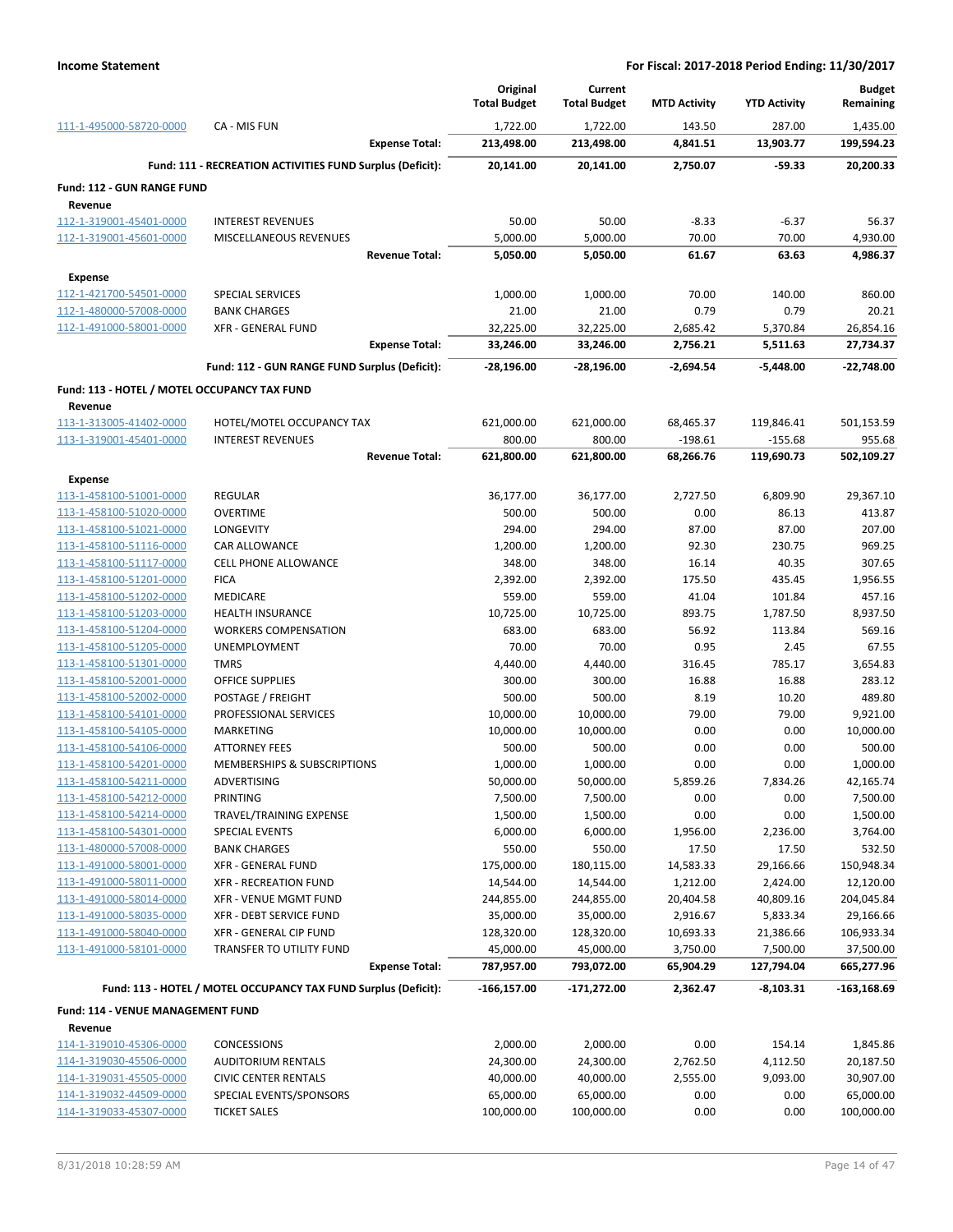|                                                    |                                                                 |                       | Original<br><b>Total Budget</b> | Current<br><b>Total Budget</b> | <b>MTD Activity</b>   | <b>YTD Activity</b>   | <b>Budget</b><br>Remaining |
|----------------------------------------------------|-----------------------------------------------------------------|-----------------------|---------------------------------|--------------------------------|-----------------------|-----------------------|----------------------------|
| 111-1-495000-58720-0000                            | CA - MIS FUN                                                    |                       | 1,722.00                        | 1,722.00                       | 143.50                | 287.00                | 1,435.00                   |
|                                                    |                                                                 | <b>Expense Total:</b> | 213,498.00                      | 213,498.00                     | 4,841.51              | 13,903.77             | 199,594.23                 |
|                                                    | Fund: 111 - RECREATION ACTIVITIES FUND Surplus (Deficit):       |                       | 20,141.00                       | 20,141.00                      | 2,750.07              | -59.33                | 20,200.33                  |
| Fund: 112 - GUN RANGE FUND                         |                                                                 |                       |                                 |                                |                       |                       |                            |
| Revenue                                            |                                                                 |                       |                                 |                                |                       |                       |                            |
| 112-1-319001-45401-0000                            | <b>INTEREST REVENUES</b>                                        |                       | 50.00                           | 50.00                          | $-8.33$               | $-6.37$               | 56.37                      |
| 112-1-319001-45601-0000                            | MISCELLANEOUS REVENUES                                          |                       | 5,000.00                        | 5,000.00                       | 70.00                 | 70.00                 | 4,930.00                   |
|                                                    |                                                                 | <b>Revenue Total:</b> | 5,050.00                        | 5,050.00                       | 61.67                 | 63.63                 | 4,986.37                   |
| <b>Expense</b>                                     |                                                                 |                       |                                 |                                |                       |                       |                            |
| 112-1-421700-54501-0000                            | <b>SPECIAL SERVICES</b>                                         |                       | 1,000.00                        | 1,000.00                       | 70.00                 | 140.00                | 860.00                     |
| 112-1-480000-57008-0000                            | <b>BANK CHARGES</b>                                             |                       | 21.00                           | 21.00                          | 0.79                  | 0.79                  | 20.21                      |
| 112-1-491000-58001-0000                            | <b>XFR - GENERAL FUND</b>                                       |                       | 32,225.00                       | 32,225.00                      | 2,685.42              | 5,370.84              | 26,854.16                  |
|                                                    |                                                                 | <b>Expense Total:</b> | 33,246.00                       | 33,246.00                      | 2,756.21              | 5,511.63              | 27,734.37                  |
|                                                    | Fund: 112 - GUN RANGE FUND Surplus (Deficit):                   |                       | -28,196.00                      | -28,196.00                     | $-2,694.54$           | $-5,448.00$           | $-22,748.00$               |
| Fund: 113 - HOTEL / MOTEL OCCUPANCY TAX FUND       |                                                                 |                       |                                 |                                |                       |                       |                            |
| Revenue                                            |                                                                 |                       |                                 |                                |                       |                       |                            |
| 113-1-313005-41402-0000                            | HOTEL/MOTEL OCCUPANCY TAX                                       |                       | 621,000.00                      | 621,000.00                     | 68,465.37             | 119,846.41            | 501,153.59                 |
| 113-1-319001-45401-0000                            | <b>INTEREST REVENUES</b>                                        |                       | 800.00                          | 800.00                         | $-198.61$             | $-155.68$             | 955.68                     |
|                                                    |                                                                 | <b>Revenue Total:</b> | 621,800.00                      | 621,800.00                     | 68,266.76             | 119,690.73            | 502,109.27                 |
| <b>Expense</b>                                     |                                                                 |                       |                                 |                                |                       |                       |                            |
| 113-1-458100-51001-0000                            | <b>REGULAR</b>                                                  |                       | 36,177.00                       | 36,177.00                      | 2,727.50              | 6,809.90              | 29,367.10                  |
| 113-1-458100-51020-0000                            | <b>OVERTIME</b>                                                 |                       | 500.00                          | 500.00                         | 0.00                  | 86.13                 | 413.87                     |
| 113-1-458100-51021-0000                            | LONGEVITY                                                       |                       | 294.00                          | 294.00                         | 87.00                 | 87.00                 | 207.00                     |
| 113-1-458100-51116-0000                            | CAR ALLOWANCE                                                   |                       | 1,200.00                        | 1,200.00                       | 92.30                 | 230.75                | 969.25                     |
| 113-1-458100-51117-0000                            | <b>CELL PHONE ALLOWANCE</b>                                     |                       | 348.00                          | 348.00                         | 16.14                 | 40.35                 | 307.65                     |
| 113-1-458100-51201-0000<br>113-1-458100-51202-0000 | <b>FICA</b><br>MEDICARE                                         |                       | 2,392.00<br>559.00              | 2,392.00<br>559.00             | 175.50<br>41.04       | 435.45<br>101.84      | 1,956.55<br>457.16         |
| 113-1-458100-51203-0000                            | <b>HEALTH INSURANCE</b>                                         |                       | 10,725.00                       | 10,725.00                      | 893.75                | 1,787.50              | 8,937.50                   |
| 113-1-458100-51204-0000                            | <b>WORKERS COMPENSATION</b>                                     |                       | 683.00                          | 683.00                         | 56.92                 | 113.84                | 569.16                     |
| 113-1-458100-51205-0000                            | UNEMPLOYMENT                                                    |                       | 70.00                           | 70.00                          | 0.95                  | 2.45                  | 67.55                      |
| 113-1-458100-51301-0000                            | <b>TMRS</b>                                                     |                       | 4,440.00                        | 4,440.00                       | 316.45                | 785.17                | 3,654.83                   |
| 113-1-458100-52001-0000                            | <b>OFFICE SUPPLIES</b>                                          |                       | 300.00                          | 300.00                         | 16.88                 | 16.88                 | 283.12                     |
| 113-1-458100-52002-0000                            | POSTAGE / FREIGHT                                               |                       | 500.00                          | 500.00                         | 8.19                  | 10.20                 | 489.80                     |
| 113-1-458100-54101-0000                            | PROFESSIONAL SERVICES                                           |                       | 10,000.00                       | 10,000.00                      | 79.00                 | 79.00                 | 9,921.00                   |
| 113-1-458100-54105-0000                            | MARKETING                                                       |                       | 10,000.00                       | 10,000.00                      | 0.00                  | 0.00                  | 10,000.00                  |
| 113-1-458100-54106-0000                            | <b>ATTORNEY FEES</b>                                            |                       | 500.00                          | 500.00                         | 0.00                  | 0.00                  | 500.00                     |
| 113-1-458100-54201-0000                            | MEMBERSHIPS & SUBSCRIPTIONS                                     |                       | 1,000.00                        | 1,000.00                       | 0.00                  | 0.00                  | 1,000.00                   |
| 113-1-458100-54211-0000                            | ADVERTISING                                                     |                       | 50,000.00                       | 50,000.00                      | 5,859.26              | 7,834.26              | 42,165.74                  |
| 113-1-458100-54212-0000                            | PRINTING                                                        |                       | 7,500.00                        | 7,500.00                       | 0.00                  | 0.00                  | 7,500.00                   |
| 113-1-458100-54214-0000                            | TRAVEL/TRAINING EXPENSE                                         |                       | 1,500.00                        | 1,500.00                       | 0.00                  | 0.00                  | 1,500.00                   |
| 113-1-458100-54301-0000                            | <b>SPECIAL EVENTS</b>                                           |                       | 6,000.00                        | 6,000.00                       | 1,956.00              | 2,236.00              | 3,764.00                   |
| 113-1-480000-57008-0000                            | <b>BANK CHARGES</b>                                             |                       | 550.00                          | 550.00                         | 17.50                 | 17.50                 | 532.50                     |
| 113-1-491000-58001-0000                            | <b>XFR - GENERAL FUND</b>                                       |                       | 175,000.00                      | 180,115.00                     | 14,583.33             | 29,166.66<br>2,424.00 | 150,948.34                 |
| 113-1-491000-58011-0000<br>113-1-491000-58014-0000 | XFR - RECREATION FUND<br>XFR - VENUE MGMT FUND                  |                       | 14,544.00<br>244,855.00         | 14,544.00<br>244,855.00        | 1,212.00<br>20,404.58 | 40,809.16             | 12,120.00<br>204,045.84    |
| 113-1-491000-58035-0000                            | XFR - DEBT SERVICE FUND                                         |                       | 35,000.00                       | 35,000.00                      | 2,916.67              | 5,833.34              | 29,166.66                  |
| 113-1-491000-58040-0000                            | XFR - GENERAL CIP FUND                                          |                       | 128,320.00                      | 128,320.00                     | 10,693.33             | 21,386.66             | 106,933.34                 |
| 113-1-491000-58101-0000                            | TRANSFER TO UTILITY FUND                                        |                       | 45,000.00                       | 45,000.00                      | 3,750.00              | 7,500.00              | 37,500.00                  |
|                                                    |                                                                 | <b>Expense Total:</b> | 787,957.00                      | 793,072.00                     | 65,904.29             | 127,794.04            | 665,277.96                 |
|                                                    | Fund: 113 - HOTEL / MOTEL OCCUPANCY TAX FUND Surplus (Deficit): |                       | $-166, 157.00$                  | $-171,272.00$                  | 2,362.47              | $-8,103.31$           | $-163, 168.69$             |
|                                                    |                                                                 |                       |                                 |                                |                       |                       |                            |
| Fund: 114 - VENUE MANAGEMENT FUND                  |                                                                 |                       |                                 |                                |                       |                       |                            |
| Revenue<br>114-1-319010-45306-0000                 |                                                                 |                       |                                 |                                |                       |                       |                            |
| 114-1-319030-45506-0000                            | <b>CONCESSIONS</b><br><b>AUDITORIUM RENTALS</b>                 |                       | 2,000.00<br>24,300.00           | 2,000.00<br>24,300.00          | 0.00<br>2,762.50      | 154.14<br>4,112.50    | 1,845.86<br>20,187.50      |
| 114-1-319031-45505-0000                            | <b>CIVIC CENTER RENTALS</b>                                     |                       | 40,000.00                       | 40,000.00                      | 2,555.00              | 9,093.00              | 30,907.00                  |
| 114-1-319032-44509-0000                            | SPECIAL EVENTS/SPONSORS                                         |                       | 65,000.00                       | 65,000.00                      | 0.00                  | 0.00                  | 65,000.00                  |
| 114-1-319033-45307-0000                            | <b>TICKET SALES</b>                                             |                       | 100,000.00                      | 100,000.00                     | 0.00                  | 0.00                  | 100,000.00                 |
|                                                    |                                                                 |                       |                                 |                                |                       |                       |                            |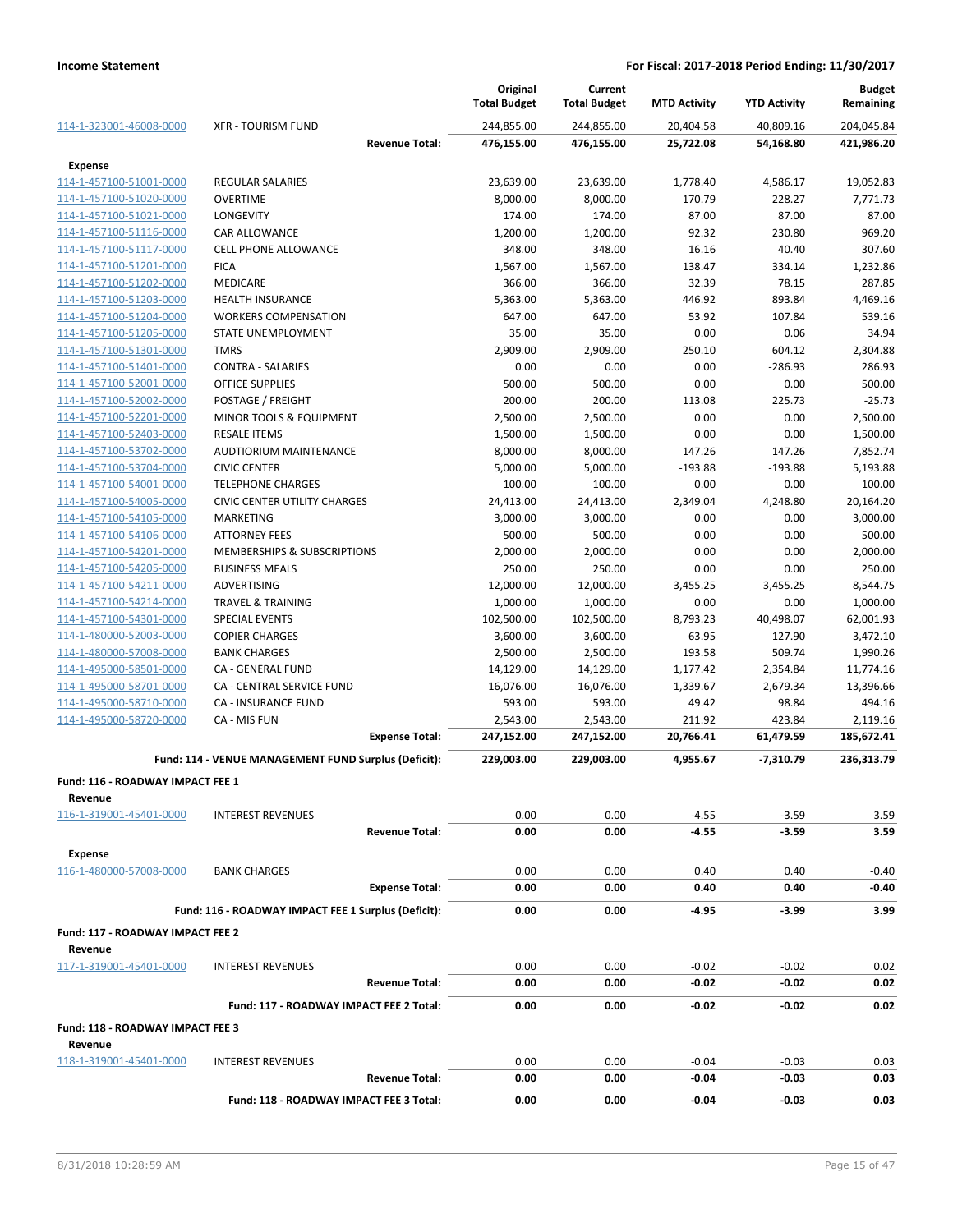|                                  |                                                      | Original<br><b>Total Budget</b> | Current<br><b>Total Budget</b> | <b>MTD Activity</b> | <b>YTD Activity</b> | <b>Budget</b><br>Remaining |
|----------------------------------|------------------------------------------------------|---------------------------------|--------------------------------|---------------------|---------------------|----------------------------|
| 114-1-323001-46008-0000          | <b>XFR - TOURISM FUND</b>                            | 244,855.00                      | 244,855.00                     | 20,404.58           | 40,809.16           | 204,045.84                 |
|                                  | <b>Revenue Total:</b>                                | 476,155.00                      | 476,155.00                     | 25,722.08           | 54,168.80           | 421,986.20                 |
| <b>Expense</b>                   |                                                      |                                 |                                |                     |                     |                            |
| 114-1-457100-51001-0000          | <b>REGULAR SALARIES</b>                              | 23,639.00                       | 23,639.00                      | 1,778.40            | 4,586.17            | 19,052.83                  |
| 114-1-457100-51020-0000          | <b>OVERTIME</b>                                      | 8,000.00                        | 8,000.00                       | 170.79              | 228.27              | 7,771.73                   |
| 114-1-457100-51021-0000          | LONGEVITY                                            | 174.00                          | 174.00                         | 87.00               | 87.00               | 87.00                      |
| 114-1-457100-51116-0000          | CAR ALLOWANCE                                        | 1,200.00                        | 1,200.00                       | 92.32               | 230.80              | 969.20                     |
| 114-1-457100-51117-0000          | <b>CELL PHONE ALLOWANCE</b>                          | 348.00                          | 348.00                         | 16.16               | 40.40               | 307.60                     |
| 114-1-457100-51201-0000          | <b>FICA</b>                                          | 1,567.00                        | 1,567.00                       | 138.47              | 334.14              | 1,232.86                   |
| 114-1-457100-51202-0000          | MEDICARE                                             | 366.00                          | 366.00                         | 32.39               | 78.15               | 287.85                     |
| 114-1-457100-51203-0000          | <b>HEALTH INSURANCE</b>                              | 5,363.00                        | 5,363.00                       | 446.92              | 893.84              | 4,469.16                   |
| 114-1-457100-51204-0000          | <b>WORKERS COMPENSATION</b>                          | 647.00                          | 647.00                         | 53.92               | 107.84              | 539.16                     |
| 114-1-457100-51205-0000          | STATE UNEMPLOYMENT                                   | 35.00                           | 35.00                          | 0.00                | 0.06                | 34.94                      |
| 114-1-457100-51301-0000          | <b>TMRS</b>                                          | 2,909.00                        | 2,909.00                       | 250.10              | 604.12              | 2,304.88                   |
| 114-1-457100-51401-0000          | <b>CONTRA - SALARIES</b>                             | 0.00                            | 0.00                           | 0.00                | $-286.93$           | 286.93                     |
| 114-1-457100-52001-0000          | <b>OFFICE SUPPLIES</b>                               | 500.00                          | 500.00                         | 0.00                | 0.00                | 500.00                     |
| 114-1-457100-52002-0000          | POSTAGE / FREIGHT                                    | 200.00                          | 200.00                         | 113.08              | 225.73              | $-25.73$                   |
| 114-1-457100-52201-0000          | MINOR TOOLS & EQUIPMENT                              | 2,500.00                        | 2,500.00                       | 0.00                | 0.00                | 2,500.00                   |
| 114-1-457100-52403-0000          | <b>RESALE ITEMS</b>                                  | 1,500.00                        | 1,500.00                       | 0.00                | 0.00                | 1,500.00                   |
| 114-1-457100-53702-0000          | <b>AUDTIORIUM MAINTENANCE</b>                        | 8,000.00                        | 8,000.00                       | 147.26              | 147.26              | 7,852.74                   |
| 114-1-457100-53704-0000          | <b>CIVIC CENTER</b>                                  | 5,000.00                        | 5,000.00                       | $-193.88$           | $-193.88$           | 5,193.88                   |
| 114-1-457100-54001-0000          | <b>TELEPHONE CHARGES</b>                             | 100.00                          | 100.00                         | 0.00                | 0.00                | 100.00                     |
| 114-1-457100-54005-0000          | <b>CIVIC CENTER UTILITY CHARGES</b>                  | 24,413.00                       | 24,413.00                      | 2,349.04            | 4,248.80            | 20,164.20                  |
| 114-1-457100-54105-0000          | <b>MARKETING</b>                                     | 3,000.00                        | 3,000.00                       | 0.00                | 0.00                | 3,000.00                   |
| 114-1-457100-54106-0000          | <b>ATTORNEY FEES</b>                                 | 500.00                          | 500.00                         | 0.00                | 0.00                | 500.00                     |
| 114-1-457100-54201-0000          | MEMBERSHIPS & SUBSCRIPTIONS                          | 2,000.00                        | 2,000.00                       | 0.00                | 0.00                | 2,000.00                   |
| 114-1-457100-54205-0000          | <b>BUSINESS MEALS</b>                                | 250.00                          | 250.00                         | 0.00                | 0.00                | 250.00                     |
| 114-1-457100-54211-0000          | ADVERTISING                                          | 12,000.00                       | 12,000.00                      | 3,455.25            | 3,455.25            | 8,544.75                   |
| 114-1-457100-54214-0000          | <b>TRAVEL &amp; TRAINING</b>                         | 1,000.00                        | 1,000.00                       | 0.00                | 0.00                | 1,000.00                   |
| 114-1-457100-54301-0000          | <b>SPECIAL EVENTS</b>                                | 102,500.00                      | 102,500.00                     | 8,793.23            | 40,498.07           | 62,001.93                  |
| 114-1-480000-52003-0000          | <b>COPIER CHARGES</b>                                | 3,600.00                        | 3,600.00                       | 63.95               | 127.90              | 3,472.10                   |
| 114-1-480000-57008-0000          | <b>BANK CHARGES</b>                                  | 2,500.00                        | 2,500.00                       | 193.58              | 509.74              | 1,990.26                   |
| 114-1-495000-58501-0000          | CA - GENERAL FUND                                    | 14,129.00                       | 14,129.00                      | 1,177.42            | 2,354.84            | 11,774.16                  |
| 114-1-495000-58701-0000          | CA - CENTRAL SERVICE FUND                            | 16,076.00                       | 16,076.00                      | 1,339.67            | 2,679.34            | 13,396.66                  |
| 114-1-495000-58710-0000          | <b>CA - INSURANCE FUND</b>                           | 593.00                          | 593.00                         | 49.42               | 98.84               | 494.16                     |
| 114-1-495000-58720-0000          | CA - MIS FUN                                         | 2,543.00                        | 2,543.00                       | 211.92              | 423.84              | 2,119.16                   |
|                                  | <b>Expense Total:</b>                                | 247,152.00                      | 247,152.00                     | 20,766.41           | 61,479.59           | 185,672.41                 |
|                                  | Fund: 114 - VENUE MANAGEMENT FUND Surplus (Deficit): | 229,003.00                      | 229,003.00                     | 4,955.67            | $-7,310.79$         | 236,313.79                 |
| Fund: 116 - ROADWAY IMPACT FEE 1 |                                                      |                                 |                                |                     |                     |                            |
| Revenue                          |                                                      |                                 |                                |                     |                     |                            |
| 116-1-319001-45401-0000          | <b>INTEREST REVENUES</b>                             | 0.00                            | 0.00                           | $-4.55$             | $-3.59$             | 3.59                       |
|                                  | <b>Revenue Total:</b>                                | 0.00                            | 0.00                           | $-4.55$             | $-3.59$             | 3.59                       |
| <b>Expense</b>                   |                                                      |                                 |                                |                     |                     |                            |
| 116-1-480000-57008-0000          | <b>BANK CHARGES</b>                                  | 0.00                            | 0.00                           | 0.40                | 0.40                | $-0.40$                    |
|                                  | <b>Expense Total:</b>                                | 0.00                            | 0.00                           | 0.40                | 0.40                | $-0.40$                    |
|                                  | Fund: 116 - ROADWAY IMPACT FEE 1 Surplus (Deficit):  | 0.00                            | 0.00                           | -4.95               | -3.99               | 3.99                       |
| Fund: 117 - ROADWAY IMPACT FEE 2 |                                                      |                                 |                                |                     |                     |                            |
| Revenue                          |                                                      |                                 |                                |                     |                     |                            |
| 117-1-319001-45401-0000          | <b>INTEREST REVENUES</b>                             | 0.00                            | 0.00                           | $-0.02$             | $-0.02$             | 0.02                       |
|                                  | <b>Revenue Total:</b>                                | 0.00                            | 0.00                           | $-0.02$             | $-0.02$             | 0.02                       |
|                                  | Fund: 117 - ROADWAY IMPACT FEE 2 Total:              | 0.00                            | 0.00                           | -0.02               | -0.02               | 0.02                       |
| Fund: 118 - ROADWAY IMPACT FEE 3 |                                                      |                                 |                                |                     |                     |                            |
| Revenue                          |                                                      |                                 |                                |                     |                     |                            |
| 118-1-319001-45401-0000          | <b>INTEREST REVENUES</b>                             | 0.00                            | 0.00                           | $-0.04$             | $-0.03$             | 0.03                       |
|                                  | <b>Revenue Total:</b>                                | 0.00                            | 0.00                           | -0.04               | -0.03               | 0.03                       |
|                                  | Fund: 118 - ROADWAY IMPACT FEE 3 Total:              | 0.00                            | 0.00                           | -0.04               | -0.03               | 0.03                       |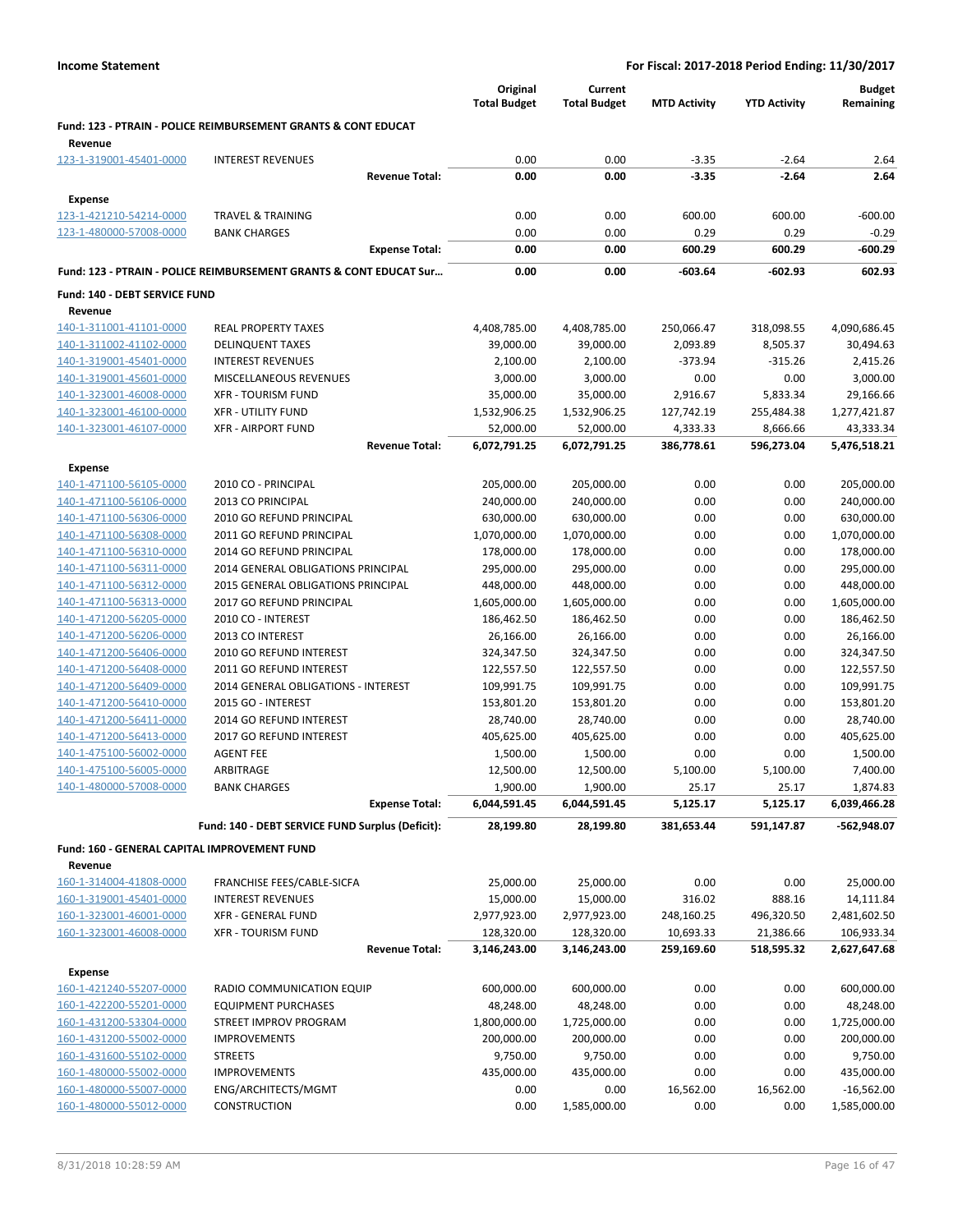|                                                    |                                                                           | Original<br><b>Total Budget</b> | Current<br><b>Total Budget</b> | <b>MTD Activity</b>     | <b>YTD Activity</b>     | <b>Budget</b><br>Remaining |
|----------------------------------------------------|---------------------------------------------------------------------------|---------------------------------|--------------------------------|-------------------------|-------------------------|----------------------------|
| Revenue                                            | <b>Fund: 123 - PTRAIN - POLICE REIMBURSEMENT GRANTS &amp; CONT EDUCAT</b> |                                 |                                |                         |                         |                            |
| 123-1-319001-45401-0000                            | <b>INTEREST REVENUES</b>                                                  | 0.00                            | 0.00                           | $-3.35$                 | $-2.64$                 | 2.64                       |
|                                                    | <b>Revenue Total:</b>                                                     | 0.00                            | 0.00                           | $-3.35$                 | $-2.64$                 | 2.64                       |
| Expense                                            |                                                                           |                                 |                                |                         |                         |                            |
| 123-1-421210-54214-0000                            | <b>TRAVEL &amp; TRAINING</b>                                              | 0.00                            | 0.00                           | 600.00                  | 600.00                  | $-600.00$                  |
| 123-1-480000-57008-0000                            | <b>BANK CHARGES</b>                                                       | 0.00                            | 0.00                           | 0.29                    | 0.29                    | $-0.29$                    |
|                                                    | <b>Expense Total:</b>                                                     | 0.00                            | 0.00                           | 600.29                  | 600.29                  | $-600.29$                  |
|                                                    | Fund: 123 - PTRAIN - POLICE REIMBURSEMENT GRANTS & CONT EDUCAT Sur        | 0.00                            | 0.00                           | -603.64                 | -602.93                 | 602.93                     |
| Fund: 140 - DEBT SERVICE FUND                      |                                                                           |                                 |                                |                         |                         |                            |
| Revenue                                            |                                                                           |                                 |                                |                         |                         |                            |
| 140-1-311001-41101-0000                            | <b>REAL PROPERTY TAXES</b>                                                | 4,408,785.00                    | 4,408,785.00                   | 250,066.47              | 318,098.55              | 4,090,686.45               |
| 140-1-311002-41102-0000                            | <b>DELINQUENT TAXES</b>                                                   | 39,000.00                       | 39,000.00                      | 2,093.89                | 8,505.37                | 30,494.63                  |
| 140-1-319001-45401-0000                            | <b>INTEREST REVENUES</b>                                                  | 2,100.00                        | 2,100.00                       | $-373.94$               | $-315.26$               | 2,415.26                   |
| 140-1-319001-45601-0000                            | MISCELLANEOUS REVENUES                                                    | 3,000.00                        | 3,000.00                       | 0.00                    | 0.00                    | 3,000.00                   |
| 140-1-323001-46008-0000                            | <b>XFR - TOURISM FUND</b>                                                 | 35,000.00                       | 35,000.00                      | 2,916.67                | 5,833.34                | 29,166.66                  |
| 140-1-323001-46100-0000                            | <b>XFR - UTILITY FUND</b>                                                 | 1,532,906.25                    | 1,532,906.25                   | 127,742.19              | 255,484.38              | 1,277,421.87               |
| 140-1-323001-46107-0000                            | <b>XFR - AIRPORT FUND</b>                                                 | 52,000.00                       | 52,000.00                      | 4,333.33                | 8,666.66                | 43,333.34                  |
|                                                    | <b>Revenue Total:</b>                                                     | 6,072,791.25                    | 6,072,791.25                   | 386,778.61              | 596,273.04              | 5,476,518.21               |
| <b>Expense</b>                                     |                                                                           |                                 | 205,000.00                     |                         |                         |                            |
| 140-1-471100-56105-0000<br>140-1-471100-56106-0000 | 2010 CO - PRINCIPAL<br>2013 CO PRINCIPAL                                  | 205,000.00<br>240,000.00        | 240,000.00                     | 0.00<br>0.00            | 0.00<br>0.00            | 205,000.00<br>240,000.00   |
| 140-1-471100-56306-0000                            | 2010 GO REFUND PRINCIPAL                                                  | 630,000.00                      | 630,000.00                     | 0.00                    | 0.00                    | 630,000.00                 |
| 140-1-471100-56308-0000                            | 2011 GO REFUND PRINCIPAL                                                  | 1,070,000.00                    | 1,070,000.00                   | 0.00                    | 0.00                    | 1,070,000.00               |
| 140-1-471100-56310-0000                            | 2014 GO REFUND PRINCIPAL                                                  | 178,000.00                      | 178,000.00                     | 0.00                    | 0.00                    | 178,000.00                 |
| 140-1-471100-56311-0000                            | 2014 GENERAL OBLIGATIONS PRINCIPAL                                        | 295,000.00                      | 295,000.00                     | 0.00                    | 0.00                    | 295,000.00                 |
| 140-1-471100-56312-0000                            | 2015 GENERAL OBLIGATIONS PRINCIPAL                                        | 448,000.00                      | 448,000.00                     | 0.00                    | 0.00                    | 448,000.00                 |
| 140-1-471100-56313-0000                            | 2017 GO REFUND PRINCIPAL                                                  | 1,605,000.00                    | 1,605,000.00                   | 0.00                    | 0.00                    | 1,605,000.00               |
| 140-1-471200-56205-0000                            | 2010 CO - INTEREST                                                        | 186,462.50                      | 186,462.50                     | 0.00                    | 0.00                    | 186,462.50                 |
| 140-1-471200-56206-0000                            | 2013 CO INTEREST                                                          | 26,166.00                       | 26,166.00                      | 0.00                    | 0.00                    | 26,166.00                  |
| 140-1-471200-56406-0000                            | 2010 GO REFUND INTEREST                                                   | 324,347.50                      | 324,347.50                     | 0.00                    | 0.00                    | 324,347.50                 |
| 140-1-471200-56408-0000                            | 2011 GO REFUND INTEREST                                                   | 122,557.50                      | 122,557.50                     | 0.00                    | 0.00                    | 122,557.50                 |
| 140-1-471200-56409-0000                            | 2014 GENERAL OBLIGATIONS - INTEREST                                       | 109,991.75                      | 109,991.75                     | 0.00                    | 0.00                    | 109,991.75                 |
| 140-1-471200-56410-0000                            | 2015 GO - INTEREST                                                        | 153,801.20                      | 153,801.20                     | 0.00                    | 0.00                    | 153,801.20                 |
| 140-1-471200-56411-0000                            | 2014 GO REFUND INTEREST                                                   | 28,740.00                       | 28,740.00                      | 0.00                    | 0.00                    | 28,740.00                  |
| 140-1-471200-56413-0000                            | 2017 GO REFUND INTEREST                                                   | 405,625.00                      | 405,625.00                     | 0.00                    | 0.00                    | 405,625.00                 |
| 140-1-475100-56002-0000                            | <b>AGENT FEE</b>                                                          | 1,500.00                        | 1,500.00                       | 0.00                    | 0.00                    | 1,500.00                   |
| 140-1-475100-56005-0000                            | ARBITRAGE                                                                 | 12,500.00                       | 12,500.00                      | 5,100.00                | 5,100.00                | 7,400.00                   |
| 140-1-480000-57008-0000                            | <b>BANK CHARGES</b>                                                       | 1,900.00                        | 1,900.00                       | 25.17                   | 25.17                   | 1,874.83                   |
|                                                    | <b>Expense Total:</b>                                                     | 6,044,591.45                    | 6,044,591.45                   | 5,125.17                | 5,125.17                | 6,039,466.28               |
|                                                    | Fund: 140 - DEBT SERVICE FUND Surplus (Deficit):                          | 28,199.80                       | 28,199.80                      | 381,653.44              | 591,147.87              | -562,948.07                |
| Fund: 160 - GENERAL CAPITAL IMPROVEMENT FUND       |                                                                           |                                 |                                |                         |                         |                            |
| Revenue                                            |                                                                           |                                 |                                |                         |                         |                            |
| 160-1-314004-41808-0000                            | FRANCHISE FEES/CABLE-SICFA                                                | 25,000.00<br>15,000.00          | 25,000.00                      | 0.00                    | 0.00                    | 25,000.00                  |
| 160-1-319001-45401-0000<br>160-1-323001-46001-0000 | <b>INTEREST REVENUES</b>                                                  |                                 | 15,000.00                      | 316.02                  | 888.16                  | 14,111.84<br>2,481,602.50  |
| 160-1-323001-46008-0000                            | <b>XFR - GENERAL FUND</b><br><b>XFR - TOURISM FUND</b>                    | 2,977,923.00<br>128,320.00      | 2,977,923.00<br>128,320.00     | 248,160.25<br>10,693.33 | 496,320.50<br>21,386.66 | 106,933.34                 |
|                                                    | <b>Revenue Total:</b>                                                     | 3,146,243.00                    | 3,146,243.00                   | 259,169.60              | 518,595.32              | 2,627,647.68               |
|                                                    |                                                                           |                                 |                                |                         |                         |                            |
| <b>Expense</b>                                     |                                                                           |                                 |                                |                         |                         |                            |
| 160-1-421240-55207-0000                            | RADIO COMMUNICATION EQUIP                                                 | 600,000.00                      | 600,000.00                     | 0.00                    | 0.00                    | 600,000.00                 |
| 160-1-422200-55201-0000                            | <b>EQUIPMENT PURCHASES</b>                                                | 48,248.00                       | 48,248.00                      | 0.00                    | 0.00                    | 48,248.00                  |
| 160-1-431200-53304-0000                            | STREET IMPROV PROGRAM                                                     | 1,800,000.00                    | 1,725,000.00                   | 0.00                    | 0.00                    | 1,725,000.00               |
| 160-1-431200-55002-0000                            | <b>IMPROVEMENTS</b>                                                       | 200,000.00                      | 200,000.00                     | 0.00                    | 0.00                    | 200,000.00                 |
| 160-1-431600-55102-0000                            | <b>STREETS</b>                                                            | 9,750.00                        | 9,750.00                       | 0.00                    | 0.00                    | 9,750.00                   |
| 160-1-480000-55002-0000<br>160-1-480000-55007-0000 | <b>IMPROVEMENTS</b><br>ENG/ARCHITECTS/MGMT                                | 435,000.00<br>0.00              | 435,000.00<br>0.00             | 0.00<br>16,562.00       | 0.00<br>16,562.00       | 435,000.00<br>$-16,562.00$ |
| 160-1-480000-55012-0000                            | <b>CONSTRUCTION</b>                                                       | 0.00                            | 1,585,000.00                   | 0.00                    | 0.00                    | 1,585,000.00               |
|                                                    |                                                                           |                                 |                                |                         |                         |                            |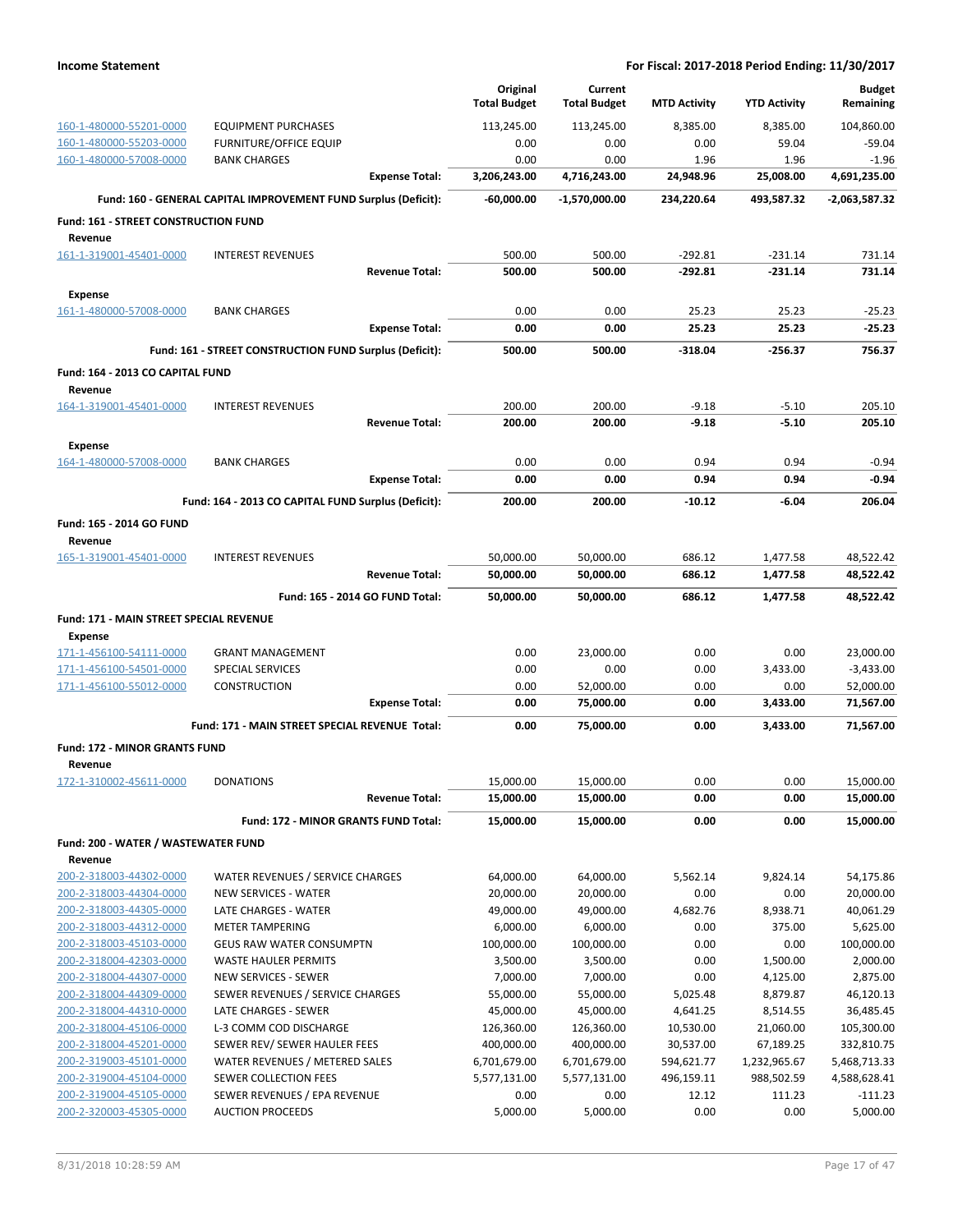|                                                        |                                                                 | Original                   | Current                    |                         |                           | <b>Budget</b>              |
|--------------------------------------------------------|-----------------------------------------------------------------|----------------------------|----------------------------|-------------------------|---------------------------|----------------------------|
|                                                        |                                                                 | <b>Total Budget</b>        | <b>Total Budget</b>        | <b>MTD Activity</b>     | <b>YTD Activity</b>       | Remaining                  |
| 160-1-480000-55201-0000                                | <b>EQUIPMENT PURCHASES</b>                                      | 113,245.00                 | 113,245.00                 | 8,385.00                | 8,385.00                  | 104.860.00                 |
| 160-1-480000-55203-0000                                | <b>FURNITURE/OFFICE EQUIP</b>                                   | 0.00                       | 0.00                       | 0.00                    | 59.04                     | $-59.04$                   |
| 160-1-480000-57008-0000                                | <b>BANK CHARGES</b><br><b>Expense Total:</b>                    | 0.00<br>3,206,243.00       | 0.00<br>4,716,243.00       | 1.96<br>24,948.96       | 1.96<br>25,008.00         | $-1.96$<br>4,691,235.00    |
|                                                        |                                                                 |                            |                            |                         |                           |                            |
|                                                        | Fund: 160 - GENERAL CAPITAL IMPROVEMENT FUND Surplus (Deficit): | $-60,000.00$               | $-1,570,000.00$            | 234,220.64              | 493,587.32                | $-2,063,587.32$            |
| <b>Fund: 161 - STREET CONSTRUCTION FUND</b><br>Revenue |                                                                 |                            |                            |                         |                           |                            |
| 161-1-319001-45401-0000                                | <b>INTEREST REVENUES</b>                                        | 500.00                     | 500.00                     | $-292.81$               | $-231.14$                 | 731.14                     |
|                                                        | <b>Revenue Total:</b>                                           | 500.00                     | 500.00                     | $-292.81$               | $-231.14$                 | 731.14                     |
| <b>Expense</b>                                         |                                                                 |                            |                            |                         |                           |                            |
| 161-1-480000-57008-0000                                | <b>BANK CHARGES</b>                                             | 0.00                       | 0.00                       | 25.23                   | 25.23                     | $-25.23$                   |
|                                                        | <b>Expense Total:</b>                                           | 0.00                       | 0.00                       | 25.23                   | 25.23                     | $-25.23$                   |
|                                                        | Fund: 161 - STREET CONSTRUCTION FUND Surplus (Deficit):         | 500.00                     | 500.00                     | $-318.04$               | $-256.37$                 | 756.37                     |
|                                                        |                                                                 |                            |                            |                         |                           |                            |
| Fund: 164 - 2013 CO CAPITAL FUND<br>Revenue            |                                                                 |                            |                            |                         |                           |                            |
| 164-1-319001-45401-0000                                | <b>INTEREST REVENUES</b>                                        | 200.00                     | 200.00                     | $-9.18$                 | $-5.10$                   | 205.10                     |
|                                                        | <b>Revenue Total:</b>                                           | 200.00                     | 200.00                     | $-9.18$                 | $-5.10$                   | 205.10                     |
| <b>Expense</b>                                         |                                                                 |                            |                            |                         |                           |                            |
| 164-1-480000-57008-0000                                | <b>BANK CHARGES</b>                                             | 0.00                       | 0.00                       | 0.94                    | 0.94                      | $-0.94$                    |
|                                                        | <b>Expense Total:</b>                                           | 0.00                       | 0.00                       | 0.94                    | 0.94                      | $-0.94$                    |
|                                                        | Fund: 164 - 2013 CO CAPITAL FUND Surplus (Deficit):             | 200.00                     | 200.00                     | $-10.12$                | $-6.04$                   | 206.04                     |
| Fund: 165 - 2014 GO FUND                               |                                                                 |                            |                            |                         |                           |                            |
| Revenue                                                |                                                                 |                            |                            |                         |                           |                            |
| 165-1-319001-45401-0000                                | <b>INTEREST REVENUES</b>                                        | 50,000.00                  | 50,000.00                  | 686.12                  | 1,477.58                  | 48,522.42                  |
|                                                        | <b>Revenue Total:</b>                                           | 50,000.00                  | 50,000.00                  | 686.12                  | 1,477.58                  | 48,522.42                  |
|                                                        | Fund: 165 - 2014 GO FUND Total:                                 | 50,000.00                  | 50,000.00                  | 686.12                  | 1,477.58                  | 48,522.42                  |
| Fund: 171 - MAIN STREET SPECIAL REVENUE                |                                                                 |                            |                            |                         |                           |                            |
| <b>Expense</b>                                         |                                                                 |                            |                            |                         |                           |                            |
| 171-1-456100-54111-0000                                | <b>GRANT MANAGEMENT</b>                                         | 0.00                       | 23,000.00                  | 0.00                    | 0.00                      | 23,000.00                  |
| 171-1-456100-54501-0000                                | SPECIAL SERVICES                                                | 0.00                       | 0.00                       | 0.00                    | 3,433.00                  | $-3,433.00$                |
| 171-1-456100-55012-0000                                | <b>CONSTRUCTION</b>                                             | 0.00                       | 52,000.00                  | 0.00                    | 0.00                      | 52,000.00                  |
|                                                        | <b>Expense Total:</b>                                           | 0.00                       | 75,000.00                  | 0.00                    | 3,433.00                  | 71,567.00                  |
|                                                        | Fund: 171 - MAIN STREET SPECIAL REVENUE Total:                  | 0.00                       | 75,000.00                  | 0.00                    | 3,433.00                  | 71,567.00                  |
| <b>Fund: 172 - MINOR GRANTS FUND</b>                   |                                                                 |                            |                            |                         |                           |                            |
| Revenue                                                |                                                                 |                            |                            |                         |                           |                            |
| 172-1-310002-45611-0000                                | <b>DONATIONS</b>                                                | 15,000.00                  | 15,000.00                  | 0.00                    | 0.00                      | 15,000.00                  |
|                                                        | <b>Revenue Total:</b>                                           | 15,000.00                  | 15,000.00                  | 0.00                    | 0.00                      | 15,000.00                  |
|                                                        | Fund: 172 - MINOR GRANTS FUND Total:                            | 15,000.00                  | 15,000.00                  | 0.00                    | 0.00                      | 15,000.00                  |
| Fund: 200 - WATER / WASTEWATER FUND                    |                                                                 |                            |                            |                         |                           |                            |
| Revenue                                                |                                                                 |                            |                            |                         |                           |                            |
| 200-2-318003-44302-0000                                | WATER REVENUES / SERVICE CHARGES                                | 64,000.00                  | 64,000.00                  | 5,562.14                | 9,824.14                  | 54,175.86                  |
| 200-2-318003-44304-0000<br>200-2-318003-44305-0000     | NEW SERVICES - WATER<br>LATE CHARGES - WATER                    | 20,000.00<br>49,000.00     | 20,000.00<br>49,000.00     | 0.00<br>4,682.76        | 0.00<br>8,938.71          | 20,000.00<br>40,061.29     |
| 200-2-318003-44312-0000                                | <b>METER TAMPERING</b>                                          | 6,000.00                   | 6,000.00                   | 0.00                    | 375.00                    | 5,625.00                   |
| 200-2-318003-45103-0000                                | <b>GEUS RAW WATER CONSUMPTN</b>                                 | 100,000.00                 | 100,000.00                 | 0.00                    | 0.00                      | 100,000.00                 |
| 200-2-318004-42303-0000                                | <b>WASTE HAULER PERMITS</b>                                     | 3,500.00                   | 3,500.00                   | 0.00                    | 1,500.00                  | 2,000.00                   |
| 200-2-318004-44307-0000                                | NEW SERVICES - SEWER                                            | 7,000.00                   | 7,000.00                   | 0.00                    | 4,125.00                  | 2,875.00                   |
| 200-2-318004-44309-0000                                | SEWER REVENUES / SERVICE CHARGES                                | 55,000.00                  | 55,000.00                  | 5,025.48                | 8,879.87                  | 46,120.13                  |
| 200-2-318004-44310-0000                                | LATE CHARGES - SEWER                                            | 45,000.00                  | 45,000.00                  | 4,641.25                | 8,514.55                  | 36,485.45                  |
| 200-2-318004-45106-0000                                | L-3 COMM COD DISCHARGE                                          | 126,360.00                 | 126,360.00                 | 10,530.00               | 21,060.00                 | 105,300.00                 |
| 200-2-318004-45201-0000<br>200-2-319003-45101-0000     | SEWER REV/ SEWER HAULER FEES<br>WATER REVENUES / METERED SALES  | 400,000.00<br>6,701,679.00 | 400,000.00<br>6,701,679.00 | 30,537.00<br>594,621.77 | 67,189.25<br>1,232,965.67 | 332,810.75<br>5,468,713.33 |
| 200-2-319004-45104-0000                                | SEWER COLLECTION FEES                                           | 5,577,131.00               | 5,577,131.00               | 496,159.11              | 988,502.59                | 4,588,628.41               |
| 200-2-319004-45105-0000                                | SEWER REVENUES / EPA REVENUE                                    | 0.00                       | 0.00                       | 12.12                   | 111.23                    | $-111.23$                  |
| 200-2-320003-45305-0000                                | <b>AUCTION PROCEEDS</b>                                         | 5,000.00                   | 5,000.00                   | 0.00                    | 0.00                      | 5,000.00                   |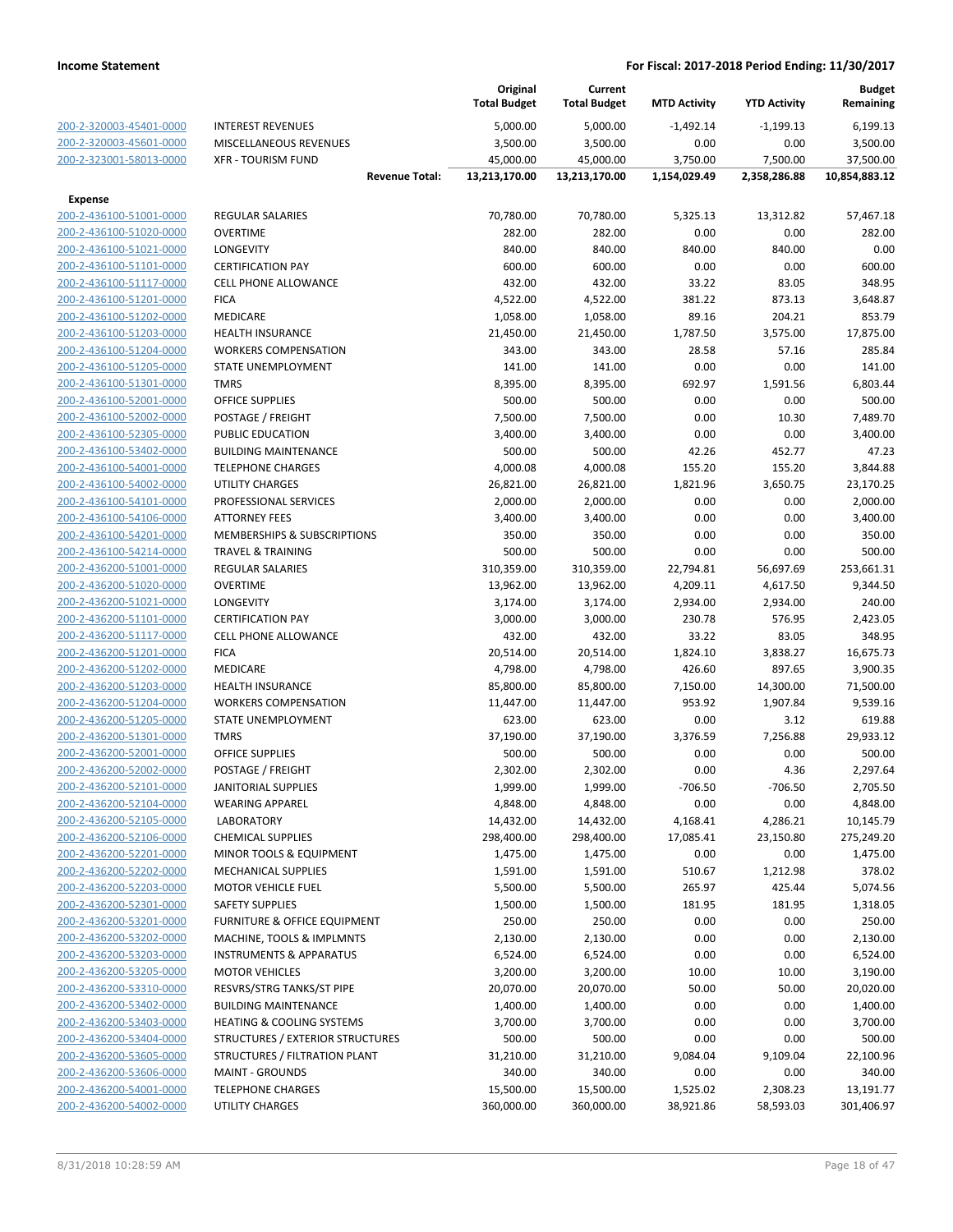|                                                    |                                             | Original<br><b>Total Budget</b> | Current<br><b>Total Budget</b> | <b>MTD Activity</b> | <b>YTD Activity</b> | <b>Budget</b><br>Remaining |
|----------------------------------------------------|---------------------------------------------|---------------------------------|--------------------------------|---------------------|---------------------|----------------------------|
| 200-2-320003-45401-0000                            | <b>INTEREST REVENUES</b>                    | 5,000.00                        | 5,000.00                       | $-1,492.14$         | $-1,199.13$         | 6,199.13                   |
| 200-2-320003-45601-0000                            | MISCELLANEOUS REVENUES                      | 3,500.00                        | 3,500.00                       | 0.00                | 0.00                | 3,500.00                   |
| 200-2-323001-58013-0000                            | <b>XFR - TOURISM FUND</b>                   | 45,000.00                       | 45,000.00                      | 3,750.00            | 7,500.00            | 37,500.00                  |
|                                                    | <b>Revenue Total:</b>                       | 13,213,170.00                   | 13,213,170.00                  | 1,154,029.49        | 2,358,286.88        | 10,854,883.12              |
| <b>Expense</b>                                     |                                             |                                 |                                |                     |                     |                            |
| 200-2-436100-51001-0000                            | <b>REGULAR SALARIES</b>                     | 70,780.00                       | 70,780.00                      | 5,325.13            | 13,312.82           | 57,467.18                  |
| 200-2-436100-51020-0000                            | <b>OVERTIME</b>                             | 282.00                          | 282.00                         | 0.00                | 0.00                | 282.00                     |
| 200-2-436100-51021-0000                            | LONGEVITY                                   | 840.00                          | 840.00                         | 840.00              | 840.00              | 0.00                       |
| 200-2-436100-51101-0000                            | <b>CERTIFICATION PAY</b>                    | 600.00                          | 600.00                         | 0.00                | 0.00                | 600.00                     |
| 200-2-436100-51117-0000                            | <b>CELL PHONE ALLOWANCE</b>                 | 432.00                          | 432.00                         | 33.22               | 83.05               | 348.95                     |
| 200-2-436100-51201-0000                            | <b>FICA</b>                                 | 4,522.00                        | 4,522.00                       | 381.22              | 873.13              | 3,648.87                   |
| 200-2-436100-51202-0000                            | MEDICARE                                    | 1,058.00                        | 1,058.00                       | 89.16               | 204.21              | 853.79                     |
| 200-2-436100-51203-0000                            | <b>HEALTH INSURANCE</b>                     | 21,450.00                       | 21,450.00                      | 1,787.50            | 3,575.00            | 17,875.00                  |
| 200-2-436100-51204-0000                            | <b>WORKERS COMPENSATION</b>                 | 343.00                          | 343.00                         | 28.58               | 57.16               | 285.84                     |
| 200-2-436100-51205-0000                            | STATE UNEMPLOYMENT                          | 141.00                          | 141.00                         | 0.00                | 0.00                | 141.00                     |
| 200-2-436100-51301-0000                            | <b>TMRS</b>                                 | 8,395.00                        | 8,395.00                       | 692.97              | 1,591.56            | 6,803.44                   |
| 200-2-436100-52001-0000                            | <b>OFFICE SUPPLIES</b>                      | 500.00                          | 500.00                         | 0.00                | 0.00                | 500.00                     |
| 200-2-436100-52002-0000                            | POSTAGE / FREIGHT                           | 7,500.00                        | 7,500.00                       | 0.00                | 10.30               | 7,489.70                   |
| 200-2-436100-52305-0000                            | PUBLIC EDUCATION                            | 3,400.00                        | 3,400.00                       | 0.00                | 0.00                | 3,400.00                   |
| 200-2-436100-53402-0000                            | <b>BUILDING MAINTENANCE</b>                 | 500.00                          | 500.00                         | 42.26               | 452.77              | 47.23                      |
| 200-2-436100-54001-0000                            | <b>TELEPHONE CHARGES</b>                    | 4,000.08                        | 4,000.08                       | 155.20              | 155.20              | 3,844.88                   |
| 200-2-436100-54002-0000                            | <b>UTILITY CHARGES</b>                      | 26,821.00                       | 26,821.00                      | 1,821.96            | 3,650.75            | 23,170.25                  |
| 200-2-436100-54101-0000                            | PROFESSIONAL SERVICES                       | 2,000.00                        | 2,000.00                       | 0.00                | 0.00                | 2,000.00                   |
| 200-2-436100-54106-0000                            | <b>ATTORNEY FEES</b>                        | 3,400.00                        | 3,400.00                       | 0.00                | 0.00                | 3,400.00                   |
| 200-2-436100-54201-0000                            | MEMBERSHIPS & SUBSCRIPTIONS                 | 350.00                          | 350.00                         | 0.00                | 0.00                | 350.00                     |
| 200-2-436100-54214-0000                            | <b>TRAVEL &amp; TRAINING</b>                | 500.00                          | 500.00                         | 0.00                | 0.00                | 500.00                     |
| 200-2-436200-51001-0000                            | REGULAR SALARIES                            | 310,359.00                      | 310,359.00                     | 22,794.81           | 56,697.69           | 253,661.31                 |
| 200-2-436200-51020-0000                            | <b>OVERTIME</b>                             | 13,962.00                       | 13,962.00                      | 4,209.11            | 4,617.50            | 9,344.50                   |
| 200-2-436200-51021-0000                            | LONGEVITY                                   | 3,174.00                        | 3,174.00                       | 2,934.00            | 2,934.00            | 240.00                     |
| 200-2-436200-51101-0000                            | <b>CERTIFICATION PAY</b>                    | 3,000.00                        | 3,000.00                       | 230.78              | 576.95              | 2,423.05                   |
| 200-2-436200-51117-0000                            | <b>CELL PHONE ALLOWANCE</b>                 | 432.00                          | 432.00                         | 33.22               | 83.05               | 348.95                     |
| 200-2-436200-51201-0000                            | <b>FICA</b>                                 | 20,514.00                       | 20,514.00                      | 1,824.10            | 3,838.27            | 16,675.73                  |
| 200-2-436200-51202-0000                            | MEDICARE                                    | 4,798.00                        | 4,798.00                       | 426.60              | 897.65              | 3,900.35                   |
| 200-2-436200-51203-0000                            | <b>HEALTH INSURANCE</b>                     | 85,800.00                       | 85,800.00                      | 7,150.00            | 14,300.00           | 71,500.00                  |
| 200-2-436200-51204-0000                            | <b>WORKERS COMPENSATION</b>                 | 11,447.00                       | 11,447.00                      | 953.92              | 1,907.84            | 9,539.16                   |
| 200-2-436200-51205-0000                            | STATE UNEMPLOYMENT                          | 623.00                          | 623.00                         | 0.00                | 3.12                | 619.88                     |
| 200-2-436200-51301-0000                            | <b>TMRS</b>                                 | 37,190.00                       | 37,190.00                      | 3,376.59            | 7,256.88            | 29,933.12                  |
| 200-2-436200-52001-0000                            | <b>OFFICE SUPPLIES</b>                      | 500.00                          | 500.00                         | 0.00                | 0.00                | 500.00                     |
| 200-2-436200-52002-0000                            | POSTAGE / FREIGHT                           | 2,302.00                        | 2,302.00                       | 0.00                | 4.36                | 2,297.64                   |
| 200-2-436200-52101-0000                            | <b>JANITORIAL SUPPLIES</b>                  | 1,999.00<br>4,848.00            | 1,999.00<br>4,848.00           | $-706.50$           | $-706.50$           | 2,705.50                   |
| 200-2-436200-52104-0000<br>200-2-436200-52105-0000 | <b>WEARING APPAREL</b><br><b>LABORATORY</b> | 14,432.00                       | 14,432.00                      | 0.00<br>4,168.41    | 0.00<br>4,286.21    | 4,848.00<br>10,145.79      |
| 200-2-436200-52106-0000                            | <b>CHEMICAL SUPPLIES</b>                    | 298,400.00                      | 298,400.00                     | 17,085.41           | 23,150.80           | 275,249.20                 |
| 200-2-436200-52201-0000                            | MINOR TOOLS & EQUIPMENT                     | 1,475.00                        | 1,475.00                       | 0.00                | 0.00                | 1,475.00                   |
| 200-2-436200-52202-0000                            | <b>MECHANICAL SUPPLIES</b>                  | 1,591.00                        | 1,591.00                       | 510.67              | 1,212.98            | 378.02                     |
| 200-2-436200-52203-0000                            | <b>MOTOR VEHICLE FUEL</b>                   | 5,500.00                        | 5,500.00                       | 265.97              | 425.44              | 5,074.56                   |
| 200-2-436200-52301-0000                            | <b>SAFETY SUPPLIES</b>                      | 1,500.00                        | 1,500.00                       | 181.95              | 181.95              | 1,318.05                   |
| 200-2-436200-53201-0000                            | FURNITURE & OFFICE EQUIPMENT                | 250.00                          | 250.00                         | 0.00                | 0.00                | 250.00                     |
| 200-2-436200-53202-0000                            | MACHINE, TOOLS & IMPLMNTS                   | 2,130.00                        | 2,130.00                       | 0.00                | 0.00                | 2,130.00                   |
| 200-2-436200-53203-0000                            | <b>INSTRUMENTS &amp; APPARATUS</b>          | 6,524.00                        | 6,524.00                       | 0.00                | 0.00                | 6,524.00                   |
| 200-2-436200-53205-0000                            | <b>MOTOR VEHICLES</b>                       | 3,200.00                        | 3,200.00                       | 10.00               | 10.00               | 3,190.00                   |
| 200-2-436200-53310-0000                            | RESVRS/STRG TANKS/ST PIPE                   | 20,070.00                       | 20,070.00                      | 50.00               | 50.00               | 20,020.00                  |
| 200-2-436200-53402-0000                            | <b>BUILDING MAINTENANCE</b>                 | 1,400.00                        | 1,400.00                       | 0.00                | 0.00                | 1,400.00                   |
| 200-2-436200-53403-0000                            | <b>HEATING &amp; COOLING SYSTEMS</b>        | 3,700.00                        | 3,700.00                       | 0.00                | 0.00                | 3,700.00                   |
| 200-2-436200-53404-0000                            | STRUCTURES / EXTERIOR STRUCTURES            | 500.00                          | 500.00                         | 0.00                | 0.00                | 500.00                     |
| 200-2-436200-53605-0000                            | STRUCTURES / FILTRATION PLANT               | 31,210.00                       | 31,210.00                      | 9,084.04            | 9,109.04            | 22,100.96                  |
| 200-2-436200-53606-0000                            | <b>MAINT - GROUNDS</b>                      | 340.00                          | 340.00                         | 0.00                | 0.00                | 340.00                     |
| 200-2-436200-54001-0000                            | <b>TELEPHONE CHARGES</b>                    | 15,500.00                       | 15,500.00                      | 1,525.02            | 2,308.23            | 13,191.77                  |
| 200-2-436200-54002-0000                            | UTILITY CHARGES                             | 360,000.00                      | 360,000.00                     | 38,921.86           | 58,593.03           | 301,406.97                 |
|                                                    |                                             |                                 |                                |                     |                     |                            |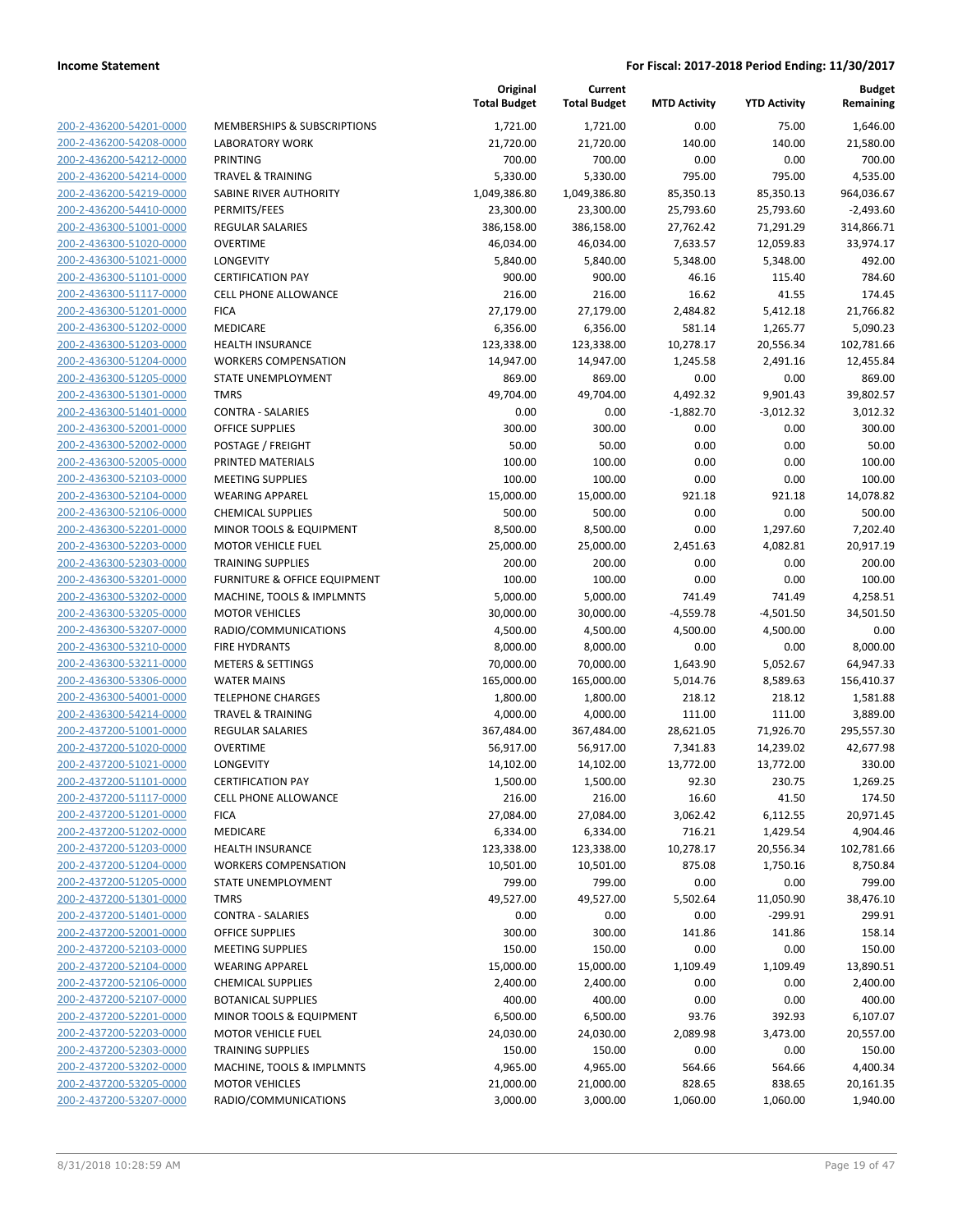| 200-2-436200-54201-0000        |
|--------------------------------|
| 200-2-436200-54208-0000        |
| 200-2-436200-54212-0000        |
| 200-2-436200-54214-0000        |
| 200-2-436200-54219-0000        |
| 200-2-436200-54410-0000        |
| 200-2-436300-51001-0000        |
| 200-2-436300-51020-0000        |
| 200-2-436300-51021-0000        |
| 200-2-436300-51101-0000        |
| 200-2-436300-51117-0000        |
| 200-2-436300-51201-0000        |
| 200-2-436300-51202-0000        |
| 200-2-436300-51203-0000        |
| 200-2-436300-51204-0000        |
| 200-2-436300-51205-0000        |
| 200-2-436300-51301-0000        |
| 200-2-436300-51401-0000        |
| 200-2-436300-52001-0000        |
| 200-2-436300-52002-0000        |
|                                |
| 200-2-436300-52005-0000        |
| 200-2-436300-52103-0000        |
| 200-2-436300-52104-0000        |
| 200-2-436300-52106-0000        |
| 200-2-436300-52201-0000        |
| 200-2-436300-52203-0000        |
| 200-2-436300-52303-0000        |
| 200-2-436300-53201-0000        |
| 200-2-436300-53202-0000        |
| 200-2-436300-53205-0000        |
| 200-2-436300-53207-0000        |
| 200-2-436300-53210-0000        |
| 200-2-436300-53211-0000        |
| 200-2-436300-53306-0000        |
| 200-2-436300-54001-0000        |
| 200-2-436300-54214-0000        |
| 200-2-437200-51001-0000        |
| 200-2-437200-51020-0000        |
| 200-2-437200-51021-0000        |
| 200-2-437200-51101-0000        |
| 200-2-437200-51117-0000        |
| <u>200-2-437200-51201-0000</u> |
| 200-2-437200-51202-0000        |
| 200-2-437200-51203-0000        |
| <u>200-2-437200-51204-0000</u> |
| <u>200-2-437200-51205-0000</u> |
| 200-2-437200-51301-0000        |
| 200-2-437200-51401-0000        |
| 200-2-437200-52001-0000        |
|                                |
| <u>200-2-437200-52103-0000</u> |
| <u>200-2-437200-52104-0000</u> |
| 200-2-437200-52106-0000        |
| 200-2-437200-52107-0000        |
| 200-2-437200-52201-0000        |
| <u>200-2-437200-52203-0000</u> |
| <u>200-2-437200-52303-0000</u> |
| 200-2-437200-53202-0000        |
| 200-2-437200-53205-0000        |
| 200-2-437200-53207-0000        |

|                         |                                                    | Original<br><b>Total Budget</b> | Current<br><b>Total Budget</b> | <b>MTD Activity</b> | <b>YTD Activity</b> | <b>Budget</b><br>Remaining |
|-------------------------|----------------------------------------------------|---------------------------------|--------------------------------|---------------------|---------------------|----------------------------|
| 200-2-436200-54201-0000 | MEMBERSHIPS & SUBSCRIPTIONS                        | 1,721.00                        | 1,721.00                       | 0.00                | 75.00               | 1,646.00                   |
| 200-2-436200-54208-0000 | LABORATORY WORK                                    | 21,720.00                       | 21,720.00                      | 140.00              | 140.00              | 21,580.00                  |
| 200-2-436200-54212-0000 | <b>PRINTING</b>                                    | 700.00                          | 700.00                         | 0.00                | 0.00                | 700.00                     |
| 200-2-436200-54214-0000 | <b>TRAVEL &amp; TRAINING</b>                       | 5,330.00                        | 5,330.00                       | 795.00              | 795.00              | 4,535.00                   |
| 200-2-436200-54219-0000 | SABINE RIVER AUTHORITY                             | 1,049,386.80                    | 1,049,386.80                   | 85,350.13           | 85,350.13           | 964,036.67                 |
| 200-2-436200-54410-0000 | PERMITS/FEES                                       | 23,300.00                       | 23,300.00                      | 25,793.60           | 25,793.60           | $-2,493.60$                |
| 200-2-436300-51001-0000 | REGULAR SALARIES                                   | 386,158.00                      | 386,158.00                     | 27,762.42           | 71,291.29           | 314,866.71                 |
| 200-2-436300-51020-0000 | <b>OVERTIME</b>                                    | 46,034.00                       | 46,034.00                      | 7,633.57            | 12,059.83           | 33,974.17                  |
| 200-2-436300-51021-0000 | LONGEVITY                                          | 5,840.00                        | 5,840.00                       | 5,348.00            | 5,348.00            | 492.00                     |
| 200-2-436300-51101-0000 | <b>CERTIFICATION PAY</b>                           | 900.00                          | 900.00                         | 46.16               | 115.40              | 784.60                     |
| 200-2-436300-51117-0000 | CELL PHONE ALLOWANCE                               | 216.00                          | 216.00                         | 16.62               | 41.55               | 174.45                     |
| 200-2-436300-51201-0000 | <b>FICA</b>                                        | 27,179.00                       | 27,179.00                      | 2,484.82            | 5,412.18            | 21,766.82                  |
| 200-2-436300-51202-0000 | MEDICARE                                           | 6,356.00                        | 6,356.00                       | 581.14              | 1,265.77            | 5,090.23                   |
| 200-2-436300-51203-0000 | <b>HEALTH INSURANCE</b>                            | 123,338.00                      | 123,338.00                     | 10,278.17           | 20,556.34           | 102,781.66                 |
| 200-2-436300-51204-0000 | <b>WORKERS COMPENSATION</b>                        | 14,947.00                       | 14,947.00                      | 1,245.58            | 2,491.16            | 12,455.84                  |
| 200-2-436300-51205-0000 | STATE UNEMPLOYMENT                                 | 869.00                          | 869.00                         | 0.00                | 0.00                | 869.00                     |
| 200-2-436300-51301-0000 | <b>TMRS</b>                                        | 49,704.00                       | 49,704.00                      | 4,492.32            | 9,901.43            | 39,802.57                  |
| 200-2-436300-51401-0000 | <b>CONTRA - SALARIES</b>                           | 0.00                            | 0.00                           | $-1,882.70$         | $-3,012.32$         | 3,012.32                   |
| 200-2-436300-52001-0000 | <b>OFFICE SUPPLIES</b>                             | 300.00                          | 300.00                         | 0.00                | 0.00                | 300.00                     |
| 200-2-436300-52002-0000 | POSTAGE / FREIGHT                                  | 50.00                           | 50.00                          | 0.00                | 0.00                | 50.00                      |
| 200-2-436300-52005-0000 | PRINTED MATERIALS                                  | 100.00                          | 100.00                         | 0.00                | 0.00                | 100.00                     |
| 200-2-436300-52103-0000 | <b>MEETING SUPPLIES</b>                            | 100.00                          | 100.00                         | 0.00                | 0.00                | 100.00                     |
| 200-2-436300-52104-0000 | <b>WEARING APPAREL</b>                             | 15,000.00                       | 15,000.00                      | 921.18              | 921.18              | 14,078.82                  |
| 200-2-436300-52106-0000 | <b>CHEMICAL SUPPLIES</b>                           | 500.00                          | 500.00                         | 0.00                | 0.00                | 500.00                     |
| 200-2-436300-52201-0000 | MINOR TOOLS & EQUIPMENT                            | 8,500.00                        | 8,500.00                       | 0.00                | 1,297.60            | 7,202.40                   |
| 200-2-436300-52203-0000 | <b>MOTOR VEHICLE FUEL</b>                          | 25,000.00                       | 25,000.00                      | 2,451.63            | 4,082.81            | 20,917.19                  |
| 200-2-436300-52303-0000 | <b>TRAINING SUPPLIES</b>                           | 200.00                          | 200.00                         | 0.00                | 0.00                | 200.00                     |
| 200-2-436300-53201-0000 | <b>FURNITURE &amp; OFFICE EQUIPMENT</b>            | 100.00                          | 100.00                         | 0.00                | 0.00                | 100.00                     |
| 200-2-436300-53202-0000 | MACHINE, TOOLS & IMPLMNTS                          | 5,000.00                        | 5,000.00                       | 741.49              | 741.49              | 4,258.51                   |
| 200-2-436300-53205-0000 | <b>MOTOR VEHICLES</b>                              | 30,000.00                       | 30,000.00                      | $-4,559.78$         | $-4,501.50$         | 34,501.50                  |
| 200-2-436300-53207-0000 | RADIO/COMMUNICATIONS                               | 4,500.00                        | 4,500.00                       | 4,500.00            | 4,500.00            | 0.00                       |
| 200-2-436300-53210-0000 | <b>FIRE HYDRANTS</b>                               | 8,000.00                        | 8,000.00                       | 0.00                | 0.00                | 8,000.00                   |
| 200-2-436300-53211-0000 | <b>METERS &amp; SETTINGS</b>                       | 70,000.00                       | 70,000.00                      | 1,643.90            | 5,052.67            | 64,947.33                  |
| 200-2-436300-53306-0000 | <b>WATER MAINS</b>                                 | 165,000.00                      | 165,000.00                     | 5,014.76            | 8,589.63            | 156,410.37                 |
| 200-2-436300-54001-0000 | <b>TELEPHONE CHARGES</b>                           | 1,800.00                        | 1,800.00                       | 218.12              | 218.12              | 1,581.88                   |
| 200-2-436300-54214-0000 | <b>TRAVEL &amp; TRAINING</b>                       | 4,000.00                        | 4,000.00                       | 111.00              | 111.00              | 3,889.00                   |
| 200-2-437200-51001-0000 | REGULAR SALARIES                                   | 367,484.00                      | 367,484.00                     | 28,621.05           | 71,926.70           | 295,557.30                 |
| 200-2-437200-51020-0000 | <b>OVERTIME</b>                                    | 56,917.00                       | 56,917.00                      | 7,341.83            | 14,239.02           | 42,677.98                  |
| 200-2-437200-51021-0000 | <b>LONGEVITY</b>                                   | 14,102.00                       | 14,102.00                      | 13,772.00           | 13,772.00           | 330.00                     |
| 200-2-437200-51101-0000 | <b>CERTIFICATION PAY</b>                           | 1,500.00                        | 1,500.00                       | 92.30               | 230.75              | 1,269.25                   |
| 200-2-437200-51117-0000 | <b>CELL PHONE ALLOWANCE</b>                        | 216.00                          | 216.00                         | 16.60               | 41.50               | 174.50                     |
| 200-2-437200-51201-0000 | <b>FICA</b>                                        | 27,084.00                       | 27,084.00                      | 3,062.42            | 6,112.55            | 20,971.45                  |
| 200-2-437200-51202-0000 | MEDICARE                                           | 6,334.00                        | 6,334.00                       | 716.21              | 1,429.54            | 4,904.46                   |
| 200-2-437200-51203-0000 | <b>HEALTH INSURANCE</b>                            | 123,338.00                      | 123,338.00                     | 10,278.17           | 20,556.34           | 102,781.66                 |
| 200-2-437200-51204-0000 | <b>WORKERS COMPENSATION</b>                        | 10,501.00                       | 10,501.00                      | 875.08              | 1,750.16            | 8,750.84                   |
| 200-2-437200-51205-0000 | <b>STATE UNEMPLOYMENT</b>                          | 799.00                          | 799.00                         | 0.00                | 0.00                | 799.00                     |
| 200-2-437200-51301-0000 | <b>TMRS</b>                                        | 49,527.00                       | 49,527.00                      | 5,502.64            | 11,050.90           | 38,476.10                  |
| 200-2-437200-51401-0000 | <b>CONTRA - SALARIES</b>                           | 0.00                            | 0.00                           | 0.00                | $-299.91$           | 299.91                     |
| 200-2-437200-52001-0000 | <b>OFFICE SUPPLIES</b>                             | 300.00                          | 300.00                         | 141.86              | 141.86              | 158.14                     |
| 200-2-437200-52103-0000 | <b>MEETING SUPPLIES</b>                            | 150.00                          | 150.00                         | 0.00                | 0.00                | 150.00                     |
|                         |                                                    |                                 |                                |                     | 1,109.49            |                            |
| 200-2-437200-52104-0000 | <b>WEARING APPAREL</b><br><b>CHEMICAL SUPPLIES</b> | 15,000.00<br>2,400.00           | 15,000.00                      | 1,109.49            |                     | 13,890.51                  |
| 200-2-437200-52106-0000 |                                                    |                                 | 2,400.00                       | 0.00                | 0.00                | 2,400.00                   |
| 200-2-437200-52107-0000 | <b>BOTANICAL SUPPLIES</b>                          | 400.00                          | 400.00                         | 0.00                | 0.00                | 400.00                     |
| 200-2-437200-52201-0000 | MINOR TOOLS & EQUIPMENT                            | 6,500.00                        | 6,500.00                       | 93.76               | 392.93              | 6,107.07                   |
| 200-2-437200-52203-0000 | <b>MOTOR VEHICLE FUEL</b>                          | 24,030.00                       | 24,030.00                      | 2,089.98            | 3,473.00            | 20,557.00                  |
| 200-2-437200-52303-0000 | <b>TRAINING SUPPLIES</b>                           | 150.00                          | 150.00                         | 0.00                | 0.00                | 150.00                     |
| 200-2-437200-53202-0000 | MACHINE, TOOLS & IMPLMNTS                          | 4,965.00                        | 4,965.00                       | 564.66              | 564.66              | 4,400.34                   |
| 200-2-437200-53205-0000 | <b>MOTOR VEHICLES</b>                              | 21,000.00                       | 21,000.00                      | 828.65              | 838.65              | 20,161.35                  |
| 200-2-437200-53207-0000 | RADIO/COMMUNICATIONS                               | 3,000.00                        | 3,000.00                       | 1,060.00            | 1,060.00            | 1,940.00                   |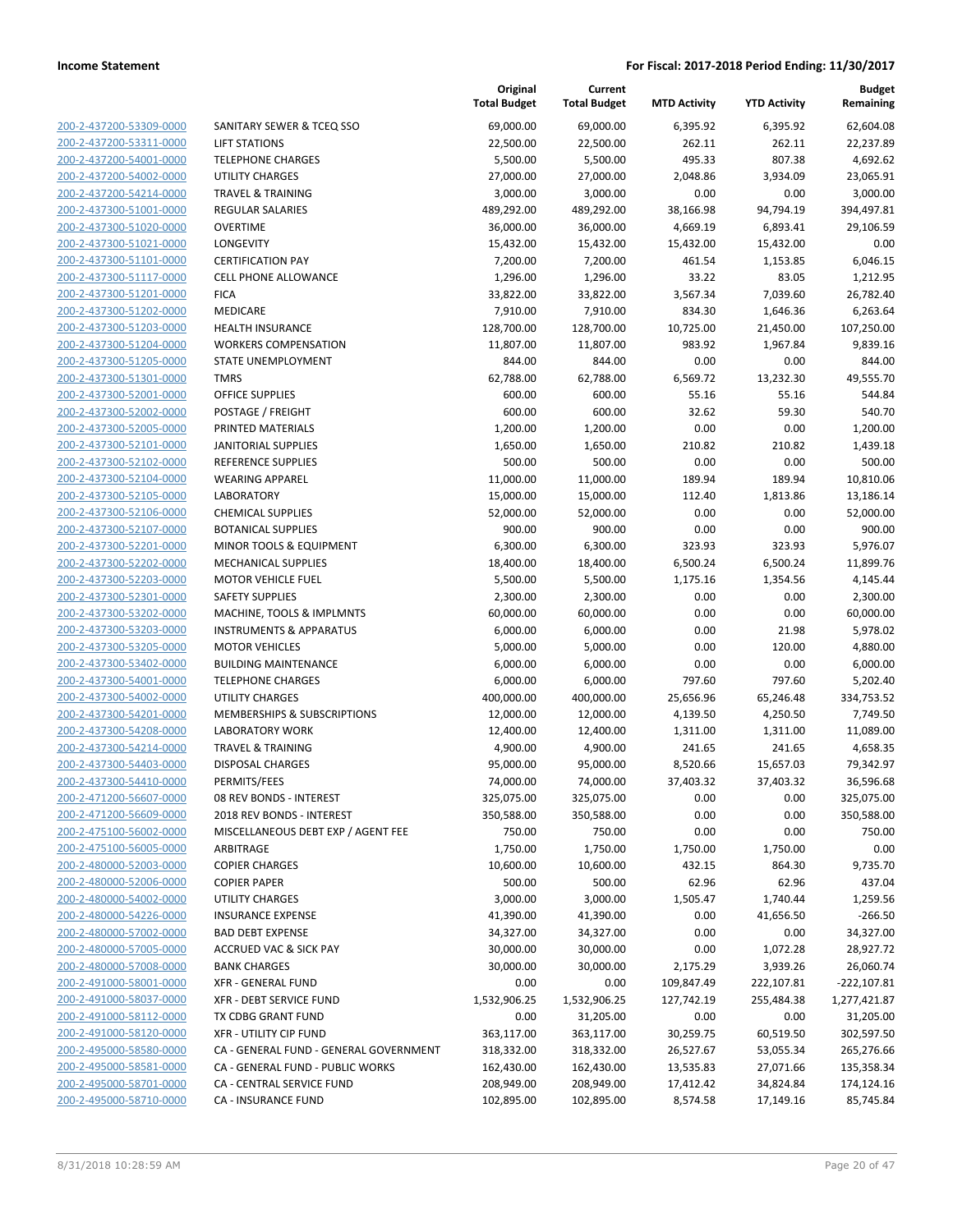200-2-437200-53309-0000 200-2-437200-53311-0000 200-2-437200-54001-0000 200-2-437200-54002-0000 200-2-437200-54214-0000 200-2-437300-51001-0000 200-2-437300-51020-0000 200-2-437300-51021-0000 200-2-437300-51101-0000 200-2-437300-51117-0000 200-2-437300-51201-0000 200-2-437300-51202-0000 200-2-437300-51203-0000 200-2-437300-51204-0000 200-2-437300-51205-0000 200-2-437300-51301-0000 200-2-437300-52001-0000 200-2-437300-52002-0000 200-2-437300-52005-0000 200-2-437300-52101-0000 200-2-437300-52102-0000 REFERENCE SUPPLIES 500.00 500.00 0.00 0.00 500.00 200-2-437300-52104-0000 200-2-437300-52105-0000 200-2-437300-52106-0000 200-2-437300-52107-0000 200-2-437300-52201-0000 200-2-437300-52202-0000 200-2-437300-52203-0000 200-2-437300-52301-0000 200-2-437300-53202-0000 200-2-437300-53203-0000 200-2-437300-53205-0000 200-2-437300-53402-0000 200-2-437300-54001-0000 200-2-437300-54002-0000 200-2-437300-54201-0000 200-2-437300-54208-0000 200-2-437300-54214-0000 200-2-437300-54403-0000 200-2-437300-54410-0000 200-2-471200-56607-0000 200-2-471200-56609-0000 200-2-475100-56002-0000 200-2-475100-56005-0000 200-2-480000-52003-0000 200-2-480000-52006-0000 200-2-480000-54002-0000 200-2-480000-54226-0000 200-2-480000-57002-0000 200-2-480000-57005-0000 200-2-480000-57008-0000 200-2-491000-58001-0000 200-2-491000-58037-0000 200-2-491000-58112-0000 200-2-491000-58120-0000 200-2-495000-58580-0000 200-2-495000-58581-0000 200-2-495000-58701-0000 200-2-495000-58710-0000

|                                        | Original            | Current             |                     |                     | <b>Budget</b> |
|----------------------------------------|---------------------|---------------------|---------------------|---------------------|---------------|
|                                        | <b>Total Budget</b> | <b>Total Budget</b> | <b>MTD Activity</b> | <b>YTD Activity</b> | Remaining     |
| SANITARY SEWER & TCEQ SSO              | 69,000.00           | 69,000.00           | 6,395.92            | 6,395.92            | 62,604.08     |
| <b>LIFT STATIONS</b>                   | 22,500.00           | 22,500.00           | 262.11              | 262.11              | 22,237.89     |
| <b>TELEPHONE CHARGES</b>               | 5,500.00            | 5,500.00            | 495.33              | 807.38              | 4,692.62      |
| <b>UTILITY CHARGES</b>                 | 27,000.00           | 27,000.00           | 2,048.86            | 3,934.09            | 23,065.91     |
| <b>TRAVEL &amp; TRAINING</b>           | 3,000.00            | 3,000.00            | 0.00                | 0.00                | 3,000.00      |
| <b>REGULAR SALARIES</b>                | 489,292.00          | 489,292.00          | 38,166.98           | 94,794.19           | 394,497.81    |
| <b>OVERTIME</b>                        | 36,000.00           | 36,000.00           | 4,669.19            | 6,893.41            | 29,106.59     |
| LONGEVITY                              | 15,432.00           | 15,432.00           | 15,432.00           | 15,432.00           | 0.00          |
| <b>CERTIFICATION PAY</b>               | 7,200.00            | 7,200.00            | 461.54              | 1,153.85            | 6,046.15      |
| <b>CELL PHONE ALLOWANCE</b>            | 1,296.00            | 1,296.00            | 33.22               | 83.05               | 1,212.95      |
| <b>FICA</b>                            | 33,822.00           | 33,822.00           | 3,567.34            | 7,039.60            | 26,782.40     |
| MEDICARE                               | 7,910.00            | 7,910.00            | 834.30              | 1,646.36            | 6,263.64      |
| <b>HEALTH INSURANCE</b>                | 128,700.00          | 128,700.00          | 10,725.00           | 21,450.00           | 107,250.00    |
| <b>WORKERS COMPENSATION</b>            | 11,807.00           | 11,807.00           | 983.92              | 1,967.84            | 9,839.16      |
| STATE UNEMPLOYMENT                     | 844.00              | 844.00              | 0.00                | 0.00                | 844.00        |
| <b>TMRS</b>                            | 62,788.00           | 62,788.00           | 6,569.72            | 13,232.30           | 49,555.70     |
| <b>OFFICE SUPPLIES</b>                 | 600.00              | 600.00              | 55.16               | 55.16               | 544.84        |
| POSTAGE / FREIGHT                      | 600.00              | 600.00              | 32.62               | 59.30               | 540.70        |
| PRINTED MATERIALS                      | 1,200.00            | 1,200.00            | 0.00                | 0.00                | 1,200.00      |
| <b>JANITORIAL SUPPLIES</b>             | 1,650.00            | 1,650.00            | 210.82              | 210.82              | 1,439.18      |
| <b>REFERENCE SUPPLIES</b>              | 500.00              | 500.00              | 0.00                | 0.00                | 500.00        |
| <b>WEARING APPAREL</b>                 | 11,000.00           | 11,000.00           | 189.94              | 189.94              | 10,810.06     |
| <b>LABORATORY</b>                      | 15,000.00           | 15,000.00           | 112.40              | 1,813.86            | 13,186.14     |
| <b>CHEMICAL SUPPLIES</b>               | 52,000.00           | 52,000.00           | 0.00                | 0.00                | 52,000.00     |
| <b>BOTANICAL SUPPLIES</b>              | 900.00              | 900.00              | 0.00                | 0.00                | 900.00        |
| MINOR TOOLS & EQUIPMENT                | 6,300.00            | 6,300.00            | 323.93              | 323.93              | 5,976.07      |
| MECHANICAL SUPPLIES                    | 18,400.00           | 18,400.00           | 6,500.24            | 6,500.24            | 11,899.76     |
| <b>MOTOR VEHICLE FUEL</b>              | 5,500.00            | 5,500.00            | 1,175.16            | 1,354.56            | 4,145.44      |
| <b>SAFETY SUPPLIES</b>                 | 2,300.00            | 2,300.00            | 0.00                | 0.00                | 2,300.00      |
| MACHINE, TOOLS & IMPLMNTS              | 60,000.00           | 60,000.00           | 0.00                | 0.00                | 60,000.00     |
| <b>INSTRUMENTS &amp; APPARATUS</b>     | 6,000.00            | 6,000.00            | 0.00                | 21.98               | 5,978.02      |
| <b>MOTOR VEHICLES</b>                  | 5,000.00            | 5,000.00            | 0.00                | 120.00              | 4,880.00      |
| <b>BUILDING MAINTENANCE</b>            | 6,000.00            | 6,000.00            | 0.00                | 0.00                | 6,000.00      |
| <b>TELEPHONE CHARGES</b>               | 6,000.00            | 6,000.00            | 797.60              | 797.60              | 5,202.40      |
| <b>UTILITY CHARGES</b>                 | 400,000.00          | 400,000.00          | 25,656.96           | 65,246.48           | 334,753.52    |
| <b>MEMBERSHIPS &amp; SUBSCRIPTIONS</b> | 12,000.00           | 12,000.00           | 4,139.50            | 4,250.50            | 7,749.50      |
| <b>LABORATORY WORK</b>                 | 12,400.00           | 12,400.00           | 1,311.00            | 1,311.00            | 11,089.00     |
| <b>TRAVEL &amp; TRAINING</b>           | 4,900.00            | 4,900.00            | 241.65              | 241.65              | 4,658.35      |
| <b>DISPOSAL CHARGES</b>                | 95,000.00           | 95,000.00           | 8,520.66            | 15,657.03           | 79,342.97     |
| PERMITS/FEES                           | 74,000.00           | 74,000.00           | 37,403.32           | 37,403.32           | 36,596.68     |
| 08 REV BONDS - INTEREST                | 325,075.00          | 325,075.00          | 0.00                | 0.00                | 325,075.00    |
| 2018 REV BONDS - INTEREST              | 350,588.00          | 350,588.00          | 0.00                | 0.00                | 350,588.00    |
| MISCELLANEOUS DEBT EXP / AGENT FEE     | 750.00              | 750.00              | 0.00                | 0.00                | 750.00        |
| ARBITRAGE                              | 1,750.00            | 1,750.00            | 1,750.00            | 1,750.00            | 0.00          |
| <b>COPIER CHARGES</b>                  | 10,600.00           | 10,600.00           | 432.15              | 864.30              | 9,735.70      |
| <b>COPIER PAPER</b>                    | 500.00              | 500.00              | 62.96               | 62.96               | 437.04        |
| UTILITY CHARGES                        | 3,000.00            | 3,000.00            | 1,505.47            | 1,740.44            | 1,259.56      |
| <b>INSURANCE EXPENSE</b>               | 41,390.00           | 41,390.00           | 0.00                | 41,656.50           | $-266.50$     |
| <b>BAD DEBT EXPENSE</b>                | 34,327.00           | 34,327.00           | 0.00                | 0.00                | 34,327.00     |
| <b>ACCRUED VAC &amp; SICK PAY</b>      | 30,000.00           | 30,000.00           | 0.00                | 1,072.28            | 28,927.72     |
| <b>BANK CHARGES</b>                    | 30,000.00           | 30,000.00           | 2,175.29            | 3,939.26            | 26,060.74     |
| <b>XFR - GENERAL FUND</b>              | 0.00                | 0.00                | 109,847.49          | 222,107.81          | $-222,107.81$ |
| XFR - DEBT SERVICE FUND                | 1,532,906.25        | 1,532,906.25        | 127,742.19          | 255,484.38          | 1,277,421.87  |
| TX CDBG GRANT FUND                     | 0.00                | 31,205.00           | 0.00                | 0.00                | 31,205.00     |
| XFR - UTILITY CIP FUND                 | 363,117.00          | 363,117.00          | 30,259.75           | 60,519.50           | 302,597.50    |
| CA - GENERAL FUND - GENERAL GOVERNMENT | 318,332.00          | 318,332.00          | 26,527.67           | 53,055.34           | 265,276.66    |
| CA - GENERAL FUND - PUBLIC WORKS       | 162,430.00          | 162,430.00          | 13,535.83           | 27,071.66           | 135,358.34    |
| CA - CENTRAL SERVICE FUND              | 208,949.00          | 208,949.00          | 17,412.42           | 34,824.84           | 174,124.16    |
| CA - INSURANCE FUND                    | 102,895.00          | 102,895.00          | 8,574.58            | 17,149.16           | 85,745.84     |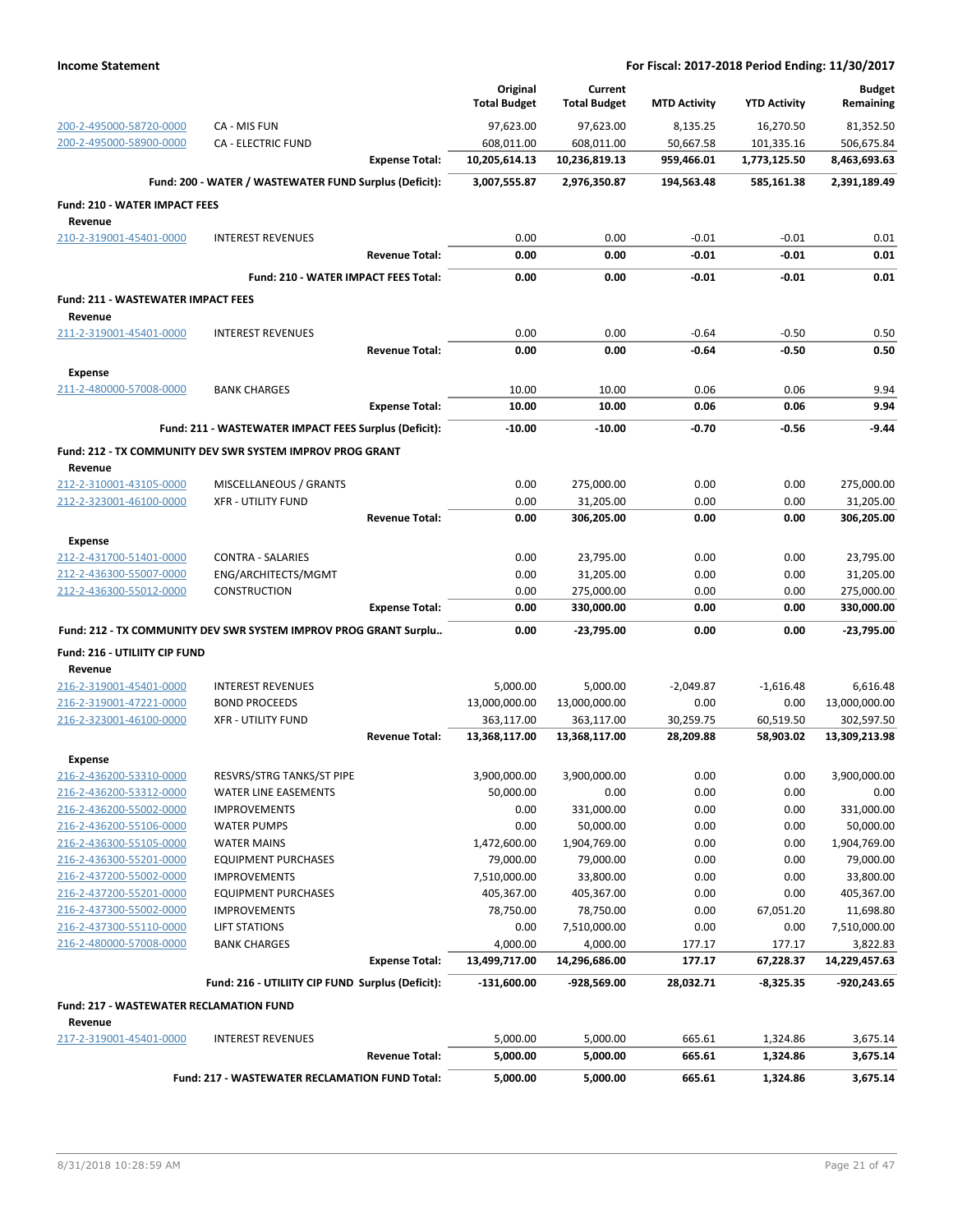|                                                 |                                                                  |                       | Original<br><b>Total Budget</b> | Current<br><b>Total Budget</b> | <b>MTD Activity</b> | <b>YTD Activity</b> | <b>Budget</b><br>Remaining |
|-------------------------------------------------|------------------------------------------------------------------|-----------------------|---------------------------------|--------------------------------|---------------------|---------------------|----------------------------|
| 200-2-495000-58720-0000                         | CA - MIS FUN                                                     |                       | 97,623.00                       | 97,623.00                      | 8,135.25            | 16,270.50           | 81,352.50                  |
| 200-2-495000-58900-0000                         | <b>CA - ELECTRIC FUND</b>                                        |                       | 608,011.00                      | 608,011.00                     | 50,667.58           | 101,335.16          | 506,675.84                 |
|                                                 |                                                                  | <b>Expense Total:</b> | 10,205,614.13                   | 10,236,819.13                  | 959,466.01          | 1,773,125.50        | 8,463,693.63               |
|                                                 | Fund: 200 - WATER / WASTEWATER FUND Surplus (Deficit):           |                       | 3,007,555.87                    | 2,976,350.87                   | 194,563.48          | 585,161.38          | 2,391,189.49               |
| <b>Fund: 210 - WATER IMPACT FEES</b><br>Revenue |                                                                  |                       |                                 |                                |                     |                     |                            |
| 210-2-319001-45401-0000                         | <b>INTEREST REVENUES</b>                                         |                       | 0.00                            | 0.00                           | $-0.01$             | $-0.01$             | 0.01                       |
|                                                 |                                                                  | <b>Revenue Total:</b> | 0.00                            | 0.00                           | $-0.01$             | $-0.01$             | 0.01                       |
|                                                 | Fund: 210 - WATER IMPACT FEES Total:                             |                       | 0.00                            | 0.00                           | $-0.01$             | $-0.01$             | 0.01                       |
| <b>Fund: 211 - WASTEWATER IMPACT FEES</b>       |                                                                  |                       |                                 |                                |                     |                     |                            |
| Revenue                                         |                                                                  |                       |                                 |                                |                     |                     |                            |
| 211-2-319001-45401-0000                         | <b>INTEREST REVENUES</b>                                         |                       | 0.00                            | 0.00                           | $-0.64$             | $-0.50$             | 0.50                       |
|                                                 |                                                                  | <b>Revenue Total:</b> | 0.00                            | 0.00                           | $-0.64$             | $-0.50$             | 0.50                       |
| <b>Expense</b>                                  |                                                                  |                       |                                 |                                |                     |                     |                            |
| 211-2-480000-57008-0000                         | <b>BANK CHARGES</b>                                              |                       | 10.00                           | 10.00                          | 0.06                | 0.06                | 9.94                       |
|                                                 |                                                                  | <b>Expense Total:</b> | 10.00                           | 10.00                          | 0.06                | 0.06                | 9.94                       |
|                                                 | Fund: 211 - WASTEWATER IMPACT FEES Surplus (Deficit):            |                       | $-10.00$                        | $-10.00$                       | $-0.70$             | $-0.56$             | $-9.44$                    |
| Revenue                                         | Fund: 212 - TX COMMUNITY DEV SWR SYSTEM IMPROV PROG GRANT        |                       |                                 |                                |                     |                     |                            |
| 212-2-310001-43105-0000                         | MISCELLANEOUS / GRANTS                                           |                       | 0.00                            | 275,000.00                     | 0.00                | 0.00                | 275,000.00                 |
| 212-2-323001-46100-0000                         | <b>XFR - UTILITY FUND</b>                                        |                       | 0.00                            | 31,205.00                      | 0.00                | 0.00                | 31,205.00                  |
|                                                 |                                                                  | <b>Revenue Total:</b> | 0.00                            | 306,205.00                     | 0.00                | 0.00                | 306,205.00                 |
| Expense                                         |                                                                  |                       |                                 |                                |                     |                     |                            |
| 212-2-431700-51401-0000                         | CONTRA - SALARIES                                                |                       | 0.00                            | 23,795.00                      | 0.00                | 0.00                | 23,795.00                  |
| 212-2-436300-55007-0000                         | ENG/ARCHITECTS/MGMT                                              |                       | 0.00                            | 31,205.00                      | 0.00                | 0.00                | 31,205.00                  |
| 212-2-436300-55012-0000                         | CONSTRUCTION                                                     |                       | 0.00                            | 275,000.00                     | 0.00                | 0.00                | 275,000.00                 |
|                                                 |                                                                  | <b>Expense Total:</b> | 0.00                            | 330,000.00                     | 0.00                | 0.00                | 330,000.00                 |
|                                                 | Fund: 212 - TX COMMUNITY DEV SWR SYSTEM IMPROV PROG GRANT Surplu |                       | 0.00                            | $-23,795.00$                   | 0.00                | 0.00                | $-23,795.00$               |
| Fund: 216 - UTILIITY CIP FUND<br>Revenue        |                                                                  |                       |                                 |                                |                     |                     |                            |
| 216-2-319001-45401-0000                         | <b>INTEREST REVENUES</b>                                         |                       | 5,000.00                        | 5,000.00                       | $-2,049.87$         | $-1,616.48$         | 6,616.48                   |
| 216-2-319001-47221-0000                         | <b>BOND PROCEEDS</b>                                             |                       | 13,000,000.00                   | 13,000,000.00                  | 0.00                | 0.00                | 13,000,000.00              |
| 216-2-323001-46100-0000                         | <b>XFR - UTILITY FUND</b>                                        |                       | 363,117.00                      | 363,117.00                     | 30,259.75           | 60,519.50           | 302,597.50                 |
|                                                 |                                                                  | <b>Revenue Total:</b> | 13,368,117.00                   | 13,368,117.00                  | 28,209.88           | 58,903.02           | 13,309,213.98              |
| Expense                                         |                                                                  |                       |                                 |                                |                     |                     |                            |
| 216-2-436200-53310-0000                         | RESVRS/STRG TANKS/ST PIPE                                        |                       | 3,900,000.00                    | 3,900,000.00                   | 0.00                | 0.00                | 3,900,000.00               |
| 216-2-436200-53312-0000                         | WATER LINE EASEMENTS                                             |                       | 50,000.00                       | 0.00                           | 0.00                | 0.00                | 0.00                       |
| 216-2-436200-55002-0000                         | <b>IMPROVEMENTS</b>                                              |                       | 0.00                            | 331,000.00                     | 0.00                | 0.00                | 331,000.00                 |
| 216-2-436200-55106-0000                         | <b>WATER PUMPS</b>                                               |                       | 0.00                            | 50,000.00                      | 0.00                | 0.00                | 50,000.00                  |
| 216-2-436300-55105-0000                         | <b>WATER MAINS</b>                                               |                       | 1,472,600.00                    | 1,904,769.00                   | 0.00                | 0.00                | 1,904,769.00               |
| 216-2-436300-55201-0000                         | <b>EQUIPMENT PURCHASES</b>                                       |                       | 79,000.00                       | 79,000.00                      | 0.00                | 0.00                | 79,000.00                  |
| 216-2-437200-55002-0000                         | <b>IMPROVEMENTS</b>                                              |                       | 7,510,000.00                    | 33,800.00                      | 0.00                | 0.00                | 33,800.00                  |
| 216-2-437200-55201-0000                         | <b>EQUIPMENT PURCHASES</b>                                       |                       | 405,367.00                      | 405,367.00                     | 0.00                | 0.00                | 405,367.00                 |
| 216-2-437300-55002-0000                         | <b>IMPROVEMENTS</b>                                              |                       | 78,750.00                       | 78,750.00                      | 0.00                | 67,051.20           | 11,698.80                  |
| 216-2-437300-55110-0000                         | <b>LIFT STATIONS</b>                                             |                       | 0.00                            | 7,510,000.00                   | 0.00                | 0.00                | 7,510,000.00               |
| 216-2-480000-57008-0000                         | <b>BANK CHARGES</b>                                              |                       | 4,000.00                        | 4,000.00                       | 177.17              | 177.17              | 3,822.83                   |
|                                                 |                                                                  | <b>Expense Total:</b> | 13,499,717.00                   | 14,296,686.00                  | 177.17              | 67,228.37           | 14,229,457.63              |
|                                                 | Fund: 216 - UTILIITY CIP FUND Surplus (Deficit):                 |                       | $-131,600.00$                   | -928,569.00                    | 28,032.71           | $-8,325.35$         | $-920,243.65$              |
| <b>Fund: 217 - WASTEWATER RECLAMATION FUND</b>  |                                                                  |                       |                                 |                                |                     |                     |                            |
| Revenue                                         |                                                                  |                       |                                 |                                |                     |                     |                            |
| 217-2-319001-45401-0000                         | <b>INTEREST REVENUES</b>                                         |                       | 5,000.00                        | 5,000.00                       | 665.61              | 1,324.86            | 3,675.14                   |
|                                                 |                                                                  | <b>Revenue Total:</b> | 5,000.00                        | 5,000.00                       | 665.61              | 1,324.86            | 3,675.14                   |
|                                                 | Fund: 217 - WASTEWATER RECLAMATION FUND Total:                   |                       | 5,000.00                        | 5,000.00                       | 665.61              | 1,324.86            | 3,675.14                   |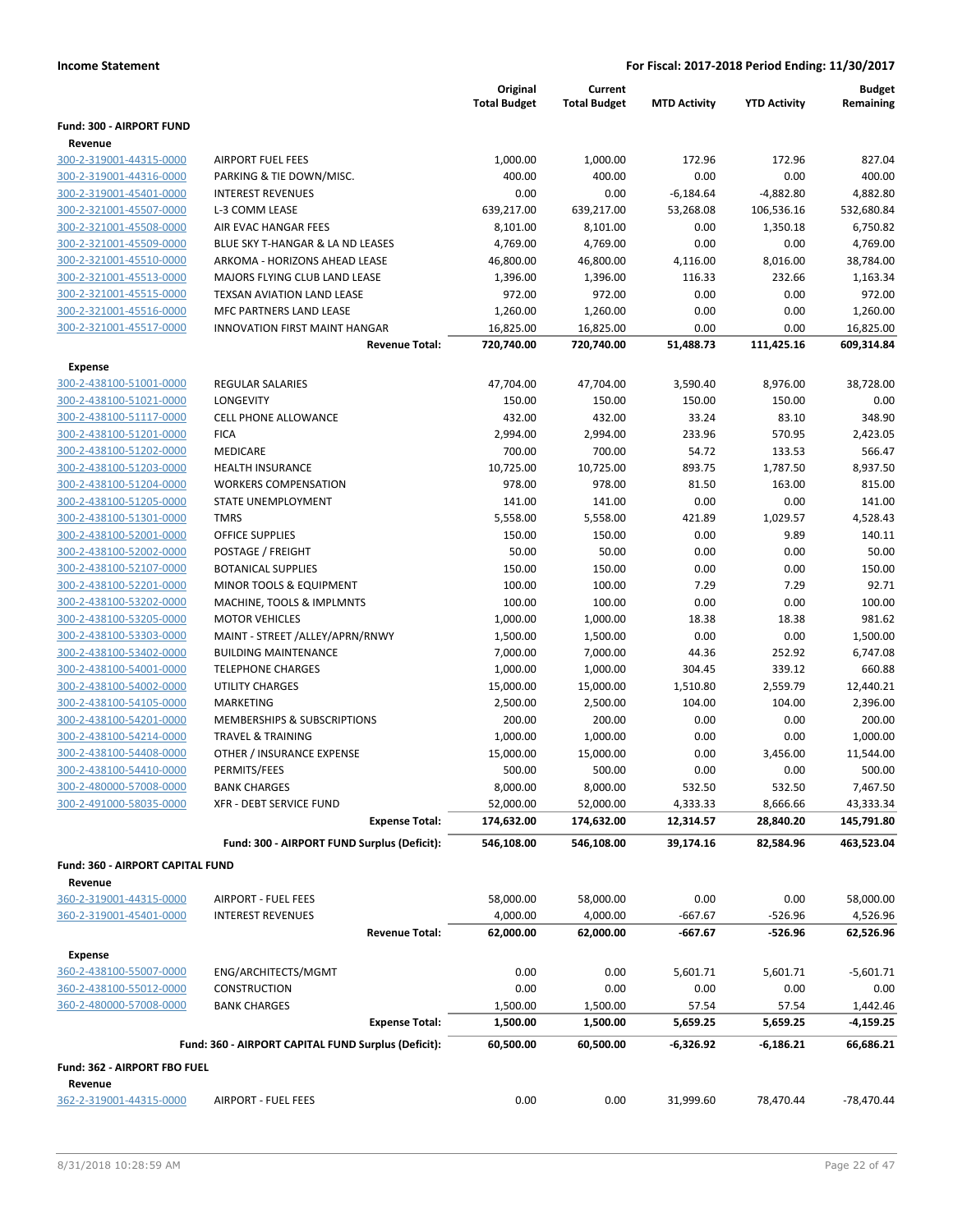|                                         |                                                     | Original<br><b>Total Budget</b> | Current<br><b>Total Budget</b> | <b>MTD Activity</b> | <b>YTD Activity</b> | <b>Budget</b><br>Remaining |
|-----------------------------------------|-----------------------------------------------------|---------------------------------|--------------------------------|---------------------|---------------------|----------------------------|
| Fund: 300 - AIRPORT FUND                |                                                     |                                 |                                |                     |                     |                            |
| Revenue<br>300-2-319001-44315-0000      | <b>AIRPORT FUEL FEES</b>                            | 1,000.00                        | 1,000.00                       | 172.96              | 172.96              | 827.04                     |
| 300-2-319001-44316-0000                 | PARKING & TIE DOWN/MISC.                            | 400.00                          | 400.00                         | 0.00                | 0.00                | 400.00                     |
| 300-2-319001-45401-0000                 | <b>INTEREST REVENUES</b>                            | 0.00                            | 0.00                           | $-6,184.64$         | -4,882.80           | 4,882.80                   |
| 300-2-321001-45507-0000                 | L-3 COMM LEASE                                      | 639,217.00                      | 639,217.00                     | 53,268.08           | 106,536.16          | 532,680.84                 |
| 300-2-321001-45508-0000                 | AIR EVAC HANGAR FEES                                | 8,101.00                        | 8,101.00                       | 0.00                | 1,350.18            | 6,750.82                   |
| 300-2-321001-45509-0000                 | BLUE SKY T-HANGAR & LA ND LEASES                    | 4,769.00                        | 4,769.00                       | 0.00                | 0.00                | 4,769.00                   |
| 300-2-321001-45510-0000                 | ARKOMA - HORIZONS AHEAD LEASE                       | 46,800.00                       | 46,800.00                      | 4,116.00            | 8,016.00            | 38,784.00                  |
| 300-2-321001-45513-0000                 | MAJORS FLYING CLUB LAND LEASE                       | 1,396.00                        | 1,396.00                       | 116.33              | 232.66              | 1,163.34                   |
| 300-2-321001-45515-0000                 | TEXSAN AVIATION LAND LEASE                          | 972.00                          | 972.00                         | 0.00                | 0.00                | 972.00                     |
| 300-2-321001-45516-0000                 | MFC PARTNERS LAND LEASE                             | 1,260.00                        | 1,260.00                       | 0.00                | 0.00                | 1,260.00                   |
| 300-2-321001-45517-0000                 | <b>INNOVATION FIRST MAINT HANGAR</b>                | 16,825.00                       | 16,825.00                      | 0.00                | 0.00                | 16,825.00                  |
|                                         | <b>Revenue Total:</b>                               | 720,740.00                      | 720,740.00                     | 51,488.73           | 111,425.16          | 609,314.84                 |
| <b>Expense</b>                          |                                                     |                                 |                                |                     |                     |                            |
| 300-2-438100-51001-0000                 | <b>REGULAR SALARIES</b>                             | 47,704.00                       | 47,704.00                      | 3,590.40            | 8,976.00            | 38,728.00                  |
| 300-2-438100-51021-0000                 | LONGEVITY                                           | 150.00                          | 150.00                         | 150.00              | 150.00              | 0.00                       |
| 300-2-438100-51117-0000                 | <b>CELL PHONE ALLOWANCE</b>                         | 432.00                          | 432.00                         | 33.24               | 83.10               | 348.90                     |
| 300-2-438100-51201-0000                 | <b>FICA</b>                                         | 2,994.00                        | 2,994.00                       | 233.96              | 570.95              | 2,423.05                   |
| 300-2-438100-51202-0000                 | MEDICARE                                            | 700.00                          | 700.00                         | 54.72               | 133.53              | 566.47                     |
| 300-2-438100-51203-0000                 | <b>HEALTH INSURANCE</b>                             | 10,725.00                       | 10,725.00                      | 893.75              | 1,787.50            | 8,937.50                   |
| 300-2-438100-51204-0000                 | <b>WORKERS COMPENSATION</b>                         | 978.00                          | 978.00                         | 81.50               | 163.00              | 815.00                     |
| 300-2-438100-51205-0000                 | STATE UNEMPLOYMENT                                  | 141.00                          | 141.00                         | 0.00                | 0.00                | 141.00                     |
| 300-2-438100-51301-0000                 | <b>TMRS</b>                                         | 5,558.00                        | 5,558.00                       | 421.89              | 1,029.57            | 4,528.43                   |
| 300-2-438100-52001-0000                 | <b>OFFICE SUPPLIES</b>                              | 150.00                          | 150.00                         | 0.00                | 9.89                | 140.11                     |
| 300-2-438100-52002-0000                 | POSTAGE / FREIGHT                                   | 50.00                           | 50.00                          | 0.00                | 0.00                | 50.00                      |
| 300-2-438100-52107-0000                 | <b>BOTANICAL SUPPLIES</b>                           | 150.00                          | 150.00                         | 0.00                | 0.00                | 150.00                     |
| 300-2-438100-52201-0000                 | MINOR TOOLS & EQUIPMENT                             | 100.00                          | 100.00                         | 7.29                | 7.29                | 92.71                      |
| 300-2-438100-53202-0000                 | MACHINE, TOOLS & IMPLMNTS                           | 100.00                          | 100.00                         | 0.00                | 0.00                | 100.00                     |
| 300-2-438100-53205-0000                 | <b>MOTOR VEHICLES</b>                               | 1,000.00                        | 1,000.00                       | 18.38               | 18.38               | 981.62                     |
| 300-2-438100-53303-0000                 | MAINT - STREET /ALLEY/APRN/RNWY                     | 1,500.00                        | 1,500.00                       | 0.00                | 0.00                | 1,500.00                   |
| 300-2-438100-53402-0000                 | <b>BUILDING MAINTENANCE</b>                         | 7,000.00                        | 7,000.00                       | 44.36               | 252.92              | 6,747.08                   |
| 300-2-438100-54001-0000                 | <b>TELEPHONE CHARGES</b>                            | 1,000.00                        | 1,000.00                       | 304.45              | 339.12              | 660.88                     |
| 300-2-438100-54002-0000                 | <b>UTILITY CHARGES</b>                              | 15,000.00                       | 15,000.00                      | 1,510.80            | 2,559.79            | 12,440.21                  |
| 300-2-438100-54105-0000                 | MARKETING                                           | 2,500.00                        | 2,500.00                       | 104.00              | 104.00              | 2,396.00                   |
| 300-2-438100-54201-0000                 | <b>MEMBERSHIPS &amp; SUBSCRIPTIONS</b>              | 200.00                          | 200.00                         | 0.00                | 0.00                | 200.00                     |
| 300-2-438100-54214-0000                 | <b>TRAVEL &amp; TRAINING</b>                        | 1,000.00                        | 1,000.00                       | 0.00                | 0.00                | 1,000.00                   |
| 300-2-438100-54408-0000                 | OTHER / INSURANCE EXPENSE                           | 15,000.00                       | 15,000.00                      | 0.00                | 3,456.00            | 11,544.00                  |
| 300-2-438100-54410-0000                 | PERMITS/FEES                                        | 500.00                          | 500.00                         | 0.00                | 0.00                | 500.00                     |
| 300-2-480000-57008-0000                 | <b>BANK CHARGES</b>                                 | 8,000.00                        | 8,000.00                       | 532.50              | 532.50              | 7,467.50                   |
| 300-2-491000-58035-0000                 | XFR - DEBT SERVICE FUND                             | 52,000.00                       | 52,000.00                      | 4,333.33            | 8,666.66            | 43,333.34                  |
|                                         | <b>Expense Total:</b>                               | 174,632.00                      | 174,632.00                     | 12,314.57           | 28,840.20           | 145,791.80                 |
|                                         | Fund: 300 - AIRPORT FUND Surplus (Deficit):         | 546,108.00                      | 546,108.00                     | 39,174.16           | 82,584.96           | 463,523.04                 |
| <b>Fund: 360 - AIRPORT CAPITAL FUND</b> |                                                     |                                 |                                |                     |                     |                            |
| Revenue                                 |                                                     |                                 |                                |                     |                     |                            |
| 360-2-319001-44315-0000                 | <b>AIRPORT - FUEL FEES</b>                          | 58,000.00                       | 58,000.00                      | 0.00                | 0.00                | 58,000.00                  |
| 360-2-319001-45401-0000                 | <b>INTEREST REVENUES</b>                            | 4,000.00                        | 4,000.00                       | -667.67             | $-526.96$           | 4,526.96                   |
|                                         | <b>Revenue Total:</b>                               | 62,000.00                       | 62,000.00                      | $-667.67$           | $-526.96$           | 62,526.96                  |
| Expense                                 |                                                     |                                 |                                |                     |                     |                            |
| 360-2-438100-55007-0000                 | ENG/ARCHITECTS/MGMT                                 | 0.00                            | 0.00                           | 5,601.71            | 5,601.71            | $-5,601.71$                |
| 360-2-438100-55012-0000                 | CONSTRUCTION                                        | 0.00                            | 0.00                           | 0.00                | 0.00                | 0.00                       |
| 360-2-480000-57008-0000                 | <b>BANK CHARGES</b>                                 | 1,500.00                        | 1,500.00                       | 57.54               | 57.54               | 1,442.46                   |
|                                         | <b>Expense Total:</b>                               | 1,500.00                        | 1,500.00                       | 5,659.25            | 5,659.25            | -4,159.25                  |
|                                         | Fund: 360 - AIRPORT CAPITAL FUND Surplus (Deficit): | 60,500.00                       | 60,500.00                      | -6,326.92           | -6,186.21           | 66,686.21                  |
| Fund: 362 - AIRPORT FBO FUEL            |                                                     |                                 |                                |                     |                     |                            |
| Revenue                                 |                                                     |                                 |                                |                     |                     |                            |
| 362-2-319001-44315-0000                 | AIRPORT - FUEL FEES                                 | 0.00                            | 0.00                           | 31,999.60           | 78,470.44           | -78,470.44                 |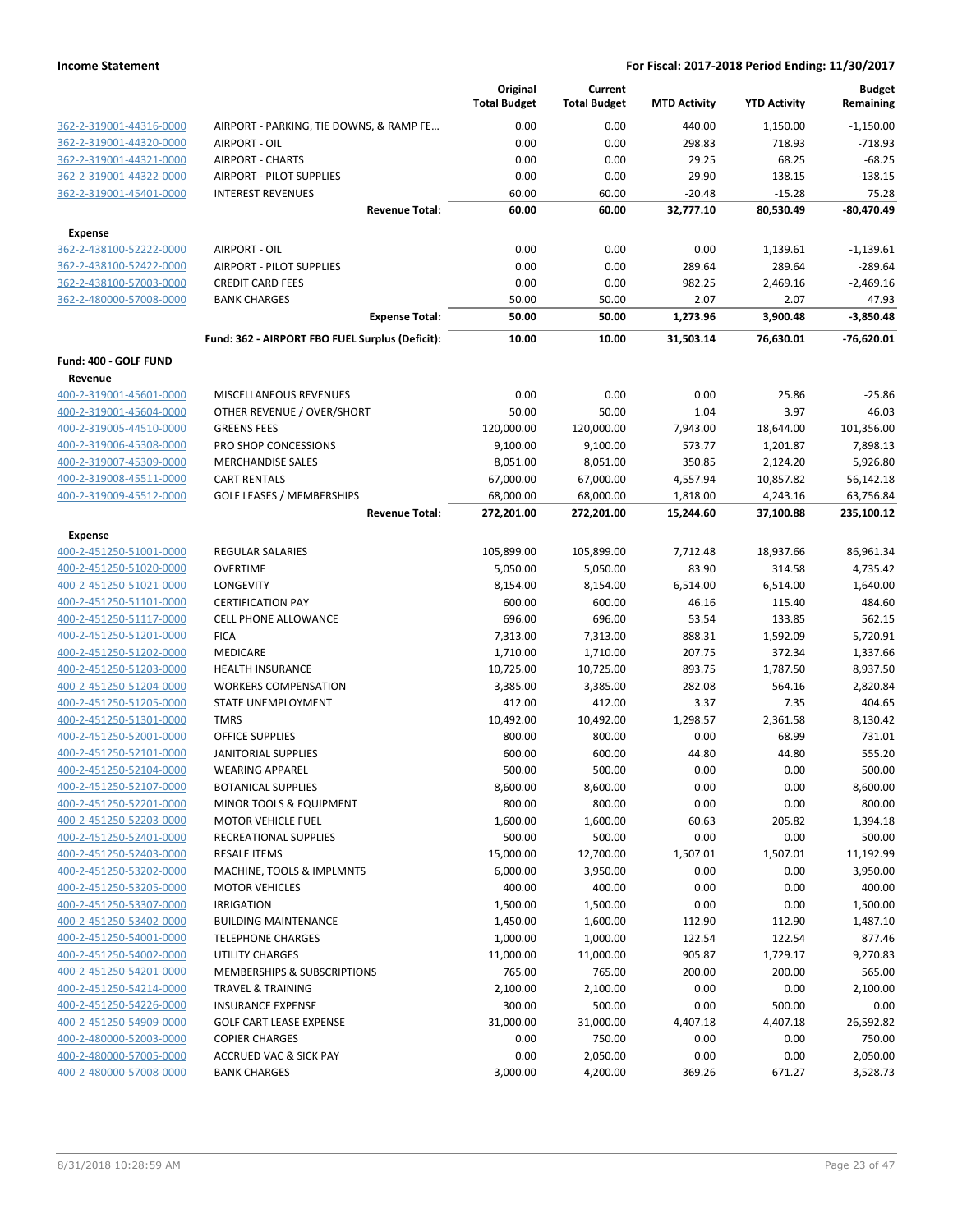|                              |                                                 | Original<br><b>Total Budget</b> | Current<br><b>Total Budget</b> | <b>MTD Activity</b> | <b>YTD Activity</b> | <b>Budget</b><br>Remaining |
|------------------------------|-------------------------------------------------|---------------------------------|--------------------------------|---------------------|---------------------|----------------------------|
| 362-2-319001-44316-0000      | AIRPORT - PARKING, TIE DOWNS, & RAMP FE         | 0.00                            | 0.00                           | 440.00              | 1,150.00            | $-1,150.00$                |
| 362-2-319001-44320-0000      | AIRPORT - OIL                                   | 0.00                            | 0.00                           | 298.83              | 718.93              | $-718.93$                  |
| 362-2-319001-44321-0000      | <b>AIRPORT - CHARTS</b>                         | 0.00                            | 0.00                           | 29.25               | 68.25               | $-68.25$                   |
| 362-2-319001-44322-0000      | <b>AIRPORT - PILOT SUPPLIES</b>                 | 0.00                            | 0.00                           | 29.90               | 138.15              | $-138.15$                  |
| 362-2-319001-45401-0000      | <b>INTEREST REVENUES</b>                        | 60.00                           | 60.00                          | $-20.48$            | $-15.28$            | 75.28                      |
|                              | <b>Revenue Total:</b>                           | 60.00                           | 60.00                          | 32,777.10           | 80,530.49           | -80,470.49                 |
| <b>Expense</b>               |                                                 |                                 |                                |                     |                     |                            |
| 362-2-438100-52222-0000      | AIRPORT - OIL                                   | 0.00                            | 0.00                           | 0.00                | 1,139.61            | $-1,139.61$                |
| 362-2-438100-52422-0000      | <b>AIRPORT - PILOT SUPPLIES</b>                 | 0.00                            | 0.00                           | 289.64              | 289.64              | $-289.64$                  |
| 362-2-438100-57003-0000      | <b>CREDIT CARD FEES</b>                         | 0.00                            | 0.00                           | 982.25              | 2,469.16            | $-2,469.16$                |
| 362-2-480000-57008-0000      | <b>BANK CHARGES</b>                             | 50.00                           | 50.00                          | 2.07                | 2.07                | 47.93                      |
|                              | <b>Expense Total:</b>                           | 50.00                           | 50.00                          | 1,273.96            | 3,900.48            | $-3,850.48$                |
|                              | Fund: 362 - AIRPORT FBO FUEL Surplus (Deficit): | 10.00                           | 10.00                          | 31,503.14           | 76,630.01           | $-76,620.01$               |
| <b>Fund: 400 - GOLF FUND</b> |                                                 |                                 |                                |                     |                     |                            |
| Revenue                      |                                                 |                                 |                                |                     |                     |                            |
| 400-2-319001-45601-0000      | <b>MISCELLANEOUS REVENUES</b>                   | 0.00                            | 0.00                           | 0.00                | 25.86               | $-25.86$                   |
| 400-2-319001-45604-0000      | OTHER REVENUE / OVER/SHORT                      | 50.00                           | 50.00                          | 1.04                | 3.97                | 46.03                      |
| 400-2-319005-44510-0000      | <b>GREENS FEES</b>                              | 120,000.00                      | 120,000.00                     | 7,943.00            | 18,644.00           | 101,356.00                 |
| 400-2-319006-45308-0000      | PRO SHOP CONCESSIONS                            | 9,100.00                        | 9,100.00                       | 573.77              | 1,201.87            | 7,898.13                   |
| 400-2-319007-45309-0000      | <b>MERCHANDISE SALES</b>                        | 8,051.00                        | 8,051.00                       | 350.85              | 2,124.20            | 5,926.80                   |
| 400-2-319008-45511-0000      | <b>CART RENTALS</b>                             | 67,000.00                       | 67,000.00                      | 4,557.94            | 10,857.82           | 56,142.18                  |
| 400-2-319009-45512-0000      | <b>GOLF LEASES / MEMBERSHIPS</b>                | 68,000.00                       | 68,000.00                      | 1,818.00            | 4,243.16            | 63,756.84                  |
|                              | <b>Revenue Total:</b>                           | 272,201.00                      | 272,201.00                     | 15,244.60           | 37,100.88           | 235,100.12                 |
| Expense                      |                                                 |                                 |                                |                     |                     |                            |
| 400-2-451250-51001-0000      | REGULAR SALARIES                                | 105,899.00                      | 105,899.00                     | 7,712.48            | 18,937.66           | 86,961.34                  |
| 400-2-451250-51020-0000      | <b>OVERTIME</b>                                 | 5,050.00                        | 5,050.00                       | 83.90               | 314.58              | 4,735.42                   |
| 400-2-451250-51021-0000      | LONGEVITY                                       | 8,154.00                        | 8,154.00                       | 6,514.00            | 6,514.00            | 1,640.00                   |
| 400-2-451250-51101-0000      | <b>CERTIFICATION PAY</b>                        | 600.00                          | 600.00                         | 46.16               | 115.40              | 484.60                     |
| 400-2-451250-51117-0000      | <b>CELL PHONE ALLOWANCE</b>                     | 696.00                          | 696.00                         | 53.54               | 133.85              | 562.15                     |
| 400-2-451250-51201-0000      | <b>FICA</b>                                     | 7,313.00                        | 7,313.00                       | 888.31              | 1,592.09            | 5,720.91                   |
| 400-2-451250-51202-0000      | MEDICARE                                        | 1,710.00                        | 1,710.00                       | 207.75              | 372.34              | 1,337.66                   |
| 400-2-451250-51203-0000      | <b>HEALTH INSURANCE</b>                         | 10,725.00                       | 10,725.00                      | 893.75              | 1,787.50            | 8,937.50                   |
| 400-2-451250-51204-0000      | <b>WORKERS COMPENSATION</b>                     | 3,385.00                        | 3,385.00                       | 282.08              | 564.16              | 2,820.84                   |
| 400-2-451250-51205-0000      | STATE UNEMPLOYMENT                              | 412.00                          | 412.00                         | 3.37                | 7.35                | 404.65                     |
| 400-2-451250-51301-0000      | <b>TMRS</b>                                     | 10,492.00                       | 10,492.00                      | 1,298.57            | 2,361.58            | 8,130.42                   |
| 400-2-451250-52001-0000      | <b>OFFICE SUPPLIES</b>                          | 800.00                          | 800.00                         | 0.00                | 68.99               | 731.01                     |
| 400-2-451250-52101-0000      | JANITORIAL SUPPLIES                             | 600.00                          | 600.00                         | 44.80               | 44.80               | 555.20                     |
| 400-2-451250-52104-0000      | <b>WEARING APPAREL</b>                          | 500.00                          | 500.00                         | 0.00                | 0.00                | 500.00                     |
| 400-2-451250-52107-0000      | <b>BOTANICAL SUPPLIES</b>                       | 8,600.00                        | 8,600.00                       | 0.00                | 0.00                | 8,600.00                   |
| 400-2-451250-52201-0000      | MINOR TOOLS & EQUIPMENT                         | 800.00                          | 800.00                         | 0.00                | 0.00                | 800.00                     |
| 400-2-451250-52203-0000      | <b>MOTOR VEHICLE FUEL</b>                       | 1,600.00                        | 1,600.00                       | 60.63               | 205.82              | 1,394.18                   |
| 400-2-451250-52401-0000      | RECREATIONAL SUPPLIES                           | 500.00                          | 500.00                         | 0.00                | 0.00                | 500.00                     |
| 400-2-451250-52403-0000      | <b>RESALE ITEMS</b>                             | 15,000.00                       | 12,700.00                      | 1,507.01            | 1,507.01            | 11,192.99                  |
| 400-2-451250-53202-0000      | MACHINE, TOOLS & IMPLMNTS                       | 6,000.00                        | 3,950.00                       | 0.00                | 0.00                | 3,950.00                   |
| 400-2-451250-53205-0000      | <b>MOTOR VEHICLES</b>                           | 400.00                          | 400.00                         | 0.00                | 0.00                | 400.00                     |
| 400-2-451250-53307-0000      | <b>IRRIGATION</b>                               | 1,500.00                        | 1,500.00                       | 0.00                | 0.00                | 1,500.00                   |
| 400-2-451250-53402-0000      | <b>BUILDING MAINTENANCE</b>                     | 1,450.00                        | 1,600.00                       | 112.90              | 112.90              | 1,487.10                   |
| 400-2-451250-54001-0000      | <b>TELEPHONE CHARGES</b>                        | 1,000.00                        | 1,000.00                       | 122.54              | 122.54              | 877.46                     |
| 400-2-451250-54002-0000      | <b>UTILITY CHARGES</b>                          | 11,000.00                       | 11,000.00                      | 905.87              | 1,729.17            | 9,270.83                   |
| 400-2-451250-54201-0000      | MEMBERSHIPS & SUBSCRIPTIONS                     | 765.00                          | 765.00                         | 200.00              | 200.00              | 565.00                     |
| 400-2-451250-54214-0000      | <b>TRAVEL &amp; TRAINING</b>                    | 2,100.00                        | 2,100.00                       | 0.00                | 0.00                | 2,100.00                   |
| 400-2-451250-54226-0000      | <b>INSURANCE EXPENSE</b>                        | 300.00                          | 500.00                         | 0.00                | 500.00              | 0.00                       |
| 400-2-451250-54909-0000      | <b>GOLF CART LEASE EXPENSE</b>                  | 31,000.00                       | 31,000.00                      | 4,407.18            | 4,407.18            | 26,592.82                  |
| 400-2-480000-52003-0000      | <b>COPIER CHARGES</b>                           | 0.00                            | 750.00                         | 0.00                | 0.00                | 750.00                     |
| 400-2-480000-57005-0000      | <b>ACCRUED VAC &amp; SICK PAY</b>               | 0.00                            | 2,050.00                       | 0.00                | 0.00                | 2,050.00                   |
| 400-2-480000-57008-0000      | <b>BANK CHARGES</b>                             | 3,000.00                        | 4,200.00                       | 369.26              | 671.27              | 3,528.73                   |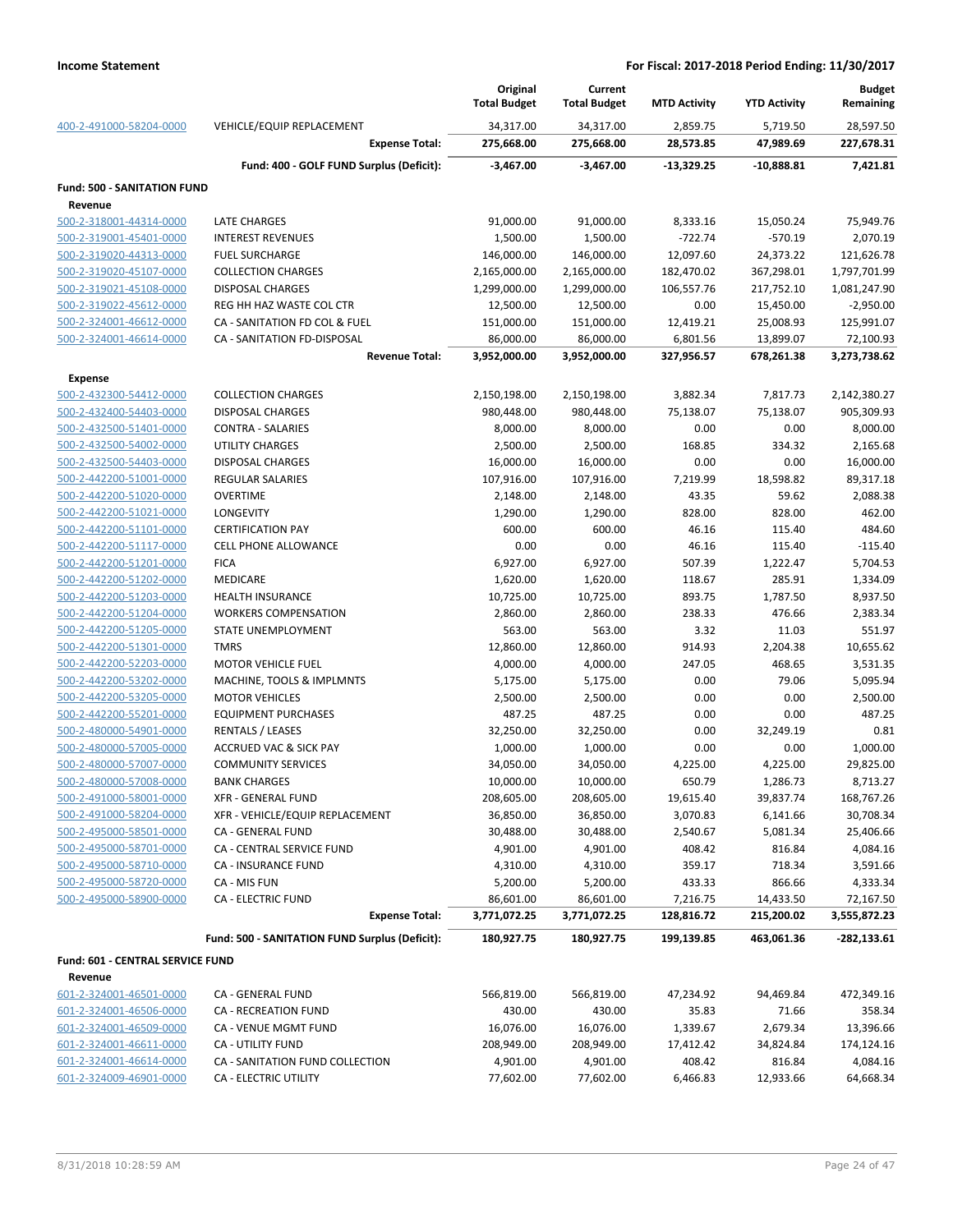|                                                    |                                                | Original<br><b>Total Budget</b> | Current<br><b>Total Budget</b> | <b>MTD Activity</b> | <b>YTD Activity</b>   | <b>Budget</b><br>Remaining |
|----------------------------------------------------|------------------------------------------------|---------------------------------|--------------------------------|---------------------|-----------------------|----------------------------|
| 400-2-491000-58204-0000                            | VEHICLE/EQUIP REPLACEMENT                      | 34,317.00                       | 34,317.00                      | 2,859.75            | 5,719.50              | 28,597.50                  |
|                                                    | <b>Expense Total:</b>                          | 275,668.00                      | 275,668.00                     | 28,573.85           | 47,989.69             | 227,678.31                 |
|                                                    | Fund: 400 - GOLF FUND Surplus (Deficit):       | $-3,467.00$                     | $-3,467.00$                    | $-13,329.25$        | $-10,888.81$          | 7,421.81                   |
| <b>Fund: 500 - SANITATION FUND</b>                 |                                                |                                 |                                |                     |                       |                            |
| Revenue                                            |                                                |                                 |                                |                     |                       |                            |
| 500-2-318001-44314-0000                            | <b>LATE CHARGES</b>                            | 91,000.00                       | 91,000.00                      | 8,333.16            | 15,050.24             | 75,949.76                  |
| 500-2-319001-45401-0000                            | <b>INTEREST REVENUES</b>                       | 1,500.00                        | 1,500.00                       | $-722.74$           | $-570.19$             | 2,070.19                   |
| 500-2-319020-44313-0000                            | <b>FUEL SURCHARGE</b>                          | 146,000.00                      | 146,000.00                     | 12,097.60           | 24,373.22             | 121,626.78                 |
| 500-2-319020-45107-0000                            | <b>COLLECTION CHARGES</b>                      | 2,165,000.00                    | 2,165,000.00                   | 182,470.02          | 367,298.01            | 1,797,701.99               |
| 500-2-319021-45108-0000                            | DISPOSAL CHARGES                               | 1,299,000.00                    | 1,299,000.00                   | 106,557.76          | 217,752.10            | 1,081,247.90               |
| 500-2-319022-45612-0000                            | REG HH HAZ WASTE COL CTR                       | 12,500.00                       | 12,500.00                      | 0.00                | 15,450.00             | $-2,950.00$                |
| 500-2-324001-46612-0000                            | CA - SANITATION FD COL & FUEL                  | 151,000.00                      | 151,000.00                     | 12,419.21           | 25,008.93             | 125,991.07                 |
| 500-2-324001-46614-0000                            | CA - SANITATION FD-DISPOSAL                    | 86,000.00                       | 86,000.00                      | 6,801.56            | 13,899.07             | 72,100.93                  |
|                                                    | <b>Revenue Total:</b>                          | 3,952,000.00                    | 3,952,000.00                   | 327,956.57          | 678,261.38            | 3,273,738.62               |
| <b>Expense</b>                                     |                                                |                                 |                                |                     |                       |                            |
| 500-2-432300-54412-0000                            | <b>COLLECTION CHARGES</b>                      | 2,150,198.00                    | 2,150,198.00                   | 3,882.34            | 7,817.73              | 2,142,380.27               |
| 500-2-432400-54403-0000                            | <b>DISPOSAL CHARGES</b>                        | 980,448.00                      | 980,448.00                     | 75,138.07           | 75,138.07             | 905,309.93                 |
| 500-2-432500-51401-0000                            | <b>CONTRA - SALARIES</b>                       | 8,000.00                        | 8,000.00                       | 0.00                | 0.00                  | 8,000.00                   |
| 500-2-432500-54002-0000                            | UTILITY CHARGES                                | 2,500.00                        | 2,500.00                       | 168.85              | 334.32                | 2,165.68                   |
| 500-2-432500-54403-0000                            | DISPOSAL CHARGES                               | 16,000.00                       | 16,000.00                      | 0.00                | 0.00                  | 16,000.00                  |
| 500-2-442200-51001-0000                            | <b>REGULAR SALARIES</b>                        | 107,916.00                      | 107,916.00                     | 7,219.99            | 18,598.82             | 89,317.18                  |
| 500-2-442200-51020-0000                            | <b>OVERTIME</b>                                | 2,148.00                        | 2,148.00                       | 43.35               | 59.62                 | 2,088.38                   |
| 500-2-442200-51021-0000                            | LONGEVITY                                      | 1,290.00                        | 1,290.00                       | 828.00              | 828.00                | 462.00                     |
| 500-2-442200-51101-0000                            | <b>CERTIFICATION PAY</b>                       | 600.00                          | 600.00                         | 46.16               | 115.40                | 484.60                     |
| 500-2-442200-51117-0000<br>500-2-442200-51201-0000 | <b>CELL PHONE ALLOWANCE</b><br><b>FICA</b>     | 0.00<br>6,927.00                | 0.00<br>6,927.00               | 46.16<br>507.39     | 115.40<br>1,222.47    | $-115.40$<br>5,704.53      |
| 500-2-442200-51202-0000                            | <b>MEDICARE</b>                                | 1,620.00                        | 1,620.00                       | 118.67              | 285.91                | 1,334.09                   |
| 500-2-442200-51203-0000                            | HEALTH INSURANCE                               | 10,725.00                       | 10,725.00                      | 893.75              | 1,787.50              | 8,937.50                   |
| 500-2-442200-51204-0000                            | <b>WORKERS COMPENSATION</b>                    | 2,860.00                        | 2,860.00                       | 238.33              | 476.66                | 2,383.34                   |
| 500-2-442200-51205-0000                            | STATE UNEMPLOYMENT                             | 563.00                          | 563.00                         | 3.32                | 11.03                 | 551.97                     |
| 500-2-442200-51301-0000                            | <b>TMRS</b>                                    | 12,860.00                       | 12,860.00                      | 914.93              | 2,204.38              | 10,655.62                  |
| 500-2-442200-52203-0000                            | <b>MOTOR VEHICLE FUEL</b>                      | 4,000.00                        | 4,000.00                       | 247.05              | 468.65                | 3,531.35                   |
| 500-2-442200-53202-0000                            | MACHINE, TOOLS & IMPLMNTS                      | 5,175.00                        | 5,175.00                       | 0.00                | 79.06                 | 5,095.94                   |
| 500-2-442200-53205-0000                            | <b>MOTOR VEHICLES</b>                          | 2,500.00                        | 2,500.00                       | 0.00                | 0.00                  | 2,500.00                   |
| 500-2-442200-55201-0000                            | <b>EQUIPMENT PURCHASES</b>                     | 487.25                          | 487.25                         | 0.00                | 0.00                  | 487.25                     |
| 500-2-480000-54901-0000                            | <b>RENTALS / LEASES</b>                        | 32,250.00                       | 32,250.00                      | 0.00                | 32,249.19             | 0.81                       |
| 500-2-480000-57005-0000                            | <b>ACCRUED VAC &amp; SICK PAY</b>              | 1,000.00                        | 1,000.00                       | 0.00                | 0.00                  | 1,000.00                   |
| 500-2-480000-57007-0000                            | <b>COMMUNITY SERVICES</b>                      | 34,050.00                       | 34,050.00                      | 4,225.00            | 4,225.00              | 29,825.00                  |
| 500-2-480000-57008-0000                            | <b>BANK CHARGES</b>                            | 10,000.00                       | 10,000.00                      | 650.79              | 1,286.73              | 8,713.27                   |
| 500-2-491000-58001-0000                            | <b>XFR - GENERAL FUND</b>                      | 208,605.00                      | 208,605.00                     | 19,615.40           | 39,837.74             | 168,767.26                 |
| 500-2-491000-58204-0000                            | XFR - VEHICLE/EQUIP REPLACEMENT                | 36,850.00                       | 36,850.00                      | 3,070.83            | 6,141.66              | 30,708.34                  |
| 500-2-495000-58501-0000                            | CA - GENERAL FUND                              | 30,488.00                       | 30,488.00                      | 2,540.67            | 5,081.34              | 25,406.66                  |
| 500-2-495000-58701-0000                            | CA - CENTRAL SERVICE FUND                      | 4,901.00                        | 4,901.00                       | 408.42              | 816.84                | 4,084.16                   |
| 500-2-495000-58710-0000                            | CA - INSURANCE FUND                            | 4,310.00                        | 4,310.00                       | 359.17              | 718.34                | 3,591.66                   |
| 500-2-495000-58720-0000                            | CA - MIS FUN                                   | 5,200.00                        | 5,200.00                       | 433.33              | 866.66                | 4,333.34                   |
| 500-2-495000-58900-0000                            | <b>CA - ELECTRIC FUND</b>                      | 86,601.00                       | 86,601.00                      | 7,216.75            | 14,433.50             | 72,167.50                  |
|                                                    | <b>Expense Total:</b>                          | 3,771,072.25                    | 3,771,072.25                   | 128,816.72          | 215,200.02            | 3,555,872.23               |
|                                                    | Fund: 500 - SANITATION FUND Surplus (Deficit): | 180,927.75                      | 180,927.75                     | 199,139.85          | 463,061.36            | $-282,133.61$              |
| Fund: 601 - CENTRAL SERVICE FUND                   |                                                |                                 |                                |                     |                       |                            |
| Revenue                                            |                                                |                                 |                                |                     |                       |                            |
| 601-2-324001-46501-0000                            | CA - GENERAL FUND                              | 566,819.00                      | 566,819.00                     | 47,234.92           | 94,469.84             | 472,349.16                 |
| 601-2-324001-46506-0000                            | CA - RECREATION FUND                           | 430.00                          | 430.00                         | 35.83               | 71.66                 | 358.34                     |
| 601-2-324001-46509-0000<br>601-2-324001-46611-0000 | CA - VENUE MGMT FUND<br>CA - UTILITY FUND      | 16,076.00<br>208,949.00         | 16,076.00<br>208,949.00        | 1,339.67            | 2,679.34<br>34,824.84 | 13,396.66<br>174,124.16    |
| 601-2-324001-46614-0000                            | CA - SANITATION FUND COLLECTION                | 4,901.00                        | 4,901.00                       | 17,412.42<br>408.42 | 816.84                | 4,084.16                   |
| 601-2-324009-46901-0000                            | CA - ELECTRIC UTILITY                          | 77,602.00                       | 77,602.00                      | 6,466.83            | 12,933.66             | 64,668.34                  |
|                                                    |                                                |                                 |                                |                     |                       |                            |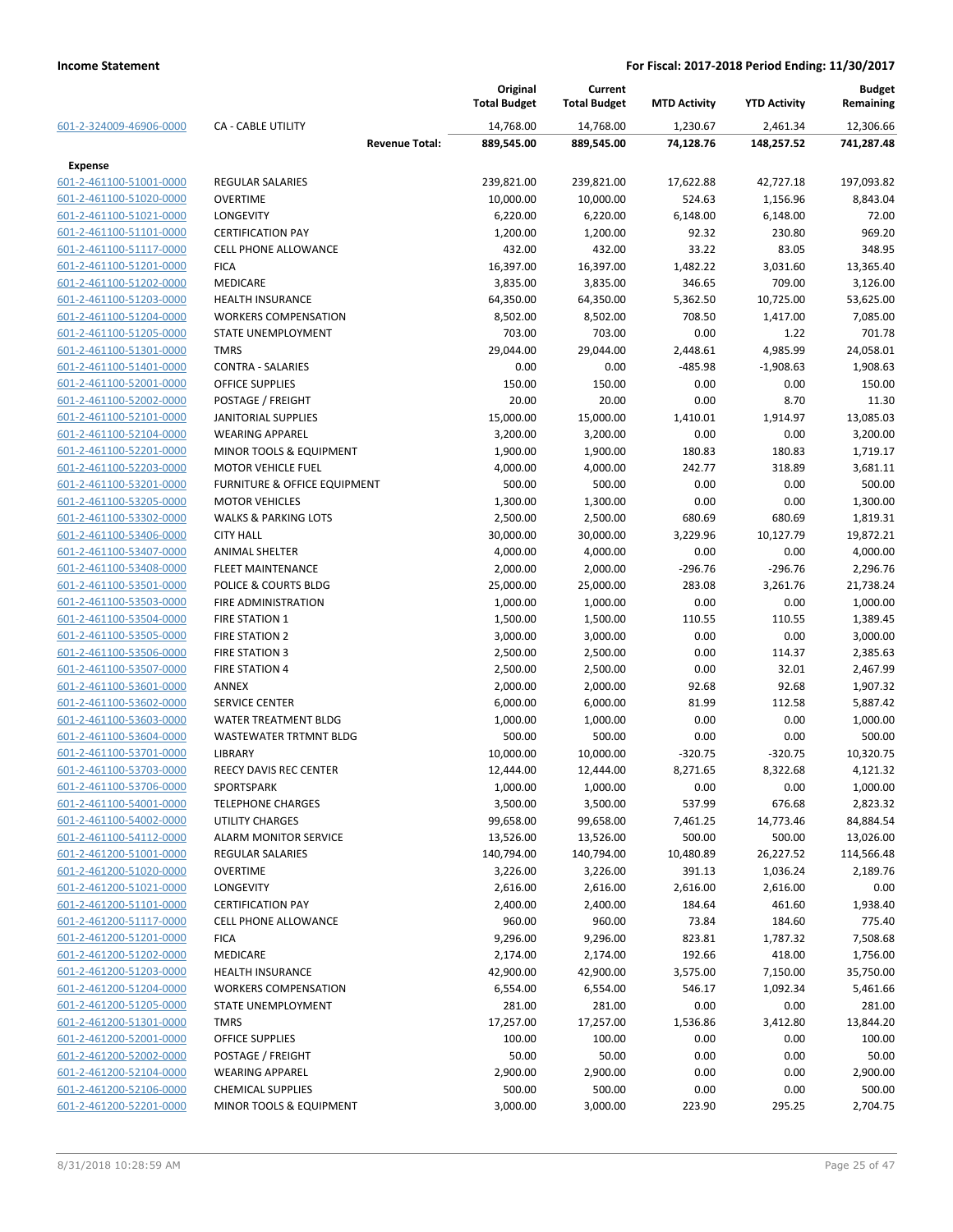|                                                    |                                   | Original<br><b>Total Budget</b> | Current<br><b>Total Budget</b> | <b>MTD Activity</b> | <b>YTD Activity</b> | <b>Budget</b><br>Remaining |
|----------------------------------------------------|-----------------------------------|---------------------------------|--------------------------------|---------------------|---------------------|----------------------------|
| 601-2-324009-46906-0000                            | <b>CA - CABLE UTILITY</b>         | 14,768.00                       | 14,768.00                      | 1,230.67            | 2,461.34            | 12,306.66                  |
|                                                    | <b>Revenue Total:</b>             | 889,545.00                      | 889,545.00                     | 74,128.76           | 148,257.52          | 741,287.48                 |
| Expense                                            |                                   |                                 |                                |                     |                     |                            |
| 601-2-461100-51001-0000                            | <b>REGULAR SALARIES</b>           | 239,821.00                      | 239,821.00                     | 17,622.88           | 42,727.18           | 197,093.82                 |
| 601-2-461100-51020-0000                            | <b>OVERTIME</b>                   | 10,000.00                       | 10,000.00                      | 524.63              | 1,156.96            | 8,843.04                   |
| 601-2-461100-51021-0000                            | LONGEVITY                         | 6,220.00                        | 6,220.00                       | 6,148.00            | 6,148.00            | 72.00                      |
| 601-2-461100-51101-0000                            | <b>CERTIFICATION PAY</b>          | 1,200.00                        | 1,200.00                       | 92.32               | 230.80              | 969.20                     |
| 601-2-461100-51117-0000                            | <b>CELL PHONE ALLOWANCE</b>       | 432.00                          | 432.00                         | 33.22               | 83.05               | 348.95                     |
| 601-2-461100-51201-0000                            | <b>FICA</b>                       | 16,397.00                       | 16,397.00                      | 1,482.22            | 3,031.60            | 13.365.40                  |
| 601-2-461100-51202-0000                            | <b>MEDICARE</b>                   | 3,835.00                        | 3,835.00                       | 346.65              | 709.00              | 3,126.00                   |
| 601-2-461100-51203-0000                            | <b>HEALTH INSURANCE</b>           | 64,350.00                       | 64,350.00                      | 5,362.50            | 10,725.00           | 53,625.00                  |
| 601-2-461100-51204-0000                            | <b>WORKERS COMPENSATION</b>       | 8,502.00                        | 8,502.00                       | 708.50              | 1,417.00            | 7,085.00                   |
| 601-2-461100-51205-0000                            | STATE UNEMPLOYMENT                | 703.00                          | 703.00                         | 0.00                | 1.22                | 701.78                     |
| 601-2-461100-51301-0000                            | <b>TMRS</b>                       | 29,044.00                       | 29,044.00                      | 2,448.61            | 4,985.99            | 24,058.01                  |
| 601-2-461100-51401-0000                            | <b>CONTRA - SALARIES</b>          | 0.00                            | 0.00                           | $-485.98$           | $-1,908.63$         | 1,908.63                   |
| 601-2-461100-52001-0000                            | <b>OFFICE SUPPLIES</b>            | 150.00                          | 150.00                         | 0.00                | 0.00                | 150.00                     |
| 601-2-461100-52002-0000                            | POSTAGE / FREIGHT                 | 20.00                           | 20.00                          | 0.00                | 8.70                | 11.30                      |
| 601-2-461100-52101-0000                            | <b>JANITORIAL SUPPLIES</b>        | 15,000.00                       | 15,000.00                      | 1,410.01            | 1,914.97            | 13,085.03                  |
| 601-2-461100-52104-0000                            | <b>WEARING APPAREL</b>            | 3,200.00                        | 3,200.00                       | 0.00                | 0.00                | 3,200.00                   |
| 601-2-461100-52201-0000                            | MINOR TOOLS & EQUIPMENT           | 1,900.00                        | 1,900.00                       | 180.83              | 180.83              | 1,719.17                   |
| 601-2-461100-52203-0000                            | <b>MOTOR VEHICLE FUEL</b>         | 4,000.00                        | 4,000.00                       | 242.77              | 318.89              | 3,681.11                   |
| 601-2-461100-53201-0000                            | FURNITURE & OFFICE EQUIPMENT      | 500.00                          | 500.00                         | 0.00                | 0.00                | 500.00                     |
| 601-2-461100-53205-0000                            | <b>MOTOR VEHICLES</b>             | 1,300.00                        | 1,300.00                       | 0.00                | 0.00                | 1,300.00                   |
| 601-2-461100-53302-0000                            | <b>WALKS &amp; PARKING LOTS</b>   | 2,500.00                        | 2,500.00                       | 680.69              | 680.69              | 1,819.31                   |
| 601-2-461100-53406-0000                            | <b>CITY HALL</b>                  | 30,000.00                       | 30,000.00                      | 3,229.96            | 10,127.79           | 19,872.21                  |
| 601-2-461100-53407-0000                            | <b>ANIMAL SHELTER</b>             | 4,000.00                        | 4,000.00                       | 0.00                | 0.00                | 4,000.00                   |
| 601-2-461100-53408-0000                            | <b>FLEET MAINTENANCE</b>          | 2,000.00                        | 2,000.00                       | $-296.76$           | $-296.76$           | 2,296.76                   |
| 601-2-461100-53501-0000                            | POLICE & COURTS BLDG              | 25,000.00                       | 25,000.00                      | 283.08              | 3,261.76            | 21,738.24                  |
| 601-2-461100-53503-0000                            | FIRE ADMINISTRATION               | 1,000.00                        | 1,000.00                       | 0.00                | 0.00                | 1,000.00                   |
| 601-2-461100-53504-0000                            | <b>FIRE STATION 1</b>             | 1,500.00                        | 1,500.00                       | 110.55              | 110.55              | 1,389.45                   |
| 601-2-461100-53505-0000                            | <b>FIRE STATION 2</b>             | 3,000.00                        | 3,000.00                       | 0.00                | 0.00                | 3,000.00                   |
| 601-2-461100-53506-0000                            | <b>FIRE STATION 3</b>             | 2,500.00                        | 2,500.00                       | 0.00                | 114.37              | 2,385.63                   |
| 601-2-461100-53507-0000                            | <b>FIRE STATION 4</b>             | 2,500.00                        | 2,500.00                       | 0.00                | 32.01               | 2,467.99                   |
| 601-2-461100-53601-0000                            | <b>ANNEX</b>                      | 2,000.00                        | 2,000.00                       | 92.68               | 92.68               | 1,907.32                   |
| 601-2-461100-53602-0000                            | <b>SERVICE CENTER</b>             | 6,000.00                        | 6,000.00                       | 81.99               | 112.58              | 5,887.42                   |
| 601-2-461100-53603-0000                            | <b>WATER TREATMENT BLDG</b>       | 1,000.00                        | 1,000.00                       | 0.00                | 0.00                | 1,000.00                   |
| 601-2-461100-53604-0000                            | WASTEWATER TRTMNT BLDG            | 500.00                          | 500.00                         | 0.00                | 0.00                | 500.00                     |
| 601-2-461100-53701-0000                            | LIBRARY<br>REECY DAVIS REC CENTER | 10,000.00                       | 10,000.00<br>12,444.00         | $-320.75$           | $-320.75$           | 10,320.75                  |
| 601-2-461100-53703-0000<br>601-2-461100-53706-0000 | SPORTSPARK                        | 12,444.00                       |                                | 8,271.65            | 8,322.68<br>0.00    | 4,121.32                   |
| 601-2-461100-54001-0000                            | <b>TELEPHONE CHARGES</b>          | 1,000.00<br>3,500.00            | 1,000.00<br>3,500.00           | 0.00<br>537.99      | 676.68              | 1,000.00<br>2,823.32       |
| 601-2-461100-54002-0000                            | <b>UTILITY CHARGES</b>            | 99,658.00                       | 99,658.00                      | 7,461.25            | 14,773.46           | 84,884.54                  |
| 601-2-461100-54112-0000                            | ALARM MONITOR SERVICE             | 13,526.00                       | 13,526.00                      | 500.00              | 500.00              | 13,026.00                  |
| 601-2-461200-51001-0000                            | REGULAR SALARIES                  | 140,794.00                      | 140,794.00                     | 10,480.89           | 26,227.52           | 114,566.48                 |
| 601-2-461200-51020-0000                            | <b>OVERTIME</b>                   | 3,226.00                        | 3,226.00                       | 391.13              | 1,036.24            | 2,189.76                   |
| 601-2-461200-51021-0000                            | <b>LONGEVITY</b>                  | 2,616.00                        | 2,616.00                       | 2,616.00            | 2,616.00            | 0.00                       |
| 601-2-461200-51101-0000                            | <b>CERTIFICATION PAY</b>          | 2,400.00                        | 2,400.00                       | 184.64              | 461.60              | 1,938.40                   |
| 601-2-461200-51117-0000                            | <b>CELL PHONE ALLOWANCE</b>       | 960.00                          | 960.00                         | 73.84               | 184.60              | 775.40                     |
| 601-2-461200-51201-0000                            | <b>FICA</b>                       | 9,296.00                        | 9,296.00                       | 823.81              | 1,787.32            | 7,508.68                   |
| 601-2-461200-51202-0000                            | MEDICARE                          | 2,174.00                        | 2,174.00                       | 192.66              | 418.00              | 1,756.00                   |
| 601-2-461200-51203-0000                            | <b>HEALTH INSURANCE</b>           | 42,900.00                       | 42,900.00                      | 3,575.00            | 7,150.00            | 35,750.00                  |
| 601-2-461200-51204-0000                            | <b>WORKERS COMPENSATION</b>       | 6,554.00                        | 6,554.00                       | 546.17              | 1,092.34            | 5,461.66                   |
| 601-2-461200-51205-0000                            | STATE UNEMPLOYMENT                | 281.00                          | 281.00                         | 0.00                | 0.00                | 281.00                     |
| 601-2-461200-51301-0000                            | <b>TMRS</b>                       | 17,257.00                       | 17,257.00                      | 1,536.86            | 3,412.80            | 13,844.20                  |
| 601-2-461200-52001-0000                            | <b>OFFICE SUPPLIES</b>            | 100.00                          | 100.00                         | 0.00                | 0.00                | 100.00                     |
| 601-2-461200-52002-0000                            | POSTAGE / FREIGHT                 | 50.00                           | 50.00                          | 0.00                | 0.00                | 50.00                      |
| 601-2-461200-52104-0000                            | <b>WEARING APPAREL</b>            | 2,900.00                        | 2,900.00                       | 0.00                | 0.00                | 2,900.00                   |
| 601-2-461200-52106-0000                            | <b>CHEMICAL SUPPLIES</b>          | 500.00                          | 500.00                         | 0.00                | 0.00                | 500.00                     |
| 601-2-461200-52201-0000                            | MINOR TOOLS & EQUIPMENT           | 3,000.00                        | 3,000.00                       | 223.90              | 295.25              | 2,704.75                   |
|                                                    |                                   |                                 |                                |                     |                     |                            |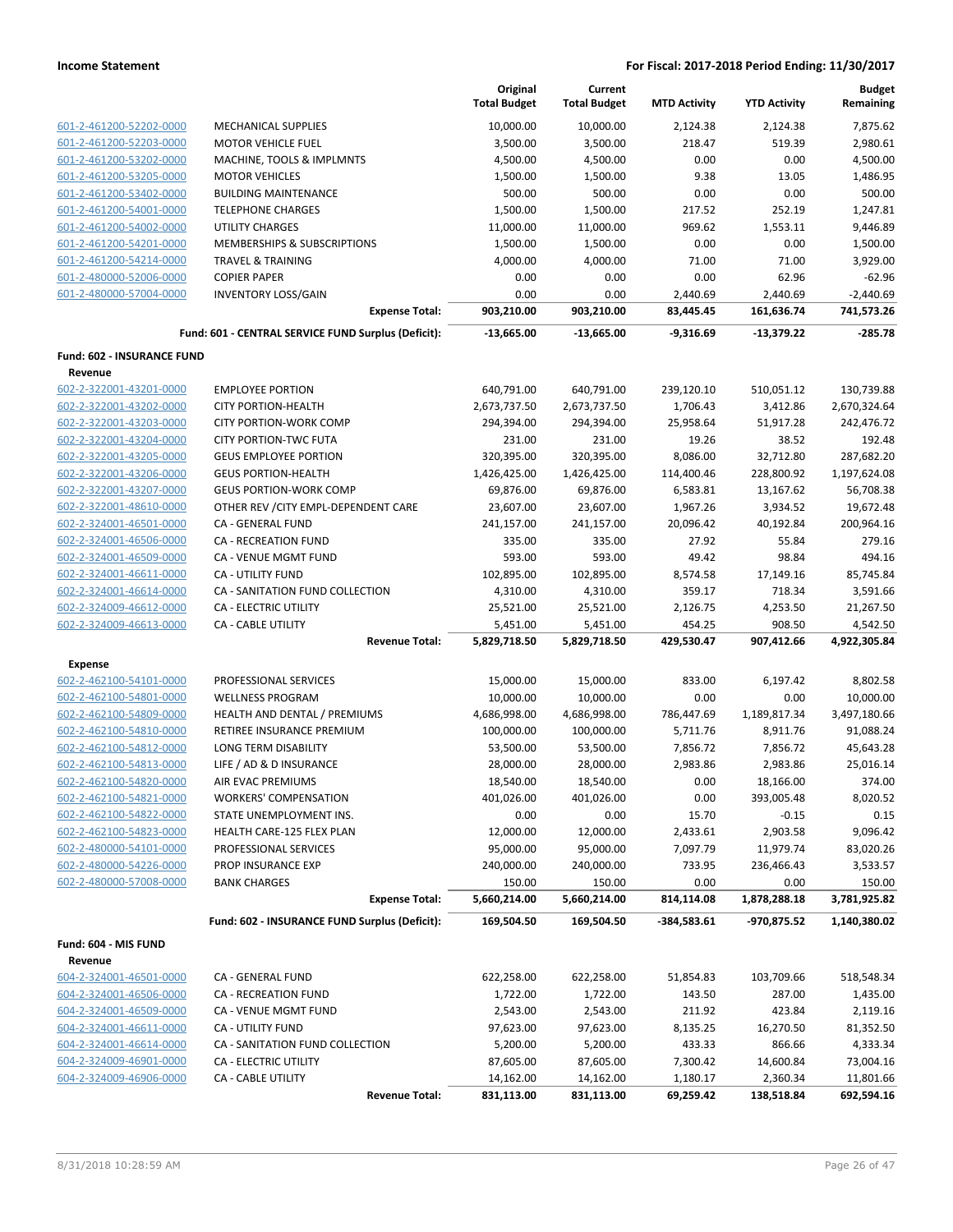|                                                    |                                                              | Original<br><b>Total Budget</b> | Current<br><b>Total Budget</b> | <b>MTD Activity</b>    | <b>YTD Activity</b>     | <b>Budget</b><br>Remaining |
|----------------------------------------------------|--------------------------------------------------------------|---------------------------------|--------------------------------|------------------------|-------------------------|----------------------------|
| 601-2-461200-52202-0000                            | MECHANICAL SUPPLIES                                          | 10,000.00                       | 10,000.00                      | 2,124.38               | 2,124.38                | 7,875.62                   |
| 601-2-461200-52203-0000                            | <b>MOTOR VEHICLE FUEL</b>                                    | 3,500.00                        | 3,500.00                       | 218.47                 | 519.39                  | 2,980.61                   |
| 601-2-461200-53202-0000                            | MACHINE, TOOLS & IMPLMNTS                                    | 4,500.00                        | 4,500.00                       | 0.00                   | 0.00                    | 4,500.00                   |
| 601-2-461200-53205-0000                            | <b>MOTOR VEHICLES</b>                                        | 1,500.00                        | 1,500.00                       | 9.38                   | 13.05                   | 1,486.95                   |
| 601-2-461200-53402-0000                            | <b>BUILDING MAINTENANCE</b>                                  | 500.00                          | 500.00                         | 0.00                   | 0.00                    | 500.00                     |
| 601-2-461200-54001-0000                            | <b>TELEPHONE CHARGES</b>                                     | 1,500.00                        | 1,500.00                       | 217.52                 | 252.19                  | 1,247.81                   |
| 601-2-461200-54002-0000                            | <b>UTILITY CHARGES</b>                                       | 11,000.00                       | 11,000.00                      | 969.62                 | 1,553.11                | 9,446.89                   |
| 601-2-461200-54201-0000                            | MEMBERSHIPS & SUBSCRIPTIONS                                  | 1,500.00                        | 1,500.00                       | 0.00                   | 0.00                    | 1,500.00                   |
| 601-2-461200-54214-0000                            | <b>TRAVEL &amp; TRAINING</b>                                 | 4,000.00                        | 4,000.00                       | 71.00                  | 71.00                   | 3,929.00                   |
| 601-2-480000-52006-0000                            | <b>COPIER PAPER</b>                                          | 0.00                            | 0.00                           | 0.00                   | 62.96                   | $-62.96$                   |
| 601-2-480000-57004-0000                            | <b>INVENTORY LOSS/GAIN</b>                                   | 0.00                            | 0.00                           | 2,440.69               | 2,440.69                | $-2,440.69$                |
|                                                    | <b>Expense Total:</b>                                        | 903,210.00                      | 903,210.00                     | 83,445.45              | 161,636.74              | 741,573.26                 |
|                                                    | Fund: 601 - CENTRAL SERVICE FUND Surplus (Deficit):          | $-13,665.00$                    | $-13,665.00$                   | $-9,316.69$            | $-13,379.22$            | $-285.78$                  |
| Fund: 602 - INSURANCE FUND                         |                                                              |                                 |                                |                        |                         |                            |
| Revenue                                            |                                                              |                                 |                                |                        |                         | 130,739.88                 |
| 602-2-322001-43201-0000<br>602-2-322001-43202-0000 | <b>EMPLOYEE PORTION</b><br><b>CITY PORTION-HEALTH</b>        | 640,791.00                      | 640,791.00                     | 239,120.10<br>1,706.43 | 510,051.12<br>3,412.86  |                            |
| 602-2-322001-43203-0000                            | <b>CITY PORTION-WORK COMP</b>                                | 2,673,737.50                    | 2,673,737.50                   |                        |                         | 2,670,324.64               |
| 602-2-322001-43204-0000                            |                                                              | 294,394.00                      | 294,394.00                     | 25,958.64              | 51,917.28               | 242,476.72                 |
| 602-2-322001-43205-0000                            | <b>CITY PORTION-TWC FUTA</b><br><b>GEUS EMPLOYEE PORTION</b> | 231.00<br>320,395.00            | 231.00                         | 19.26                  | 38.52                   | 192.48                     |
| 602-2-322001-43206-0000                            | <b>GEUS PORTION-HEALTH</b>                                   | 1,426,425.00                    | 320,395.00<br>1,426,425.00     | 8,086.00<br>114,400.46 | 32,712.80<br>228,800.92 | 287,682.20<br>1,197,624.08 |
| 602-2-322001-43207-0000                            | <b>GEUS PORTION-WORK COMP</b>                                | 69,876.00                       | 69,876.00                      | 6,583.81               | 13,167.62               | 56,708.38                  |
| 602-2-322001-48610-0000                            | OTHER REV / CITY EMPL-DEPENDENT CARE                         | 23,607.00                       | 23,607.00                      | 1,967.26               | 3,934.52                | 19,672.48                  |
| 602-2-324001-46501-0000                            | CA - GENERAL FUND                                            | 241,157.00                      | 241,157.00                     | 20,096.42              | 40,192.84               | 200,964.16                 |
| 602-2-324001-46506-0000                            | <b>CA - RECREATION FUND</b>                                  | 335.00                          | 335.00                         | 27.92                  | 55.84                   | 279.16                     |
| 602-2-324001-46509-0000                            | CA - VENUE MGMT FUND                                         | 593.00                          | 593.00                         | 49.42                  | 98.84                   | 494.16                     |
| 602-2-324001-46611-0000                            | CA - UTILITY FUND                                            | 102,895.00                      | 102,895.00                     | 8,574.58               | 17,149.16               | 85,745.84                  |
| 602-2-324001-46614-0000                            | CA - SANITATION FUND COLLECTION                              | 4,310.00                        | 4,310.00                       | 359.17                 | 718.34                  | 3,591.66                   |
| 602-2-324009-46612-0000                            | CA - ELECTRIC UTILITY                                        | 25,521.00                       | 25,521.00                      | 2,126.75               | 4,253.50                | 21,267.50                  |
| 602-2-324009-46613-0000                            | CA - CABLE UTILITY                                           | 5,451.00                        | 5,451.00                       | 454.25                 | 908.50                  | 4,542.50                   |
|                                                    | <b>Revenue Total:</b>                                        | 5,829,718.50                    | 5,829,718.50                   | 429,530.47             | 907,412.66              | 4,922,305.84               |
| <b>Expense</b>                                     |                                                              |                                 |                                |                        |                         |                            |
| 602-2-462100-54101-0000                            | PROFESSIONAL SERVICES                                        | 15,000.00                       | 15,000.00                      | 833.00                 | 6,197.42                | 8,802.58                   |
| 602-2-462100-54801-0000                            | <b>WELLNESS PROGRAM</b>                                      | 10,000.00                       | 10,000.00                      | 0.00                   | 0.00                    | 10,000.00                  |
| 602-2-462100-54809-0000                            | HEALTH AND DENTAL / PREMIUMS                                 | 4,686,998.00                    | 4,686,998.00                   | 786,447.69             | 1,189,817.34            | 3,497,180.66               |
| 602-2-462100-54810-0000                            | RETIREE INSURANCE PREMIUM                                    | 100,000.00                      | 100,000.00                     | 5,711.76               | 8,911.76                | 91,088.24                  |
| 602-2-462100-54812-0000                            | <b>LONG TERM DISABILITY</b>                                  | 53,500.00                       | 53,500.00                      | 7,856.72               | 7,856.72                | 45,643.28                  |
| 602-2-462100-54813-0000                            | LIFE / AD & D INSURANCE                                      | 28,000.00                       | 28,000.00                      | 2,983.86               | 2,983.86                | 25,016.14                  |
| 602-2-462100-54820-0000                            | AIR EVAC PREMIUMS                                            | 18,540.00                       | 18,540.00                      | 0.00                   | 18,166.00               | 374.00                     |
| 602-2-462100-54821-0000                            | <b>WORKERS' COMPENSATION</b>                                 | 401,026.00                      | 401,026.00                     | 0.00                   | 393,005.48              | 8,020.52                   |
| 602-2-462100-54822-0000                            | STATE UNEMPLOYMENT INS.                                      | 0.00                            | 0.00                           | 15.70                  | $-0.15$                 | 0.15                       |
| 602-2-462100-54823-0000                            | HEALTH CARE-125 FLEX PLAN                                    | 12,000.00                       | 12,000.00                      | 2,433.61               | 2,903.58                | 9,096.42                   |
| 602-2-480000-54101-0000                            | PROFESSIONAL SERVICES                                        | 95,000.00                       | 95,000.00                      | 7,097.79               | 11,979.74               | 83,020.26                  |
| 602-2-480000-54226-0000                            | PROP INSURANCE EXP                                           | 240,000.00                      | 240,000.00                     | 733.95                 | 236,466.43              | 3,533.57                   |
| 602-2-480000-57008-0000                            | <b>BANK CHARGES</b>                                          | 150.00                          | 150.00                         | 0.00                   | 0.00                    | 150.00                     |
|                                                    | <b>Expense Total:</b>                                        | 5,660,214.00                    | 5,660,214.00                   | 814,114.08             | 1,878,288.18            | 3,781,925.82               |
|                                                    | Fund: 602 - INSURANCE FUND Surplus (Deficit):                | 169,504.50                      | 169,504.50                     | $-384,583.61$          | -970,875.52             | 1,140,380.02               |
| Fund: 604 - MIS FUND                               |                                                              |                                 |                                |                        |                         |                            |
| Revenue                                            |                                                              |                                 |                                |                        |                         |                            |
| 604-2-324001-46501-0000                            | CA - GENERAL FUND                                            | 622,258.00                      | 622,258.00                     | 51,854.83              | 103,709.66              | 518,548.34                 |
| 604-2-324001-46506-0000                            | CA - RECREATION FUND                                         | 1,722.00                        | 1,722.00                       | 143.50                 | 287.00                  | 1,435.00                   |
| 604-2-324001-46509-0000                            | CA - VENUE MGMT FUND                                         | 2,543.00                        | 2,543.00                       | 211.92                 | 423.84                  | 2,119.16                   |
| 604-2-324001-46611-0000                            | CA - UTILITY FUND                                            | 97,623.00                       | 97,623.00                      | 8,135.25               | 16,270.50               | 81,352.50                  |
| 604-2-324001-46614-0000                            | CA - SANITATION FUND COLLECTION                              | 5,200.00                        | 5,200.00                       | 433.33                 | 866.66                  | 4,333.34                   |
| 604-2-324009-46901-0000                            | CA - ELECTRIC UTILITY                                        | 87,605.00                       | 87,605.00                      | 7,300.42               | 14,600.84               | 73,004.16                  |
| 604-2-324009-46906-0000                            | CA - CABLE UTILITY                                           | 14,162.00                       | 14,162.00                      | 1,180.17               | 2,360.34                | 11,801.66<br>692,594.16    |
|                                                    | <b>Revenue Total:</b>                                        | 831,113.00                      | 831,113.00                     | 69,259.42              | 138,518.84              |                            |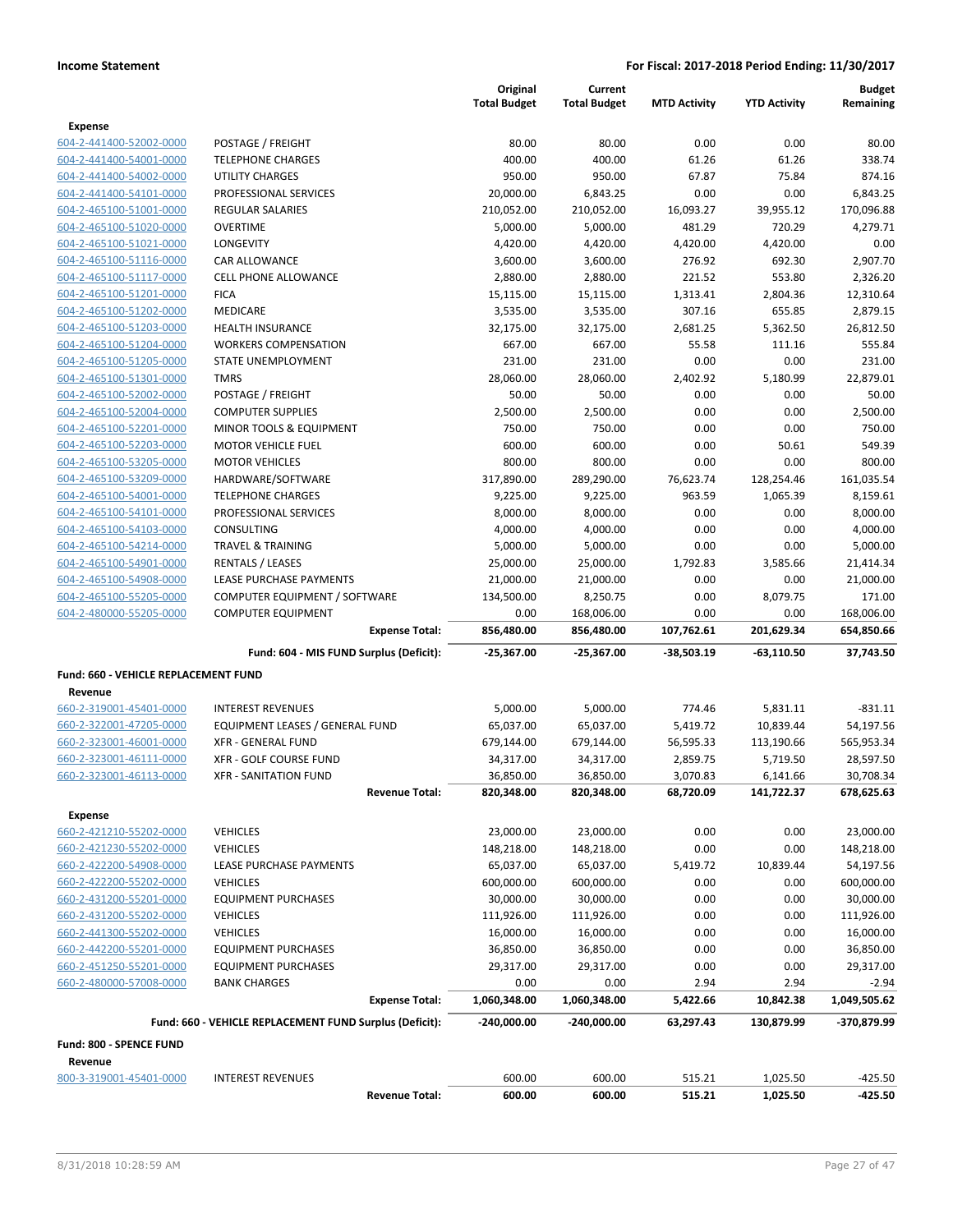|                                      |                                                         |                       | Original<br><b>Total Budget</b> | Current<br><b>Total Budget</b> | <b>MTD Activity</b> | <b>YTD Activity</b>    | <b>Budget</b><br>Remaining |
|--------------------------------------|---------------------------------------------------------|-----------------------|---------------------------------|--------------------------------|---------------------|------------------------|----------------------------|
| <b>Expense</b>                       |                                                         |                       |                                 |                                |                     |                        |                            |
| 604-2-441400-52002-0000              | POSTAGE / FREIGHT                                       |                       | 80.00                           | 80.00                          | 0.00                | 0.00                   | 80.00                      |
| 604-2-441400-54001-0000              | <b>TELEPHONE CHARGES</b>                                |                       | 400.00                          | 400.00                         | 61.26               | 61.26                  | 338.74                     |
| 604-2-441400-54002-0000              | <b>UTILITY CHARGES</b>                                  |                       | 950.00                          | 950.00                         | 67.87               | 75.84                  | 874.16                     |
| 604-2-441400-54101-0000              | PROFESSIONAL SERVICES                                   |                       | 20,000.00                       | 6,843.25                       | 0.00                | 0.00                   | 6,843.25                   |
| 604-2-465100-51001-0000              | REGULAR SALARIES                                        |                       | 210,052.00                      | 210,052.00                     | 16,093.27           | 39,955.12              | 170,096.88                 |
| 604-2-465100-51020-0000              | <b>OVERTIME</b>                                         |                       | 5,000.00                        | 5,000.00                       | 481.29              | 720.29                 | 4,279.71                   |
| 604-2-465100-51021-0000              | LONGEVITY                                               |                       | 4,420.00                        | 4,420.00                       | 4,420.00            | 4,420.00               | 0.00                       |
| 604-2-465100-51116-0000              | CAR ALLOWANCE                                           |                       | 3,600.00                        | 3,600.00                       | 276.92              | 692.30                 | 2,907.70                   |
| 604-2-465100-51117-0000              | <b>CELL PHONE ALLOWANCE</b>                             |                       | 2,880.00                        | 2,880.00                       | 221.52              | 553.80                 | 2,326.20                   |
| 604-2-465100-51201-0000              | <b>FICA</b>                                             |                       | 15,115.00                       | 15,115.00                      | 1,313.41            | 2,804.36               | 12,310.64                  |
| 604-2-465100-51202-0000              | <b>MEDICARE</b>                                         |                       | 3,535.00                        | 3,535.00                       | 307.16              | 655.85                 | 2,879.15                   |
| 604-2-465100-51203-0000              | <b>HEALTH INSURANCE</b>                                 |                       | 32,175.00                       | 32,175.00                      | 2,681.25            | 5,362.50               | 26,812.50                  |
| 604-2-465100-51204-0000              | <b>WORKERS COMPENSATION</b>                             |                       | 667.00                          | 667.00                         | 55.58               | 111.16                 | 555.84                     |
| 604-2-465100-51205-0000              | STATE UNEMPLOYMENT                                      |                       | 231.00                          | 231.00                         | 0.00                | 0.00                   | 231.00                     |
| 604-2-465100-51301-0000              | <b>TMRS</b>                                             |                       | 28,060.00                       | 28,060.00                      | 2,402.92            | 5,180.99               | 22,879.01                  |
| 604-2-465100-52002-0000              | POSTAGE / FREIGHT                                       |                       | 50.00                           | 50.00                          | 0.00                | 0.00                   | 50.00                      |
| 604-2-465100-52004-0000              | <b>COMPUTER SUPPLIES</b>                                |                       | 2,500.00                        | 2,500.00                       | 0.00                | 0.00                   | 2,500.00                   |
| 604-2-465100-52201-0000              | MINOR TOOLS & EQUIPMENT                                 |                       | 750.00                          | 750.00                         | 0.00                | 0.00                   | 750.00                     |
| 604-2-465100-52203-0000              | <b>MOTOR VEHICLE FUEL</b>                               |                       | 600.00                          | 600.00                         | 0.00                | 50.61                  | 549.39                     |
| 604-2-465100-53205-0000              | <b>MOTOR VEHICLES</b>                                   |                       | 800.00                          | 800.00                         | 0.00                | 0.00                   | 800.00                     |
| 604-2-465100-53209-0000              | HARDWARE/SOFTWARE                                       |                       | 317,890.00                      | 289,290.00                     | 76,623.74           | 128,254.46             | 161,035.54                 |
| 604-2-465100-54001-0000              | <b>TELEPHONE CHARGES</b>                                |                       | 9,225.00                        | 9,225.00                       | 963.59              | 1,065.39               | 8,159.61                   |
| 604-2-465100-54101-0000              | PROFESSIONAL SERVICES                                   |                       | 8,000.00                        | 8,000.00                       | 0.00                | 0.00                   | 8,000.00                   |
| 604-2-465100-54103-0000              | <b>CONSULTING</b>                                       |                       | 4,000.00                        | 4,000.00                       | 0.00                | 0.00                   | 4,000.00                   |
| 604-2-465100-54214-0000              | <b>TRAVEL &amp; TRAINING</b>                            |                       | 5,000.00                        | 5,000.00                       | 0.00                | 0.00                   | 5,000.00                   |
| 604-2-465100-54901-0000              | RENTALS / LEASES                                        |                       | 25,000.00                       | 25,000.00                      | 1,792.83            | 3,585.66               | 21,414.34                  |
| 604-2-465100-54908-0000              | LEASE PURCHASE PAYMENTS                                 |                       | 21,000.00                       | 21,000.00                      | 0.00                | 0.00                   | 21,000.00                  |
| 604-2-465100-55205-0000              | COMPUTER EQUIPMENT / SOFTWARE                           |                       | 134,500.00                      | 8,250.75                       | 0.00                | 8,079.75               | 171.00                     |
| 604-2-480000-55205-0000              | <b>COMPUTER EQUIPMENT</b>                               |                       | 0.00                            | 168,006.00                     | 0.00                | 0.00                   | 168,006.00                 |
|                                      |                                                         | <b>Expense Total:</b> | 856,480.00                      | 856,480.00                     | 107,762.61          | 201,629.34             | 654,850.66                 |
|                                      | Fund: 604 - MIS FUND Surplus (Deficit):                 |                       | -25,367.00                      | -25,367.00                     | -38,503.19          | -63,110.50             | 37,743.50                  |
| Fund: 660 - VEHICLE REPLACEMENT FUND |                                                         |                       |                                 |                                |                     |                        |                            |
| Revenue                              |                                                         |                       |                                 |                                |                     |                        |                            |
| 660-2-319001-45401-0000              | <b>INTEREST REVENUES</b>                                |                       | 5,000.00                        | 5,000.00                       | 774.46              | 5,831.11               | $-831.11$                  |
| 660-2-322001-47205-0000              | EQUIPMENT LEASES / GENERAL FUND                         |                       | 65,037.00                       | 65,037.00                      | 5,419.72            | 10,839.44              | 54,197.56                  |
| 660-2-323001-46001-0000              | <b>XFR - GENERAL FUND</b>                               |                       | 679,144.00                      | 679,144.00                     | 56,595.33           | 113,190.66             | 565,953.34                 |
| 660-2-323001-46111-0000              | <b>XFR - GOLF COURSE FUND</b>                           |                       | 34,317.00                       | 34,317.00                      | 2,859.75            | 5,719.50               | 28,597.50                  |
| 660-2-323001-46113-0000              | XFR - SANITATION FUND                                   | <b>Revenue Total:</b> | 36,850.00                       | 36,850.00<br>820,348.00        | 3,070.83            | 6,141.66<br>141,722.37 | 30,708.34<br>678,625.63    |
|                                      |                                                         |                       | 820,348.00                      |                                | 68,720.09           |                        |                            |
| <b>Expense</b>                       |                                                         |                       |                                 |                                |                     |                        |                            |
| 660-2-421210-55202-0000              | <b>VEHICLES</b>                                         |                       | 23,000.00                       | 23,000.00                      | 0.00                | 0.00                   | 23,000.00                  |
| 660-2-421230-55202-0000              | <b>VEHICLES</b>                                         |                       | 148,218.00                      | 148,218.00                     | 0.00                | 0.00                   | 148,218.00                 |
| 660-2-422200-54908-0000              | LEASE PURCHASE PAYMENTS                                 |                       | 65,037.00                       | 65,037.00                      | 5,419.72            | 10,839.44              | 54,197.56                  |
| 660-2-422200-55202-0000              | <b>VEHICLES</b>                                         |                       | 600,000.00                      | 600,000.00                     | 0.00                | 0.00                   | 600,000.00                 |
| 660-2-431200-55201-0000              | <b>EQUIPMENT PURCHASES</b>                              |                       | 30,000.00                       | 30,000.00                      | 0.00                | 0.00                   | 30,000.00                  |
| 660-2-431200-55202-0000              | <b>VEHICLES</b>                                         |                       | 111,926.00                      | 111,926.00                     | 0.00                | 0.00                   | 111,926.00                 |
| 660-2-441300-55202-0000              | <b>VEHICLES</b>                                         |                       | 16,000.00                       | 16,000.00                      | 0.00                | 0.00                   | 16,000.00                  |
| 660-2-442200-55201-0000              | <b>EQUIPMENT PURCHASES</b>                              |                       | 36,850.00                       | 36,850.00                      | 0.00                | 0.00                   | 36,850.00                  |
| 660-2-451250-55201-0000              | <b>EQUIPMENT PURCHASES</b>                              |                       | 29,317.00                       | 29,317.00                      | 0.00                | 0.00                   | 29,317.00                  |
| 660-2-480000-57008-0000              | <b>BANK CHARGES</b>                                     |                       | 0.00                            | 0.00                           | 2.94                | 2.94                   | $-2.94$                    |
|                                      |                                                         | <b>Expense Total:</b> | 1,060,348.00                    | 1,060,348.00                   | 5,422.66            | 10,842.38              | 1,049,505.62               |
|                                      | Fund: 660 - VEHICLE REPLACEMENT FUND Surplus (Deficit): |                       | $-240,000.00$                   | $-240,000.00$                  | 63,297.43           | 130,879.99             | -370,879.99                |
| Fund: 800 - SPENCE FUND<br>Revenue   |                                                         |                       |                                 |                                |                     |                        |                            |
| 800-3-319001-45401-0000              | <b>INTEREST REVENUES</b>                                |                       | 600.00                          | 600.00                         | 515.21              | 1,025.50               | $-425.50$                  |
|                                      |                                                         | <b>Revenue Total:</b> | 600.00                          | 600.00                         | 515.21              | 1,025.50               | $-425.50$                  |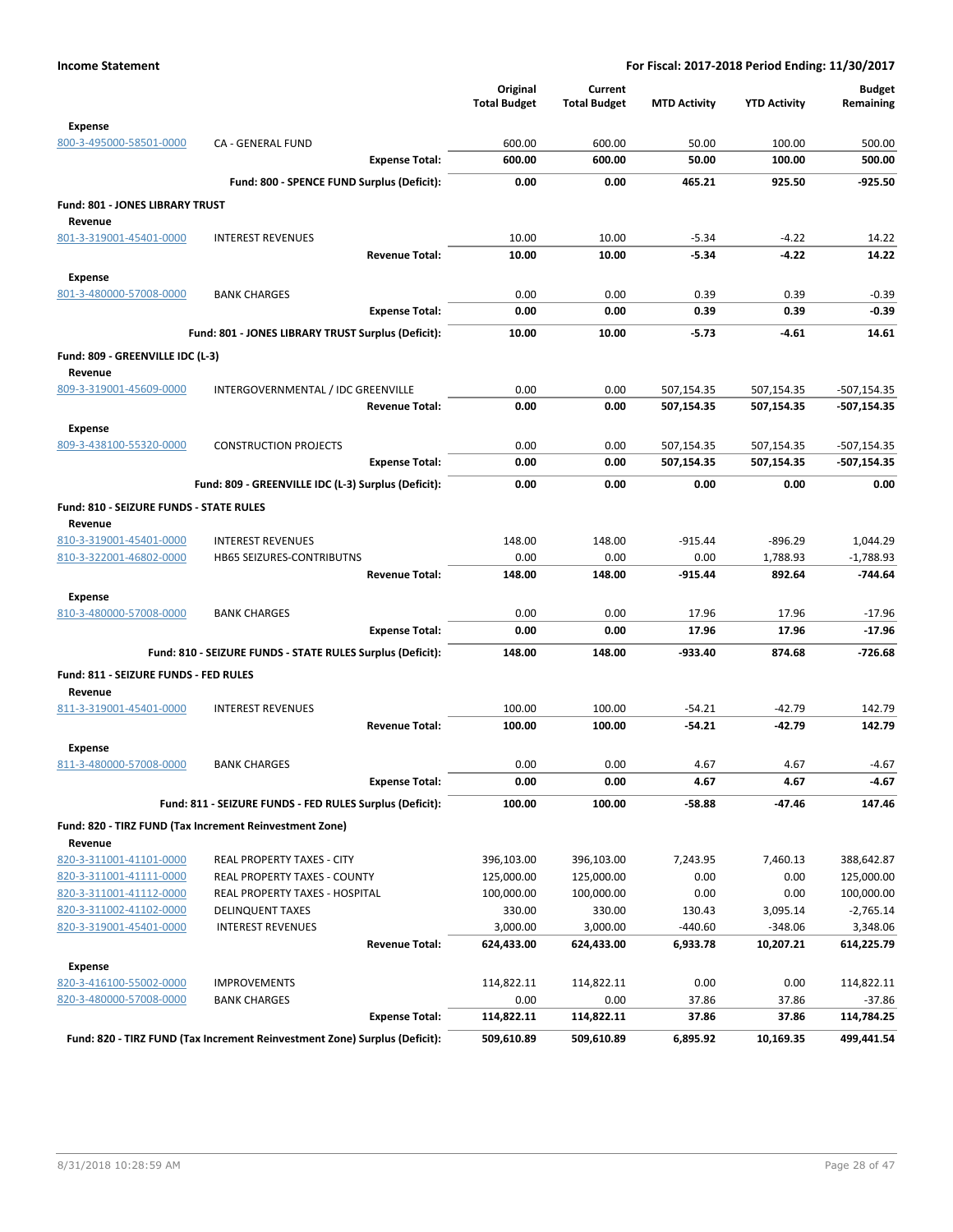|                                           |                                                                            | Original<br><b>Total Budget</b> | Current<br><b>Total Budget</b> | <b>MTD Activity</b> | <b>YTD Activity</b> | <b>Budget</b><br>Remaining |
|-------------------------------------------|----------------------------------------------------------------------------|---------------------------------|--------------------------------|---------------------|---------------------|----------------------------|
| <b>Expense</b><br>800-3-495000-58501-0000 | CA - GENERAL FUND                                                          | 600.00                          | 600.00                         | 50.00               | 100.00              | 500.00                     |
|                                           | <b>Expense Total:</b>                                                      | 600.00                          | 600.00                         | 50.00               | 100.00              | 500.00                     |
|                                           | Fund: 800 - SPENCE FUND Surplus (Deficit):                                 | 0.00                            | 0.00                           | 465.21              | 925.50              | $-925.50$                  |
| Fund: 801 - JONES LIBRARY TRUST           |                                                                            |                                 |                                |                     |                     |                            |
| Revenue                                   |                                                                            |                                 |                                |                     |                     |                            |
| 801-3-319001-45401-0000                   | <b>INTEREST REVENUES</b>                                                   | 10.00                           | 10.00                          | $-5.34$             | $-4.22$             | 14.22                      |
|                                           | <b>Revenue Total:</b>                                                      | 10.00                           | 10.00                          | $-5.34$             | $-4.22$             | 14.22                      |
| <b>Expense</b>                            |                                                                            |                                 |                                |                     |                     |                            |
| 801-3-480000-57008-0000                   | <b>BANK CHARGES</b>                                                        | 0.00                            | 0.00                           | 0.39                | 0.39                | $-0.39$                    |
|                                           | <b>Expense Total:</b>                                                      | 0.00                            | 0.00                           | 0.39                | 0.39                | $-0.39$                    |
|                                           | Fund: 801 - JONES LIBRARY TRUST Surplus (Deficit):                         | 10.00                           | 10.00                          | $-5.73$             | $-4.61$             | 14.61                      |
| Fund: 809 - GREENVILLE IDC (L-3)          |                                                                            |                                 |                                |                     |                     |                            |
| Revenue                                   |                                                                            |                                 |                                |                     |                     |                            |
| 809-3-319001-45609-0000                   | INTERGOVERNMENTAL / IDC GREENVILLE                                         | 0.00                            | 0.00                           | 507,154.35          | 507,154.35          | $-507,154.35$              |
|                                           | <b>Revenue Total:</b>                                                      | 0.00                            | 0.00                           | 507,154.35          | 507,154.35          | -507,154.35                |
| <b>Expense</b>                            |                                                                            |                                 |                                |                     |                     |                            |
| 809-3-438100-55320-0000                   | <b>CONSTRUCTION PROJECTS</b>                                               | 0.00                            | 0.00                           | 507,154.35          | 507,154.35          | $-507,154.35$              |
|                                           | <b>Expense Total:</b>                                                      | 0.00                            | 0.00                           | 507,154.35          | 507,154.35          | -507,154.35                |
|                                           | Fund: 809 - GREENVILLE IDC (L-3) Surplus (Deficit):                        | 0.00                            | 0.00                           | 0.00                | 0.00                | 0.00                       |
| Fund: 810 - SEIZURE FUNDS - STATE RULES   |                                                                            |                                 |                                |                     |                     |                            |
| Revenue                                   |                                                                            |                                 |                                |                     |                     |                            |
| 810-3-319001-45401-0000                   | <b>INTEREST REVENUES</b>                                                   | 148.00                          | 148.00                         | $-915.44$           | $-896.29$           | 1,044.29                   |
| 810-3-322001-46802-0000                   | HB65 SEIZURES-CONTRIBUTNS                                                  | 0.00                            | 0.00                           | 0.00                | 1,788.93            | $-1,788.93$                |
|                                           | <b>Revenue Total:</b>                                                      | 148.00                          | 148.00                         | $-915.44$           | 892.64              | $-744.64$                  |
| <b>Expense</b>                            |                                                                            |                                 |                                |                     |                     |                            |
| 810-3-480000-57008-0000                   | <b>BANK CHARGES</b>                                                        | 0.00                            | 0.00                           | 17.96               | 17.96               | $-17.96$                   |
|                                           | <b>Expense Total:</b>                                                      | 0.00                            | 0.00                           | 17.96               | 17.96               | $-17.96$                   |
|                                           | Fund: 810 - SEIZURE FUNDS - STATE RULES Surplus (Deficit):                 | 148.00                          | 148.00                         | $-933.40$           | 874.68              | $-726.68$                  |
| Fund: 811 - SEIZURE FUNDS - FED RULES     |                                                                            |                                 |                                |                     |                     |                            |
| Revenue                                   |                                                                            |                                 |                                |                     |                     |                            |
| 811-3-319001-45401-0000                   | <b>INTEREST REVENUES</b>                                                   | 100.00                          | 100.00                         | $-54.21$            | $-42.79$            | 142.79                     |
|                                           | <b>Revenue Total:</b>                                                      | 100.00                          | 100.00                         | $-54.21$            | $-42.79$            | 142.79                     |
| <b>Expense</b>                            |                                                                            |                                 |                                |                     |                     |                            |
| 811-3-480000-57008-0000                   | <b>BANK CHARGES</b>                                                        | 0.00                            | 0.00                           | 4.67                | 4.67                | $-4.67$                    |
|                                           | <b>Expense Total:</b>                                                      | 0.00                            | 0.00                           | 4.67                | 4.67                | $-4.67$                    |
|                                           | Fund: 811 - SEIZURE FUNDS - FED RULES Surplus (Deficit):                   | 100.00                          | 100.00                         | $-58.88$            | $-47.46$            | 147.46                     |
|                                           | Fund: 820 - TIRZ FUND (Tax Increment Reinvestment Zone)                    |                                 |                                |                     |                     |                            |
| Revenue                                   |                                                                            |                                 |                                |                     |                     |                            |
| 820-3-311001-41101-0000                   | REAL PROPERTY TAXES - CITY                                                 | 396,103.00                      | 396,103.00                     | 7,243.95            | 7,460.13            | 388,642.87                 |
| 820-3-311001-41111-0000                   | REAL PROPERTY TAXES - COUNTY                                               | 125,000.00                      | 125,000.00                     | 0.00                | 0.00                | 125,000.00                 |
| 820-3-311001-41112-0000                   | REAL PROPERTY TAXES - HOSPITAL                                             | 100,000.00                      | 100,000.00                     | 0.00                | 0.00                | 100,000.00                 |
| 820-3-311002-41102-0000                   | <b>DELINQUENT TAXES</b>                                                    | 330.00                          | 330.00                         | 130.43              | 3,095.14            | $-2,765.14$                |
| 820-3-319001-45401-0000                   | <b>INTEREST REVENUES</b>                                                   | 3,000.00                        | 3,000.00                       | $-440.60$           | $-348.06$           | 3,348.06                   |
|                                           | <b>Revenue Total:</b>                                                      | 624,433.00                      | 624,433.00                     | 6,933.78            | 10,207.21           | 614,225.79                 |
| <b>Expense</b>                            |                                                                            |                                 |                                |                     |                     |                            |
| 820-3-416100-55002-0000                   | <b>IMPROVEMENTS</b>                                                        | 114,822.11                      | 114,822.11                     | 0.00                | 0.00                | 114,822.11                 |
| 820-3-480000-57008-0000                   | <b>BANK CHARGES</b>                                                        | 0.00                            | 0.00                           | 37.86               | 37.86               | $-37.86$                   |
|                                           | <b>Expense Total:</b>                                                      | 114,822.11                      | 114,822.11                     | 37.86               | 37.86               | 114,784.25                 |
|                                           | Fund: 820 - TIRZ FUND (Tax Increment Reinvestment Zone) Surplus (Deficit): | 509,610.89                      | 509,610.89                     | 6,895.92            | 10,169.35           | 499,441.54                 |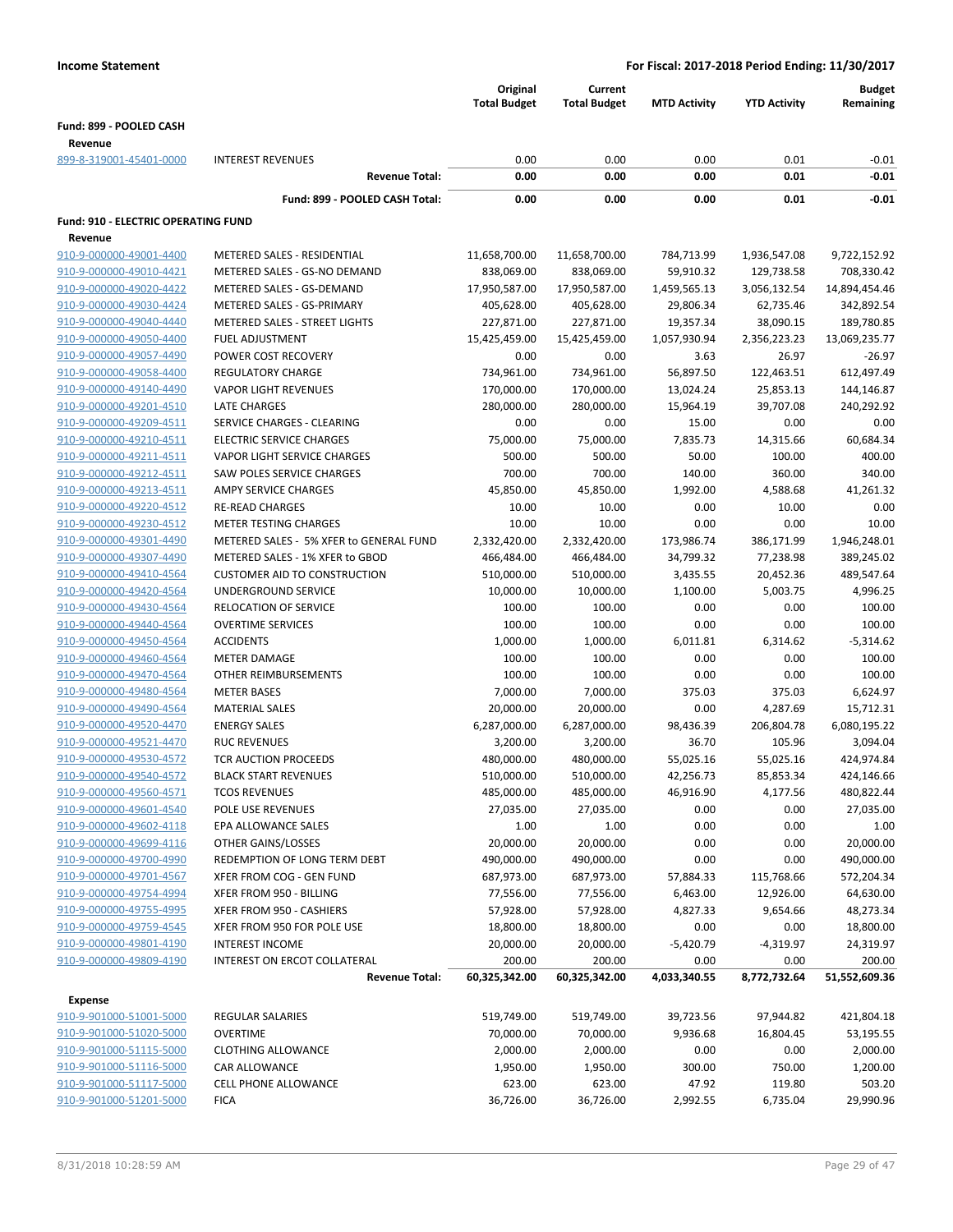|                                     |                                         | Original<br><b>Total Budget</b> | Current<br><b>Total Budget</b> | <b>MTD Activity</b> | <b>YTD Activity</b> | <b>Budget</b><br>Remaining |
|-------------------------------------|-----------------------------------------|---------------------------------|--------------------------------|---------------------|---------------------|----------------------------|
| Fund: 899 - POOLED CASH             |                                         |                                 |                                |                     |                     |                            |
| Revenue                             |                                         |                                 |                                |                     |                     |                            |
| 899-8-319001-45401-0000             | <b>INTEREST REVENUES</b>                | 0.00                            | 0.00                           | 0.00                | 0.01                | $-0.01$                    |
|                                     | <b>Revenue Total:</b>                   | 0.00                            | 0.00                           | 0.00                | 0.01                | $-0.01$                    |
|                                     | Fund: 899 - POOLED CASH Total:          | 0.00                            | 0.00                           | 0.00                | 0.01                | $-0.01$                    |
| Fund: 910 - ELECTRIC OPERATING FUND |                                         |                                 |                                |                     |                     |                            |
| Revenue                             |                                         |                                 |                                |                     |                     |                            |
| 910-9-000000-49001-4400             | METERED SALES - RESIDENTIAL             | 11,658,700.00                   | 11,658,700.00                  | 784,713.99          | 1,936,547.08        | 9,722,152.92               |
| 910-9-000000-49010-4421             | METERED SALES - GS-NO DEMAND            | 838,069.00                      | 838,069.00                     | 59,910.32           | 129,738.58          | 708,330.42                 |
| 910-9-000000-49020-4422             | METERED SALES - GS-DEMAND               | 17,950,587.00                   | 17,950,587.00                  | 1,459,565.13        | 3,056,132.54        | 14,894,454.46              |
| 910-9-000000-49030-4424             | METERED SALES - GS-PRIMARY              | 405,628.00                      | 405,628.00                     | 29,806.34           | 62,735.46           | 342,892.54                 |
| 910-9-000000-49040-4440             | <b>METERED SALES - STREET LIGHTS</b>    | 227,871.00                      | 227,871.00                     | 19,357.34           | 38,090.15           | 189,780.85                 |
| 910-9-000000-49050-4400             | <b>FUEL ADJUSTMENT</b>                  | 15,425,459.00                   | 15,425,459.00                  | 1,057,930.94        | 2,356,223.23        | 13,069,235.77              |
| 910-9-000000-49057-4490             | POWER COST RECOVERY                     | 0.00                            | 0.00                           | 3.63                | 26.97               | $-26.97$                   |
| 910-9-000000-49058-4400             | <b>REGULATORY CHARGE</b>                | 734,961.00                      | 734,961.00                     | 56,897.50           | 122,463.51          | 612,497.49                 |
| 910-9-000000-49140-4490             | <b>VAPOR LIGHT REVENUES</b>             | 170,000.00                      | 170,000.00                     | 13,024.24           | 25,853.13           | 144,146.87                 |
| 910-9-000000-49201-4510             | LATE CHARGES                            | 280,000.00                      | 280,000.00                     | 15,964.19           | 39,707.08           | 240,292.92                 |
| 910-9-000000-49209-4511             | SERVICE CHARGES - CLEARING              | 0.00                            | 0.00                           | 15.00               | 0.00                | 0.00                       |
| 910-9-000000-49210-4511             | <b>ELECTRIC SERVICE CHARGES</b>         | 75,000.00                       | 75,000.00                      | 7,835.73            | 14,315.66           | 60,684.34                  |
| 910-9-000000-49211-4511             | <b>VAPOR LIGHT SERVICE CHARGES</b>      | 500.00                          | 500.00                         | 50.00               | 100.00              | 400.00                     |
| 910-9-000000-49212-4511             | <b>SAW POLES SERVICE CHARGES</b>        | 700.00                          | 700.00                         | 140.00              | 360.00              | 340.00                     |
| 910-9-000000-49213-4511             | AMPY SERVICE CHARGES                    | 45,850.00                       | 45,850.00                      | 1,992.00            | 4,588.68            | 41,261.32                  |
| 910-9-000000-49220-4512             | <b>RE-READ CHARGES</b>                  | 10.00                           | 10.00                          | 0.00                | 10.00               | 0.00                       |
| 910-9-000000-49230-4512             | <b>METER TESTING CHARGES</b>            | 10.00                           | 10.00                          | 0.00                | 0.00                | 10.00                      |
| 910-9-000000-49301-4490             | METERED SALES - 5% XFER to GENERAL FUND | 2,332,420.00                    | 2,332,420.00                   | 173,986.74          | 386,171.99          | 1,946,248.01               |
| 910-9-000000-49307-4490             | METERED SALES - 1% XFER to GBOD         | 466,484.00                      | 466,484.00                     | 34,799.32           | 77,238.98           | 389,245.02                 |
| 910-9-000000-49410-4564             | <b>CUSTOMER AID TO CONSTRUCTION</b>     | 510,000.00                      | 510,000.00                     | 3,435.55            | 20,452.36           | 489,547.64                 |
| 910-9-000000-49420-4564             | UNDERGROUND SERVICE                     | 10,000.00                       | 10,000.00                      | 1,100.00            | 5,003.75            | 4,996.25                   |
| 910-9-000000-49430-4564             | <b>RELOCATION OF SERVICE</b>            | 100.00                          | 100.00                         | 0.00                | 0.00                | 100.00                     |
| 910-9-000000-49440-4564             | <b>OVERTIME SERVICES</b>                | 100.00                          | 100.00                         | 0.00                | 0.00                | 100.00                     |
| 910-9-000000-49450-4564             | <b>ACCIDENTS</b>                        | 1,000.00                        | 1,000.00                       | 6,011.81            | 6,314.62            | $-5,314.62$                |
| 910-9-000000-49460-4564             | <b>METER DAMAGE</b>                     | 100.00                          | 100.00                         | 0.00                | 0.00                | 100.00                     |
| 910-9-000000-49470-4564             | OTHER REIMBURSEMENTS                    | 100.00                          | 100.00                         | 0.00                | 0.00                | 100.00                     |
| 910-9-000000-49480-4564             | <b>METER BASES</b>                      | 7,000.00                        | 7,000.00                       | 375.03              | 375.03              | 6,624.97                   |
| 910-9-000000-49490-4564             | <b>MATERIAL SALES</b>                   | 20,000.00                       | 20,000.00                      | 0.00                | 4,287.69            | 15,712.31                  |
| 910-9-000000-49520-4470             | <b>ENERGY SALES</b>                     | 6,287,000.00                    | 6,287,000.00                   | 98,436.39           | 206,804.78          | 6,080,195.22               |
| 910-9-000000-49521-4470             | <b>RUC REVENUES</b>                     | 3,200.00                        | 3,200.00                       | 36.70               | 105.96              | 3,094.04                   |
| 910-9-000000-49530-4572             | <b>TCR AUCTION PROCEEDS</b>             | 480,000.00                      | 480,000.00                     | 55,025.16           | 55,025.16           | 424,974.84                 |
| 910-9-000000-49540-4572             | <b>BLACK START REVENUES</b>             | 510,000.00                      | 510,000.00                     | 42,256.73           | 85,853.34           | 424,146.66                 |
| 910-9-000000-49560-4571             | <b>TCOS REVENUES</b>                    | 485,000.00                      | 485,000.00                     | 46,916.90           | 4,177.56            | 480,822.44                 |
| 910-9-000000-49601-4540             | POLE USE REVENUES                       | 27,035.00                       | 27,035.00                      | 0.00                | 0.00                | 27,035.00                  |
| 910-9-000000-49602-4118             | EPA ALLOWANCE SALES                     | 1.00                            | 1.00                           | 0.00                | 0.00                | 1.00                       |
| 910-9-000000-49699-4116             | OTHER GAINS/LOSSES                      | 20,000.00                       | 20,000.00                      | 0.00                | 0.00                | 20,000.00                  |
| 910-9-000000-49700-4990             | REDEMPTION OF LONG TERM DEBT            | 490,000.00                      | 490,000.00                     | 0.00                | 0.00                | 490,000.00                 |
| 910-9-000000-49701-4567             | XFER FROM COG - GEN FUND                | 687,973.00                      | 687,973.00                     | 57,884.33           | 115,768.66          | 572,204.34                 |
| 910-9-000000-49754-4994             | XFER FROM 950 - BILLING                 | 77,556.00                       | 77,556.00                      | 6,463.00            | 12,926.00           | 64,630.00                  |
| 910-9-000000-49755-4995             | XFER FROM 950 - CASHIERS                | 57,928.00                       | 57,928.00                      | 4,827.33            | 9,654.66            | 48,273.34                  |
| 910-9-000000-49759-4545             | XFER FROM 950 FOR POLE USE              | 18,800.00                       | 18,800.00                      | 0.00                | 0.00                | 18,800.00                  |
| 910-9-000000-49801-4190             | <b>INTEREST INCOME</b>                  | 20,000.00                       | 20,000.00                      | $-5,420.79$         | $-4,319.97$         | 24,319.97                  |
| 910-9-000000-49809-4190             | INTEREST ON ERCOT COLLATERAL            | 200.00                          | 200.00                         | 0.00                | 0.00                | 200.00                     |
|                                     | <b>Revenue Total:</b>                   | 60,325,342.00                   | 60,325,342.00                  | 4,033,340.55        | 8,772,732.64        | 51,552,609.36              |
| <b>Expense</b>                      |                                         |                                 |                                |                     |                     |                            |
| 910-9-901000-51001-5000             | REGULAR SALARIES                        | 519,749.00                      | 519,749.00                     | 39,723.56           | 97,944.82           | 421,804.18                 |
| 910-9-901000-51020-5000             | <b>OVERTIME</b>                         | 70,000.00                       | 70,000.00                      | 9,936.68            | 16,804.45           | 53,195.55                  |
| 910-9-901000-51115-5000             | <b>CLOTHING ALLOWANCE</b>               | 2,000.00                        | 2,000.00                       | 0.00                | 0.00                | 2,000.00                   |
| 910-9-901000-51116-5000             | CAR ALLOWANCE                           | 1,950.00                        | 1,950.00                       | 300.00              | 750.00              | 1,200.00                   |
| 910-9-901000-51117-5000             | CELL PHONE ALLOWANCE                    | 623.00                          | 623.00                         | 47.92               | 119.80              | 503.20                     |
| 910-9-901000-51201-5000             | <b>FICA</b>                             | 36,726.00                       | 36,726.00                      | 2,992.55            | 6,735.04            | 29,990.96                  |
|                                     |                                         |                                 |                                |                     |                     |                            |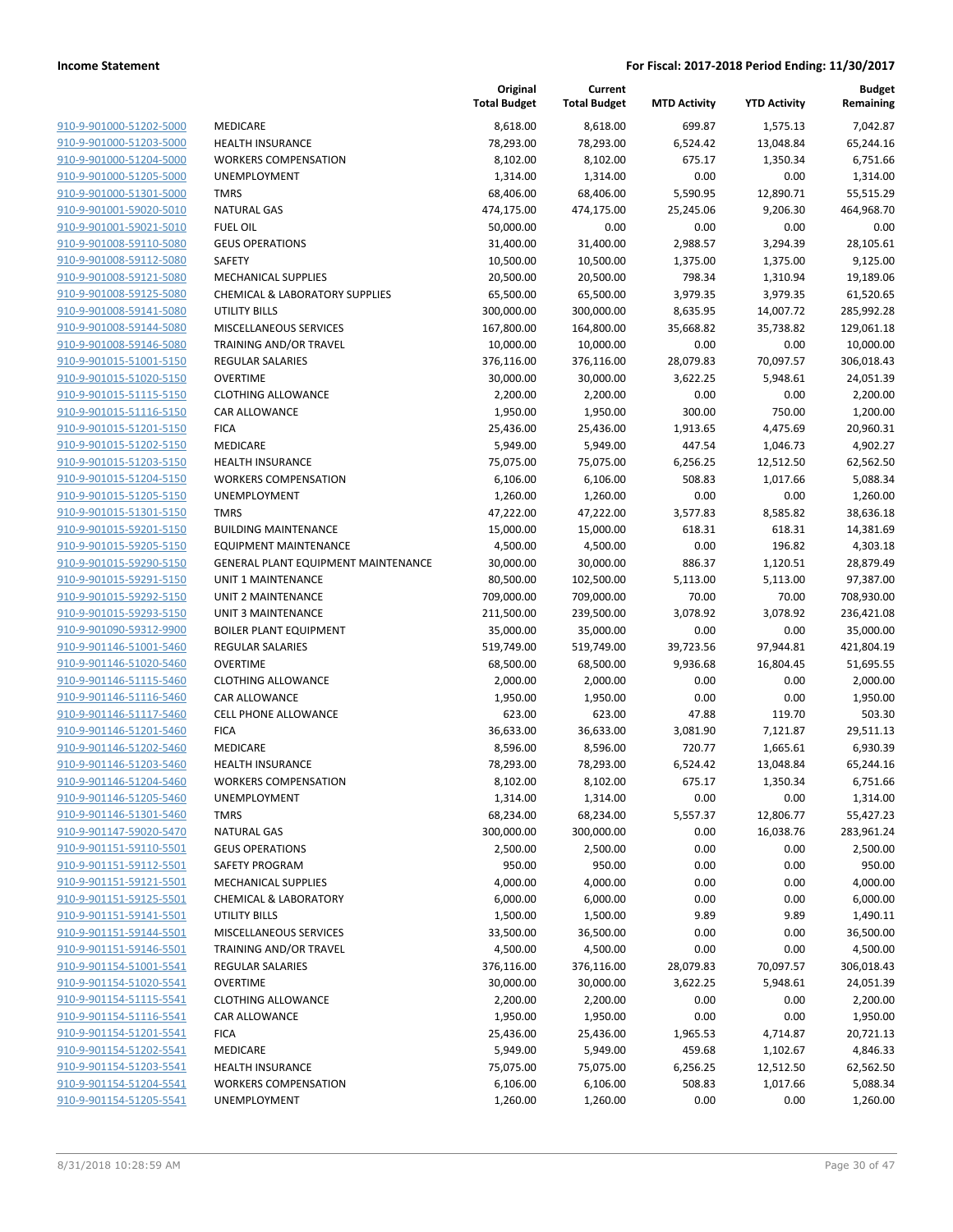|                         |                                     | Original<br><b>Total Budget</b> | Current<br><b>Total Budget</b> | <b>MTD Activity</b> | <b>YTD Activity</b> | <b>Budget</b><br>Remaining |
|-------------------------|-------------------------------------|---------------------------------|--------------------------------|---------------------|---------------------|----------------------------|
| 910-9-901000-51202-5000 | MEDICARE                            | 8,618.00                        | 8,618.00                       | 699.87              | 1,575.13            | 7,042.87                   |
| 910-9-901000-51203-5000 | <b>HEALTH INSURANCE</b>             | 78,293.00                       | 78,293.00                      | 6,524.42            | 13,048.84           | 65,244.16                  |
| 910-9-901000-51204-5000 | <b>WORKERS COMPENSATION</b>         | 8,102.00                        | 8,102.00                       | 675.17              | 1,350.34            | 6,751.66                   |
| 910-9-901000-51205-5000 | <b>UNEMPLOYMENT</b>                 | 1,314.00                        | 1,314.00                       | 0.00                | 0.00                | 1,314.00                   |
| 910-9-901000-51301-5000 | <b>TMRS</b>                         | 68,406.00                       | 68,406.00                      | 5,590.95            | 12,890.71           | 55,515.29                  |
| 910-9-901001-59020-5010 | <b>NATURAL GAS</b>                  | 474,175.00                      | 474,175.00                     | 25,245.06           | 9,206.30            | 464,968.70                 |
| 910-9-901001-59021-5010 | <b>FUEL OIL</b>                     | 50,000.00                       | 0.00                           | 0.00                | 0.00                | 0.00                       |
| 910-9-901008-59110-5080 | <b>GEUS OPERATIONS</b>              | 31,400.00                       | 31,400.00                      | 2,988.57            | 3,294.39            | 28,105.61                  |
| 910-9-901008-59112-5080 | SAFETY                              | 10,500.00                       | 10,500.00                      | 1,375.00            | 1,375.00            | 9,125.00                   |
| 910-9-901008-59121-5080 | <b>MECHANICAL SUPPLIES</b>          | 20,500.00                       | 20,500.00                      | 798.34              | 1,310.94            | 19,189.06                  |
| 910-9-901008-59125-5080 | CHEMICAL & LABORATORY SUPPLIES      | 65,500.00                       | 65,500.00                      | 3,979.35            | 3,979.35            | 61,520.65                  |
| 910-9-901008-59141-5080 | <b>UTILITY BILLS</b>                | 300,000.00                      | 300,000.00                     | 8,635.95            | 14,007.72           | 285,992.28                 |
| 910-9-901008-59144-5080 | MISCELLANEOUS SERVICES              | 167,800.00                      | 164,800.00                     | 35,668.82           | 35,738.82           | 129,061.18                 |
| 910-9-901008-59146-5080 | TRAINING AND/OR TRAVEL              | 10,000.00                       | 10,000.00                      | 0.00                | 0.00                | 10,000.00                  |
| 910-9-901015-51001-5150 | REGULAR SALARIES                    | 376,116.00                      | 376,116.00                     | 28,079.83           | 70,097.57           | 306,018.43                 |
| 910-9-901015-51020-5150 | <b>OVERTIME</b>                     | 30,000.00                       | 30,000.00                      | 3,622.25            | 5,948.61            | 24,051.39                  |
| 910-9-901015-51115-5150 | <b>CLOTHING ALLOWANCE</b>           | 2,200.00                        | 2,200.00                       | 0.00                | 0.00                | 2,200.00                   |
| 910-9-901015-51116-5150 | <b>CAR ALLOWANCE</b>                | 1,950.00                        | 1,950.00                       | 300.00              | 750.00              | 1,200.00                   |
| 910-9-901015-51201-5150 | <b>FICA</b>                         | 25,436.00                       | 25,436.00                      | 1,913.65            | 4,475.69            | 20,960.31                  |
| 910-9-901015-51202-5150 | MEDICARE                            | 5,949.00                        | 5,949.00                       | 447.54              | 1,046.73            | 4,902.27                   |
| 910-9-901015-51203-5150 | HEALTH INSURANCE                    | 75,075.00                       | 75,075.00                      | 6,256.25            | 12,512.50           | 62,562.50                  |
| 910-9-901015-51204-5150 | <b>WORKERS COMPENSATION</b>         | 6,106.00                        | 6,106.00                       | 508.83              | 1,017.66            | 5,088.34                   |
| 910-9-901015-51205-5150 | UNEMPLOYMENT                        | 1,260.00                        | 1,260.00                       | 0.00                | 0.00                | 1,260.00                   |
| 910-9-901015-51301-5150 | <b>TMRS</b>                         | 47,222.00                       | 47,222.00                      | 3,577.83            | 8,585.82            | 38,636.18                  |
| 910-9-901015-59201-5150 | <b>BUILDING MAINTENANCE</b>         | 15,000.00                       | 15,000.00                      | 618.31              | 618.31              | 14,381.69                  |
| 910-9-901015-59205-5150 | <b>EQUIPMENT MAINTENANCE</b>        | 4,500.00                        | 4,500.00                       | 0.00                | 196.82              | 4,303.18                   |
| 910-9-901015-59290-5150 | GENERAL PLANT EQUIPMENT MAINTENANCE | 30,000.00                       | 30,000.00                      | 886.37              | 1,120.51            | 28,879.49                  |
| 910-9-901015-59291-5150 | UNIT 1 MAINTENANCE                  | 80,500.00                       | 102,500.00                     | 5,113.00            | 5,113.00            | 97,387.00                  |
| 910-9-901015-59292-5150 | UNIT 2 MAINTENANCE                  | 709,000.00                      | 709,000.00                     | 70.00               | 70.00               | 708,930.00                 |
| 910-9-901015-59293-5150 | <b>UNIT 3 MAINTENANCE</b>           | 211,500.00                      | 239,500.00                     | 3,078.92            | 3,078.92            | 236,421.08                 |
| 910-9-901090-59312-9900 | <b>BOILER PLANT EQUIPMENT</b>       | 35,000.00                       | 35,000.00                      | 0.00                | 0.00                | 35,000.00                  |
| 910-9-901146-51001-5460 | REGULAR SALARIES                    | 519,749.00                      | 519,749.00                     | 39,723.56           | 97,944.81           | 421,804.19                 |
| 910-9-901146-51020-5460 | <b>OVERTIME</b>                     | 68,500.00                       | 68,500.00                      | 9,936.68            | 16,804.45           | 51,695.55                  |
| 910-9-901146-51115-5460 | <b>CLOTHING ALLOWANCE</b>           | 2,000.00                        | 2,000.00                       | 0.00                | 0.00                | 2,000.00                   |
| 910-9-901146-51116-5460 | CAR ALLOWANCE                       | 1,950.00                        | 1,950.00                       | 0.00                | 0.00                | 1,950.00                   |
| 910-9-901146-51117-5460 | <b>CELL PHONE ALLOWANCE</b>         | 623.00                          | 623.00                         | 47.88               | 119.70              | 503.30                     |
| 910-9-901146-51201-5460 | <b>FICA</b>                         | 36,633.00                       | 36,633.00                      | 3,081.90            | 7,121.87            | 29,511.13                  |
| 910-9-901146-51202-5460 | MEDICARE                            | 8,596.00                        | 8,596.00                       | 720.77              | 1,665.61            | 6,930.39                   |
| 910-9-901146-51203-5460 | <b>HEALTH INSURANCE</b>             | 78,293.00                       | 78,293.00                      | 6,524.42            | 13,048.84           | 65,244.16                  |
| 910-9-901146-51204-5460 | <b>WORKERS COMPENSATION</b>         | 8,102.00                        | 8,102.00                       | 675.17              | 1,350.34            | 6,751.66                   |
| 910-9-901146-51205-5460 | <b>UNEMPLOYMENT</b>                 | 1,314.00                        | 1,314.00                       | 0.00                | 0.00                | 1,314.00                   |
| 910-9-901146-51301-5460 | <b>TMRS</b>                         | 68,234.00                       | 68,234.00                      | 5,557.37            | 12,806.77           | 55,427.23                  |
| 910-9-901147-59020-5470 | <b>NATURAL GAS</b>                  | 300,000.00                      | 300,000.00                     | 0.00                | 16,038.76           | 283,961.24                 |
| 910-9-901151-59110-5501 | <b>GEUS OPERATIONS</b>              | 2,500.00                        | 2,500.00                       | 0.00                | 0.00                | 2,500.00                   |
| 910-9-901151-59112-5501 | SAFETY PROGRAM                      | 950.00                          | 950.00                         | 0.00                | 0.00                | 950.00                     |
| 910-9-901151-59121-5501 | <b>MECHANICAL SUPPLIES</b>          | 4,000.00                        | 4,000.00                       | 0.00                | 0.00                | 4,000.00                   |
| 910-9-901151-59125-5501 | <b>CHEMICAL &amp; LABORATORY</b>    | 6,000.00                        | 6,000.00                       | 0.00                | 0.00                | 6,000.00                   |
| 910-9-901151-59141-5501 | UTILITY BILLS                       | 1,500.00                        | 1,500.00                       | 9.89                | 9.89                | 1,490.11                   |
| 910-9-901151-59144-5501 | MISCELLANEOUS SERVICES              | 33,500.00                       | 36,500.00                      | 0.00                | 0.00                | 36,500.00                  |
| 910-9-901151-59146-5501 | TRAINING AND/OR TRAVEL              | 4,500.00                        | 4,500.00                       | 0.00                | 0.00                | 4,500.00                   |
| 910-9-901154-51001-5541 | <b>REGULAR SALARIES</b>             | 376,116.00                      | 376,116.00                     | 28,079.83           | 70,097.57           | 306,018.43                 |
| 910-9-901154-51020-5541 | <b>OVERTIME</b>                     | 30,000.00                       | 30,000.00                      | 3,622.25            | 5,948.61            | 24,051.39                  |
| 910-9-901154-51115-5541 | <b>CLOTHING ALLOWANCE</b>           | 2,200.00                        | 2,200.00                       | 0.00                | 0.00                | 2,200.00                   |
| 910-9-901154-51116-5541 | CAR ALLOWANCE                       | 1,950.00                        | 1,950.00                       | 0.00                | 0.00                | 1,950.00                   |
| 910-9-901154-51201-5541 | <b>FICA</b>                         | 25,436.00                       | 25,436.00                      | 1,965.53            | 4,714.87            | 20,721.13                  |
| 910-9-901154-51202-5541 | MEDICARE                            | 5,949.00                        | 5,949.00                       | 459.68              | 1,102.67            | 4,846.33                   |
| 910-9-901154-51203-5541 | HEALTH INSURANCE                    | 75,075.00                       | 75,075.00                      | 6,256.25            | 12,512.50           | 62,562.50                  |
| 910-9-901154-51204-5541 | <b>WORKERS COMPENSATION</b>         | 6,106.00                        | 6,106.00                       | 508.83              | 1,017.66            | 5,088.34                   |
| 910-9-901154-51205-5541 | UNEMPLOYMENT                        | 1,260.00                        | 1,260.00                       | 0.00                | 0.00                | 1,260.00                   |
|                         |                                     |                                 |                                |                     |                     |                            |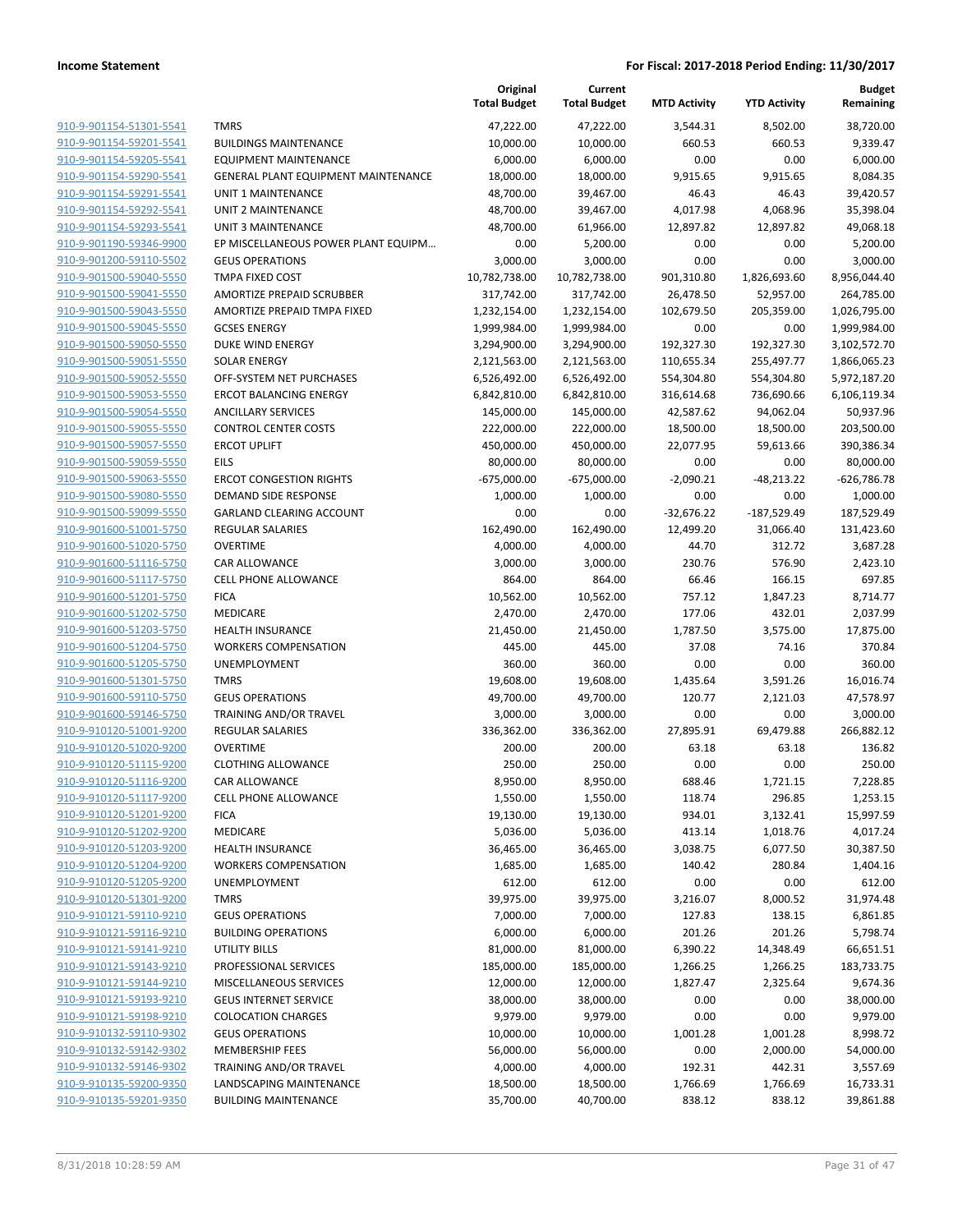|                                                    |                                                   | Original<br><b>Total Budget</b> | Current<br><b>Total Budget</b> | <b>MTD Activity</b> | <b>YTD Activity</b> | <b>Budget</b><br>Remaining |
|----------------------------------------------------|---------------------------------------------------|---------------------------------|--------------------------------|---------------------|---------------------|----------------------------|
| 910-9-901154-51301-5541                            | <b>TMRS</b>                                       | 47,222.00                       | 47,222.00                      | 3,544.31            | 8,502.00            | 38,720.00                  |
| 910-9-901154-59201-5541                            | <b>BUILDINGS MAINTENANCE</b>                      | 10,000.00                       | 10,000.00                      | 660.53              | 660.53              | 9,339.47                   |
| 910-9-901154-59205-5541                            | <b>EQUIPMENT MAINTENANCE</b>                      | 6,000.00                        | 6,000.00                       | 0.00                | 0.00                | 6,000.00                   |
| 910-9-901154-59290-5541                            | <b>GENERAL PLANT EQUIPMENT MAINTENANCE</b>        | 18,000.00                       | 18,000.00                      | 9,915.65            | 9,915.65            | 8,084.35                   |
| 910-9-901154-59291-5541                            | <b>UNIT 1 MAINTENANCE</b>                         | 48,700.00                       | 39,467.00                      | 46.43               | 46.43               | 39,420.57                  |
| 910-9-901154-59292-5541                            | UNIT 2 MAINTENANCE                                | 48,700.00                       | 39,467.00                      | 4,017.98            | 4,068.96            | 35,398.04                  |
| 910-9-901154-59293-5541                            | UNIT 3 MAINTENANCE                                | 48,700.00                       | 61,966.00                      | 12,897.82           | 12,897.82           | 49,068.18                  |
| 910-9-901190-59346-9900                            | EP MISCELLANEOUS POWER PLANT EQUIPM               | 0.00                            | 5,200.00                       | 0.00                | 0.00                | 5,200.00                   |
| 910-9-901200-59110-5502                            | <b>GEUS OPERATIONS</b>                            | 3,000.00                        | 3,000.00                       | 0.00                | 0.00                | 3,000.00                   |
| 910-9-901500-59040-5550                            | <b>TMPA FIXED COST</b>                            | 10,782,738.00                   | 10,782,738.00                  | 901,310.80          | 1,826,693.60        | 8,956,044.40               |
| 910-9-901500-59041-5550                            | AMORTIZE PREPAID SCRUBBER                         | 317,742.00                      | 317,742.00                     | 26,478.50           | 52,957.00           | 264,785.00                 |
| 910-9-901500-59043-5550                            | AMORTIZE PREPAID TMPA FIXED                       | 1,232,154.00                    | 1,232,154.00                   | 102,679.50          | 205,359.00          | 1,026,795.00               |
| 910-9-901500-59045-5550                            | <b>GCSES ENERGY</b>                               | 1,999,984.00                    | 1,999,984.00                   | 0.00                | 0.00                | 1,999,984.00               |
| 910-9-901500-59050-5550                            | DUKE WIND ENERGY                                  | 3,294,900.00                    | 3,294,900.00                   | 192,327.30          | 192,327.30          | 3,102,572.70               |
| 910-9-901500-59051-5550                            | <b>SOLAR ENERGY</b>                               | 2,121,563.00                    | 2,121,563.00                   | 110,655.34          | 255,497.77          | 1,866,065.23               |
| 910-9-901500-59052-5550                            | OFF-SYSTEM NET PURCHASES                          | 6,526,492.00                    | 6,526,492.00                   | 554,304.80          | 554,304.80          | 5,972,187.20               |
| 910-9-901500-59053-5550                            | <b>ERCOT BALANCING ENERGY</b>                     | 6,842,810.00                    | 6,842,810.00                   | 316,614.68          | 736,690.66          | 6,106,119.34               |
| 910-9-901500-59054-5550                            | <b>ANCILLARY SERVICES</b>                         | 145,000.00                      | 145,000.00                     | 42,587.62           | 94,062.04           | 50,937.96                  |
| 910-9-901500-59055-5550                            | <b>CONTROL CENTER COSTS</b>                       | 222,000.00                      | 222,000.00                     | 18,500.00           | 18,500.00           | 203,500.00                 |
| 910-9-901500-59057-5550                            | <b>ERCOT UPLIFT</b>                               | 450,000.00                      | 450,000.00                     | 22,077.95           | 59,613.66           | 390,386.34                 |
| 910-9-901500-59059-5550                            | <b>EILS</b>                                       | 80,000.00                       | 80,000.00                      | 0.00                | 0.00                | 80,000.00                  |
| 910-9-901500-59063-5550                            | <b>ERCOT CONGESTION RIGHTS</b>                    | $-675,000.00$                   | $-675,000.00$                  | $-2,090.21$         | $-48,213.22$        | $-626,786.78$              |
| 910-9-901500-59080-5550                            | <b>DEMAND SIDE RESPONSE</b>                       | 1,000.00                        | 1,000.00                       | 0.00                | 0.00                | 1,000.00                   |
| 910-9-901500-59099-5550                            | <b>GARLAND CLEARING ACCOUNT</b>                   | 0.00                            | 0.00                           | $-32,676.22$        | $-187,529.49$       | 187,529.49                 |
| 910-9-901600-51001-5750                            | <b>REGULAR SALARIES</b>                           | 162,490.00                      | 162,490.00                     | 12,499.20           | 31,066.40           | 131,423.60                 |
| 910-9-901600-51020-5750                            | <b>OVERTIME</b>                                   | 4,000.00                        | 4,000.00                       | 44.70               | 312.72              | 3,687.28                   |
| 910-9-901600-51116-5750                            | CAR ALLOWANCE                                     | 3,000.00                        | 3,000.00                       | 230.76              | 576.90              | 2,423.10                   |
| 910-9-901600-51117-5750                            | <b>CELL PHONE ALLOWANCE</b>                       | 864.00                          | 864.00                         | 66.46               | 166.15              | 697.85                     |
| 910-9-901600-51201-5750                            | <b>FICA</b>                                       | 10,562.00                       | 10,562.00                      | 757.12              | 1,847.23            | 8,714.77                   |
| 910-9-901600-51202-5750                            | MEDICARE                                          | 2,470.00                        | 2,470.00                       | 177.06              | 432.01              | 2,037.99                   |
| 910-9-901600-51203-5750                            | <b>HEALTH INSURANCE</b>                           | 21,450.00                       | 21,450.00                      | 1,787.50            | 3,575.00            | 17,875.00                  |
| 910-9-901600-51204-5750                            | <b>WORKERS COMPENSATION</b>                       | 445.00                          | 445.00                         | 37.08               | 74.16               | 370.84                     |
| 910-9-901600-51205-5750                            | UNEMPLOYMENT                                      | 360.00                          | 360.00                         | 0.00                | 0.00                | 360.00                     |
| 910-9-901600-51301-5750<br>910-9-901600-59110-5750 | <b>TMRS</b>                                       | 19,608.00<br>49,700.00          | 19,608.00                      | 1,435.64            | 3,591.26            | 16,016.74                  |
| 910-9-901600-59146-5750                            | <b>GEUS OPERATIONS</b>                            |                                 | 49,700.00                      | 120.77              | 2,121.03            | 47,578.97<br>3,000.00      |
|                                                    | TRAINING AND/OR TRAVEL<br><b>REGULAR SALARIES</b> | 3,000.00<br>336,362.00          | 3,000.00                       | 0.00                | 0.00                | 266,882.12                 |
| 910-9-910120-51001-9200<br>910-9-910120-51020-9200 | <b>OVERTIME</b>                                   | 200.00                          | 336,362.00<br>200.00           | 27,895.91<br>63.18  | 69,479.88<br>63.18  | 136.82                     |
| 910-9-910120-51115-9200                            | <b>CLOTHING ALLOWANCE</b>                         | 250.00                          | 250.00                         | 0.00                | 0.00                | 250.00                     |
| 910-9-910120-51116-9200                            | CAR ALLOWANCE                                     | 8,950.00                        | 8,950.00                       | 688.46              | 1,721.15            | 7,228.85                   |
| 910-9-910120-51117-9200                            | <b>CELL PHONE ALLOWANCE</b>                       | 1,550.00                        | 1,550.00                       | 118.74              | 296.85              | 1,253.15                   |
| 910-9-910120-51201-9200                            | <b>FICA</b>                                       | 19,130.00                       | 19,130.00                      | 934.01              | 3,132.41            | 15,997.59                  |
| 910-9-910120-51202-9200                            | MEDICARE                                          | 5,036.00                        | 5,036.00                       | 413.14              | 1,018.76            | 4,017.24                   |
| 910-9-910120-51203-9200                            | <b>HEALTH INSURANCE</b>                           | 36,465.00                       | 36,465.00                      | 3,038.75            | 6,077.50            | 30,387.50                  |
| 910-9-910120-51204-9200                            | <b>WORKERS COMPENSATION</b>                       | 1,685.00                        | 1,685.00                       | 140.42              | 280.84              | 1,404.16                   |
| 910-9-910120-51205-9200                            | <b>UNEMPLOYMENT</b>                               | 612.00                          | 612.00                         | 0.00                | 0.00                | 612.00                     |
| 910-9-910120-51301-9200                            | <b>TMRS</b>                                       | 39,975.00                       | 39,975.00                      | 3,216.07            | 8,000.52            | 31,974.48                  |
| 910-9-910121-59110-9210                            | <b>GEUS OPERATIONS</b>                            | 7,000.00                        | 7,000.00                       | 127.83              | 138.15              | 6,861.85                   |
| 910-9-910121-59116-9210                            | <b>BUILDING OPERATIONS</b>                        | 6,000.00                        | 6,000.00                       | 201.26              | 201.26              | 5,798.74                   |
| 910-9-910121-59141-9210                            | UTILITY BILLS                                     | 81,000.00                       | 81,000.00                      | 6,390.22            | 14,348.49           | 66,651.51                  |
| 910-9-910121-59143-9210                            | PROFESSIONAL SERVICES                             | 185,000.00                      | 185,000.00                     | 1,266.25            | 1,266.25            | 183,733.75                 |
| 910-9-910121-59144-9210                            | MISCELLANEOUS SERVICES                            | 12,000.00                       | 12,000.00                      | 1,827.47            | 2,325.64            | 9,674.36                   |
| 910-9-910121-59193-9210                            | <b>GEUS INTERNET SERVICE</b>                      | 38,000.00                       | 38,000.00                      | 0.00                | 0.00                | 38,000.00                  |
| 910-9-910121-59198-9210                            | <b>COLOCATION CHARGES</b>                         | 9,979.00                        | 9,979.00                       | 0.00                | 0.00                | 9,979.00                   |
| 910-9-910132-59110-9302                            | <b>GEUS OPERATIONS</b>                            | 10,000.00                       | 10,000.00                      | 1,001.28            | 1,001.28            | 8,998.72                   |
| 910-9-910132-59142-9302                            | <b>MEMBERSHIP FEES</b>                            | 56,000.00                       | 56,000.00                      | 0.00                | 2,000.00            | 54,000.00                  |
| 910-9-910132-59146-9302                            | TRAINING AND/OR TRAVEL                            | 4,000.00                        | 4,000.00                       | 192.31              | 442.31              | 3,557.69                   |
| 910-9-910135-59200-9350                            | LANDSCAPING MAINTENANCE                           | 18,500.00                       | 18,500.00                      | 1,766.69            | 1,766.69            | 16,733.31                  |
| 910-9-910135-59201-9350                            | <b>BUILDING MAINTENANCE</b>                       | 35,700.00                       | 40,700.00                      | 838.12              | 838.12              | 39,861.88                  |
|                                                    |                                                   |                                 |                                |                     |                     |                            |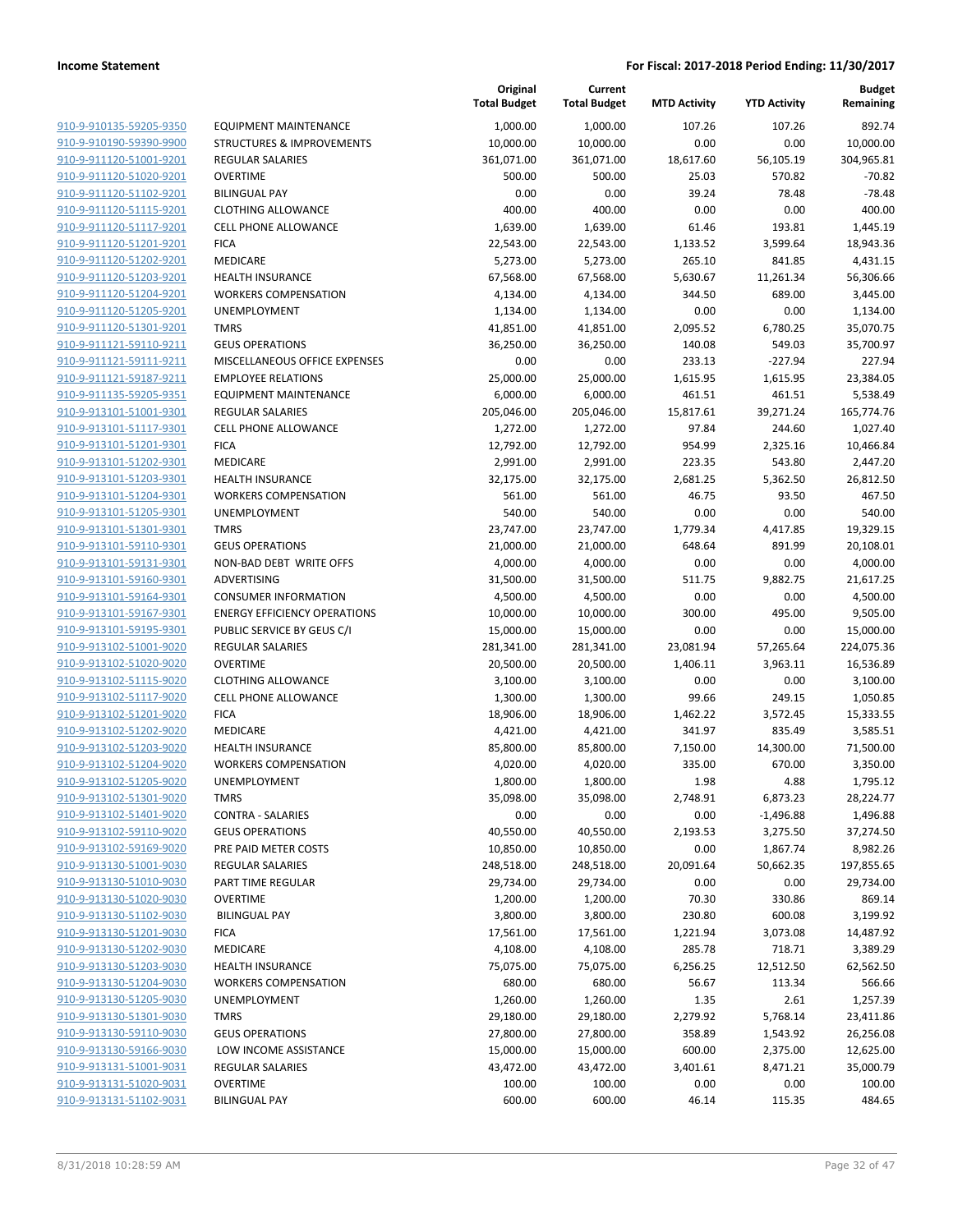|                                                    |                                         | Original<br><b>Total Budget</b> | Current<br><b>Total Budget</b> | <b>MTD Activity</b> | <b>YTD Activity</b> | <b>Budget</b><br>Remaining |
|----------------------------------------------------|-----------------------------------------|---------------------------------|--------------------------------|---------------------|---------------------|----------------------------|
| 910-9-910135-59205-9350                            | <b>EQUIPMENT MAINTENANCE</b>            | 1,000.00                        | 1,000.00                       | 107.26              | 107.26              | 892.74                     |
| 910-9-910190-59390-9900                            | <b>STRUCTURES &amp; IMPROVEMENTS</b>    | 10,000.00                       | 10,000.00                      | 0.00                | 0.00                | 10,000.00                  |
| 910-9-911120-51001-9201                            | <b>REGULAR SALARIES</b>                 | 361,071.00                      | 361,071.00                     | 18,617.60           | 56,105.19           | 304,965.81                 |
| 910-9-911120-51020-9201                            | <b>OVERTIME</b>                         | 500.00                          | 500.00                         | 25.03               | 570.82              | $-70.82$                   |
| 910-9-911120-51102-9201                            | <b>BILINGUAL PAY</b>                    | 0.00                            | 0.00                           | 39.24               | 78.48               | $-78.48$                   |
| 910-9-911120-51115-9201                            | <b>CLOTHING ALLOWANCE</b>               | 400.00                          | 400.00                         | 0.00                | 0.00                | 400.00                     |
| 910-9-911120-51117-9201                            | <b>CELL PHONE ALLOWANCE</b>             | 1,639.00                        | 1,639.00                       | 61.46               | 193.81              | 1,445.19                   |
| 910-9-911120-51201-9201                            | <b>FICA</b>                             | 22,543.00                       | 22,543.00                      | 1,133.52            | 3,599.64            | 18,943.36                  |
| 910-9-911120-51202-9201                            | <b>MEDICARE</b>                         | 5,273.00                        | 5,273.00                       | 265.10              | 841.85              | 4,431.15                   |
| 910-9-911120-51203-9201                            | <b>HEALTH INSURANCE</b>                 | 67,568.00                       | 67,568.00                      | 5,630.67            | 11,261.34           | 56,306.66                  |
| 910-9-911120-51204-9201                            | <b>WORKERS COMPENSATION</b>             | 4,134.00                        | 4,134.00                       | 344.50              | 689.00              | 3,445.00                   |
| 910-9-911120-51205-9201                            | UNEMPLOYMENT                            | 1,134.00                        | 1,134.00                       | 0.00                | 0.00                | 1,134.00                   |
| 910-9-911120-51301-9201                            | <b>TMRS</b>                             | 41,851.00                       | 41,851.00                      | 2,095.52            | 6,780.25            | 35,070.75                  |
| 910-9-911121-59110-9211                            | <b>GEUS OPERATIONS</b>                  | 36,250.00                       | 36,250.00                      | 140.08              | 549.03              | 35,700.97                  |
| 910-9-911121-59111-9211                            | MISCELLANEOUS OFFICE EXPENSES           | 0.00                            | 0.00                           | 233.13              | -227.94             | 227.94                     |
| 910-9-911121-59187-9211                            | <b>EMPLOYEE RELATIONS</b>               | 25,000.00                       | 25,000.00                      | 1,615.95            | 1,615.95            | 23,384.05                  |
| 910-9-911135-59205-9351                            | <b>EQUIPMENT MAINTENANCE</b>            | 6,000.00                        | 6,000.00                       | 461.51              | 461.51              | 5,538.49                   |
| 910-9-913101-51001-9301                            | <b>REGULAR SALARIES</b>                 | 205,046.00                      | 205,046.00                     | 15,817.61           | 39,271.24           | 165,774.76                 |
| 910-9-913101-51117-9301                            | CELL PHONE ALLOWANCE                    | 1,272.00                        | 1,272.00                       | 97.84               | 244.60              | 1,027.40                   |
| 910-9-913101-51201-9301                            | <b>FICA</b>                             | 12,792.00                       | 12,792.00                      | 954.99              | 2,325.16            | 10,466.84                  |
| 910-9-913101-51202-9301                            | <b>MEDICARE</b>                         | 2,991.00                        | 2,991.00                       | 223.35              | 543.80              | 2,447.20                   |
| 910-9-913101-51203-9301                            | <b>HEALTH INSURANCE</b>                 | 32,175.00                       | 32,175.00                      | 2,681.25            | 5,362.50            | 26,812.50                  |
| 910-9-913101-51204-9301                            | <b>WORKERS COMPENSATION</b>             | 561.00                          | 561.00                         | 46.75               | 93.50               | 467.50                     |
| 910-9-913101-51205-9301                            | <b>UNEMPLOYMENT</b>                     | 540.00                          | 540.00                         | 0.00                | 0.00                | 540.00                     |
| 910-9-913101-51301-9301                            | <b>TMRS</b>                             | 23,747.00                       | 23,747.00                      | 1,779.34            | 4,417.85            | 19,329.15                  |
| 910-9-913101-59110-9301                            | <b>GEUS OPERATIONS</b>                  | 21,000.00                       | 21,000.00                      | 648.64              | 891.99              | 20,108.01                  |
| 910-9-913101-59131-9301                            | NON-BAD DEBT WRITE OFFS                 | 4,000.00                        | 4,000.00                       | 0.00                | 0.00                | 4,000.00                   |
| 910-9-913101-59160-9301                            | ADVERTISING                             | 31,500.00                       | 31,500.00                      | 511.75              | 9,882.75            | 21,617.25                  |
| 910-9-913101-59164-9301                            | <b>CONSUMER INFORMATION</b>             | 4,500.00                        | 4,500.00                       | 0.00                | 0.00                | 4,500.00                   |
| 910-9-913101-59167-9301                            | <b>ENERGY EFFICIENCY OPERATIONS</b>     | 10,000.00                       | 10,000.00                      | 300.00              | 495.00              | 9,505.00                   |
| 910-9-913101-59195-9301                            | PUBLIC SERVICE BY GEUS C/I              | 15,000.00                       | 15,000.00                      | 0.00                | 0.00                | 15,000.00                  |
| 910-9-913102-51001-9020                            | <b>REGULAR SALARIES</b>                 | 281,341.00                      | 281,341.00                     | 23,081.94           | 57,265.64           | 224,075.36                 |
| 910-9-913102-51020-9020                            | <b>OVERTIME</b>                         | 20,500.00                       | 20,500.00                      | 1,406.11            | 3,963.11            | 16,536.89                  |
| 910-9-913102-51115-9020                            | <b>CLOTHING ALLOWANCE</b>               | 3,100.00                        | 3,100.00                       | 0.00                | 0.00                | 3,100.00                   |
| 910-9-913102-51117-9020                            | <b>CELL PHONE ALLOWANCE</b>             | 1,300.00                        | 1,300.00                       | 99.66               | 249.15              | 1,050.85                   |
| 910-9-913102-51201-9020                            | <b>FICA</b>                             | 18,906.00                       | 18,906.00                      | 1,462.22            | 3,572.45            | 15,333.55                  |
| 910-9-913102-51202-9020                            | MEDICARE                                | 4,421.00                        | 4,421.00                       | 341.97              | 835.49              | 3,585.51                   |
| 910-9-913102-51203-9020                            | <b>HEALTH INSURANCE</b>                 | 85,800.00                       | 85,800.00                      | 7,150.00            | 14,300.00           | 71,500.00                  |
| 910-9-913102-51204-9020                            | <b>WORKERS COMPENSATION</b>             | 4,020.00                        | 4,020.00                       | 335.00              | 670.00              | 3,350.00                   |
| 910-9-913102-51205-9020                            | UNEMPLOYMENT                            | 1,800.00                        | 1,800.00                       | 1.98                | 4.88                | 1,795.12                   |
| 910-9-913102-51301-9020                            | <b>TMRS</b>                             | 35,098.00                       | 35,098.00                      | 2,748.91            | 6,873.23            | 28,224.77                  |
| 910-9-913102-51401-9020                            | <b>CONTRA - SALARIES</b>                | 0.00                            | 0.00                           | 0.00                | $-1,496.88$         | 1,496.88                   |
| 910-9-913102-59110-9020                            | <b>GEUS OPERATIONS</b>                  | 40,550.00                       | 40,550.00                      | 2,193.53            | 3,275.50            | 37,274.50                  |
| 910-9-913102-59169-9020                            | PRE PAID METER COSTS                    | 10,850.00                       | 10,850.00                      | 0.00                | 1,867.74            | 8,982.26                   |
| 910-9-913130-51001-9030                            | <b>REGULAR SALARIES</b>                 | 248,518.00                      | 248,518.00                     | 20,091.64           | 50,662.35           | 197,855.65                 |
| 910-9-913130-51010-9030<br>910-9-913130-51020-9030 | PART TIME REGULAR                       | 29,734.00                       | 29,734.00                      | 0.00                | 0.00                | 29,734.00                  |
|                                                    | <b>OVERTIME</b><br><b>BILINGUAL PAY</b> | 1,200.00                        | 1,200.00                       | 70.30               | 330.86              | 869.14                     |
| 910-9-913130-51102-9030<br>910-9-913130-51201-9030 | <b>FICA</b>                             | 3,800.00<br>17,561.00           | 3,800.00<br>17,561.00          | 230.80              | 600.08              | 3,199.92<br>14,487.92      |
| 910-9-913130-51202-9030                            | MEDICARE                                | 4,108.00                        | 4,108.00                       | 1,221.94<br>285.78  | 3,073.08<br>718.71  | 3,389.29                   |
| 910-9-913130-51203-9030                            | <b>HEALTH INSURANCE</b>                 | 75,075.00                       | 75,075.00                      | 6,256.25            | 12,512.50           | 62,562.50                  |
| 910-9-913130-51204-9030                            | <b>WORKERS COMPENSATION</b>             | 680.00                          | 680.00                         | 56.67               | 113.34              | 566.66                     |
| 910-9-913130-51205-9030                            | UNEMPLOYMENT                            | 1,260.00                        | 1,260.00                       | 1.35                | 2.61                | 1,257.39                   |
| 910-9-913130-51301-9030                            | <b>TMRS</b>                             | 29,180.00                       | 29,180.00                      | 2,279.92            | 5,768.14            | 23,411.86                  |
| 910-9-913130-59110-9030                            | <b>GEUS OPERATIONS</b>                  | 27,800.00                       | 27,800.00                      | 358.89              | 1,543.92            | 26,256.08                  |
| 910-9-913130-59166-9030                            | LOW INCOME ASSISTANCE                   | 15,000.00                       | 15,000.00                      | 600.00              | 2,375.00            | 12,625.00                  |
| 910-9-913131-51001-9031                            | <b>REGULAR SALARIES</b>                 | 43,472.00                       | 43,472.00                      | 3,401.61            | 8,471.21            | 35,000.79                  |
| 910-9-913131-51020-9031                            | <b>OVERTIME</b>                         | 100.00                          | 100.00                         | 0.00                | 0.00                | 100.00                     |
| 910-9-913131-51102-9031                            | <b>BILINGUAL PAY</b>                    | 600.00                          | 600.00                         | 46.14               | 115.35              | 484.65                     |
|                                                    |                                         |                                 |                                |                     |                     |                            |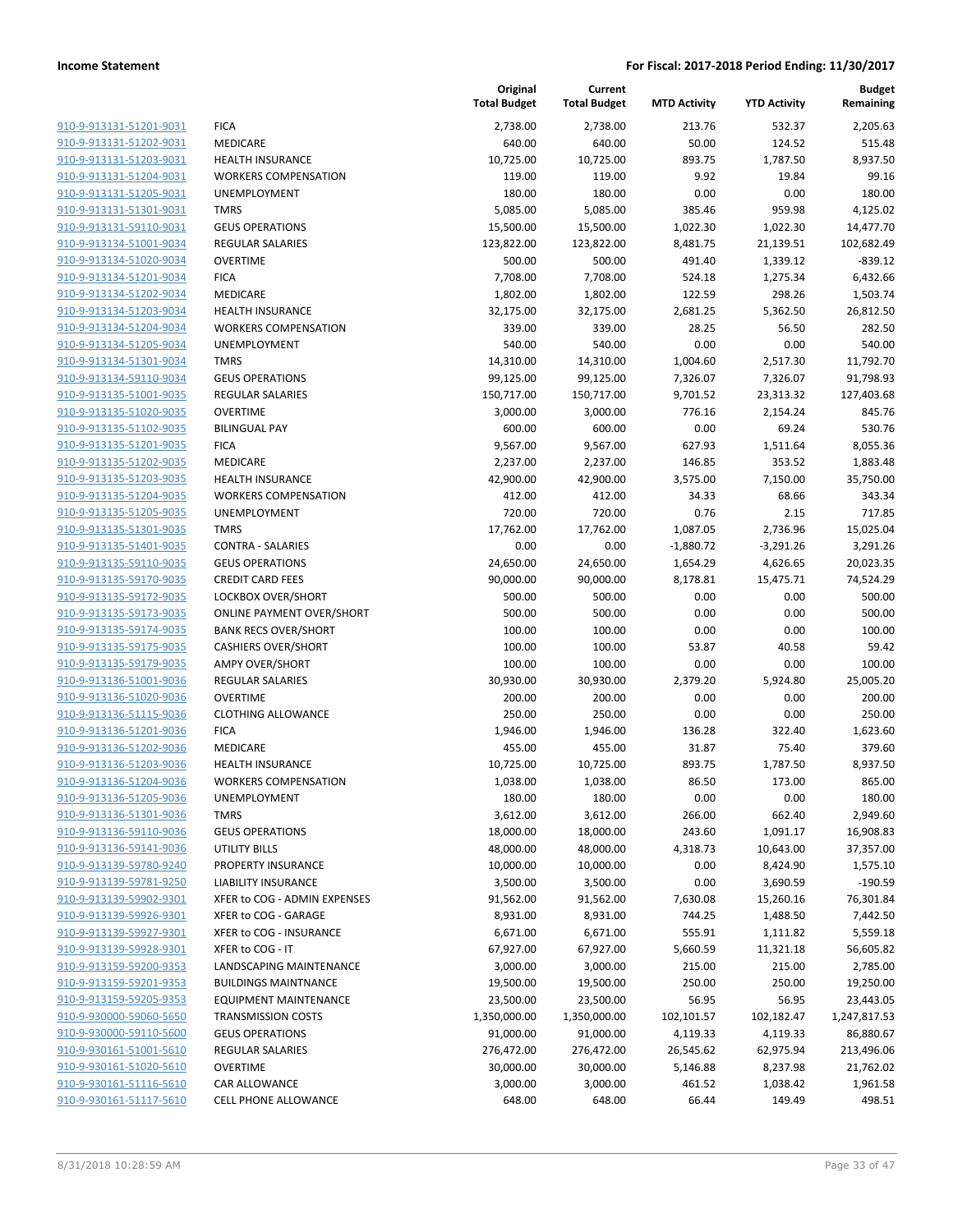| 910-9-913131-51201-9031<br><b>FICA</b><br>2,738.00<br>2,738.00<br>213.76<br>532.37<br>640.00<br>640.00<br>50.00<br>910-9-913131-51202-9031<br>MEDICARE<br>124.52<br>910-9-913131-51203-9031<br><b>HEALTH INSURANCE</b><br>10,725.00<br>10,725.00<br>893.75<br>1,787.50<br>910-9-913131-51204-9031<br>9.92<br><b>WORKERS COMPENSATION</b><br>119.00<br>119.00<br>19.84<br>910-9-913131-51205-9031<br>180.00<br>180.00<br>0.00<br>0.00<br><b>UNEMPLOYMENT</b><br>959.98<br>910-9-913131-51301-9031<br><b>TMRS</b><br>5,085.00<br>5,085.00<br>385.46<br>910-9-913131-59110-9031<br><b>GEUS OPERATIONS</b><br>15,500.00<br>15,500.00<br>1,022.30<br>1,022.30<br>910-9-913134-51001-9034<br><b>REGULAR SALARIES</b><br>123,822.00<br>123,822.00<br>8,481.75<br>21,139.51<br>910-9-913134-51020-9034<br><b>OVERTIME</b><br>500.00<br>500.00<br>491.40<br>1,339.12<br>910-9-913134-51201-9034<br><b>FICA</b><br>7,708.00<br>7,708.00<br>524.18<br>1,275.34<br>910-9-913134-51202-9034<br>MEDICARE<br>1,802.00<br>1,802.00<br>122.59<br>298.26<br>910-9-913134-51203-9034<br><b>HEALTH INSURANCE</b><br>32,175.00<br>32,175.00<br>2,681.25<br>5,362.50<br>28.25<br>56.50<br>910-9-913134-51204-9034<br><b>WORKERS COMPENSATION</b><br>339.00<br>339.00<br>910-9-913134-51205-9034<br>0.00<br>0.00<br>UNEMPLOYMENT<br>540.00<br>540.00<br>910-9-913134-51301-9034<br><b>TMRS</b><br>14,310.00<br>14,310.00<br>1,004.60<br>2,517.30<br>11,792.70<br>910-9-913134-59110-9034<br><b>GEUS OPERATIONS</b><br>99,125.00<br>99,125.00<br>7,326.07<br>7,326.07<br>91,798.93<br>910-9-913135-51001-9035<br><b>REGULAR SALARIES</b><br>150,717.00<br>150,717.00<br>9,701.52<br>23,313.32<br>127,403.68<br>910-9-913135-51020-9035<br><b>OVERTIME</b><br>3,000.00<br>3,000.00<br>776.16<br>2,154.24<br>910-9-913135-51102-9035<br><b>BILINGUAL PAY</b><br>600.00<br>600.00<br>0.00<br>69.24<br>910-9-913135-51201-9035<br><b>FICA</b><br>9,567.00<br>9,567.00<br>627.93<br>1,511.64<br>146.85<br>910-9-913135-51202-9035<br>MEDICARE<br>2,237.00<br>2,237.00<br>353.52<br>910-9-913135-51203-9035<br><b>HEALTH INSURANCE</b><br>42,900.00<br>42,900.00<br>3,575.00<br>7,150.00<br>910-9-913135-51204-9035<br>34.33<br>68.66<br><b>WORKERS COMPENSATION</b><br>412.00<br>412.00<br>910-9-913135-51205-9035<br>0.76<br>UNEMPLOYMENT<br>720.00<br>720.00<br>2.15<br>910-9-913135-51301-9035<br><b>TMRS</b><br>17,762.00<br>17,762.00<br>1,087.05<br>2,736.96<br>910-9-913135-51401-9035<br><b>CONTRA - SALARIES</b><br>0.00<br>0.00<br>$-1,880.72$<br>$-3,291.26$<br>910-9-913135-59110-9035<br><b>GEUS OPERATIONS</b><br>24,650.00<br>24,650.00<br>1,654.29<br>4,626.65<br>910-9-913135-59170-9035<br><b>CREDIT CARD FEES</b><br>90,000.00<br>90,000.00<br>8,178.81<br>15,475.71<br>910-9-913135-59172-9035<br>LOCKBOX OVER/SHORT<br>500.00<br>500.00<br>0.00<br>0.00<br>910-9-913135-59173-9035<br><b>ONLINE PAYMENT OVER/SHORT</b><br>500.00<br>500.00<br>0.00<br>0.00<br>0.00<br>0.00<br>910-9-913135-59174-9035<br><b>BANK RECS OVER/SHORT</b><br>100.00<br>100.00<br>910-9-913135-59175-9035<br>100.00<br>100.00<br>53.87<br>40.58<br><b>CASHIERS OVER/SHORT</b><br>910-9-913135-59179-9035<br><b>AMPY OVER/SHORT</b><br>100.00<br>100.00<br>0.00<br>0.00<br>910-9-913136-51001-9036<br><b>REGULAR SALARIES</b><br>30,930.00<br>30,930.00<br>2,379.20<br>5,924.80<br><b>OVERTIME</b><br>200.00<br>200.00<br>0.00<br>0.00<br><b>CLOTHING ALLOWANCE</b><br>250.00<br>250.00<br>0.00<br>0.00<br><b>FICA</b><br>1,946.00<br>1,946.00<br>136.28<br>322.40<br>1,623.60<br>MEDICARE<br>455.00<br>455.00<br>75.40<br>31.87<br><b>HEALTH INSURANCE</b><br>10,725.00<br>10,725.00<br>893.75<br>1,787.50<br>8,937.50<br><b>WORKERS COMPENSATION</b><br>1,038.00<br>1,038.00<br>86.50<br>173.00<br>180.00<br>180.00<br>0.00<br>0.00<br><b>UNEMPLOYMENT</b><br><b>TMRS</b><br>3,612.00<br>3,612.00<br>266.00<br>662.40<br><b>GEUS OPERATIONS</b><br>18,000.00<br>243.60<br>18,000.00<br>1,091.17<br>UTILITY BILLS<br>48,000.00<br>48,000.00<br>4,318.73<br>10,643.00<br>PROPERTY INSURANCE<br>0.00<br>10,000.00<br>10,000.00<br>8,424.90<br><b>LIABILITY INSURANCE</b><br>3,500.00<br>3,500.00<br>0.00<br>3,690.59<br>XFER to COG - ADMIN EXPENSES<br>91,562.00<br>91,562.00<br>7,630.08<br>15,260.16<br>XFER to COG - GARAGE<br>8,931.00<br>8,931.00<br>744.25<br>1,488.50<br>XFER to COG - INSURANCE<br>6,671.00<br>6,671.00<br>555.91<br>1,111.82<br>XFER to COG - IT<br>67,927.00<br>67,927.00<br>11,321.18<br>5,660.59<br>LANDSCAPING MAINTENANCE<br>3,000.00<br>3,000.00<br>215.00<br>215.00<br><b>BUILDINGS MAINTNANCE</b><br>19,500.00<br>19,500.00<br>250.00<br>250.00<br><b>EQUIPMENT MAINTENANCE</b><br>23,500.00<br>56.95<br>56.95<br>23,500.00<br><b>TRANSMISSION COSTS</b><br>1,350,000.00<br>1,350,000.00<br>102,101.57<br>102,182.47<br><b>GEUS OPERATIONS</b><br>91,000.00<br>91,000.00<br>4,119.33<br>4,119.33<br>REGULAR SALARIES<br>276,472.00<br>276,472.00<br>26,545.62<br>62,975.94<br><b>OVERTIME</b><br>30,000.00<br>30,000.00<br>5,146.88<br>8,237.98<br>CAR ALLOWANCE<br>3,000.00<br>3,000.00<br>461.52<br>1,038.42<br>CELL PHONE ALLOWANCE<br>648.00<br>648.00<br>149.49<br>66.44 |  | Original<br><b>Total Budget</b> | Current<br><b>Total Budget</b> | <b>MTD Activity</b> | <b>YTD Activity</b> | <b>Budget</b><br>Remaining |
|---------------------------------------------------------------------------------------------------------------------------------------------------------------------------------------------------------------------------------------------------------------------------------------------------------------------------------------------------------------------------------------------------------------------------------------------------------------------------------------------------------------------------------------------------------------------------------------------------------------------------------------------------------------------------------------------------------------------------------------------------------------------------------------------------------------------------------------------------------------------------------------------------------------------------------------------------------------------------------------------------------------------------------------------------------------------------------------------------------------------------------------------------------------------------------------------------------------------------------------------------------------------------------------------------------------------------------------------------------------------------------------------------------------------------------------------------------------------------------------------------------------------------------------------------------------------------------------------------------------------------------------------------------------------------------------------------------------------------------------------------------------------------------------------------------------------------------------------------------------------------------------------------------------------------------------------------------------------------------------------------------------------------------------------------------------------------------------------------------------------------------------------------------------------------------------------------------------------------------------------------------------------------------------------------------------------------------------------------------------------------------------------------------------------------------------------------------------------------------------------------------------------------------------------------------------------------------------------------------------------------------------------------------------------------------------------------------------------------------------------------------------------------------------------------------------------------------------------------------------------------------------------------------------------------------------------------------------------------------------------------------------------------------------------------------------------------------------------------------------------------------------------------------------------------------------------------------------------------------------------------------------------------------------------------------------------------------------------------------------------------------------------------------------------------------------------------------------------------------------------------------------------------------------------------------------------------------------------------------------------------------------------------------------------------------------------------------------------------------------------------------------------------------------------------------------------------------------------------------------------------------------------------------------------------------------------------------------------------------------------------------------------------------------------------------------------------------------------------------------------------------------------------------------------------------------------------------------------------------------------------------------------------------------------------------------------------------------------------------------------------------------------------------------------------------------------------------------------------------------------------------------------------------------------------------------------------------------------------------------------------------------------------------------------------------------------------------------------------------------------------------------------------------------------------------------------------------------------------------------------------------------------------------------------------------------------------------------------------------------------------------------------------------------------------------------------------------------------------------------------------------------------------------------------------------|--|---------------------------------|--------------------------------|---------------------|---------------------|----------------------------|
|                                                                                                                                                                                                                                                                                                                                                                                                                                                                                                                                                                                                                                                                                                                                                                                                                                                                                                                                                                                                                                                                                                                                                                                                                                                                                                                                                                                                                                                                                                                                                                                                                                                                                                                                                                                                                                                                                                                                                                                                                                                                                                                                                                                                                                                                                                                                                                                                                                                                                                                                                                                                                                                                                                                                                                                                                                                                                                                                                                                                                                                                                                                                                                                                                                                                                                                                                                                                                                                                                                                                                                                                                                                                                                                                                                                                                                                                                                                                                                                                                                                                                                                                                                                                                                                                                                                                                                                                                                                                                                                                                                                                                                                                                                                                                                                                                                                                                                                                                                                                                                                                                                                                                                                 |  |                                 |                                |                     |                     | 2,205.63                   |
|                                                                                                                                                                                                                                                                                                                                                                                                                                                                                                                                                                                                                                                                                                                                                                                                                                                                                                                                                                                                                                                                                                                                                                                                                                                                                                                                                                                                                                                                                                                                                                                                                                                                                                                                                                                                                                                                                                                                                                                                                                                                                                                                                                                                                                                                                                                                                                                                                                                                                                                                                                                                                                                                                                                                                                                                                                                                                                                                                                                                                                                                                                                                                                                                                                                                                                                                                                                                                                                                                                                                                                                                                                                                                                                                                                                                                                                                                                                                                                                                                                                                                                                                                                                                                                                                                                                                                                                                                                                                                                                                                                                                                                                                                                                                                                                                                                                                                                                                                                                                                                                                                                                                                                                 |  |                                 |                                |                     |                     | 515.48                     |
|                                                                                                                                                                                                                                                                                                                                                                                                                                                                                                                                                                                                                                                                                                                                                                                                                                                                                                                                                                                                                                                                                                                                                                                                                                                                                                                                                                                                                                                                                                                                                                                                                                                                                                                                                                                                                                                                                                                                                                                                                                                                                                                                                                                                                                                                                                                                                                                                                                                                                                                                                                                                                                                                                                                                                                                                                                                                                                                                                                                                                                                                                                                                                                                                                                                                                                                                                                                                                                                                                                                                                                                                                                                                                                                                                                                                                                                                                                                                                                                                                                                                                                                                                                                                                                                                                                                                                                                                                                                                                                                                                                                                                                                                                                                                                                                                                                                                                                                                                                                                                                                                                                                                                                                 |  |                                 |                                |                     |                     | 8,937.50                   |
|                                                                                                                                                                                                                                                                                                                                                                                                                                                                                                                                                                                                                                                                                                                                                                                                                                                                                                                                                                                                                                                                                                                                                                                                                                                                                                                                                                                                                                                                                                                                                                                                                                                                                                                                                                                                                                                                                                                                                                                                                                                                                                                                                                                                                                                                                                                                                                                                                                                                                                                                                                                                                                                                                                                                                                                                                                                                                                                                                                                                                                                                                                                                                                                                                                                                                                                                                                                                                                                                                                                                                                                                                                                                                                                                                                                                                                                                                                                                                                                                                                                                                                                                                                                                                                                                                                                                                                                                                                                                                                                                                                                                                                                                                                                                                                                                                                                                                                                                                                                                                                                                                                                                                                                 |  |                                 |                                |                     |                     | 99.16                      |
|                                                                                                                                                                                                                                                                                                                                                                                                                                                                                                                                                                                                                                                                                                                                                                                                                                                                                                                                                                                                                                                                                                                                                                                                                                                                                                                                                                                                                                                                                                                                                                                                                                                                                                                                                                                                                                                                                                                                                                                                                                                                                                                                                                                                                                                                                                                                                                                                                                                                                                                                                                                                                                                                                                                                                                                                                                                                                                                                                                                                                                                                                                                                                                                                                                                                                                                                                                                                                                                                                                                                                                                                                                                                                                                                                                                                                                                                                                                                                                                                                                                                                                                                                                                                                                                                                                                                                                                                                                                                                                                                                                                                                                                                                                                                                                                                                                                                                                                                                                                                                                                                                                                                                                                 |  |                                 |                                |                     |                     | 180.00                     |
|                                                                                                                                                                                                                                                                                                                                                                                                                                                                                                                                                                                                                                                                                                                                                                                                                                                                                                                                                                                                                                                                                                                                                                                                                                                                                                                                                                                                                                                                                                                                                                                                                                                                                                                                                                                                                                                                                                                                                                                                                                                                                                                                                                                                                                                                                                                                                                                                                                                                                                                                                                                                                                                                                                                                                                                                                                                                                                                                                                                                                                                                                                                                                                                                                                                                                                                                                                                                                                                                                                                                                                                                                                                                                                                                                                                                                                                                                                                                                                                                                                                                                                                                                                                                                                                                                                                                                                                                                                                                                                                                                                                                                                                                                                                                                                                                                                                                                                                                                                                                                                                                                                                                                                                 |  |                                 |                                |                     |                     | 4,125.02                   |
|                                                                                                                                                                                                                                                                                                                                                                                                                                                                                                                                                                                                                                                                                                                                                                                                                                                                                                                                                                                                                                                                                                                                                                                                                                                                                                                                                                                                                                                                                                                                                                                                                                                                                                                                                                                                                                                                                                                                                                                                                                                                                                                                                                                                                                                                                                                                                                                                                                                                                                                                                                                                                                                                                                                                                                                                                                                                                                                                                                                                                                                                                                                                                                                                                                                                                                                                                                                                                                                                                                                                                                                                                                                                                                                                                                                                                                                                                                                                                                                                                                                                                                                                                                                                                                                                                                                                                                                                                                                                                                                                                                                                                                                                                                                                                                                                                                                                                                                                                                                                                                                                                                                                                                                 |  |                                 |                                |                     |                     | 14,477.70                  |
|                                                                                                                                                                                                                                                                                                                                                                                                                                                                                                                                                                                                                                                                                                                                                                                                                                                                                                                                                                                                                                                                                                                                                                                                                                                                                                                                                                                                                                                                                                                                                                                                                                                                                                                                                                                                                                                                                                                                                                                                                                                                                                                                                                                                                                                                                                                                                                                                                                                                                                                                                                                                                                                                                                                                                                                                                                                                                                                                                                                                                                                                                                                                                                                                                                                                                                                                                                                                                                                                                                                                                                                                                                                                                                                                                                                                                                                                                                                                                                                                                                                                                                                                                                                                                                                                                                                                                                                                                                                                                                                                                                                                                                                                                                                                                                                                                                                                                                                                                                                                                                                                                                                                                                                 |  |                                 |                                |                     |                     | 102,682.49                 |
|                                                                                                                                                                                                                                                                                                                                                                                                                                                                                                                                                                                                                                                                                                                                                                                                                                                                                                                                                                                                                                                                                                                                                                                                                                                                                                                                                                                                                                                                                                                                                                                                                                                                                                                                                                                                                                                                                                                                                                                                                                                                                                                                                                                                                                                                                                                                                                                                                                                                                                                                                                                                                                                                                                                                                                                                                                                                                                                                                                                                                                                                                                                                                                                                                                                                                                                                                                                                                                                                                                                                                                                                                                                                                                                                                                                                                                                                                                                                                                                                                                                                                                                                                                                                                                                                                                                                                                                                                                                                                                                                                                                                                                                                                                                                                                                                                                                                                                                                                                                                                                                                                                                                                                                 |  |                                 |                                |                     |                     | $-839.12$                  |
|                                                                                                                                                                                                                                                                                                                                                                                                                                                                                                                                                                                                                                                                                                                                                                                                                                                                                                                                                                                                                                                                                                                                                                                                                                                                                                                                                                                                                                                                                                                                                                                                                                                                                                                                                                                                                                                                                                                                                                                                                                                                                                                                                                                                                                                                                                                                                                                                                                                                                                                                                                                                                                                                                                                                                                                                                                                                                                                                                                                                                                                                                                                                                                                                                                                                                                                                                                                                                                                                                                                                                                                                                                                                                                                                                                                                                                                                                                                                                                                                                                                                                                                                                                                                                                                                                                                                                                                                                                                                                                                                                                                                                                                                                                                                                                                                                                                                                                                                                                                                                                                                                                                                                                                 |  |                                 |                                |                     |                     | 6,432.66                   |
|                                                                                                                                                                                                                                                                                                                                                                                                                                                                                                                                                                                                                                                                                                                                                                                                                                                                                                                                                                                                                                                                                                                                                                                                                                                                                                                                                                                                                                                                                                                                                                                                                                                                                                                                                                                                                                                                                                                                                                                                                                                                                                                                                                                                                                                                                                                                                                                                                                                                                                                                                                                                                                                                                                                                                                                                                                                                                                                                                                                                                                                                                                                                                                                                                                                                                                                                                                                                                                                                                                                                                                                                                                                                                                                                                                                                                                                                                                                                                                                                                                                                                                                                                                                                                                                                                                                                                                                                                                                                                                                                                                                                                                                                                                                                                                                                                                                                                                                                                                                                                                                                                                                                                                                 |  |                                 |                                |                     |                     | 1,503.74                   |
|                                                                                                                                                                                                                                                                                                                                                                                                                                                                                                                                                                                                                                                                                                                                                                                                                                                                                                                                                                                                                                                                                                                                                                                                                                                                                                                                                                                                                                                                                                                                                                                                                                                                                                                                                                                                                                                                                                                                                                                                                                                                                                                                                                                                                                                                                                                                                                                                                                                                                                                                                                                                                                                                                                                                                                                                                                                                                                                                                                                                                                                                                                                                                                                                                                                                                                                                                                                                                                                                                                                                                                                                                                                                                                                                                                                                                                                                                                                                                                                                                                                                                                                                                                                                                                                                                                                                                                                                                                                                                                                                                                                                                                                                                                                                                                                                                                                                                                                                                                                                                                                                                                                                                                                 |  |                                 |                                |                     |                     | 26,812.50                  |
|                                                                                                                                                                                                                                                                                                                                                                                                                                                                                                                                                                                                                                                                                                                                                                                                                                                                                                                                                                                                                                                                                                                                                                                                                                                                                                                                                                                                                                                                                                                                                                                                                                                                                                                                                                                                                                                                                                                                                                                                                                                                                                                                                                                                                                                                                                                                                                                                                                                                                                                                                                                                                                                                                                                                                                                                                                                                                                                                                                                                                                                                                                                                                                                                                                                                                                                                                                                                                                                                                                                                                                                                                                                                                                                                                                                                                                                                                                                                                                                                                                                                                                                                                                                                                                                                                                                                                                                                                                                                                                                                                                                                                                                                                                                                                                                                                                                                                                                                                                                                                                                                                                                                                                                 |  |                                 |                                |                     |                     | 282.50                     |
|                                                                                                                                                                                                                                                                                                                                                                                                                                                                                                                                                                                                                                                                                                                                                                                                                                                                                                                                                                                                                                                                                                                                                                                                                                                                                                                                                                                                                                                                                                                                                                                                                                                                                                                                                                                                                                                                                                                                                                                                                                                                                                                                                                                                                                                                                                                                                                                                                                                                                                                                                                                                                                                                                                                                                                                                                                                                                                                                                                                                                                                                                                                                                                                                                                                                                                                                                                                                                                                                                                                                                                                                                                                                                                                                                                                                                                                                                                                                                                                                                                                                                                                                                                                                                                                                                                                                                                                                                                                                                                                                                                                                                                                                                                                                                                                                                                                                                                                                                                                                                                                                                                                                                                                 |  |                                 |                                |                     |                     | 540.00                     |
|                                                                                                                                                                                                                                                                                                                                                                                                                                                                                                                                                                                                                                                                                                                                                                                                                                                                                                                                                                                                                                                                                                                                                                                                                                                                                                                                                                                                                                                                                                                                                                                                                                                                                                                                                                                                                                                                                                                                                                                                                                                                                                                                                                                                                                                                                                                                                                                                                                                                                                                                                                                                                                                                                                                                                                                                                                                                                                                                                                                                                                                                                                                                                                                                                                                                                                                                                                                                                                                                                                                                                                                                                                                                                                                                                                                                                                                                                                                                                                                                                                                                                                                                                                                                                                                                                                                                                                                                                                                                                                                                                                                                                                                                                                                                                                                                                                                                                                                                                                                                                                                                                                                                                                                 |  |                                 |                                |                     |                     |                            |
|                                                                                                                                                                                                                                                                                                                                                                                                                                                                                                                                                                                                                                                                                                                                                                                                                                                                                                                                                                                                                                                                                                                                                                                                                                                                                                                                                                                                                                                                                                                                                                                                                                                                                                                                                                                                                                                                                                                                                                                                                                                                                                                                                                                                                                                                                                                                                                                                                                                                                                                                                                                                                                                                                                                                                                                                                                                                                                                                                                                                                                                                                                                                                                                                                                                                                                                                                                                                                                                                                                                                                                                                                                                                                                                                                                                                                                                                                                                                                                                                                                                                                                                                                                                                                                                                                                                                                                                                                                                                                                                                                                                                                                                                                                                                                                                                                                                                                                                                                                                                                                                                                                                                                                                 |  |                                 |                                |                     |                     |                            |
|                                                                                                                                                                                                                                                                                                                                                                                                                                                                                                                                                                                                                                                                                                                                                                                                                                                                                                                                                                                                                                                                                                                                                                                                                                                                                                                                                                                                                                                                                                                                                                                                                                                                                                                                                                                                                                                                                                                                                                                                                                                                                                                                                                                                                                                                                                                                                                                                                                                                                                                                                                                                                                                                                                                                                                                                                                                                                                                                                                                                                                                                                                                                                                                                                                                                                                                                                                                                                                                                                                                                                                                                                                                                                                                                                                                                                                                                                                                                                                                                                                                                                                                                                                                                                                                                                                                                                                                                                                                                                                                                                                                                                                                                                                                                                                                                                                                                                                                                                                                                                                                                                                                                                                                 |  |                                 |                                |                     |                     | 845.76                     |
|                                                                                                                                                                                                                                                                                                                                                                                                                                                                                                                                                                                                                                                                                                                                                                                                                                                                                                                                                                                                                                                                                                                                                                                                                                                                                                                                                                                                                                                                                                                                                                                                                                                                                                                                                                                                                                                                                                                                                                                                                                                                                                                                                                                                                                                                                                                                                                                                                                                                                                                                                                                                                                                                                                                                                                                                                                                                                                                                                                                                                                                                                                                                                                                                                                                                                                                                                                                                                                                                                                                                                                                                                                                                                                                                                                                                                                                                                                                                                                                                                                                                                                                                                                                                                                                                                                                                                                                                                                                                                                                                                                                                                                                                                                                                                                                                                                                                                                                                                                                                                                                                                                                                                                                 |  |                                 |                                |                     |                     | 530.76                     |
|                                                                                                                                                                                                                                                                                                                                                                                                                                                                                                                                                                                                                                                                                                                                                                                                                                                                                                                                                                                                                                                                                                                                                                                                                                                                                                                                                                                                                                                                                                                                                                                                                                                                                                                                                                                                                                                                                                                                                                                                                                                                                                                                                                                                                                                                                                                                                                                                                                                                                                                                                                                                                                                                                                                                                                                                                                                                                                                                                                                                                                                                                                                                                                                                                                                                                                                                                                                                                                                                                                                                                                                                                                                                                                                                                                                                                                                                                                                                                                                                                                                                                                                                                                                                                                                                                                                                                                                                                                                                                                                                                                                                                                                                                                                                                                                                                                                                                                                                                                                                                                                                                                                                                                                 |  |                                 |                                |                     |                     | 8,055.36                   |
|                                                                                                                                                                                                                                                                                                                                                                                                                                                                                                                                                                                                                                                                                                                                                                                                                                                                                                                                                                                                                                                                                                                                                                                                                                                                                                                                                                                                                                                                                                                                                                                                                                                                                                                                                                                                                                                                                                                                                                                                                                                                                                                                                                                                                                                                                                                                                                                                                                                                                                                                                                                                                                                                                                                                                                                                                                                                                                                                                                                                                                                                                                                                                                                                                                                                                                                                                                                                                                                                                                                                                                                                                                                                                                                                                                                                                                                                                                                                                                                                                                                                                                                                                                                                                                                                                                                                                                                                                                                                                                                                                                                                                                                                                                                                                                                                                                                                                                                                                                                                                                                                                                                                                                                 |  |                                 |                                |                     |                     | 1,883.48                   |
|                                                                                                                                                                                                                                                                                                                                                                                                                                                                                                                                                                                                                                                                                                                                                                                                                                                                                                                                                                                                                                                                                                                                                                                                                                                                                                                                                                                                                                                                                                                                                                                                                                                                                                                                                                                                                                                                                                                                                                                                                                                                                                                                                                                                                                                                                                                                                                                                                                                                                                                                                                                                                                                                                                                                                                                                                                                                                                                                                                                                                                                                                                                                                                                                                                                                                                                                                                                                                                                                                                                                                                                                                                                                                                                                                                                                                                                                                                                                                                                                                                                                                                                                                                                                                                                                                                                                                                                                                                                                                                                                                                                                                                                                                                                                                                                                                                                                                                                                                                                                                                                                                                                                                                                 |  |                                 |                                |                     |                     | 35,750.00                  |
|                                                                                                                                                                                                                                                                                                                                                                                                                                                                                                                                                                                                                                                                                                                                                                                                                                                                                                                                                                                                                                                                                                                                                                                                                                                                                                                                                                                                                                                                                                                                                                                                                                                                                                                                                                                                                                                                                                                                                                                                                                                                                                                                                                                                                                                                                                                                                                                                                                                                                                                                                                                                                                                                                                                                                                                                                                                                                                                                                                                                                                                                                                                                                                                                                                                                                                                                                                                                                                                                                                                                                                                                                                                                                                                                                                                                                                                                                                                                                                                                                                                                                                                                                                                                                                                                                                                                                                                                                                                                                                                                                                                                                                                                                                                                                                                                                                                                                                                                                                                                                                                                                                                                                                                 |  |                                 |                                |                     |                     | 343.34                     |
|                                                                                                                                                                                                                                                                                                                                                                                                                                                                                                                                                                                                                                                                                                                                                                                                                                                                                                                                                                                                                                                                                                                                                                                                                                                                                                                                                                                                                                                                                                                                                                                                                                                                                                                                                                                                                                                                                                                                                                                                                                                                                                                                                                                                                                                                                                                                                                                                                                                                                                                                                                                                                                                                                                                                                                                                                                                                                                                                                                                                                                                                                                                                                                                                                                                                                                                                                                                                                                                                                                                                                                                                                                                                                                                                                                                                                                                                                                                                                                                                                                                                                                                                                                                                                                                                                                                                                                                                                                                                                                                                                                                                                                                                                                                                                                                                                                                                                                                                                                                                                                                                                                                                                                                 |  |                                 |                                |                     |                     | 717.85                     |
|                                                                                                                                                                                                                                                                                                                                                                                                                                                                                                                                                                                                                                                                                                                                                                                                                                                                                                                                                                                                                                                                                                                                                                                                                                                                                                                                                                                                                                                                                                                                                                                                                                                                                                                                                                                                                                                                                                                                                                                                                                                                                                                                                                                                                                                                                                                                                                                                                                                                                                                                                                                                                                                                                                                                                                                                                                                                                                                                                                                                                                                                                                                                                                                                                                                                                                                                                                                                                                                                                                                                                                                                                                                                                                                                                                                                                                                                                                                                                                                                                                                                                                                                                                                                                                                                                                                                                                                                                                                                                                                                                                                                                                                                                                                                                                                                                                                                                                                                                                                                                                                                                                                                                                                 |  |                                 |                                |                     |                     | 15,025.04                  |
|                                                                                                                                                                                                                                                                                                                                                                                                                                                                                                                                                                                                                                                                                                                                                                                                                                                                                                                                                                                                                                                                                                                                                                                                                                                                                                                                                                                                                                                                                                                                                                                                                                                                                                                                                                                                                                                                                                                                                                                                                                                                                                                                                                                                                                                                                                                                                                                                                                                                                                                                                                                                                                                                                                                                                                                                                                                                                                                                                                                                                                                                                                                                                                                                                                                                                                                                                                                                                                                                                                                                                                                                                                                                                                                                                                                                                                                                                                                                                                                                                                                                                                                                                                                                                                                                                                                                                                                                                                                                                                                                                                                                                                                                                                                                                                                                                                                                                                                                                                                                                                                                                                                                                                                 |  |                                 |                                |                     |                     | 3,291.26                   |
|                                                                                                                                                                                                                                                                                                                                                                                                                                                                                                                                                                                                                                                                                                                                                                                                                                                                                                                                                                                                                                                                                                                                                                                                                                                                                                                                                                                                                                                                                                                                                                                                                                                                                                                                                                                                                                                                                                                                                                                                                                                                                                                                                                                                                                                                                                                                                                                                                                                                                                                                                                                                                                                                                                                                                                                                                                                                                                                                                                                                                                                                                                                                                                                                                                                                                                                                                                                                                                                                                                                                                                                                                                                                                                                                                                                                                                                                                                                                                                                                                                                                                                                                                                                                                                                                                                                                                                                                                                                                                                                                                                                                                                                                                                                                                                                                                                                                                                                                                                                                                                                                                                                                                                                 |  |                                 |                                |                     |                     | 20,023.35                  |
|                                                                                                                                                                                                                                                                                                                                                                                                                                                                                                                                                                                                                                                                                                                                                                                                                                                                                                                                                                                                                                                                                                                                                                                                                                                                                                                                                                                                                                                                                                                                                                                                                                                                                                                                                                                                                                                                                                                                                                                                                                                                                                                                                                                                                                                                                                                                                                                                                                                                                                                                                                                                                                                                                                                                                                                                                                                                                                                                                                                                                                                                                                                                                                                                                                                                                                                                                                                                                                                                                                                                                                                                                                                                                                                                                                                                                                                                                                                                                                                                                                                                                                                                                                                                                                                                                                                                                                                                                                                                                                                                                                                                                                                                                                                                                                                                                                                                                                                                                                                                                                                                                                                                                                                 |  |                                 |                                |                     |                     | 74,524.29                  |
|                                                                                                                                                                                                                                                                                                                                                                                                                                                                                                                                                                                                                                                                                                                                                                                                                                                                                                                                                                                                                                                                                                                                                                                                                                                                                                                                                                                                                                                                                                                                                                                                                                                                                                                                                                                                                                                                                                                                                                                                                                                                                                                                                                                                                                                                                                                                                                                                                                                                                                                                                                                                                                                                                                                                                                                                                                                                                                                                                                                                                                                                                                                                                                                                                                                                                                                                                                                                                                                                                                                                                                                                                                                                                                                                                                                                                                                                                                                                                                                                                                                                                                                                                                                                                                                                                                                                                                                                                                                                                                                                                                                                                                                                                                                                                                                                                                                                                                                                                                                                                                                                                                                                                                                 |  |                                 |                                |                     |                     | 500.00                     |
|                                                                                                                                                                                                                                                                                                                                                                                                                                                                                                                                                                                                                                                                                                                                                                                                                                                                                                                                                                                                                                                                                                                                                                                                                                                                                                                                                                                                                                                                                                                                                                                                                                                                                                                                                                                                                                                                                                                                                                                                                                                                                                                                                                                                                                                                                                                                                                                                                                                                                                                                                                                                                                                                                                                                                                                                                                                                                                                                                                                                                                                                                                                                                                                                                                                                                                                                                                                                                                                                                                                                                                                                                                                                                                                                                                                                                                                                                                                                                                                                                                                                                                                                                                                                                                                                                                                                                                                                                                                                                                                                                                                                                                                                                                                                                                                                                                                                                                                                                                                                                                                                                                                                                                                 |  |                                 |                                |                     |                     | 500.00                     |
|                                                                                                                                                                                                                                                                                                                                                                                                                                                                                                                                                                                                                                                                                                                                                                                                                                                                                                                                                                                                                                                                                                                                                                                                                                                                                                                                                                                                                                                                                                                                                                                                                                                                                                                                                                                                                                                                                                                                                                                                                                                                                                                                                                                                                                                                                                                                                                                                                                                                                                                                                                                                                                                                                                                                                                                                                                                                                                                                                                                                                                                                                                                                                                                                                                                                                                                                                                                                                                                                                                                                                                                                                                                                                                                                                                                                                                                                                                                                                                                                                                                                                                                                                                                                                                                                                                                                                                                                                                                                                                                                                                                                                                                                                                                                                                                                                                                                                                                                                                                                                                                                                                                                                                                 |  |                                 |                                |                     |                     | 100.00                     |
|                                                                                                                                                                                                                                                                                                                                                                                                                                                                                                                                                                                                                                                                                                                                                                                                                                                                                                                                                                                                                                                                                                                                                                                                                                                                                                                                                                                                                                                                                                                                                                                                                                                                                                                                                                                                                                                                                                                                                                                                                                                                                                                                                                                                                                                                                                                                                                                                                                                                                                                                                                                                                                                                                                                                                                                                                                                                                                                                                                                                                                                                                                                                                                                                                                                                                                                                                                                                                                                                                                                                                                                                                                                                                                                                                                                                                                                                                                                                                                                                                                                                                                                                                                                                                                                                                                                                                                                                                                                                                                                                                                                                                                                                                                                                                                                                                                                                                                                                                                                                                                                                                                                                                                                 |  |                                 |                                |                     |                     | 59.42                      |
| 910-9-913136-51020-9036<br>910-9-913136-51115-9036<br>910-9-913136-51201-9036<br>910-9-913136-51202-9036<br>910-9-913136-51203-9036<br>910-9-913136-51204-9036<br>910-9-913136-51205-9036<br>910-9-913136-51301-9036<br>910-9-913136-59110-9036<br>910-9-913136-59141-9036<br>910-9-913139-59780-9240<br>910-9-913139-59781-9250<br>910-9-913139-59902-9301<br>910-9-913139-59926-9301<br>910-9-913139-59927-9301<br>910-9-913139-59928-9301<br>910-9-913159-59200-9353<br>910-9-913159-59201-9353<br>910-9-913159-59205-9353<br>910-9-930000-59060-5650<br>910-9-930000-59110-5600<br>910-9-930161-51001-5610<br>910-9-930161-51020-5610<br>910-9-930161-51116-5610<br>910-9-930161-51117-5610                                                                                                                                                                                                                                                                                                                                                                                                                                                                                                                                                                                                                                                                                                                                                                                                                                                                                                                                                                                                                                                                                                                                                                                                                                                                                                                                                                                                                                                                                                                                                                                                                                                                                                                                                                                                                                                                                                                                                                                                                                                                                                                                                                                                                                                                                                                                                                                                                                                                                                                                                                                                                                                                                                                                                                                                                                                                                                                                                                                                                                                                                                                                                                                                                                                                                                                                                                                                                                                                                                                                                                                                                                                                                                                                                                                                                                                                                                                                                                                                                                                                                                                                                                                                                                                                                                                                                                                                                                                                                 |  |                                 |                                |                     |                     | 100.00                     |
|                                                                                                                                                                                                                                                                                                                                                                                                                                                                                                                                                                                                                                                                                                                                                                                                                                                                                                                                                                                                                                                                                                                                                                                                                                                                                                                                                                                                                                                                                                                                                                                                                                                                                                                                                                                                                                                                                                                                                                                                                                                                                                                                                                                                                                                                                                                                                                                                                                                                                                                                                                                                                                                                                                                                                                                                                                                                                                                                                                                                                                                                                                                                                                                                                                                                                                                                                                                                                                                                                                                                                                                                                                                                                                                                                                                                                                                                                                                                                                                                                                                                                                                                                                                                                                                                                                                                                                                                                                                                                                                                                                                                                                                                                                                                                                                                                                                                                                                                                                                                                                                                                                                                                                                 |  |                                 |                                |                     |                     | 25,005.20                  |
|                                                                                                                                                                                                                                                                                                                                                                                                                                                                                                                                                                                                                                                                                                                                                                                                                                                                                                                                                                                                                                                                                                                                                                                                                                                                                                                                                                                                                                                                                                                                                                                                                                                                                                                                                                                                                                                                                                                                                                                                                                                                                                                                                                                                                                                                                                                                                                                                                                                                                                                                                                                                                                                                                                                                                                                                                                                                                                                                                                                                                                                                                                                                                                                                                                                                                                                                                                                                                                                                                                                                                                                                                                                                                                                                                                                                                                                                                                                                                                                                                                                                                                                                                                                                                                                                                                                                                                                                                                                                                                                                                                                                                                                                                                                                                                                                                                                                                                                                                                                                                                                                                                                                                                                 |  |                                 |                                |                     |                     | 200.00                     |
|                                                                                                                                                                                                                                                                                                                                                                                                                                                                                                                                                                                                                                                                                                                                                                                                                                                                                                                                                                                                                                                                                                                                                                                                                                                                                                                                                                                                                                                                                                                                                                                                                                                                                                                                                                                                                                                                                                                                                                                                                                                                                                                                                                                                                                                                                                                                                                                                                                                                                                                                                                                                                                                                                                                                                                                                                                                                                                                                                                                                                                                                                                                                                                                                                                                                                                                                                                                                                                                                                                                                                                                                                                                                                                                                                                                                                                                                                                                                                                                                                                                                                                                                                                                                                                                                                                                                                                                                                                                                                                                                                                                                                                                                                                                                                                                                                                                                                                                                                                                                                                                                                                                                                                                 |  |                                 |                                |                     |                     | 250.00                     |
|                                                                                                                                                                                                                                                                                                                                                                                                                                                                                                                                                                                                                                                                                                                                                                                                                                                                                                                                                                                                                                                                                                                                                                                                                                                                                                                                                                                                                                                                                                                                                                                                                                                                                                                                                                                                                                                                                                                                                                                                                                                                                                                                                                                                                                                                                                                                                                                                                                                                                                                                                                                                                                                                                                                                                                                                                                                                                                                                                                                                                                                                                                                                                                                                                                                                                                                                                                                                                                                                                                                                                                                                                                                                                                                                                                                                                                                                                                                                                                                                                                                                                                                                                                                                                                                                                                                                                                                                                                                                                                                                                                                                                                                                                                                                                                                                                                                                                                                                                                                                                                                                                                                                                                                 |  |                                 |                                |                     |                     |                            |
|                                                                                                                                                                                                                                                                                                                                                                                                                                                                                                                                                                                                                                                                                                                                                                                                                                                                                                                                                                                                                                                                                                                                                                                                                                                                                                                                                                                                                                                                                                                                                                                                                                                                                                                                                                                                                                                                                                                                                                                                                                                                                                                                                                                                                                                                                                                                                                                                                                                                                                                                                                                                                                                                                                                                                                                                                                                                                                                                                                                                                                                                                                                                                                                                                                                                                                                                                                                                                                                                                                                                                                                                                                                                                                                                                                                                                                                                                                                                                                                                                                                                                                                                                                                                                                                                                                                                                                                                                                                                                                                                                                                                                                                                                                                                                                                                                                                                                                                                                                                                                                                                                                                                                                                 |  |                                 |                                |                     |                     | 379.60                     |
|                                                                                                                                                                                                                                                                                                                                                                                                                                                                                                                                                                                                                                                                                                                                                                                                                                                                                                                                                                                                                                                                                                                                                                                                                                                                                                                                                                                                                                                                                                                                                                                                                                                                                                                                                                                                                                                                                                                                                                                                                                                                                                                                                                                                                                                                                                                                                                                                                                                                                                                                                                                                                                                                                                                                                                                                                                                                                                                                                                                                                                                                                                                                                                                                                                                                                                                                                                                                                                                                                                                                                                                                                                                                                                                                                                                                                                                                                                                                                                                                                                                                                                                                                                                                                                                                                                                                                                                                                                                                                                                                                                                                                                                                                                                                                                                                                                                                                                                                                                                                                                                                                                                                                                                 |  |                                 |                                |                     |                     | 865.00                     |
|                                                                                                                                                                                                                                                                                                                                                                                                                                                                                                                                                                                                                                                                                                                                                                                                                                                                                                                                                                                                                                                                                                                                                                                                                                                                                                                                                                                                                                                                                                                                                                                                                                                                                                                                                                                                                                                                                                                                                                                                                                                                                                                                                                                                                                                                                                                                                                                                                                                                                                                                                                                                                                                                                                                                                                                                                                                                                                                                                                                                                                                                                                                                                                                                                                                                                                                                                                                                                                                                                                                                                                                                                                                                                                                                                                                                                                                                                                                                                                                                                                                                                                                                                                                                                                                                                                                                                                                                                                                                                                                                                                                                                                                                                                                                                                                                                                                                                                                                                                                                                                                                                                                                                                                 |  |                                 |                                |                     |                     | 180.00                     |
|                                                                                                                                                                                                                                                                                                                                                                                                                                                                                                                                                                                                                                                                                                                                                                                                                                                                                                                                                                                                                                                                                                                                                                                                                                                                                                                                                                                                                                                                                                                                                                                                                                                                                                                                                                                                                                                                                                                                                                                                                                                                                                                                                                                                                                                                                                                                                                                                                                                                                                                                                                                                                                                                                                                                                                                                                                                                                                                                                                                                                                                                                                                                                                                                                                                                                                                                                                                                                                                                                                                                                                                                                                                                                                                                                                                                                                                                                                                                                                                                                                                                                                                                                                                                                                                                                                                                                                                                                                                                                                                                                                                                                                                                                                                                                                                                                                                                                                                                                                                                                                                                                                                                                                                 |  |                                 |                                |                     |                     | 2,949.60                   |
|                                                                                                                                                                                                                                                                                                                                                                                                                                                                                                                                                                                                                                                                                                                                                                                                                                                                                                                                                                                                                                                                                                                                                                                                                                                                                                                                                                                                                                                                                                                                                                                                                                                                                                                                                                                                                                                                                                                                                                                                                                                                                                                                                                                                                                                                                                                                                                                                                                                                                                                                                                                                                                                                                                                                                                                                                                                                                                                                                                                                                                                                                                                                                                                                                                                                                                                                                                                                                                                                                                                                                                                                                                                                                                                                                                                                                                                                                                                                                                                                                                                                                                                                                                                                                                                                                                                                                                                                                                                                                                                                                                                                                                                                                                                                                                                                                                                                                                                                                                                                                                                                                                                                                                                 |  |                                 |                                |                     |                     | 16,908.83                  |
|                                                                                                                                                                                                                                                                                                                                                                                                                                                                                                                                                                                                                                                                                                                                                                                                                                                                                                                                                                                                                                                                                                                                                                                                                                                                                                                                                                                                                                                                                                                                                                                                                                                                                                                                                                                                                                                                                                                                                                                                                                                                                                                                                                                                                                                                                                                                                                                                                                                                                                                                                                                                                                                                                                                                                                                                                                                                                                                                                                                                                                                                                                                                                                                                                                                                                                                                                                                                                                                                                                                                                                                                                                                                                                                                                                                                                                                                                                                                                                                                                                                                                                                                                                                                                                                                                                                                                                                                                                                                                                                                                                                                                                                                                                                                                                                                                                                                                                                                                                                                                                                                                                                                                                                 |  |                                 |                                |                     |                     | 37,357.00                  |
|                                                                                                                                                                                                                                                                                                                                                                                                                                                                                                                                                                                                                                                                                                                                                                                                                                                                                                                                                                                                                                                                                                                                                                                                                                                                                                                                                                                                                                                                                                                                                                                                                                                                                                                                                                                                                                                                                                                                                                                                                                                                                                                                                                                                                                                                                                                                                                                                                                                                                                                                                                                                                                                                                                                                                                                                                                                                                                                                                                                                                                                                                                                                                                                                                                                                                                                                                                                                                                                                                                                                                                                                                                                                                                                                                                                                                                                                                                                                                                                                                                                                                                                                                                                                                                                                                                                                                                                                                                                                                                                                                                                                                                                                                                                                                                                                                                                                                                                                                                                                                                                                                                                                                                                 |  |                                 |                                |                     |                     | 1,575.10                   |
|                                                                                                                                                                                                                                                                                                                                                                                                                                                                                                                                                                                                                                                                                                                                                                                                                                                                                                                                                                                                                                                                                                                                                                                                                                                                                                                                                                                                                                                                                                                                                                                                                                                                                                                                                                                                                                                                                                                                                                                                                                                                                                                                                                                                                                                                                                                                                                                                                                                                                                                                                                                                                                                                                                                                                                                                                                                                                                                                                                                                                                                                                                                                                                                                                                                                                                                                                                                                                                                                                                                                                                                                                                                                                                                                                                                                                                                                                                                                                                                                                                                                                                                                                                                                                                                                                                                                                                                                                                                                                                                                                                                                                                                                                                                                                                                                                                                                                                                                                                                                                                                                                                                                                                                 |  |                                 |                                |                     |                     | $-190.59$                  |
|                                                                                                                                                                                                                                                                                                                                                                                                                                                                                                                                                                                                                                                                                                                                                                                                                                                                                                                                                                                                                                                                                                                                                                                                                                                                                                                                                                                                                                                                                                                                                                                                                                                                                                                                                                                                                                                                                                                                                                                                                                                                                                                                                                                                                                                                                                                                                                                                                                                                                                                                                                                                                                                                                                                                                                                                                                                                                                                                                                                                                                                                                                                                                                                                                                                                                                                                                                                                                                                                                                                                                                                                                                                                                                                                                                                                                                                                                                                                                                                                                                                                                                                                                                                                                                                                                                                                                                                                                                                                                                                                                                                                                                                                                                                                                                                                                                                                                                                                                                                                                                                                                                                                                                                 |  |                                 |                                |                     |                     | 76,301.84                  |
|                                                                                                                                                                                                                                                                                                                                                                                                                                                                                                                                                                                                                                                                                                                                                                                                                                                                                                                                                                                                                                                                                                                                                                                                                                                                                                                                                                                                                                                                                                                                                                                                                                                                                                                                                                                                                                                                                                                                                                                                                                                                                                                                                                                                                                                                                                                                                                                                                                                                                                                                                                                                                                                                                                                                                                                                                                                                                                                                                                                                                                                                                                                                                                                                                                                                                                                                                                                                                                                                                                                                                                                                                                                                                                                                                                                                                                                                                                                                                                                                                                                                                                                                                                                                                                                                                                                                                                                                                                                                                                                                                                                                                                                                                                                                                                                                                                                                                                                                                                                                                                                                                                                                                                                 |  |                                 |                                |                     |                     | 7,442.50                   |
|                                                                                                                                                                                                                                                                                                                                                                                                                                                                                                                                                                                                                                                                                                                                                                                                                                                                                                                                                                                                                                                                                                                                                                                                                                                                                                                                                                                                                                                                                                                                                                                                                                                                                                                                                                                                                                                                                                                                                                                                                                                                                                                                                                                                                                                                                                                                                                                                                                                                                                                                                                                                                                                                                                                                                                                                                                                                                                                                                                                                                                                                                                                                                                                                                                                                                                                                                                                                                                                                                                                                                                                                                                                                                                                                                                                                                                                                                                                                                                                                                                                                                                                                                                                                                                                                                                                                                                                                                                                                                                                                                                                                                                                                                                                                                                                                                                                                                                                                                                                                                                                                                                                                                                                 |  |                                 |                                |                     |                     | 5,559.18                   |
|                                                                                                                                                                                                                                                                                                                                                                                                                                                                                                                                                                                                                                                                                                                                                                                                                                                                                                                                                                                                                                                                                                                                                                                                                                                                                                                                                                                                                                                                                                                                                                                                                                                                                                                                                                                                                                                                                                                                                                                                                                                                                                                                                                                                                                                                                                                                                                                                                                                                                                                                                                                                                                                                                                                                                                                                                                                                                                                                                                                                                                                                                                                                                                                                                                                                                                                                                                                                                                                                                                                                                                                                                                                                                                                                                                                                                                                                                                                                                                                                                                                                                                                                                                                                                                                                                                                                                                                                                                                                                                                                                                                                                                                                                                                                                                                                                                                                                                                                                                                                                                                                                                                                                                                 |  |                                 |                                |                     |                     | 56,605.82                  |
|                                                                                                                                                                                                                                                                                                                                                                                                                                                                                                                                                                                                                                                                                                                                                                                                                                                                                                                                                                                                                                                                                                                                                                                                                                                                                                                                                                                                                                                                                                                                                                                                                                                                                                                                                                                                                                                                                                                                                                                                                                                                                                                                                                                                                                                                                                                                                                                                                                                                                                                                                                                                                                                                                                                                                                                                                                                                                                                                                                                                                                                                                                                                                                                                                                                                                                                                                                                                                                                                                                                                                                                                                                                                                                                                                                                                                                                                                                                                                                                                                                                                                                                                                                                                                                                                                                                                                                                                                                                                                                                                                                                                                                                                                                                                                                                                                                                                                                                                                                                                                                                                                                                                                                                 |  |                                 |                                |                     |                     | 2,785.00                   |
|                                                                                                                                                                                                                                                                                                                                                                                                                                                                                                                                                                                                                                                                                                                                                                                                                                                                                                                                                                                                                                                                                                                                                                                                                                                                                                                                                                                                                                                                                                                                                                                                                                                                                                                                                                                                                                                                                                                                                                                                                                                                                                                                                                                                                                                                                                                                                                                                                                                                                                                                                                                                                                                                                                                                                                                                                                                                                                                                                                                                                                                                                                                                                                                                                                                                                                                                                                                                                                                                                                                                                                                                                                                                                                                                                                                                                                                                                                                                                                                                                                                                                                                                                                                                                                                                                                                                                                                                                                                                                                                                                                                                                                                                                                                                                                                                                                                                                                                                                                                                                                                                                                                                                                                 |  |                                 |                                |                     |                     | 19,250.00                  |
|                                                                                                                                                                                                                                                                                                                                                                                                                                                                                                                                                                                                                                                                                                                                                                                                                                                                                                                                                                                                                                                                                                                                                                                                                                                                                                                                                                                                                                                                                                                                                                                                                                                                                                                                                                                                                                                                                                                                                                                                                                                                                                                                                                                                                                                                                                                                                                                                                                                                                                                                                                                                                                                                                                                                                                                                                                                                                                                                                                                                                                                                                                                                                                                                                                                                                                                                                                                                                                                                                                                                                                                                                                                                                                                                                                                                                                                                                                                                                                                                                                                                                                                                                                                                                                                                                                                                                                                                                                                                                                                                                                                                                                                                                                                                                                                                                                                                                                                                                                                                                                                                                                                                                                                 |  |                                 |                                |                     |                     | 23,443.05                  |
|                                                                                                                                                                                                                                                                                                                                                                                                                                                                                                                                                                                                                                                                                                                                                                                                                                                                                                                                                                                                                                                                                                                                                                                                                                                                                                                                                                                                                                                                                                                                                                                                                                                                                                                                                                                                                                                                                                                                                                                                                                                                                                                                                                                                                                                                                                                                                                                                                                                                                                                                                                                                                                                                                                                                                                                                                                                                                                                                                                                                                                                                                                                                                                                                                                                                                                                                                                                                                                                                                                                                                                                                                                                                                                                                                                                                                                                                                                                                                                                                                                                                                                                                                                                                                                                                                                                                                                                                                                                                                                                                                                                                                                                                                                                                                                                                                                                                                                                                                                                                                                                                                                                                                                                 |  |                                 |                                |                     |                     | 1,247,817.53               |
|                                                                                                                                                                                                                                                                                                                                                                                                                                                                                                                                                                                                                                                                                                                                                                                                                                                                                                                                                                                                                                                                                                                                                                                                                                                                                                                                                                                                                                                                                                                                                                                                                                                                                                                                                                                                                                                                                                                                                                                                                                                                                                                                                                                                                                                                                                                                                                                                                                                                                                                                                                                                                                                                                                                                                                                                                                                                                                                                                                                                                                                                                                                                                                                                                                                                                                                                                                                                                                                                                                                                                                                                                                                                                                                                                                                                                                                                                                                                                                                                                                                                                                                                                                                                                                                                                                                                                                                                                                                                                                                                                                                                                                                                                                                                                                                                                                                                                                                                                                                                                                                                                                                                                                                 |  |                                 |                                |                     |                     | 86,880.67                  |
|                                                                                                                                                                                                                                                                                                                                                                                                                                                                                                                                                                                                                                                                                                                                                                                                                                                                                                                                                                                                                                                                                                                                                                                                                                                                                                                                                                                                                                                                                                                                                                                                                                                                                                                                                                                                                                                                                                                                                                                                                                                                                                                                                                                                                                                                                                                                                                                                                                                                                                                                                                                                                                                                                                                                                                                                                                                                                                                                                                                                                                                                                                                                                                                                                                                                                                                                                                                                                                                                                                                                                                                                                                                                                                                                                                                                                                                                                                                                                                                                                                                                                                                                                                                                                                                                                                                                                                                                                                                                                                                                                                                                                                                                                                                                                                                                                                                                                                                                                                                                                                                                                                                                                                                 |  |                                 |                                |                     |                     | 213,496.06                 |
|                                                                                                                                                                                                                                                                                                                                                                                                                                                                                                                                                                                                                                                                                                                                                                                                                                                                                                                                                                                                                                                                                                                                                                                                                                                                                                                                                                                                                                                                                                                                                                                                                                                                                                                                                                                                                                                                                                                                                                                                                                                                                                                                                                                                                                                                                                                                                                                                                                                                                                                                                                                                                                                                                                                                                                                                                                                                                                                                                                                                                                                                                                                                                                                                                                                                                                                                                                                                                                                                                                                                                                                                                                                                                                                                                                                                                                                                                                                                                                                                                                                                                                                                                                                                                                                                                                                                                                                                                                                                                                                                                                                                                                                                                                                                                                                                                                                                                                                                                                                                                                                                                                                                                                                 |  |                                 |                                |                     |                     | 21,762.02                  |
|                                                                                                                                                                                                                                                                                                                                                                                                                                                                                                                                                                                                                                                                                                                                                                                                                                                                                                                                                                                                                                                                                                                                                                                                                                                                                                                                                                                                                                                                                                                                                                                                                                                                                                                                                                                                                                                                                                                                                                                                                                                                                                                                                                                                                                                                                                                                                                                                                                                                                                                                                                                                                                                                                                                                                                                                                                                                                                                                                                                                                                                                                                                                                                                                                                                                                                                                                                                                                                                                                                                                                                                                                                                                                                                                                                                                                                                                                                                                                                                                                                                                                                                                                                                                                                                                                                                                                                                                                                                                                                                                                                                                                                                                                                                                                                                                                                                                                                                                                                                                                                                                                                                                                                                 |  |                                 |                                |                     |                     | 1,961.58                   |
|                                                                                                                                                                                                                                                                                                                                                                                                                                                                                                                                                                                                                                                                                                                                                                                                                                                                                                                                                                                                                                                                                                                                                                                                                                                                                                                                                                                                                                                                                                                                                                                                                                                                                                                                                                                                                                                                                                                                                                                                                                                                                                                                                                                                                                                                                                                                                                                                                                                                                                                                                                                                                                                                                                                                                                                                                                                                                                                                                                                                                                                                                                                                                                                                                                                                                                                                                                                                                                                                                                                                                                                                                                                                                                                                                                                                                                                                                                                                                                                                                                                                                                                                                                                                                                                                                                                                                                                                                                                                                                                                                                                                                                                                                                                                                                                                                                                                                                                                                                                                                                                                                                                                                                                 |  |                                 |                                |                     |                     | 498.51                     |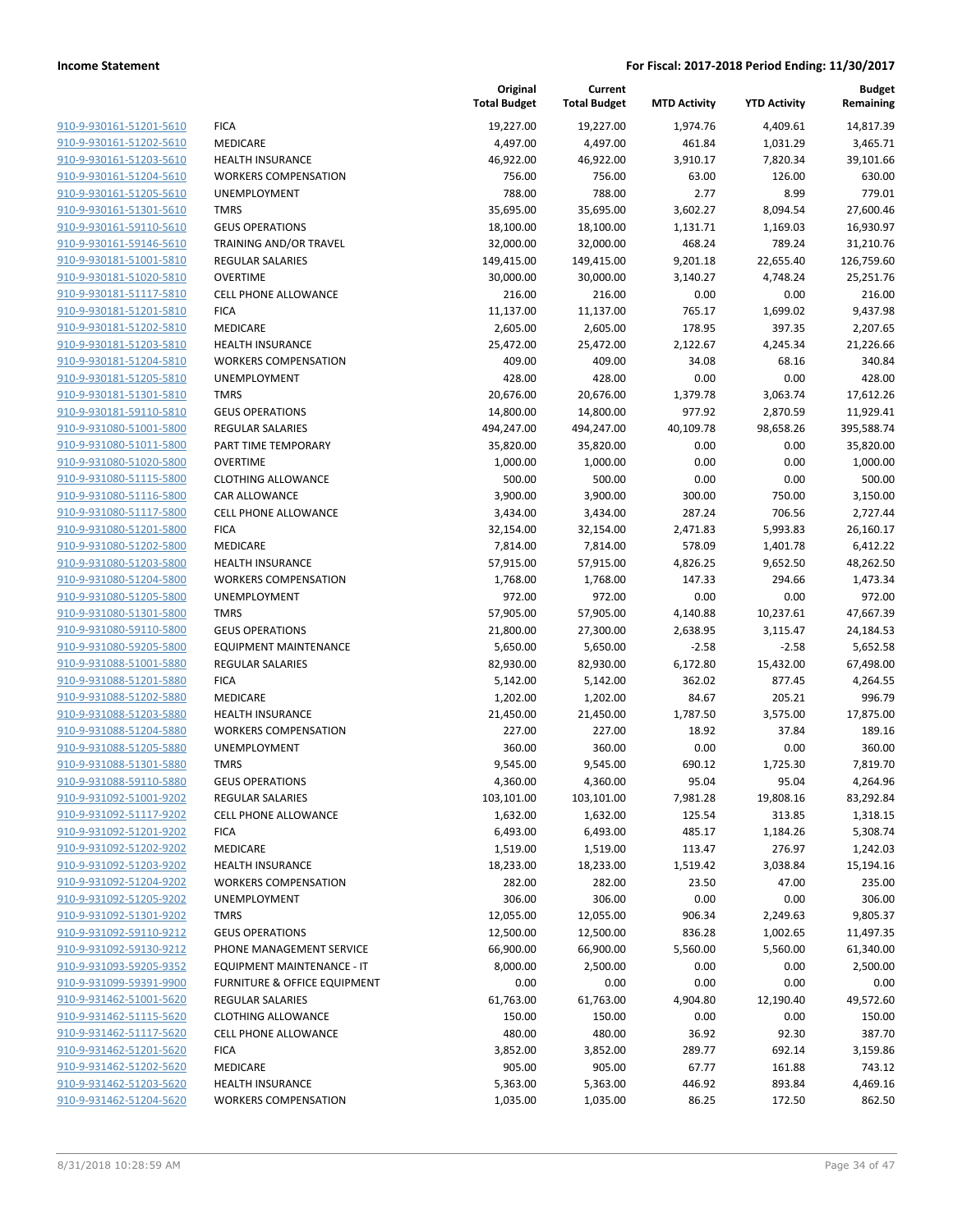|                                                    |                                                | Original<br><b>Total Budget</b> | Current<br><b>Total Budget</b> | <b>MTD Activity</b> | <b>YTD Activity</b> | Budget<br>Remaining   |
|----------------------------------------------------|------------------------------------------------|---------------------------------|--------------------------------|---------------------|---------------------|-----------------------|
| 910-9-930161-51201-5610                            | <b>FICA</b>                                    | 19,227.00                       | 19,227.00                      | 1,974.76            | 4,409.61            | 14,817.39             |
| 910-9-930161-51202-5610                            | MEDICARE                                       | 4,497.00                        | 4,497.00                       | 461.84              | 1,031.29            | 3,465.71              |
| 910-9-930161-51203-5610                            | <b>HEALTH INSURANCE</b>                        | 46,922.00                       | 46,922.00                      | 3,910.17            | 7,820.34            | 39,101.66             |
| 910-9-930161-51204-5610                            | <b>WORKERS COMPENSATION</b>                    | 756.00                          | 756.00                         | 63.00               | 126.00              | 630.00                |
| 910-9-930161-51205-5610                            | UNEMPLOYMENT                                   | 788.00                          | 788.00                         | 2.77                | 8.99                | 779.01                |
| 910-9-930161-51301-5610                            | <b>TMRS</b>                                    | 35,695.00                       | 35,695.00                      | 3,602.27            | 8,094.54            | 27,600.46             |
| 910-9-930161-59110-5610                            | <b>GEUS OPERATIONS</b>                         | 18,100.00                       | 18,100.00                      | 1,131.71            | 1,169.03            | 16,930.97             |
| 910-9-930161-59146-5610                            | <b>TRAINING AND/OR TRAVEL</b>                  | 32,000.00                       | 32,000.00                      | 468.24              | 789.24              | 31,210.76             |
| 910-9-930181-51001-5810                            | <b>REGULAR SALARIES</b>                        | 149,415.00                      | 149,415.00                     | 9,201.18            | 22,655.40           | 126,759.60            |
| 910-9-930181-51020-5810                            | <b>OVERTIME</b>                                | 30,000.00                       | 30,000.00                      | 3,140.27            | 4,748.24            | 25,251.76             |
| 910-9-930181-51117-5810                            | <b>CELL PHONE ALLOWANCE</b>                    | 216.00                          | 216.00                         | 0.00                | 0.00                | 216.00                |
| 910-9-930181-51201-5810                            | <b>FICA</b>                                    | 11,137.00                       | 11,137.00                      | 765.17              | 1,699.02            | 9,437.98              |
| 910-9-930181-51202-5810                            | MEDICARE                                       | 2,605.00                        | 2,605.00                       | 178.95              | 397.35              | 2,207.65              |
| 910-9-930181-51203-5810                            | <b>HEALTH INSURANCE</b>                        | 25,472.00                       | 25,472.00                      | 2,122.67            | 4,245.34            | 21,226.66             |
| 910-9-930181-51204-5810                            | <b>WORKERS COMPENSATION</b>                    | 409.00                          | 409.00                         | 34.08               | 68.16               | 340.84                |
| 910-9-930181-51205-5810                            | UNEMPLOYMENT                                   | 428.00                          | 428.00                         | 0.00                | 0.00                | 428.00                |
| 910-9-930181-51301-5810                            | <b>TMRS</b>                                    | 20,676.00                       | 20,676.00                      | 1,379.78            | 3,063.74            | 17,612.26             |
| 910-9-930181-59110-5810<br>910-9-931080-51001-5800 | <b>GEUS OPERATIONS</b>                         | 14,800.00                       | 14,800.00                      | 977.92              | 2,870.59            | 11,929.41             |
| 910-9-931080-51011-5800                            | <b>REGULAR SALARIES</b><br>PART TIME TEMPORARY | 494,247.00                      | 494,247.00<br>35,820.00        | 40,109.78           | 98,658.26           | 395,588.74            |
| 910-9-931080-51020-5800                            | <b>OVERTIME</b>                                | 35,820.00<br>1,000.00           | 1,000.00                       | 0.00<br>0.00        | 0.00<br>0.00        | 35,820.00<br>1,000.00 |
| 910-9-931080-51115-5800                            | <b>CLOTHING ALLOWANCE</b>                      | 500.00                          | 500.00                         | 0.00                | 0.00                | 500.00                |
| 910-9-931080-51116-5800                            | CAR ALLOWANCE                                  | 3,900.00                        | 3,900.00                       | 300.00              | 750.00              | 3,150.00              |
| 910-9-931080-51117-5800                            | <b>CELL PHONE ALLOWANCE</b>                    | 3,434.00                        | 3,434.00                       | 287.24              | 706.56              | 2,727.44              |
| 910-9-931080-51201-5800                            | <b>FICA</b>                                    | 32,154.00                       | 32,154.00                      | 2,471.83            | 5,993.83            | 26,160.17             |
| 910-9-931080-51202-5800                            | MEDICARE                                       | 7,814.00                        | 7,814.00                       | 578.09              | 1,401.78            | 6,412.22              |
| 910-9-931080-51203-5800                            | <b>HEALTH INSURANCE</b>                        | 57,915.00                       | 57,915.00                      | 4,826.25            | 9,652.50            | 48,262.50             |
| 910-9-931080-51204-5800                            | <b>WORKERS COMPENSATION</b>                    | 1,768.00                        | 1,768.00                       | 147.33              | 294.66              | 1,473.34              |
| 910-9-931080-51205-5800                            | UNEMPLOYMENT                                   | 972.00                          | 972.00                         | 0.00                | 0.00                | 972.00                |
| 910-9-931080-51301-5800                            | <b>TMRS</b>                                    | 57,905.00                       | 57,905.00                      | 4,140.88            | 10,237.61           | 47,667.39             |
| 910-9-931080-59110-5800                            | <b>GEUS OPERATIONS</b>                         | 21,800.00                       | 27,300.00                      | 2,638.95            | 3,115.47            | 24,184.53             |
| 910-9-931080-59205-5800                            | <b>EQUIPMENT MAINTENANCE</b>                   | 5,650.00                        | 5,650.00                       | $-2.58$             | $-2.58$             | 5,652.58              |
| 910-9-931088-51001-5880                            | <b>REGULAR SALARIES</b>                        | 82,930.00                       | 82,930.00                      | 6,172.80            | 15,432.00           | 67,498.00             |
| 910-9-931088-51201-5880                            | <b>FICA</b>                                    | 5,142.00                        | 5,142.00                       | 362.02              | 877.45              | 4,264.55              |
| 910-9-931088-51202-5880                            | MEDICARE                                       | 1,202.00                        | 1,202.00                       | 84.67               | 205.21              | 996.79                |
| 910-9-931088-51203-5880                            | <b>HEALTH INSURANCE</b>                        | 21,450.00                       | 21,450.00                      | 1,787.50            | 3,575.00            | 17,875.00             |
| 910-9-931088-51204-5880                            | <b>WORKERS COMPENSATION</b>                    | 227.00                          | 227.00                         | 18.92               | 37.84               | 189.16                |
| 910-9-931088-51205-5880                            | <b>UNEMPLOYMENT</b>                            | 360.00                          | 360.00                         | 0.00                | 0.00                | 360.00                |
| 910-9-931088-51301-5880                            | <b>TMRS</b>                                    | 9,545.00                        | 9,545.00                       | 690.12              | 1,725.30            | 7,819.70              |
| 910-9-931088-59110-5880                            | <b>GEUS OPERATIONS</b>                         | 4,360.00                        | 4,360.00                       | 95.04               | 95.04               | 4,264.96              |
| 910-9-931092-51001-9202                            | <b>REGULAR SALARIES</b>                        | 103,101.00                      | 103,101.00                     | 7,981.28            | 19,808.16           | 83,292.84             |
| 910-9-931092-51117-9202                            | <b>CELL PHONE ALLOWANCE</b>                    | 1,632.00                        | 1,632.00                       | 125.54              | 313.85              | 1,318.15              |
| 910-9-931092-51201-9202                            | <b>FICA</b>                                    | 6,493.00                        | 6,493.00                       | 485.17              | 1,184.26            | 5,308.74              |
| 910-9-931092-51202-9202                            | MEDICARE                                       | 1,519.00                        | 1,519.00                       | 113.47              | 276.97              | 1,242.03              |
| 910-9-931092-51203-9202                            | <b>HEALTH INSURANCE</b>                        | 18,233.00                       | 18,233.00                      | 1,519.42            | 3,038.84            | 15,194.16             |
| 910-9-931092-51204-9202                            | <b>WORKERS COMPENSATION</b>                    | 282.00                          | 282.00                         | 23.50               | 47.00               | 235.00                |
| 910-9-931092-51205-9202                            | UNEMPLOYMENT                                   | 306.00                          | 306.00                         | 0.00                | 0.00                | 306.00                |
| 910-9-931092-51301-9202                            | <b>TMRS</b>                                    | 12,055.00                       | 12,055.00                      | 906.34              | 2,249.63            | 9,805.37              |
| 910-9-931092-59110-9212                            | <b>GEUS OPERATIONS</b>                         | 12,500.00                       | 12,500.00                      | 836.28              | 1,002.65            | 11,497.35             |
| 910-9-931092-59130-9212                            | PHONE MANAGEMENT SERVICE                       | 66,900.00                       | 66,900.00                      | 5,560.00            | 5,560.00            | 61,340.00             |
| 910-9-931093-59205-9352                            | EQUIPMENT MAINTENANCE - IT                     | 8,000.00                        | 2,500.00                       | 0.00                | 0.00                | 2,500.00              |
| 910-9-931099-59391-9900                            | <b>FURNITURE &amp; OFFICE EQUIPMENT</b>        | 0.00                            | 0.00                           | 0.00                | 0.00                | 0.00                  |
| 910-9-931462-51001-5620                            | <b>REGULAR SALARIES</b>                        | 61,763.00                       | 61,763.00                      | 4,904.80            | 12,190.40           | 49,572.60             |
| 910-9-931462-51115-5620                            | <b>CLOTHING ALLOWANCE</b>                      | 150.00                          | 150.00                         | 0.00                | 0.00                | 150.00                |
| 910-9-931462-51117-5620                            | <b>CELL PHONE ALLOWANCE</b>                    | 480.00                          | 480.00                         | 36.92               | 92.30               | 387.70                |
| 910-9-931462-51201-5620                            | <b>FICA</b>                                    | 3,852.00                        | 3,852.00                       | 289.77              | 692.14              | 3,159.86              |
| 910-9-931462-51202-5620                            | MEDICARE                                       | 905.00                          | 905.00                         | 67.77               | 161.88              | 743.12                |
| 910-9-931462-51203-5620                            | <b>HEALTH INSURANCE</b>                        | 5,363.00                        | 5,363.00                       | 446.92              | 893.84              | 4,469.16              |
| 910-9-931462-51204-5620                            | <b>WORKERS COMPENSATION</b>                    | 1,035.00                        | 1,035.00                       | 86.25               | 172.50              | 862.50                |
|                                                    |                                                |                                 |                                |                     |                     |                       |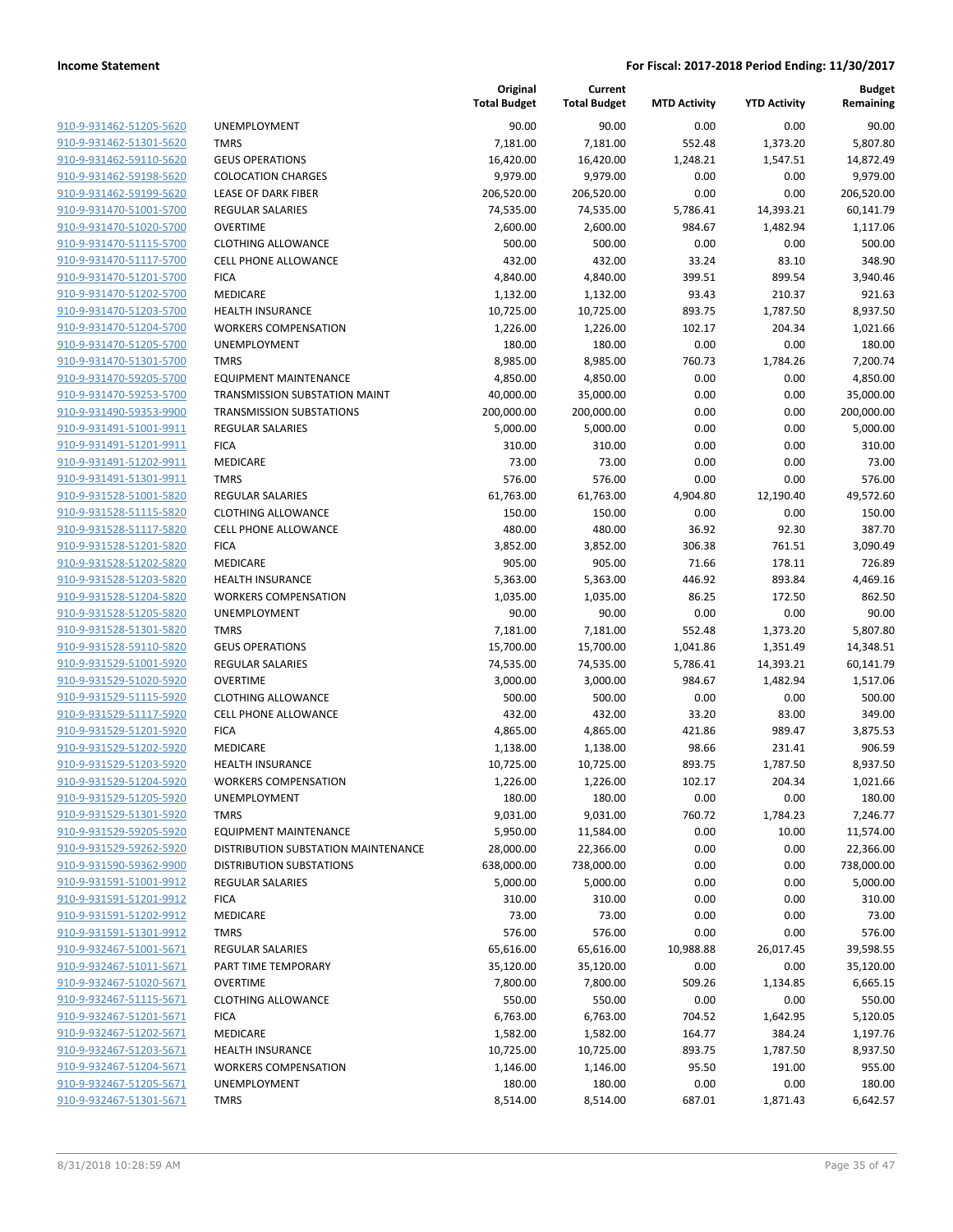| 910-9-931462-51205-5620        |
|--------------------------------|
| 910-9-931462-51301-5620        |
| 910-9-931462-59110-5620        |
| 910-9-931462-59198-5620        |
| 910-9-931462-59199-5620        |
| <u>910-9-931470-51001-5700</u> |
| 910-9-931470-51020-5700        |
| 910-9-931470-51115-5700        |
| 910-9-931470-51117-5700        |
| 910-9-931470-51201-5700        |
| 910-9-931470-51202-5700        |
| 910-9-931470-51203-5700        |
| 910-9-931470-51204-5700        |
| 910-9-931470-51205-5700        |
| 910-9-931470-51301-5700        |
|                                |
| <u>910-9-931470-59205-5700</u> |
| 910-9-931470-59253-5700        |
| 910-9-931490-59353-9900        |
| 910-9-931491-51001-9911        |
| 910-9-931491-51201-9911        |
| 910-9-931491-51202-9911        |
| 910-9-931491-51301-9911        |
| 910-9-931528-51001-5820        |
| 910-9-931528-51115-5820        |
| 910-9-931528-51117-5820        |
| <u>910-9-931528-51201-5820</u> |
| 910-9-931528-51202-5820        |
| 910-9-931528-51203-5820        |
| 910-9-931528-51204-5820        |
| 910-9-931528-51205-5820        |
| 910-9-931528-51301-5820        |
| 910-9-931528-59110-5820        |
| 910-9-931529-51001-5920        |
|                                |
| 910-9-931529-51020-5920        |
| 910-9-931529-51115-5920        |
| <u>910-9-931529-51117-5920</u> |
| 910-9-931529-51201-5920        |
| 910-9-931529-51202-5920        |
| 910-9-931529-51203-5920        |
| 910-9-931529-51204-5920        |
| <u>910-9-931529-51205-5920</u> |
| 910-9-931529-51301-5920        |
| 910-9-931529-59205-5920        |
| 910-9-931529-59262-5920        |
| 910-9-931590-59362-9900        |
| 910-9-931591-51001-9912        |
| 910-9-931591-51201-9912        |
| 910-9-931591-51202-9912        |
| 910-9-931591-51301-9912        |
| 910-9-932467-51001-5671        |
| 910-9-932467-51011-5671        |
| 910-9-932467-51020-5671        |
| 910-9-932467-51115-5671        |
|                                |
| 910-9-932467-51201-5671        |
| 910-9-932467-51202-5671        |
| 910-9-932467-51203-5671        |
| 910-9-932467-51204-5671        |
| 910-9-932467-51205-5671        |
| 910-9-932467-51301-5671        |
|                                |

|                                                    |                                             | Original<br><b>Total Budget</b> | Current<br><b>Total Budget</b> | <b>MTD Activity</b> | <b>YTD Activity</b>  | <b>Budget</b><br>Remaining |
|----------------------------------------------------|---------------------------------------------|---------------------------------|--------------------------------|---------------------|----------------------|----------------------------|
| 910-9-931462-51205-5620                            | UNEMPLOYMENT                                | 90.00                           | 90.00                          | 0.00                | 0.00                 | 90.00                      |
| 910-9-931462-51301-5620                            | <b>TMRS</b>                                 | 7,181.00                        | 7,181.00                       | 552.48              | 1,373.20             | 5,807.80                   |
| 910-9-931462-59110-5620                            | <b>GEUS OPERATIONS</b>                      | 16,420.00                       | 16,420.00                      | 1,248.21            | 1,547.51             | 14,872.49                  |
| 910-9-931462-59198-5620                            | <b>COLOCATION CHARGES</b>                   | 9,979.00                        | 9,979.00                       | 0.00                | 0.00                 | 9,979.00                   |
| 910-9-931462-59199-5620                            | LEASE OF DARK FIBER                         | 206,520.00                      | 206,520.00                     | 0.00                | 0.00                 | 206,520.00                 |
| 910-9-931470-51001-5700                            | <b>REGULAR SALARIES</b>                     | 74,535.00                       | 74,535.00                      | 5,786.41            | 14,393.21            | 60,141.79                  |
| 910-9-931470-51020-5700                            | <b>OVERTIME</b>                             | 2,600.00                        | 2,600.00                       | 984.67              | 1,482.94             | 1,117.06                   |
| 910-9-931470-51115-5700                            | <b>CLOTHING ALLOWANCE</b>                   | 500.00                          | 500.00                         | 0.00                | 0.00                 | 500.00                     |
| 910-9-931470-51117-5700                            | <b>CELL PHONE ALLOWANCE</b>                 | 432.00                          | 432.00                         | 33.24               | 83.10                | 348.90                     |
| 910-9-931470-51201-5700                            | <b>FICA</b>                                 | 4,840.00                        | 4,840.00                       | 399.51              | 899.54               | 3,940.46                   |
| 910-9-931470-51202-5700                            | MEDICARE                                    | 1,132.00                        | 1,132.00                       | 93.43               | 210.37               | 921.63                     |
| 910-9-931470-51203-5700                            | <b>HEALTH INSURANCE</b>                     | 10,725.00                       | 10,725.00                      | 893.75              | 1,787.50             | 8,937.50                   |
| 910-9-931470-51204-5700                            | <b>WORKERS COMPENSATION</b>                 | 1,226.00                        | 1,226.00                       | 102.17              | 204.34               | 1,021.66                   |
| 910-9-931470-51205-5700                            | UNEMPLOYMENT                                | 180.00                          | 180.00                         | 0.00                | 0.00                 | 180.00                     |
| 910-9-931470-51301-5700                            | <b>TMRS</b>                                 | 8,985.00                        | 8,985.00                       | 760.73              | 1,784.26             | 7,200.74                   |
| 910-9-931470-59205-5700                            | <b>EQUIPMENT MAINTENANCE</b>                | 4,850.00                        | 4,850.00                       | 0.00                | 0.00                 | 4,850.00                   |
| 910-9-931470-59253-5700                            | TRANSMISSION SUBSTATION MAINT               | 40,000.00                       | 35,000.00                      | 0.00                | 0.00                 | 35,000.00                  |
| 910-9-931490-59353-9900                            | <b>TRANSMISSION SUBSTATIONS</b>             | 200,000.00                      | 200,000.00                     | 0.00                | 0.00                 | 200,000.00                 |
| 910-9-931491-51001-9911                            | <b>REGULAR SALARIES</b>                     | 5,000.00                        | 5,000.00                       | 0.00                | 0.00                 | 5,000.00                   |
| 910-9-931491-51201-9911                            | <b>FICA</b>                                 | 310.00                          | 310.00                         | 0.00                | 0.00                 | 310.00                     |
| 910-9-931491-51202-9911                            | <b>MEDICARE</b>                             | 73.00                           | 73.00                          | 0.00                | 0.00                 | 73.00                      |
| 910-9-931491-51301-9911                            | <b>TMRS</b>                                 | 576.00                          | 576.00                         | 0.00                | 0.00                 | 576.00                     |
| 910-9-931528-51001-5820                            | REGULAR SALARIES                            | 61,763.00                       | 61,763.00                      | 4,904.80            | 12,190.40            | 49,572.60                  |
| 910-9-931528-51115-5820                            | <b>CLOTHING ALLOWANCE</b>                   | 150.00                          | 150.00                         | 0.00                | 0.00                 | 150.00                     |
| 910-9-931528-51117-5820                            | <b>CELL PHONE ALLOWANCE</b>                 | 480.00                          | 480.00                         | 36.92               | 92.30                | 387.70                     |
| 910-9-931528-51201-5820                            | <b>FICA</b>                                 | 3,852.00                        | 3,852.00                       | 306.38              | 761.51               | 3,090.49                   |
| 910-9-931528-51202-5820                            | MEDICARE                                    | 905.00                          | 905.00                         | 71.66               | 178.11               | 726.89                     |
| 910-9-931528-51203-5820                            | <b>HEALTH INSURANCE</b>                     | 5,363.00                        | 5,363.00                       | 446.92              | 893.84               | 4,469.16                   |
| 910-9-931528-51204-5820                            | <b>WORKERS COMPENSATION</b>                 | 1,035.00                        | 1,035.00                       | 86.25<br>0.00       | 172.50               | 862.50                     |
| 910-9-931528-51205-5820<br>910-9-931528-51301-5820 | UNEMPLOYMENT<br><b>TMRS</b>                 | 90.00                           | 90.00                          | 552.48              | 0.00                 | 90.00                      |
| 910-9-931528-59110-5820                            | <b>GEUS OPERATIONS</b>                      | 7,181.00<br>15,700.00           | 7,181.00<br>15,700.00          | 1,041.86            | 1,373.20<br>1,351.49 | 5,807.80<br>14,348.51      |
| 910-9-931529-51001-5920                            | REGULAR SALARIES                            | 74,535.00                       | 74,535.00                      | 5,786.41            | 14,393.21            | 60,141.79                  |
| 910-9-931529-51020-5920                            | <b>OVERTIME</b>                             | 3,000.00                        | 3,000.00                       | 984.67              | 1,482.94             | 1,517.06                   |
| 910-9-931529-51115-5920                            | <b>CLOTHING ALLOWANCE</b>                   | 500.00                          | 500.00                         | 0.00                | 0.00                 | 500.00                     |
| 910-9-931529-51117-5920                            | <b>CELL PHONE ALLOWANCE</b>                 | 432.00                          | 432.00                         | 33.20               | 83.00                | 349.00                     |
| 910-9-931529-51201-5920                            | <b>FICA</b>                                 | 4,865.00                        | 4,865.00                       | 421.86              | 989.47               | 3,875.53                   |
| 910-9-931529-51202-5920                            | MEDICARE                                    | 1,138.00                        | 1,138.00                       | 98.66               | 231.41               | 906.59                     |
| 910-9-931529-51203-5920                            | <b>HEALTH INSURANCE</b>                     | 10,725.00                       | 10,725.00                      | 893.75              | 1,787.50             | 8,937.50                   |
| 910-9-931529-51204-5920                            | <b>WORKERS COMPENSATION</b>                 | 1,226.00                        | 1,226.00                       | 102.17              | 204.34               | 1,021.66                   |
| 910-9-931529-51205-5920                            | <b>UNEMPLOYMENT</b>                         | 180.00                          | 180.00                         | 0.00                | 0.00                 | 180.00                     |
| 910-9-931529-51301-5920                            | <b>TMRS</b>                                 | 9,031.00                        | 9,031.00                       | 760.72              | 1,784.23             | 7,246.77                   |
| 910-9-931529-59205-5920                            | EQUIPMENT MAINTENANCE                       | 5,950.00                        | 11,584.00                      | 0.00                | 10.00                | 11,574.00                  |
| 910-9-931529-59262-5920                            | DISTRIBUTION SUBSTATION MAINTENANCE         | 28,000.00                       | 22,366.00                      | 0.00                | 0.00                 | 22,366.00                  |
| 910-9-931590-59362-9900                            | DISTRIBUTION SUBSTATIONS                    | 638,000.00                      | 738,000.00                     | 0.00                | 0.00                 | 738,000.00                 |
| 910-9-931591-51001-9912                            | <b>REGULAR SALARIES</b>                     | 5,000.00                        | 5,000.00                       | 0.00                | 0.00                 | 5,000.00                   |
| 910-9-931591-51201-9912                            | <b>FICA</b>                                 | 310.00                          | 310.00                         | 0.00                | 0.00                 | 310.00                     |
| 910-9-931591-51202-9912                            | <b>MEDICARE</b>                             | 73.00                           | 73.00                          | 0.00                | 0.00                 | 73.00                      |
| 910-9-931591-51301-9912                            | <b>TMRS</b>                                 | 576.00                          | 576.00                         | 0.00                | 0.00                 | 576.00                     |
| 910-9-932467-51001-5671                            | <b>REGULAR SALARIES</b>                     | 65,616.00                       | 65,616.00                      | 10,988.88           | 26,017.45            | 39,598.55                  |
| 910-9-932467-51011-5671                            | PART TIME TEMPORARY                         | 35,120.00                       | 35,120.00                      | 0.00                | 0.00                 | 35,120.00                  |
| 910-9-932467-51020-5671                            | <b>OVERTIME</b>                             | 7,800.00                        | 7,800.00                       | 509.26              | 1,134.85             | 6,665.15                   |
| 910-9-932467-51115-5671                            | <b>CLOTHING ALLOWANCE</b>                   | 550.00                          | 550.00                         | 0.00                | 0.00                 | 550.00                     |
| 910-9-932467-51201-5671                            | <b>FICA</b>                                 | 6,763.00                        | 6,763.00                       | 704.52              | 1,642.95             | 5,120.05                   |
| 910-9-932467-51202-5671                            | MEDICARE                                    | 1,582.00                        | 1,582.00                       | 164.77              | 384.24               | 1,197.76                   |
| 910-9-932467-51203-5671                            | <b>HEALTH INSURANCE</b>                     | 10,725.00                       | 10,725.00                      | 893.75              | 1,787.50             | 8,937.50                   |
| 910-9-932467-51204-5671<br>910-9-932467-51205-5671 | <b>WORKERS COMPENSATION</b><br>UNEMPLOYMENT | 1,146.00                        | 1,146.00                       | 95.50               | 191.00               | 955.00                     |
| 910-9-932467-51301-5671                            | <b>TMRS</b>                                 | 180.00<br>8,514.00              | 180.00<br>8,514.00             | 0.00<br>687.01      | 0.00<br>1,871.43     | 180.00<br>6,642.57         |
|                                                    |                                             |                                 |                                |                     |                      |                            |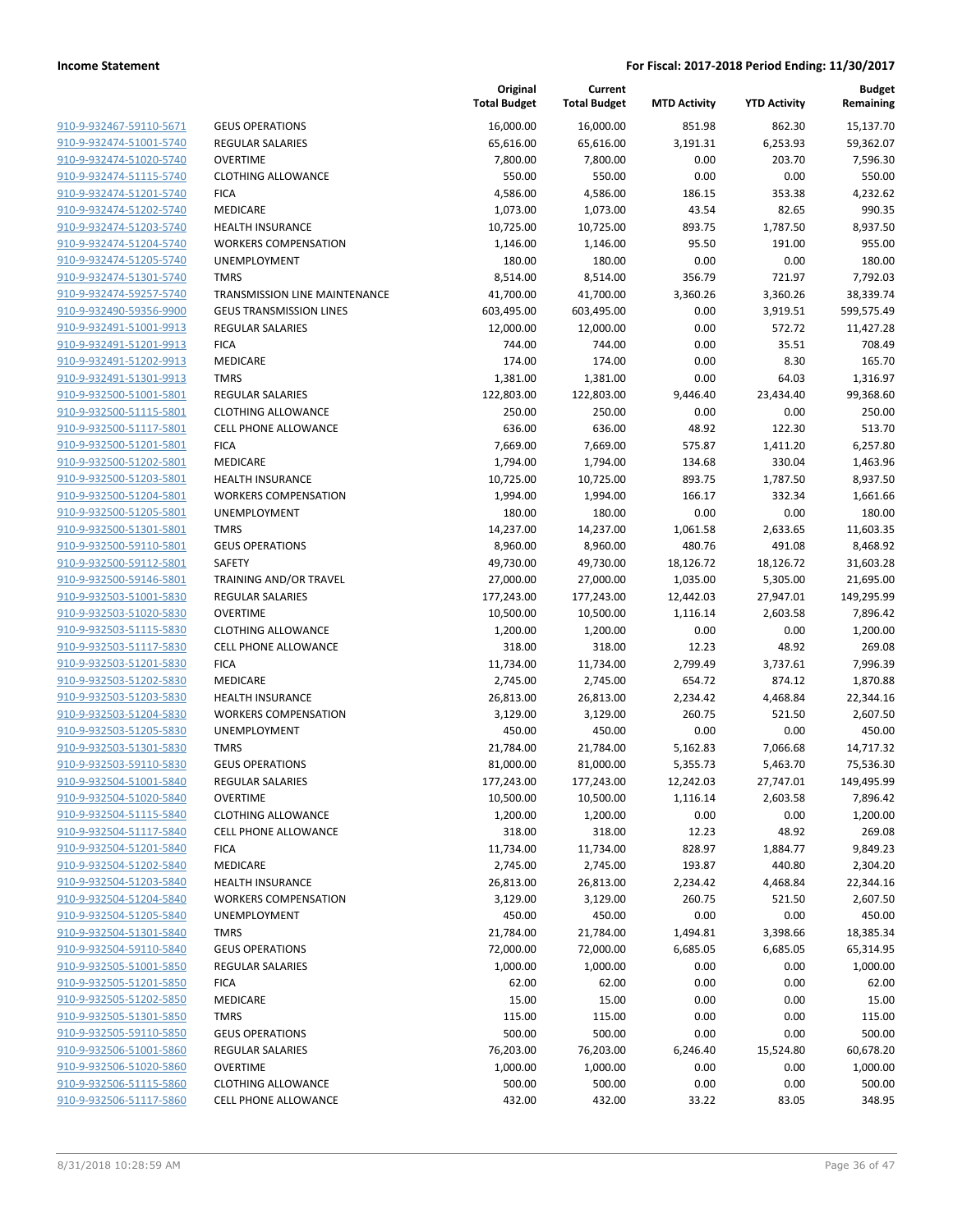| 910-9-932467-59110-5671                                   |
|-----------------------------------------------------------|
| 910-9-932474-51001-5740                                   |
| 910-9-932474-51020-5740                                   |
| 910-9-932474-51115-5740                                   |
| 910-9-932474-51201-5740                                   |
| 910-9-932474-51202-5740                                   |
| 910-9-932474-51203-5740                                   |
| 910-9-932474-51204-5740                                   |
| 910-9-932474-51205-5740                                   |
| 910-9-932474-51301-5740                                   |
| 910-9-932474-59257-5740                                   |
| 910-9-932490-59356-9900                                   |
| 910-9-932491-51001-9913                                   |
| 910-9-932491-51201-9913                                   |
| <u>910-9-932491-51202-9913</u>                            |
| 910-9-932491-51301-9913                                   |
| 910-9-932500-51001-5801                                   |
| 910-9-932500-51115-5801                                   |
| 910-9-932500-51117-5801                                   |
| <u>910-9-932500-51201-5801</u>                            |
| 910-9-932500-51202-5801                                   |
| 910-9-932500-51203-5801                                   |
| 910-9-932500-51204-5801                                   |
| 910-9-932500-51205-5801                                   |
| <u>910-9-932500-51301-5801</u>                            |
| 910-9-932500-59110-5801                                   |
| 910-9-932500-59112-5801                                   |
| 910-9-932500-59146-5801                                   |
| 910-9-932503-51001-5830                                   |
| <u>910-9-932503-51020-5830</u>                            |
| 910-9-932503-51115-5830                                   |
| 910-9-932503-51117-5830                                   |
| 910-9-932503-51201-5830                                   |
| 910-9-932503-51202-5830                                   |
| <u>910-9-932503-51203-5830</u>                            |
| 910-9-932503-51204-5830                                   |
| 910-9-932503-51205-5830                                   |
| 910-9-932503-51301-5830                                   |
| 910-9-932503-59110-5830                                   |
| 910-9-932504-51001-5840                                   |
| 910-9-932504-51020-5840                                   |
| 910-9-932504-51115-5840                                   |
| 910-9-932504-51117-5840                                   |
| 910-9-932504-51201-5840                                   |
| 910-9-932504-51202-5840                                   |
| 910-9-932504-51203-5840                                   |
| 910-9-932504-51204-5840                                   |
| 910-9-932504-51205-5840                                   |
| <u>910-9-932504-51301-5840</u>                            |
| 910-9-932504-59110-5840                                   |
| 910-9-932505-51001-5850                                   |
| 910-9-932505-51201-5850                                   |
| 910-9-932505-51202-5850                                   |
| 910-9-932505-51301-5850<br><u>910-9-932505-59110-5850</u> |
| 910-9-932506-51001-5860                                   |
| 910-9-932506-51020-5860                                   |
| 910-9-932506-51115-5860                                   |
| 910-9-932506-51117-5860                                   |
|                                                           |

|                                                    |                                     | Original<br><b>Total Budget</b> | Current<br><b>Total Budget</b> | <b>MTD Activity</b> | <b>YTD Activity</b> | <b>Budget</b><br>Remaining |
|----------------------------------------------------|-------------------------------------|---------------------------------|--------------------------------|---------------------|---------------------|----------------------------|
| 910-9-932467-59110-5671                            | <b>GEUS OPERATIONS</b>              | 16,000.00                       | 16,000.00                      | 851.98              | 862.30              | 15,137.70                  |
| 910-9-932474-51001-5740                            | <b>REGULAR SALARIES</b>             | 65,616.00                       | 65,616.00                      | 3,191.31            | 6,253.93            | 59,362.07                  |
| 910-9-932474-51020-5740                            | <b>OVERTIME</b>                     | 7,800.00                        | 7,800.00                       | 0.00                | 203.70              | 7,596.30                   |
| 910-9-932474-51115-5740                            | <b>CLOTHING ALLOWANCE</b>           | 550.00                          | 550.00                         | 0.00                | 0.00                | 550.00                     |
| 910-9-932474-51201-5740                            | <b>FICA</b>                         | 4,586.00                        | 4,586.00                       | 186.15              | 353.38              | 4,232.62                   |
| 910-9-932474-51202-5740                            | MEDICARE                            | 1,073.00                        | 1,073.00                       | 43.54               | 82.65               | 990.35                     |
| 910-9-932474-51203-5740                            | <b>HEALTH INSURANCE</b>             | 10,725.00                       | 10,725.00                      | 893.75              | 1,787.50            | 8,937.50                   |
| 910-9-932474-51204-5740                            | <b>WORKERS COMPENSATION</b>         | 1,146.00                        | 1,146.00                       | 95.50               | 191.00              | 955.00                     |
| 910-9-932474-51205-5740                            | UNEMPLOYMENT                        | 180.00                          | 180.00                         | 0.00                | 0.00                | 180.00                     |
| 910-9-932474-51301-5740                            | <b>TMRS</b>                         | 8,514.00                        | 8,514.00                       | 356.79              | 721.97              | 7,792.03                   |
| 910-9-932474-59257-5740                            | TRANSMISSION LINE MAINTENANCE       | 41,700.00                       | 41,700.00                      | 3,360.26            | 3,360.26            | 38,339.74                  |
| 910-9-932490-59356-9900                            | <b>GEUS TRANSMISSION LINES</b>      | 603,495.00                      | 603,495.00                     | 0.00                | 3,919.51            | 599,575.49                 |
| 910-9-932491-51001-9913                            | <b>REGULAR SALARIES</b>             | 12,000.00                       | 12,000.00                      | 0.00                | 572.72              | 11,427.28                  |
| 910-9-932491-51201-9913                            | <b>FICA</b>                         | 744.00                          | 744.00                         | 0.00                | 35.51               | 708.49                     |
| 910-9-932491-51202-9913                            | MEDICARE                            | 174.00                          | 174.00                         | 0.00                | 8.30                | 165.70                     |
| 910-9-932491-51301-9913                            | <b>TMRS</b>                         | 1,381.00                        | 1,381.00                       | 0.00                | 64.03               | 1,316.97                   |
| 910-9-932500-51001-5801                            | <b>REGULAR SALARIES</b>             | 122,803.00                      | 122,803.00                     | 9,446.40            | 23,434.40           | 99,368.60                  |
| 910-9-932500-51115-5801                            | <b>CLOTHING ALLOWANCE</b>           | 250.00                          | 250.00                         | 0.00                | 0.00                | 250.00                     |
| 910-9-932500-51117-5801                            | <b>CELL PHONE ALLOWANCE</b>         | 636.00                          | 636.00                         | 48.92               | 122.30              | 513.70                     |
| 910-9-932500-51201-5801                            | <b>FICA</b>                         | 7,669.00                        | 7,669.00                       | 575.87              | 1,411.20            | 6,257.80                   |
| 910-9-932500-51202-5801                            | MEDICARE                            | 1,794.00                        | 1,794.00                       | 134.68              | 330.04              | 1,463.96                   |
| 910-9-932500-51203-5801                            | <b>HEALTH INSURANCE</b>             | 10,725.00                       | 10,725.00                      | 893.75              | 1,787.50            | 8,937.50                   |
| 910-9-932500-51204-5801                            | <b>WORKERS COMPENSATION</b>         | 1,994.00                        | 1,994.00                       | 166.17              | 332.34              | 1,661.66                   |
| 910-9-932500-51205-5801                            | UNEMPLOYMENT                        | 180.00                          | 180.00                         | 0.00                | 0.00                | 180.00                     |
| 910-9-932500-51301-5801                            | <b>TMRS</b>                         | 14,237.00                       | 14,237.00                      | 1,061.58            | 2,633.65            | 11,603.35                  |
| 910-9-932500-59110-5801                            | <b>GEUS OPERATIONS</b>              | 8,960.00                        | 8,960.00                       | 480.76              | 491.08              | 8,468.92                   |
| 910-9-932500-59112-5801                            | SAFETY                              | 49,730.00                       | 49,730.00                      | 18,126.72           | 18,126.72           | 31,603.28                  |
| 910-9-932500-59146-5801                            | TRAINING AND/OR TRAVEL              | 27,000.00                       | 27,000.00                      | 1,035.00            | 5,305.00            | 21,695.00                  |
| 910-9-932503-51001-5830                            | <b>REGULAR SALARIES</b>             | 177,243.00                      | 177,243.00                     | 12,442.03           | 27,947.01           | 149,295.99                 |
| 910-9-932503-51020-5830                            | <b>OVERTIME</b>                     | 10,500.00                       | 10,500.00                      | 1,116.14            | 2,603.58            | 7,896.42                   |
| 910-9-932503-51115-5830                            | <b>CLOTHING ALLOWANCE</b>           | 1,200.00                        | 1,200.00                       | 0.00                | 0.00                | 1,200.00                   |
| 910-9-932503-51117-5830                            | CELL PHONE ALLOWANCE                | 318.00                          | 318.00                         | 12.23               | 48.92               | 269.08                     |
| 910-9-932503-51201-5830                            | <b>FICA</b>                         | 11,734.00                       | 11,734.00                      | 2,799.49            | 3,737.61            | 7,996.39                   |
| 910-9-932503-51202-5830<br>910-9-932503-51203-5830 | MEDICARE<br><b>HEALTH INSURANCE</b> | 2,745.00                        | 2,745.00<br>26,813.00          | 654.72              | 874.12              | 1,870.88<br>22,344.16      |
| 910-9-932503-51204-5830                            | <b>WORKERS COMPENSATION</b>         | 26,813.00<br>3,129.00           | 3,129.00                       | 2,234.42<br>260.75  | 4,468.84<br>521.50  | 2,607.50                   |
| 910-9-932503-51205-5830                            | UNEMPLOYMENT                        | 450.00                          | 450.00                         | 0.00                | 0.00                | 450.00                     |
| 910-9-932503-51301-5830                            | <b>TMRS</b>                         | 21,784.00                       | 21,784.00                      | 5,162.83            | 7,066.68            | 14,717.32                  |
| 910-9-932503-59110-5830                            | <b>GEUS OPERATIONS</b>              | 81,000.00                       | 81,000.00                      | 5,355.73            | 5,463.70            | 75,536.30                  |
| 910-9-932504-51001-5840                            | <b>REGULAR SALARIES</b>             | 177,243.00                      | 177,243.00                     | 12,242.03           | 27,747.01           | 149,495.99                 |
| 910-9-932504-51020-5840                            | <b>OVERTIME</b>                     | 10,500.00                       | 10,500.00                      | 1,116.14            | 2,603.58            | 7,896.42                   |
| 910-9-932504-51115-5840                            | <b>CLOTHING ALLOWANCE</b>           | 1,200.00                        | 1,200.00                       | 0.00                | 0.00                | 1,200.00                   |
| 910-9-932504-51117-5840                            | <b>CELL PHONE ALLOWANCE</b>         | 318.00                          | 318.00                         | 12.23               | 48.92               | 269.08                     |
| 910-9-932504-51201-5840                            | <b>FICA</b>                         | 11,734.00                       | 11,734.00                      | 828.97              | 1,884.77            | 9,849.23                   |
| 910-9-932504-51202-5840                            | MEDICARE                            | 2,745.00                        | 2,745.00                       | 193.87              | 440.80              | 2,304.20                   |
| 910-9-932504-51203-5840                            | <b>HEALTH INSURANCE</b>             | 26,813.00                       | 26,813.00                      | 2,234.42            | 4,468.84            | 22,344.16                  |
| 910-9-932504-51204-5840                            | <b>WORKERS COMPENSATION</b>         | 3,129.00                        | 3,129.00                       | 260.75              | 521.50              | 2,607.50                   |
| 910-9-932504-51205-5840                            | UNEMPLOYMENT                        | 450.00                          | 450.00                         | 0.00                | 0.00                | 450.00                     |
| 910-9-932504-51301-5840                            | <b>TMRS</b>                         | 21,784.00                       | 21,784.00                      | 1,494.81            | 3,398.66            | 18,385.34                  |
| 910-9-932504-59110-5840                            | <b>GEUS OPERATIONS</b>              | 72,000.00                       | 72,000.00                      | 6,685.05            | 6,685.05            | 65,314.95                  |
| 910-9-932505-51001-5850                            | <b>REGULAR SALARIES</b>             | 1,000.00                        | 1,000.00                       | 0.00                | 0.00                | 1,000.00                   |
| 910-9-932505-51201-5850                            | <b>FICA</b>                         | 62.00                           | 62.00                          | 0.00                | 0.00                | 62.00                      |
| 910-9-932505-51202-5850                            | MEDICARE                            | 15.00                           | 15.00                          | 0.00                | 0.00                | 15.00                      |
| 910-9-932505-51301-5850                            | <b>TMRS</b>                         | 115.00                          | 115.00                         | 0.00                | 0.00                | 115.00                     |
| 910-9-932505-59110-5850                            | <b>GEUS OPERATIONS</b>              | 500.00                          | 500.00                         | 0.00                | 0.00                | 500.00                     |
| 910-9-932506-51001-5860                            | REGULAR SALARIES                    | 76,203.00                       | 76,203.00                      | 6,246.40            | 15,524.80           | 60,678.20                  |
| 910-9-932506-51020-5860                            | <b>OVERTIME</b>                     | 1,000.00                        | 1,000.00                       | 0.00                | 0.00                | 1,000.00                   |
| 910-9-932506-51115-5860                            | <b>CLOTHING ALLOWANCE</b>           | 500.00                          | 500.00                         | 0.00                | 0.00                | 500.00                     |
| 910-9-932506-51117-5860                            | CELL PHONE ALLOWANCE                | 432.00                          | 432.00                         | 33.22               | 83.05               | 348.95                     |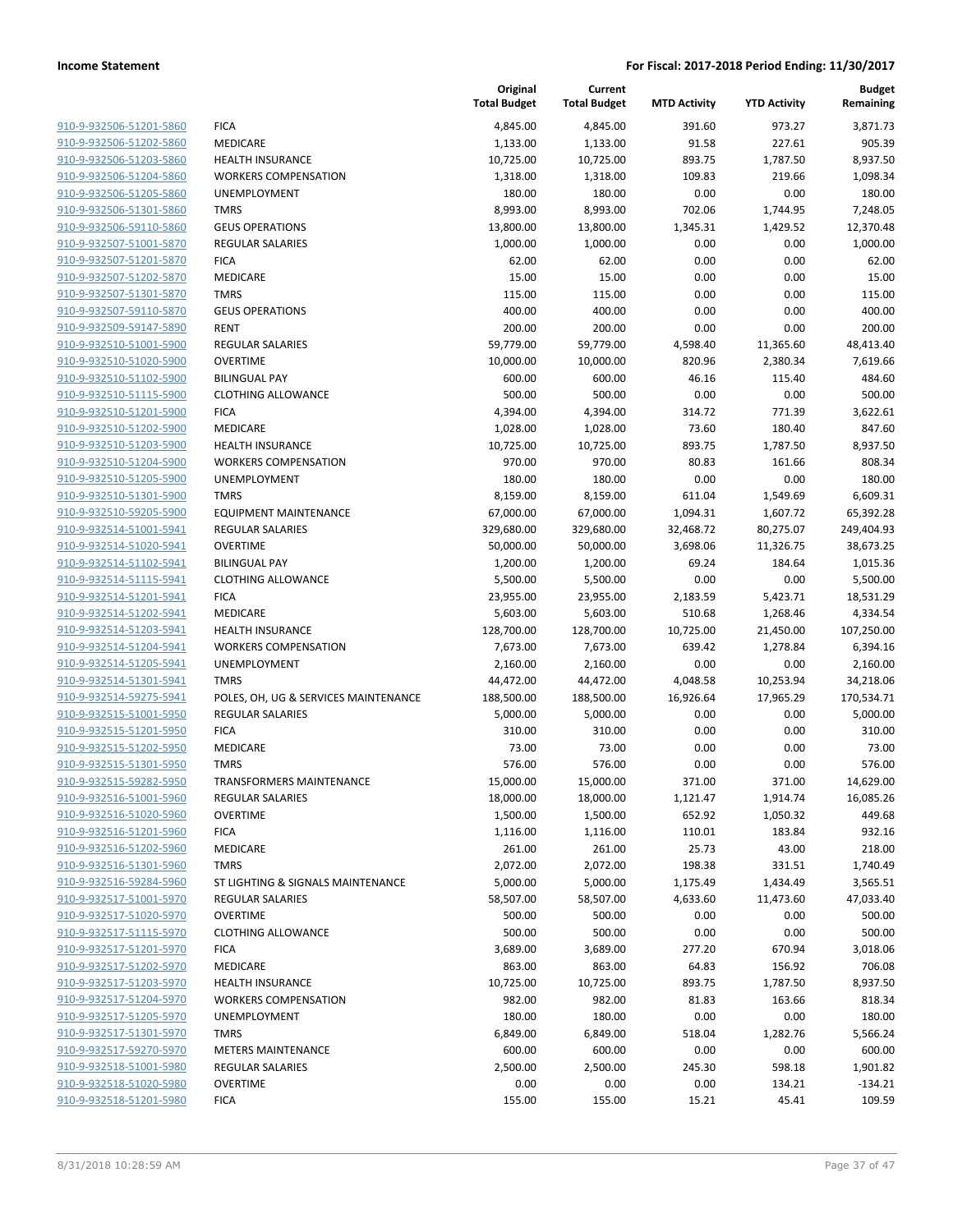|                                                    |                                      | Original<br><b>Total Budget</b> | Current<br><b>Total Budget</b> | <b>MTD Activity</b> | <b>YTD Activity</b> | <b>Budget</b><br>Remaining |
|----------------------------------------------------|--------------------------------------|---------------------------------|--------------------------------|---------------------|---------------------|----------------------------|
| 910-9-932506-51201-5860                            | <b>FICA</b>                          | 4,845.00                        | 4,845.00                       | 391.60              | 973.27              | 3,871.73                   |
| 910-9-932506-51202-5860                            | MEDICARE                             | 1,133.00                        | 1,133.00                       | 91.58               | 227.61              | 905.39                     |
| 910-9-932506-51203-5860                            | <b>HEALTH INSURANCE</b>              | 10,725.00                       | 10,725.00                      | 893.75              | 1,787.50            | 8,937.50                   |
| 910-9-932506-51204-5860                            | <b>WORKERS COMPENSATION</b>          | 1,318.00                        | 1,318.00                       | 109.83              | 219.66              | 1,098.34                   |
| 910-9-932506-51205-5860                            | UNEMPLOYMENT                         | 180.00                          | 180.00                         | 0.00                | 0.00                | 180.00                     |
| 910-9-932506-51301-5860                            | <b>TMRS</b>                          | 8,993.00                        | 8,993.00                       | 702.06              | 1,744.95            | 7,248.05                   |
| 910-9-932506-59110-5860                            | <b>GEUS OPERATIONS</b>               | 13,800.00                       | 13,800.00                      | 1,345.31            | 1,429.52            | 12,370.48                  |
| 910-9-932507-51001-5870                            | <b>REGULAR SALARIES</b>              | 1,000.00                        | 1,000.00                       | 0.00                | 0.00                | 1,000.00                   |
| 910-9-932507-51201-5870                            | <b>FICA</b>                          | 62.00                           | 62.00                          | 0.00                | 0.00                | 62.00                      |
| 910-9-932507-51202-5870                            | MEDICARE                             | 15.00                           | 15.00                          | 0.00                | 0.00                | 15.00                      |
| 910-9-932507-51301-5870                            | <b>TMRS</b>                          | 115.00                          | 115.00                         | 0.00                | 0.00                | 115.00                     |
| 910-9-932507-59110-5870                            | <b>GEUS OPERATIONS</b>               | 400.00                          | 400.00                         | 0.00                | 0.00                | 400.00                     |
| 910-9-932509-59147-5890                            | <b>RENT</b>                          | 200.00                          | 200.00                         | 0.00                | 0.00                | 200.00                     |
| 910-9-932510-51001-5900                            | <b>REGULAR SALARIES</b>              | 59,779.00                       | 59,779.00                      | 4,598.40            | 11,365.60           | 48,413.40                  |
| 910-9-932510-51020-5900                            | <b>OVERTIME</b>                      | 10,000.00                       | 10,000.00                      | 820.96              | 2,380.34            | 7,619.66                   |
| 910-9-932510-51102-5900                            | <b>BILINGUAL PAY</b>                 | 600.00                          | 600.00                         | 46.16               | 115.40              | 484.60                     |
| 910-9-932510-51115-5900                            | <b>CLOTHING ALLOWANCE</b>            | 500.00                          | 500.00                         | 0.00                | 0.00                | 500.00                     |
| 910-9-932510-51201-5900                            | <b>FICA</b>                          | 4,394.00                        | 4,394.00                       | 314.72              | 771.39              | 3,622.61                   |
| 910-9-932510-51202-5900                            | MEDICARE                             | 1,028.00                        | 1,028.00                       | 73.60               | 180.40              | 847.60                     |
| 910-9-932510-51203-5900                            | HEALTH INSURANCE                     | 10,725.00                       | 10,725.00                      | 893.75              | 1,787.50            | 8,937.50                   |
| 910-9-932510-51204-5900                            | <b>WORKERS COMPENSATION</b>          | 970.00                          | 970.00                         | 80.83               | 161.66              | 808.34                     |
| 910-9-932510-51205-5900                            | UNEMPLOYMENT                         | 180.00                          | 180.00                         | 0.00                | 0.00                | 180.00                     |
| 910-9-932510-51301-5900                            | <b>TMRS</b>                          | 8,159.00                        | 8,159.00                       | 611.04              | 1,549.69            | 6,609.31                   |
| 910-9-932510-59205-5900                            | <b>EQUIPMENT MAINTENANCE</b>         | 67,000.00                       | 67,000.00                      | 1,094.31            | 1,607.72            | 65,392.28                  |
| 910-9-932514-51001-5941                            | <b>REGULAR SALARIES</b>              | 329,680.00                      | 329,680.00                     | 32,468.72           | 80,275.07           | 249,404.93                 |
| 910-9-932514-51020-5941                            | <b>OVERTIME</b>                      | 50,000.00                       | 50,000.00                      | 3,698.06            | 11,326.75           | 38,673.25                  |
| 910-9-932514-51102-5941                            | <b>BILINGUAL PAY</b>                 | 1,200.00                        | 1,200.00                       | 69.24               | 184.64              | 1,015.36                   |
| 910-9-932514-51115-5941                            | <b>CLOTHING ALLOWANCE</b>            | 5,500.00                        | 5,500.00                       | 0.00                | 0.00                | 5,500.00                   |
| 910-9-932514-51201-5941                            | <b>FICA</b>                          | 23,955.00                       | 23,955.00                      | 2,183.59            | 5,423.71            | 18,531.29                  |
| 910-9-932514-51202-5941                            | MEDICARE                             | 5,603.00                        | 5,603.00                       | 510.68              | 1,268.46            | 4,334.54                   |
| 910-9-932514-51203-5941                            | <b>HEALTH INSURANCE</b>              | 128,700.00                      | 128,700.00                     | 10,725.00           | 21,450.00           | 107,250.00                 |
| 910-9-932514-51204-5941                            | <b>WORKERS COMPENSATION</b>          | 7,673.00                        | 7,673.00                       | 639.42              | 1,278.84            | 6,394.16                   |
| 910-9-932514-51205-5941                            | UNEMPLOYMENT                         | 2,160.00                        | 2,160.00                       | 0.00                | 0.00                | 2,160.00                   |
| 910-9-932514-51301-5941                            | <b>TMRS</b>                          | 44,472.00                       | 44,472.00                      | 4,048.58            | 10,253.94           | 34,218.06                  |
| 910-9-932514-59275-5941                            | POLES, OH, UG & SERVICES MAINTENANCE | 188,500.00                      | 188,500.00                     | 16,926.64           | 17,965.29           | 170,534.71                 |
| 910-9-932515-51001-5950                            | <b>REGULAR SALARIES</b>              | 5,000.00                        | 5,000.00                       | 0.00                | 0.00                | 5,000.00                   |
| 910-9-932515-51201-5950                            | <b>FICA</b>                          | 310.00                          | 310.00                         | 0.00                | 0.00                | 310.00                     |
| 910-9-932515-51202-5950                            | MEDICARE                             | 73.00                           | 73.00                          | 0.00                | 0.00                | 73.00                      |
| 910-9-932515-51301-5950                            | <b>TMRS</b>                          | 576.00                          | 576.00                         | 0.00                | 0.00                | 576.00                     |
| 910-9-932515-59282-5950                            | TRANSFORMERS MAINTENANCE             | 15,000.00                       | 15,000.00                      | 371.00              | 371.00              | 14,629.00                  |
| 910-9-932516-51001-5960                            | <b>REGULAR SALARIES</b>              | 18,000.00                       | 18,000.00                      | 1,121.47            | 1,914.74            | 16,085.26                  |
| 910-9-932516-51020-5960                            | <b>OVERTIME</b>                      | 1,500.00                        | 1,500.00                       | 652.92              | 1,050.32            | 449.68                     |
| 910-9-932516-51201-5960                            | <b>FICA</b>                          | 1,116.00                        | 1,116.00                       | 110.01              | 183.84              | 932.16                     |
| 910-9-932516-51202-5960                            | <b>MEDICARE</b>                      | 261.00                          | 261.00                         | 25.73               | 43.00               | 218.00                     |
| 910-9-932516-51301-5960                            | <b>TMRS</b>                          | 2,072.00                        | 2,072.00                       | 198.38              | 331.51              | 1,740.49                   |
| 910-9-932516-59284-5960                            | ST LIGHTING & SIGNALS MAINTENANCE    | 5,000.00                        | 5,000.00                       | 1,175.49            | 1,434.49            | 3,565.51                   |
| 910-9-932517-51001-5970                            | <b>REGULAR SALARIES</b>              | 58,507.00                       | 58,507.00                      | 4,633.60            | 11,473.60           | 47,033.40                  |
| 910-9-932517-51020-5970                            | <b>OVERTIME</b>                      | 500.00                          | 500.00                         | 0.00                | 0.00                | 500.00                     |
| 910-9-932517-51115-5970                            | <b>CLOTHING ALLOWANCE</b>            | 500.00                          | 500.00                         | 0.00                | 0.00                | 500.00                     |
| 910-9-932517-51201-5970                            | <b>FICA</b>                          | 3,689.00                        | 3,689.00                       | 277.20              | 670.94              | 3,018.06                   |
| 910-9-932517-51202-5970                            | MEDICARE                             | 863.00                          | 863.00                         | 64.83               | 156.92              | 706.08                     |
| 910-9-932517-51203-5970                            | <b>HEALTH INSURANCE</b>              | 10,725.00                       | 10,725.00                      | 893.75              | 1,787.50            | 8,937.50                   |
| 910-9-932517-51204-5970                            | <b>WORKERS COMPENSATION</b>          | 982.00                          | 982.00                         | 81.83               | 163.66              | 818.34                     |
| 910-9-932517-51205-5970                            | UNEMPLOYMENT                         | 180.00                          | 180.00                         | 0.00                | 0.00                | 180.00                     |
| 910-9-932517-51301-5970                            | <b>TMRS</b>                          | 6,849.00                        | 6,849.00                       | 518.04              | 1,282.76            | 5,566.24                   |
| 910-9-932517-59270-5970                            | <b>METERS MAINTENANCE</b>            | 600.00                          | 600.00                         | 0.00                | 0.00                | 600.00                     |
| 910-9-932518-51001-5980                            | <b>REGULAR SALARIES</b>              | 2,500.00                        | 2,500.00                       | 245.30              | 598.18              | 1,901.82                   |
| 910-9-932518-51020-5980<br>910-9-932518-51201-5980 | <b>OVERTIME</b>                      | 0.00                            | 0.00                           | 0.00                | 134.21              | $-134.21$                  |
|                                                    | <b>FICA</b>                          | 155.00                          | 155.00                         | 15.21               | 45.41               | 109.59                     |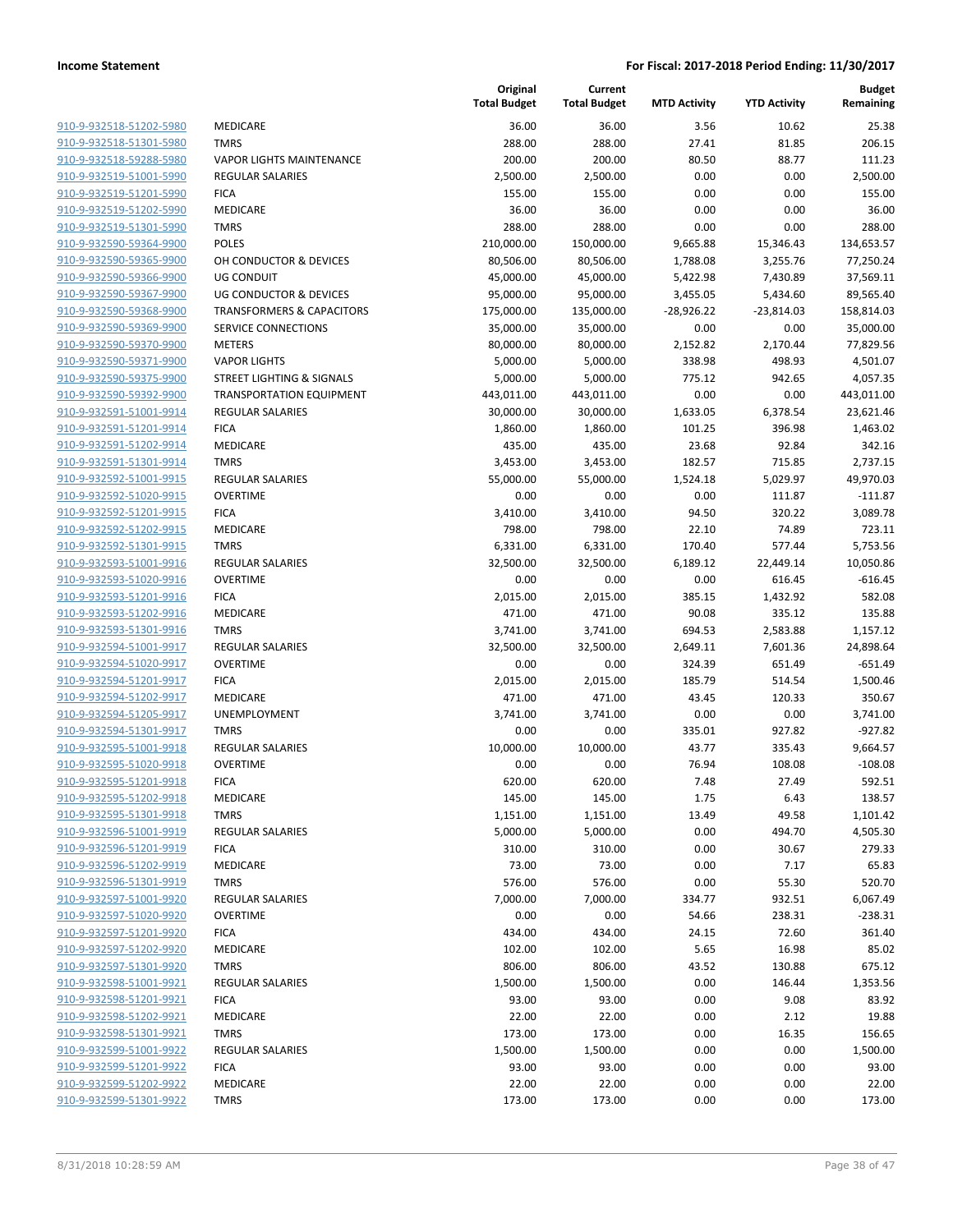|                         |                                      | Original<br><b>Total Budget</b> | Current<br><b>Total Budget</b> | <b>MTD Activity</b> | <b>YTD Activity</b> | <b>Budget</b><br>Remaining |
|-------------------------|--------------------------------------|---------------------------------|--------------------------------|---------------------|---------------------|----------------------------|
| 910-9-932518-51202-5980 | MEDICARE                             | 36.00                           | 36.00                          | 3.56                | 10.62               | 25.38                      |
| 910-9-932518-51301-5980 | <b>TMRS</b>                          | 288.00                          | 288.00                         | 27.41               | 81.85               | 206.15                     |
| 910-9-932518-59288-5980 | <b>VAPOR LIGHTS MAINTENANCE</b>      | 200.00                          | 200.00                         | 80.50               | 88.77               | 111.23                     |
| 910-9-932519-51001-5990 | REGULAR SALARIES                     | 2,500.00                        | 2,500.00                       | 0.00                | 0.00                | 2,500.00                   |
| 910-9-932519-51201-5990 | <b>FICA</b>                          | 155.00                          | 155.00                         | 0.00                | 0.00                | 155.00                     |
| 910-9-932519-51202-5990 | MEDICARE                             | 36.00                           | 36.00                          | 0.00                | 0.00                | 36.00                      |
| 910-9-932519-51301-5990 | <b>TMRS</b>                          | 288.00                          | 288.00                         | 0.00                | 0.00                | 288.00                     |
| 910-9-932590-59364-9900 | <b>POLES</b>                         | 210,000.00                      | 150,000.00                     | 9,665.88            | 15,346.43           | 134,653.57                 |
| 910-9-932590-59365-9900 | OH CONDUCTOR & DEVICES               | 80,506.00                       | 80,506.00                      | 1,788.08            | 3,255.76            | 77,250.24                  |
| 910-9-932590-59366-9900 | <b>UG CONDUIT</b>                    | 45,000.00                       | 45,000.00                      | 5,422.98            | 7,430.89            | 37,569.11                  |
| 910-9-932590-59367-9900 | <b>UG CONDUCTOR &amp; DEVICES</b>    | 95,000.00                       | 95,000.00                      | 3,455.05            | 5,434.60            | 89,565.40                  |
| 910-9-932590-59368-9900 | <b>TRANSFORMERS &amp; CAPACITORS</b> | 175,000.00                      | 135,000.00                     | $-28,926.22$        | $-23,814.03$        | 158,814.03                 |
| 910-9-932590-59369-9900 | SERVICE CONNECTIONS                  | 35,000.00                       | 35,000.00                      | 0.00                | 0.00                | 35,000.00                  |
| 910-9-932590-59370-9900 | <b>METERS</b>                        | 80,000.00                       | 80,000.00                      | 2,152.82            | 2,170.44            | 77,829.56                  |
| 910-9-932590-59371-9900 | <b>VAPOR LIGHTS</b>                  | 5,000.00                        | 5,000.00                       | 338.98              | 498.93              | 4,501.07                   |
| 910-9-932590-59375-9900 | <b>STREET LIGHTING &amp; SIGNALS</b> | 5,000.00                        | 5,000.00                       | 775.12              | 942.65              | 4,057.35                   |
| 910-9-932590-59392-9900 | <b>TRANSPORTATION EQUIPMENT</b>      | 443,011.00                      | 443,011.00                     | 0.00                | 0.00                | 443,011.00                 |
| 910-9-932591-51001-9914 | REGULAR SALARIES                     | 30,000.00                       | 30,000.00                      | 1,633.05            | 6,378.54            | 23,621.46                  |
| 910-9-932591-51201-9914 | <b>FICA</b>                          | 1,860.00                        | 1,860.00                       | 101.25              | 396.98              | 1,463.02                   |
| 910-9-932591-51202-9914 | MEDICARE                             | 435.00                          | 435.00                         | 23.68               | 92.84               | 342.16                     |
| 910-9-932591-51301-9914 | <b>TMRS</b>                          | 3,453.00                        | 3,453.00                       | 182.57              | 715.85              | 2,737.15                   |
| 910-9-932592-51001-9915 | <b>REGULAR SALARIES</b>              | 55,000.00                       | 55,000.00                      | 1,524.18            | 5,029.97            | 49,970.03                  |
| 910-9-932592-51020-9915 | <b>OVERTIME</b>                      | 0.00                            | 0.00                           | 0.00                | 111.87              | $-111.87$                  |
| 910-9-932592-51201-9915 | <b>FICA</b>                          | 3,410.00                        | 3,410.00                       | 94.50               | 320.22              | 3,089.78                   |
| 910-9-932592-51202-9915 | MEDICARE                             | 798.00                          | 798.00                         | 22.10               | 74.89               | 723.11                     |
| 910-9-932592-51301-9915 | <b>TMRS</b>                          | 6,331.00                        | 6,331.00                       | 170.40              | 577.44              | 5,753.56                   |
| 910-9-932593-51001-9916 | REGULAR SALARIES                     | 32,500.00                       | 32,500.00                      | 6,189.12            | 22,449.14           | 10,050.86                  |
| 910-9-932593-51020-9916 | <b>OVERTIME</b>                      | 0.00                            | 0.00                           | 0.00                | 616.45              | $-616.45$                  |
| 910-9-932593-51201-9916 | <b>FICA</b>                          | 2,015.00                        | 2,015.00                       | 385.15              | 1,432.92            | 582.08                     |
| 910-9-932593-51202-9916 | MEDICARE                             | 471.00                          | 471.00                         | 90.08               | 335.12              | 135.88                     |
| 910-9-932593-51301-9916 | <b>TMRS</b>                          | 3,741.00                        | 3,741.00                       | 694.53              | 2,583.88            | 1,157.12                   |
| 910-9-932594-51001-9917 | <b>REGULAR SALARIES</b>              | 32,500.00                       | 32,500.00                      | 2,649.11            | 7,601.36            | 24,898.64                  |
| 910-9-932594-51020-9917 | <b>OVERTIME</b>                      | 0.00                            | 0.00                           | 324.39              | 651.49              | $-651.49$                  |
| 910-9-932594-51201-9917 | <b>FICA</b>                          | 2,015.00                        | 2,015.00                       | 185.79              | 514.54              | 1,500.46                   |
| 910-9-932594-51202-9917 | MEDICARE                             | 471.00                          | 471.00                         | 43.45               | 120.33              | 350.67                     |
| 910-9-932594-51205-9917 | UNEMPLOYMENT                         | 3,741.00                        | 3,741.00                       | 0.00                | 0.00                | 3,741.00                   |
| 910-9-932594-51301-9917 | <b>TMRS</b>                          | 0.00                            | 0.00                           | 335.01              | 927.82              | $-927.82$                  |
| 910-9-932595-51001-9918 | REGULAR SALARIES                     | 10,000.00                       | 10,000.00                      | 43.77               | 335.43              | 9,664.57                   |
| 910-9-932595-51020-9918 | <b>OVERTIME</b>                      | 0.00                            | 0.00                           | 76.94               | 108.08              | $-108.08$                  |
| 910-9-932595-51201-9918 | <b>FICA</b>                          | 620.00                          | 620.00                         | 7.48                | 27.49               | 592.51                     |
| 910-9-932595-51202-9918 | MEDICARE                             | 145.00                          | 145.00                         | 1.75                | 6.43                | 138.57                     |
| 910-9-932595-51301-9918 | <b>TMRS</b>                          | 1,151.00                        | 1,151.00                       | 13.49               | 49.58               | 1,101.42                   |
| 910-9-932596-51001-9919 | REGULAR SALARIES                     | 5,000.00                        | 5,000.00                       | 0.00                | 494.70              | 4,505.30                   |
| 910-9-932596-51201-9919 | <b>FICA</b>                          | 310.00                          | 310.00                         | 0.00                | 30.67               | 279.33                     |
| 910-9-932596-51202-9919 | MEDICARE                             | 73.00                           | 73.00                          | 0.00                | 7.17                | 65.83                      |
| 910-9-932596-51301-9919 | <b>TMRS</b>                          | 576.00                          | 576.00                         | 0.00                | 55.30               | 520.70                     |
| 910-9-932597-51001-9920 | <b>REGULAR SALARIES</b>              | 7,000.00                        | 7,000.00                       | 334.77              | 932.51              | 6,067.49                   |
| 910-9-932597-51020-9920 | <b>OVERTIME</b>                      | 0.00                            | 0.00                           | 54.66               | 238.31              | $-238.31$                  |
| 910-9-932597-51201-9920 | <b>FICA</b>                          | 434.00                          | 434.00                         | 24.15               | 72.60               | 361.40                     |
| 910-9-932597-51202-9920 | MEDICARE                             | 102.00                          | 102.00                         | 5.65                | 16.98               | 85.02                      |
| 910-9-932597-51301-9920 | <b>TMRS</b>                          | 806.00                          | 806.00                         | 43.52               | 130.88              | 675.12                     |
| 910-9-932598-51001-9921 | REGULAR SALARIES                     | 1,500.00                        | 1,500.00                       | 0.00                | 146.44              | 1,353.56                   |
| 910-9-932598-51201-9921 | <b>FICA</b>                          | 93.00                           | 93.00                          | 0.00                | 9.08                | 83.92                      |
| 910-9-932598-51202-9921 | MEDICARE                             | 22.00                           | 22.00                          | 0.00                | 2.12                | 19.88                      |
| 910-9-932598-51301-9921 | <b>TMRS</b>                          | 173.00                          | 173.00                         | 0.00                | 16.35               | 156.65                     |
| 910-9-932599-51001-9922 | <b>REGULAR SALARIES</b>              | 1,500.00                        | 1,500.00                       | 0.00                | 0.00                | 1,500.00                   |
| 910-9-932599-51201-9922 | <b>FICA</b>                          | 93.00                           | 93.00                          | 0.00                | 0.00                | 93.00                      |
| 910-9-932599-51202-9922 | MEDICARE                             | 22.00                           | 22.00                          | 0.00                | 0.00                | 22.00                      |
| 910-9-932599-51301-9922 | <b>TMRS</b>                          | 173.00                          | 173.00                         | 0.00                | 0.00                | 173.00                     |
|                         |                                      |                                 |                                |                     |                     |                            |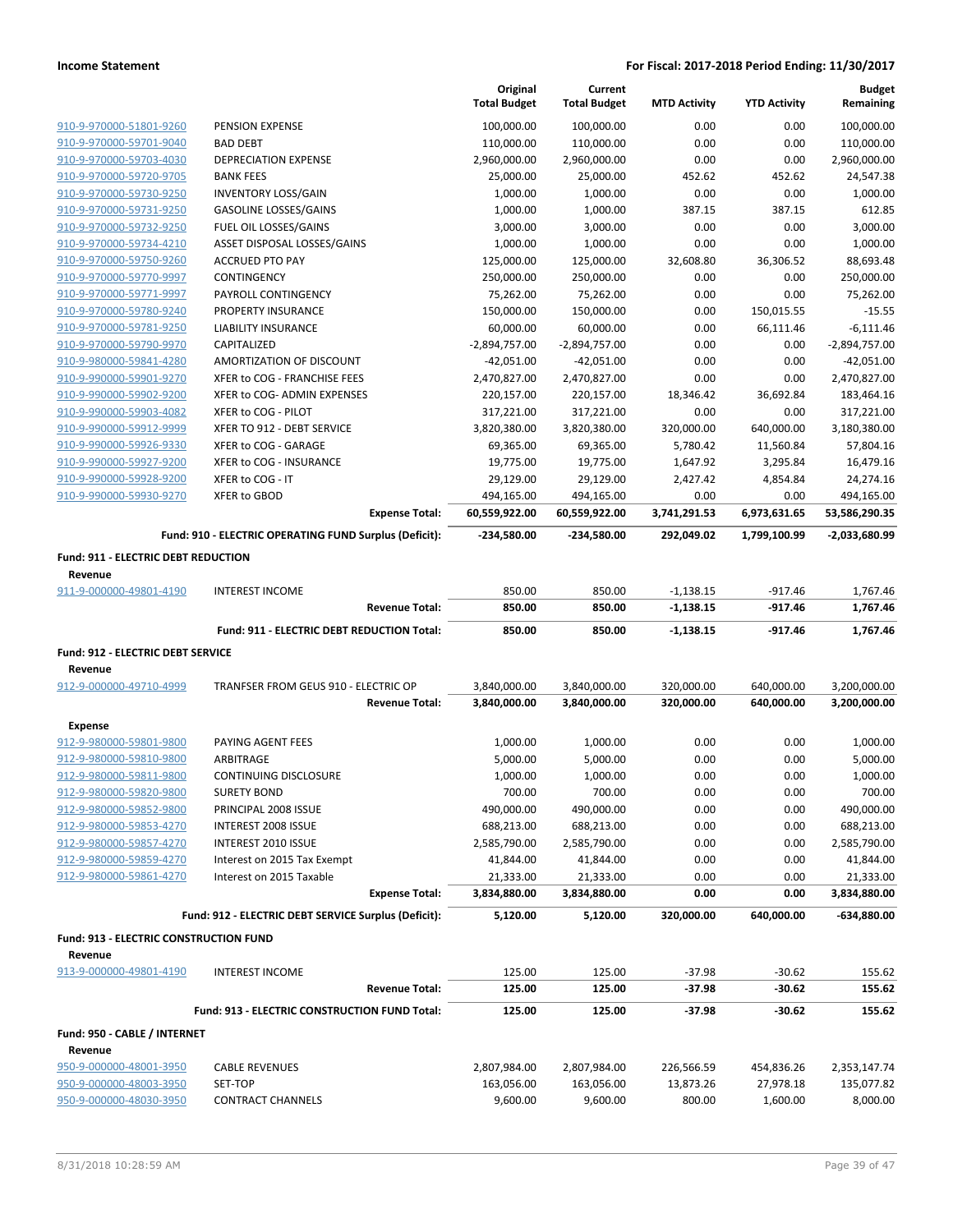|                                            |                                                        | Original<br><b>Total Budget</b> | Current<br><b>Total Budget</b> | <b>MTD Activity</b> | <b>YTD Activity</b> | <b>Budget</b><br>Remaining |
|--------------------------------------------|--------------------------------------------------------|---------------------------------|--------------------------------|---------------------|---------------------|----------------------------|
| 910-9-970000-51801-9260                    | PENSION EXPENSE                                        | 100,000.00                      | 100,000.00                     | 0.00                | 0.00                | 100,000.00                 |
| 910-9-970000-59701-9040                    | <b>BAD DEBT</b>                                        | 110,000.00                      | 110,000.00                     | 0.00                | 0.00                | 110,000.00                 |
| 910-9-970000-59703-4030                    | <b>DEPRECIATION EXPENSE</b>                            | 2,960,000.00                    | 2,960,000.00                   | 0.00                | 0.00                | 2,960,000.00               |
| 910-9-970000-59720-9705                    | <b>BANK FEES</b>                                       | 25,000.00                       | 25,000.00                      | 452.62              | 452.62              | 24,547.38                  |
| 910-9-970000-59730-9250                    | <b>INVENTORY LOSS/GAIN</b>                             | 1,000.00                        | 1,000.00                       | 0.00                | 0.00                | 1,000.00                   |
| 910-9-970000-59731-9250                    | <b>GASOLINE LOSSES/GAINS</b>                           | 1,000.00                        | 1,000.00                       | 387.15              | 387.15              | 612.85                     |
| 910-9-970000-59732-9250                    | FUEL OIL LOSSES/GAINS                                  | 3,000.00                        | 3,000.00                       | 0.00                | 0.00                | 3,000.00                   |
| 910-9-970000-59734-4210                    | ASSET DISPOSAL LOSSES/GAINS                            | 1,000.00                        | 1,000.00                       | 0.00                | 0.00                | 1,000.00                   |
| 910-9-970000-59750-9260                    | <b>ACCRUED PTO PAY</b>                                 | 125,000.00                      | 125,000.00                     | 32,608.80           | 36,306.52           | 88,693.48                  |
| 910-9-970000-59770-9997                    | CONTINGENCY                                            | 250,000.00                      | 250,000.00                     | 0.00                | 0.00                | 250,000.00                 |
| 910-9-970000-59771-9997                    | PAYROLL CONTINGENCY                                    | 75,262.00                       | 75,262.00                      | 0.00                | 0.00                | 75,262.00                  |
| 910-9-970000-59780-9240                    | PROPERTY INSURANCE                                     | 150,000.00                      | 150,000.00                     | 0.00                | 150,015.55          | $-15.55$                   |
| 910-9-970000-59781-9250                    | LIABILITY INSURANCE                                    | 60,000.00                       | 60,000.00                      | 0.00                | 66,111.46           | $-6,111.46$                |
| 910-9-970000-59790-9970                    | CAPITALIZED                                            | $-2,894,757.00$                 | $-2,894,757.00$                | 0.00                | 0.00                | $-2,894,757.00$            |
| 910-9-980000-59841-4280                    | AMORTIZATION OF DISCOUNT                               | -42,051.00                      | -42,051.00                     | 0.00                | 0.00                | $-42,051.00$               |
| 910-9-990000-59901-9270                    | XFER to COG - FRANCHISE FEES                           | 2,470,827.00                    | 2,470,827.00                   | 0.00                | 0.00                | 2,470,827.00               |
| 910-9-990000-59902-9200                    | XFER to COG- ADMIN EXPENSES                            | 220,157.00                      | 220,157.00                     | 18,346.42           | 36,692.84           | 183,464.16                 |
| 910-9-990000-59903-4082                    | XFER to COG - PILOT                                    | 317,221.00                      | 317,221.00                     | 0.00                | 0.00                | 317,221.00                 |
| 910-9-990000-59912-9999                    | XFER TO 912 - DEBT SERVICE                             | 3,820,380.00                    | 3,820,380.00                   | 320,000.00          | 640,000.00          | 3,180,380.00               |
| 910-9-990000-59926-9330                    | XFER to COG - GARAGE                                   | 69,365.00                       | 69,365.00                      | 5,780.42            | 11,560.84           | 57,804.16                  |
| 910-9-990000-59927-9200                    | XFER to COG - INSURANCE                                | 19,775.00                       | 19,775.00                      | 1,647.92            | 3,295.84            | 16,479.16                  |
| 910-9-990000-59928-9200                    | XFER to COG - IT                                       | 29,129.00                       | 29,129.00                      | 2,427.42            | 4,854.84            | 24,274.16                  |
| 910-9-990000-59930-9270                    | <b>XFER to GBOD</b>                                    | 494,165.00                      | 494,165.00                     | 0.00                | 0.00                | 494,165.00                 |
|                                            | <b>Expense Total:</b>                                  | 60,559,922.00                   | 60,559,922.00                  | 3,741,291.53        | 6,973,631.65        | 53,586,290.35              |
|                                            | Fund: 910 - ELECTRIC OPERATING FUND Surplus (Deficit): | -234,580.00                     | $-234,580.00$                  | 292,049.02          | 1,799,100.99        | -2,033,680.99              |
| <b>Fund: 911 - ELECTRIC DEBT REDUCTION</b> |                                                        |                                 |                                |                     |                     |                            |
| Revenue                                    |                                                        |                                 |                                |                     |                     |                            |
| 911-9-000000-49801-4190                    | <b>INTEREST INCOME</b>                                 | 850.00                          | 850.00                         | $-1,138.15$         | $-917.46$           | 1,767.46                   |
|                                            |                                                        |                                 |                                |                     |                     |                            |
|                                            | <b>Revenue Total:</b>                                  | 850.00                          | 850.00                         | $-1,138.15$         | $-917.46$           | 1,767.46                   |
|                                            | Fund: 911 - ELECTRIC DEBT REDUCTION Total:             | 850.00                          | 850.00                         | $-1,138.15$         | $-917.46$           | 1,767.46                   |
| Fund: 912 - ELECTRIC DEBT SERVICE          |                                                        |                                 |                                |                     |                     |                            |
| Revenue                                    |                                                        |                                 |                                |                     |                     |                            |
| 912-9-000000-49710-4999                    | TRANFSER FROM GEUS 910 - ELECTRIC OP                   | 3,840,000.00                    | 3,840,000.00                   | 320,000.00          | 640,000.00          | 3,200,000.00               |
|                                            | <b>Revenue Total:</b>                                  | 3,840,000.00                    | 3,840,000.00                   | 320,000.00          | 640,000.00          | 3,200,000.00               |
| <b>Expense</b>                             |                                                        |                                 |                                |                     |                     |                            |
| 912-9-980000-59801-9800                    | PAYING AGENT FEES                                      | 1,000.00                        | 1,000.00                       | 0.00                | 0.00                | 1,000.00                   |
| 912-9-980000-59810-9800                    | ARBITRAGE                                              | 5,000.00                        | 5,000.00                       | 0.00                | 0.00                | 5,000.00                   |
| 912-9-980000-59811-9800                    | <b>CONTINUING DISCLOSURE</b>                           | 1,000.00                        | 1,000.00                       | 0.00                | 0.00                | 1,000.00                   |
| 912-9-980000-59820-9800                    | <b>SURETY BOND</b>                                     | 700.00                          | 700.00                         | 0.00                | 0.00                | 700.00                     |
| 912-9-980000-59852-9800                    | PRINCIPAL 2008 ISSUE                                   | 490,000.00                      | 490,000.00                     | 0.00                | 0.00                | 490,000.00                 |
| 912-9-980000-59853-4270                    | INTEREST 2008 ISSUE                                    | 688,213.00                      | 688,213.00                     | 0.00                | 0.00                | 688,213.00                 |
| 912-9-980000-59857-4270                    | INTEREST 2010 ISSUE                                    | 2,585,790.00                    | 2,585,790.00                   | 0.00                | 0.00                | 2,585,790.00               |
| 912-9-980000-59859-4270                    | Interest on 2015 Tax Exempt                            | 41,844.00                       | 41,844.00                      | 0.00                | 0.00                | 41,844.00                  |
| 912-9-980000-59861-4270                    | Interest on 2015 Taxable                               | 21,333.00                       | 21,333.00                      | 0.00                | 0.00                | 21,333.00                  |
|                                            | <b>Expense Total:</b>                                  | 3,834,880.00                    | 3,834,880.00                   | 0.00                | 0.00                | 3,834,880.00               |
|                                            | Fund: 912 - ELECTRIC DEBT SERVICE Surplus (Deficit):   | 5,120.00                        | 5,120.00                       | 320,000.00          | 640,000.00          | $-634,880.00$              |
| Fund: 913 - ELECTRIC CONSTRUCTION FUND     |                                                        |                                 |                                |                     |                     |                            |
| Revenue                                    |                                                        |                                 |                                |                     |                     |                            |
| 913-9-000000-49801-4190                    | <b>INTEREST INCOME</b>                                 | 125.00                          | 125.00                         | $-37.98$            | $-30.62$            | 155.62                     |
|                                            | <b>Revenue Total:</b>                                  | 125.00                          | 125.00                         | $-37.98$            | $-30.62$            | 155.62                     |
|                                            | Fund: 913 - ELECTRIC CONSTRUCTION FUND Total:          | 125.00                          | 125.00                         | $-37.98$            | $-30.62$            | 155.62                     |
| Fund: 950 - CABLE / INTERNET               |                                                        |                                 |                                |                     |                     |                            |
| Revenue<br>950-9-000000-48001-3950         | <b>CABLE REVENUES</b>                                  | 2,807,984.00                    | 2,807,984.00                   | 226,566.59          | 454,836.26          | 2,353,147.74               |
| 950-9-000000-48003-3950                    | SET-TOP                                                | 163,056.00                      | 163,056.00                     | 13,873.26           | 27,978.18           |                            |
| 950-9-000000-48030-3950                    | <b>CONTRACT CHANNELS</b>                               | 9,600.00                        | 9,600.00                       | 800.00              | 1,600.00            | 135,077.82<br>8,000.00     |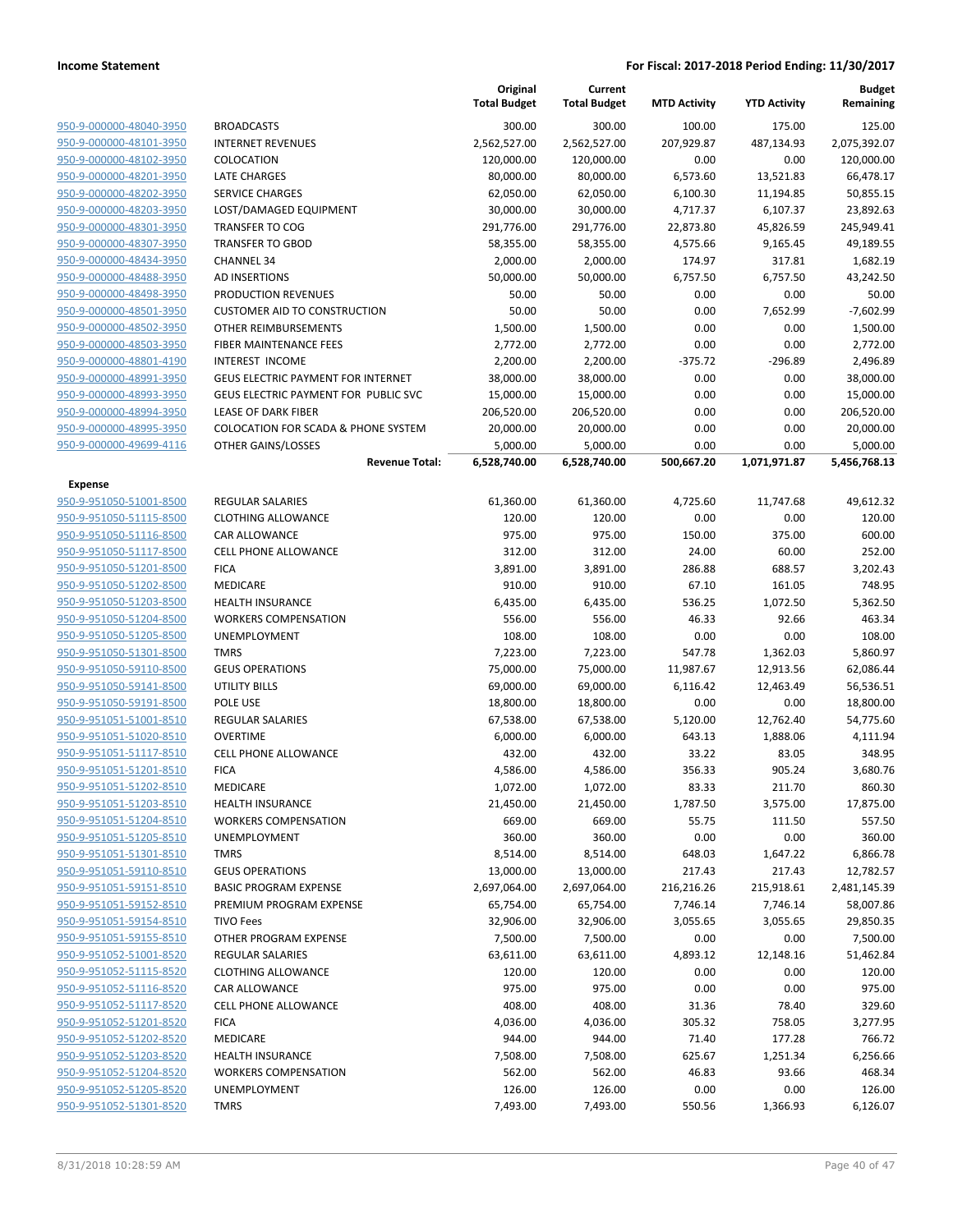|                         |                                             | Original<br><b>Total Budget</b> | Current<br><b>Total Budget</b> | <b>MTD Activity</b> | <b>YTD Activity</b> | <b>Budget</b><br>Remaining |
|-------------------------|---------------------------------------------|---------------------------------|--------------------------------|---------------------|---------------------|----------------------------|
| 950-9-000000-48040-3950 | <b>BROADCASTS</b>                           | 300.00                          | 300.00                         | 100.00              | 175.00              | 125.00                     |
| 950-9-000000-48101-3950 | <b>INTERNET REVENUES</b>                    | 2,562,527.00                    | 2,562,527.00                   | 207,929.87          | 487,134.93          | 2,075,392.07               |
| 950-9-000000-48102-3950 | COLOCATION                                  | 120,000.00                      | 120,000.00                     | 0.00                | 0.00                | 120,000.00                 |
| 950-9-000000-48201-3950 | <b>LATE CHARGES</b>                         | 80,000.00                       | 80,000.00                      | 6,573.60            | 13,521.83           | 66,478.17                  |
| 950-9-000000-48202-3950 | <b>SERVICE CHARGES</b>                      | 62,050.00                       | 62,050.00                      | 6,100.30            | 11,194.85           | 50,855.15                  |
| 950-9-000000-48203-3950 | LOST/DAMAGED EQUIPMENT                      | 30,000.00                       | 30,000.00                      | 4,717.37            | 6,107.37            | 23,892.63                  |
| 950-9-000000-48301-3950 | <b>TRANSFER TO COG</b>                      | 291,776.00                      | 291,776.00                     | 22,873.80           | 45,826.59           | 245,949.41                 |
| 950-9-000000-48307-3950 | <b>TRANSFER TO GBOD</b>                     | 58,355.00                       | 58,355.00                      | 4,575.66            | 9,165.45            | 49,189.55                  |
| 950-9-000000-48434-3950 | <b>CHANNEL 34</b>                           | 2,000.00                        | 2,000.00                       | 174.97              | 317.81              | 1,682.19                   |
| 950-9-000000-48488-3950 | AD INSERTIONS                               | 50,000.00                       | 50,000.00                      | 6,757.50            | 6,757.50            | 43,242.50                  |
| 950-9-000000-48498-3950 | PRODUCTION REVENUES                         | 50.00                           | 50.00                          | 0.00                | 0.00                | 50.00                      |
| 950-9-000000-48501-3950 | <b>CUSTOMER AID TO CONSTRUCTION</b>         | 50.00                           | 50.00                          | 0.00                | 7,652.99            | $-7,602.99$                |
| 950-9-000000-48502-3950 | OTHER REIMBURSEMENTS                        | 1,500.00                        | 1,500.00                       | 0.00                | 0.00                | 1,500.00                   |
| 950-9-000000-48503-3950 | <b>FIBER MAINTENANCE FEES</b>               | 2,772.00                        | 2,772.00                       | 0.00                | 0.00                | 2,772.00                   |
| 950-9-000000-48801-4190 | <b>INTEREST INCOME</b>                      | 2,200.00                        | 2,200.00                       | $-375.72$           | -296.89             | 2,496.89                   |
| 950-9-000000-48991-3950 | <b>GEUS ELECTRIC PAYMENT FOR INTERNET</b>   | 38,000.00                       | 38,000.00                      | 0.00                | 0.00                | 38,000.00                  |
| 950-9-000000-48993-3950 | <b>GEUS ELECTRIC PAYMENT FOR PUBLIC SVC</b> | 15,000.00                       | 15,000.00                      | 0.00                | 0.00                | 15,000.00                  |
| 950-9-000000-48994-3950 | <b>LEASE OF DARK FIBER</b>                  | 206,520.00                      | 206,520.00                     | 0.00                | 0.00                | 206,520.00                 |
| 950-9-000000-48995-3950 | COLOCATION FOR SCADA & PHONE SYSTEM         | 20,000.00                       | 20,000.00                      | 0.00                | 0.00                | 20,000.00                  |
| 950-9-000000-49699-4116 | OTHER GAINS/LOSSES                          | 5,000.00                        | 5,000.00                       | 0.00                | 0.00                | 5,000.00                   |
|                         | <b>Revenue Total:</b>                       | 6,528,740.00                    | 6,528,740.00                   | 500,667.20          | 1,071,971.87        | 5,456,768.13               |
| <b>Expense</b>          |                                             |                                 |                                |                     |                     |                            |
| 950-9-951050-51001-8500 | <b>REGULAR SALARIES</b>                     | 61,360.00                       | 61,360.00                      | 4,725.60            | 11,747.68           | 49,612.32                  |
| 950-9-951050-51115-8500 | <b>CLOTHING ALLOWANCE</b>                   | 120.00                          | 120.00                         | 0.00                | 0.00                | 120.00                     |
| 950-9-951050-51116-8500 | <b>CAR ALLOWANCE</b>                        | 975.00                          | 975.00                         | 150.00              | 375.00              | 600.00                     |
| 950-9-951050-51117-8500 | CELL PHONE ALLOWANCE                        | 312.00                          | 312.00                         | 24.00               | 60.00               | 252.00                     |
| 950-9-951050-51201-8500 | <b>FICA</b>                                 | 3,891.00                        | 3,891.00                       | 286.88              | 688.57              | 3,202.43                   |
| 950-9-951050-51202-8500 | MEDICARE                                    | 910.00                          | 910.00                         | 67.10               | 161.05              | 748.95                     |
| 950-9-951050-51203-8500 | <b>HEALTH INSURANCE</b>                     | 6,435.00                        | 6,435.00                       | 536.25              | 1,072.50            | 5,362.50                   |
| 950-9-951050-51204-8500 | <b>WORKERS COMPENSATION</b>                 | 556.00                          | 556.00                         | 46.33               | 92.66               | 463.34                     |
| 950-9-951050-51205-8500 | UNEMPLOYMENT                                | 108.00                          | 108.00                         | 0.00                | 0.00                | 108.00                     |
| 950-9-951050-51301-8500 | <b>TMRS</b>                                 | 7,223.00                        | 7,223.00                       | 547.78              | 1,362.03            | 5,860.97                   |
| 950-9-951050-59110-8500 | <b>GEUS OPERATIONS</b>                      | 75,000.00                       | 75,000.00                      | 11,987.67           | 12,913.56           | 62,086.44                  |
| 950-9-951050-59141-8500 | UTILITY BILLS                               | 69,000.00                       | 69,000.00                      | 6,116.42            | 12,463.49           | 56,536.51                  |
| 950-9-951050-59191-8500 | POLE USE                                    | 18,800.00                       | 18,800.00                      | 0.00                | 0.00                | 18,800.00                  |
| 950-9-951051-51001-8510 | REGULAR SALARIES                            | 67,538.00                       | 67,538.00                      | 5,120.00            | 12,762.40           | 54,775.60                  |
| 950-9-951051-51020-8510 | <b>OVERTIME</b>                             | 6,000.00                        | 6,000.00                       | 643.13              | 1,888.06            | 4,111.94                   |
| 950-9-951051-51117-8510 | <b>CELL PHONE ALLOWANCE</b>                 | 432.00                          | 432.00                         | 33.22               | 83.05               | 348.95                     |
| 950-9-951051-51201-8510 | <b>FICA</b>                                 | 4,586.00                        | 4,586.00                       | 356.33              | 905.24              | 3,680.76                   |
| 950-9-951051-51202-8510 | MEDICARE                                    | 1,072.00                        | 1,072.00                       | 83.33               | 211.70              | 860.30                     |
| 950-9-951051-51203-8510 | <b>HEALTH INSURANCE</b>                     | 21,450.00                       | 21,450.00                      | 1,787.50            | 3,575.00            | 17,875.00                  |
| 950-9-951051-51204-8510 | <b>WORKERS COMPENSATION</b>                 | 669.00                          | 669.00                         | 55.75               | 111.50              | 557.50                     |
| 950-9-951051-51205-8510 | <b>UNEMPLOYMENT</b>                         | 360.00                          | 360.00                         | 0.00                | 0.00                | 360.00                     |
| 950-9-951051-51301-8510 | <b>TMRS</b>                                 | 8,514.00                        | 8,514.00                       | 648.03              | 1,647.22            | 6,866.78                   |
| 950-9-951051-59110-8510 | <b>GEUS OPERATIONS</b>                      | 13,000.00                       | 13,000.00                      | 217.43              | 217.43              | 12,782.57                  |
| 950-9-951051-59151-8510 | <b>BASIC PROGRAM EXPENSE</b>                | 2,697,064.00                    | 2,697,064.00                   | 216,216.26          | 215,918.61          | 2,481,145.39               |
| 950-9-951051-59152-8510 | PREMIUM PROGRAM EXPENSE                     | 65,754.00                       | 65,754.00                      | 7,746.14            | 7,746.14            | 58,007.86                  |
| 950-9-951051-59154-8510 | <b>TIVO Fees</b>                            | 32,906.00                       | 32,906.00                      | 3,055.65            | 3,055.65            | 29,850.35                  |
| 950-9-951051-59155-8510 | OTHER PROGRAM EXPENSE                       | 7,500.00                        | 7,500.00                       | 0.00                | 0.00                | 7,500.00                   |
| 950-9-951052-51001-8520 | <b>REGULAR SALARIES</b>                     | 63,611.00                       | 63,611.00                      | 4,893.12            | 12,148.16           | 51,462.84                  |
| 950-9-951052-51115-8520 | <b>CLOTHING ALLOWANCE</b>                   | 120.00                          | 120.00                         | 0.00                | 0.00                | 120.00                     |
| 950-9-951052-51116-8520 | CAR ALLOWANCE                               | 975.00                          | 975.00                         | 0.00                | 0.00                | 975.00                     |
| 950-9-951052-51117-8520 | <b>CELL PHONE ALLOWANCE</b>                 | 408.00                          | 408.00                         | 31.36               | 78.40               | 329.60                     |
| 950-9-951052-51201-8520 | <b>FICA</b>                                 | 4,036.00                        | 4,036.00                       | 305.32              | 758.05              | 3,277.95                   |
| 950-9-951052-51202-8520 | MEDICARE                                    | 944.00                          | 944.00                         | 71.40               | 177.28              | 766.72                     |
| 950-9-951052-51203-8520 | <b>HEALTH INSURANCE</b>                     | 7,508.00                        | 7,508.00                       | 625.67              | 1,251.34            | 6,256.66                   |
| 950-9-951052-51204-8520 | <b>WORKERS COMPENSATION</b>                 | 562.00                          | 562.00                         | 46.83               | 93.66               | 468.34                     |
| 950-9-951052-51205-8520 | UNEMPLOYMENT                                | 126.00                          | 126.00                         | 0.00                | 0.00                | 126.00                     |
| 950-9-951052-51301-8520 | <b>TMRS</b>                                 | 7,493.00                        | 7,493.00                       | 550.56              | 1,366.93            | 6,126.07                   |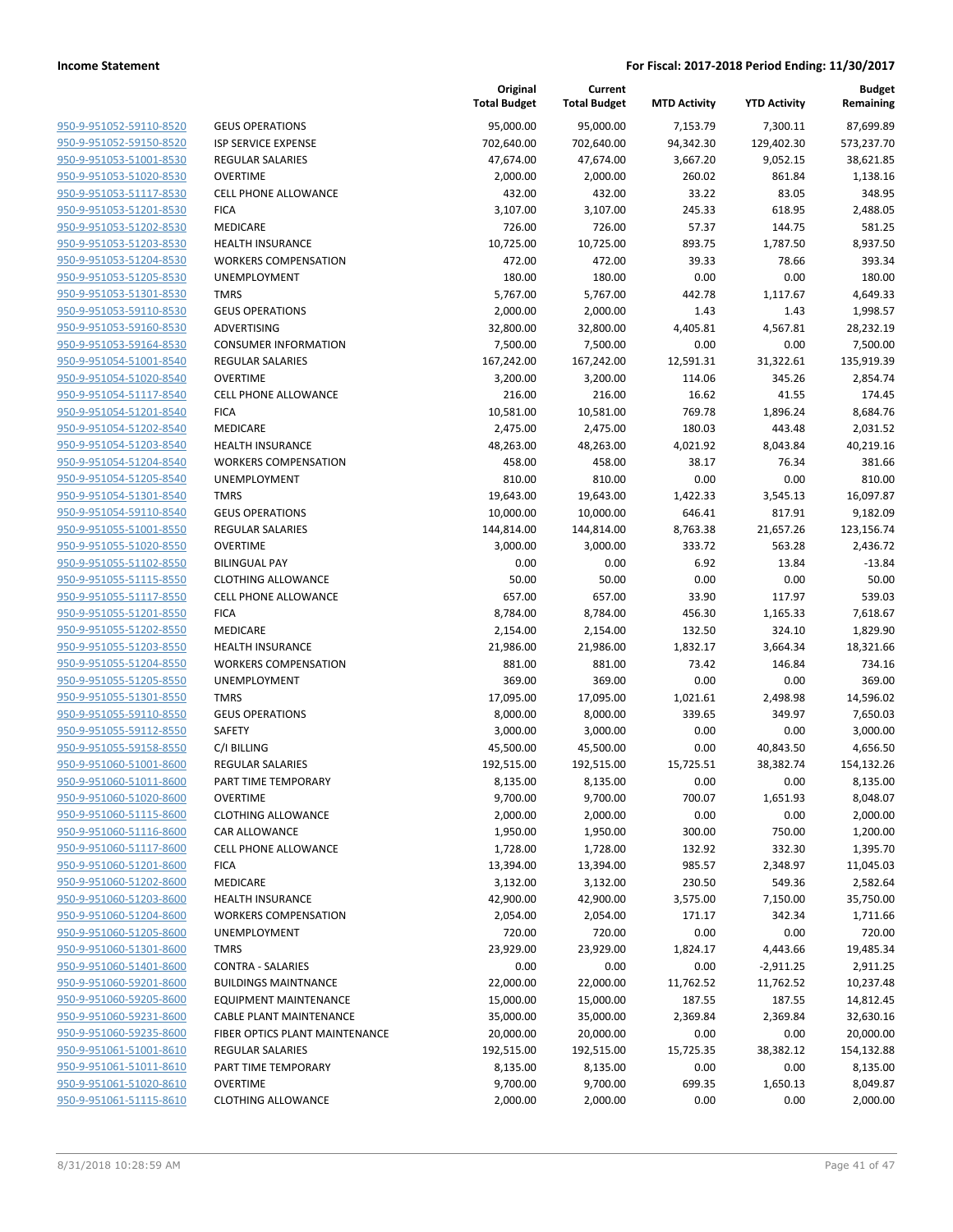| 950-9-951052-59110-8520        |
|--------------------------------|
| 950-9-951052-59150-8520        |
| 950-9-951053-51001-8530        |
| <u>950-9-951053-51020-8530</u> |
| 950-9-951053-51117-8530        |
| 950-9-951053-51201-8530        |
| 950-9-951053-51202-8530        |
| 950-9-951053-51203-8530        |
| 950-9-951053-51204-8530        |
| 950-9-951053-51205-8530        |
| 950-9-951053-51301-8530        |
| 950-9-951053-59110-8530        |
| 950-9-951053-59160-8530        |
| <u>950-9-951053-59164-8530</u> |
|                                |
| 950-9-951054-51001-8540        |
| 950-9-951054-51020-8540        |
| 950-9-951054-51117-8540        |
| 950-9-951054-51201-8540        |
| <u>950-9-951054-51202-8540</u> |
| 950-9-951054-51203-8540        |
| 950-9-951054-51204-8540        |
| 950-9-951054-51205-8540        |
| 950-9-951054-51301-8540        |
| 950-9-951054-59110-8540        |
| 950-9-951055-51001-8550        |
| 950-9-951055-51020-8550        |
| 950-9-951055-51102-8550        |
| 950-9-951055-51115-8550        |
| <u>950-9-951055-51117-8550</u> |
| 950-9-951055-51201-8550        |
|                                |
| 950-9-951055-51202-8550        |
| 950-9-951055-51203-8550        |
| 950-9-951055-51204-8550        |
| 950-9-951055-51205-8550        |
| 950-9-951055-51301-8550        |
| 950-9-951055-59110-8550        |
| 950-9-951055-59112-8550        |
| 950-9-951055-59158-8550        |
| <u>950-9-951060-51001-8600</u> |
| 950-9-951060-51011-8600        |
| 950-9-951060-51020-8600        |
| 950-9-951060-51115-8600        |
| 950-9-951060-51116-8600        |
| <u>950-9-951060-51117-8600</u> |
| 950-9-951060-51201-8600        |
|                                |
| 950-9-951060-51202-8600        |
| 950-9-951060-51203-8600        |
| 950-9-951060-51204-8600        |
| <u>950-9-951060-51205-8600</u> |
| <u>950-9-951060-51301-8600</u> |
| 950-9-951060-51401-8600        |
| 950-9-951060-59201-8600        |
| 950-9-951060-59205-8600        |
| <u>950-9-951060-59231-8600</u> |
| <u>950-9-951060-59235-8600</u> |
| 950-9-951061-51001-8610        |
| 950-9-951061-51011-8610        |
| 950-9-951061-51020-8610        |
| <u>950-9-951061-51115-8610</u> |
|                                |

|                         |                                | Original<br><b>Total Budget</b> | Current<br><b>Total Budget</b> | <b>MTD Activity</b> | <b>YTD Activity</b> | <b>Budget</b><br>Remaining |
|-------------------------|--------------------------------|---------------------------------|--------------------------------|---------------------|---------------------|----------------------------|
| 950-9-951052-59110-8520 | <b>GEUS OPERATIONS</b>         | 95,000.00                       | 95,000.00                      | 7,153.79            | 7,300.11            | 87,699.89                  |
| 950-9-951052-59150-8520 | <b>ISP SERVICE EXPENSE</b>     | 702,640.00                      | 702,640.00                     | 94,342.30           | 129,402.30          | 573,237.70                 |
| 950-9-951053-51001-8530 | <b>REGULAR SALARIES</b>        | 47,674.00                       | 47,674.00                      | 3,667.20            | 9,052.15            | 38,621.85                  |
| 950-9-951053-51020-8530 | <b>OVERTIME</b>                | 2,000.00                        | 2,000.00                       | 260.02              | 861.84              | 1,138.16                   |
| 950-9-951053-51117-8530 | <b>CELL PHONE ALLOWANCE</b>    | 432.00                          | 432.00                         | 33.22               | 83.05               | 348.95                     |
| 950-9-951053-51201-8530 | <b>FICA</b>                    | 3,107.00                        | 3,107.00                       | 245.33              | 618.95              | 2,488.05                   |
| 950-9-951053-51202-8530 | MEDICARE                       | 726.00                          | 726.00                         | 57.37               | 144.75              | 581.25                     |
| 950-9-951053-51203-8530 | <b>HEALTH INSURANCE</b>        | 10,725.00                       | 10,725.00                      | 893.75              | 1,787.50            | 8,937.50                   |
| 950-9-951053-51204-8530 | <b>WORKERS COMPENSATION</b>    | 472.00                          | 472.00                         | 39.33               | 78.66               | 393.34                     |
| 950-9-951053-51205-8530 | UNEMPLOYMENT                   | 180.00                          | 180.00                         | 0.00                | 0.00                | 180.00                     |
| 950-9-951053-51301-8530 | <b>TMRS</b>                    | 5,767.00                        | 5,767.00                       | 442.78              | 1,117.67            | 4,649.33                   |
| 950-9-951053-59110-8530 | <b>GEUS OPERATIONS</b>         | 2,000.00                        | 2,000.00                       | 1.43                | 1.43                | 1,998.57                   |
| 950-9-951053-59160-8530 | ADVERTISING                    | 32,800.00                       | 32,800.00                      | 4,405.81            | 4,567.81            | 28,232.19                  |
| 950-9-951053-59164-8530 | <b>CONSUMER INFORMATION</b>    | 7,500.00                        | 7,500.00                       | 0.00                | 0.00                | 7,500.00                   |
| 950-9-951054-51001-8540 | <b>REGULAR SALARIES</b>        | 167,242.00                      | 167,242.00                     | 12,591.31           | 31,322.61           | 135,919.39                 |
| 950-9-951054-51020-8540 | <b>OVERTIME</b>                | 3,200.00                        | 3,200.00                       | 114.06              | 345.26              | 2,854.74                   |
| 950-9-951054-51117-8540 | <b>CELL PHONE ALLOWANCE</b>    | 216.00                          | 216.00                         | 16.62               | 41.55               | 174.45                     |
| 950-9-951054-51201-8540 | <b>FICA</b>                    | 10,581.00                       | 10,581.00                      | 769.78              | 1,896.24            | 8,684.76                   |
| 950-9-951054-51202-8540 | MEDICARE                       | 2,475.00                        | 2,475.00                       | 180.03              | 443.48              | 2,031.52                   |
| 950-9-951054-51203-8540 | <b>HEALTH INSURANCE</b>        | 48,263.00                       | 48,263.00                      | 4,021.92            | 8,043.84            | 40,219.16                  |
| 950-9-951054-51204-8540 | <b>WORKERS COMPENSATION</b>    | 458.00                          | 458.00                         | 38.17               | 76.34               | 381.66                     |
| 950-9-951054-51205-8540 | UNEMPLOYMENT                   | 810.00                          | 810.00                         | 0.00                | 0.00                | 810.00                     |
| 950-9-951054-51301-8540 | <b>TMRS</b>                    | 19,643.00                       | 19,643.00                      | 1,422.33            | 3,545.13            | 16,097.87                  |
| 950-9-951054-59110-8540 | <b>GEUS OPERATIONS</b>         | 10,000.00                       | 10,000.00                      | 646.41              | 817.91              | 9,182.09                   |
| 950-9-951055-51001-8550 | <b>REGULAR SALARIES</b>        | 144,814.00                      | 144,814.00                     | 8,763.38            | 21,657.26           | 123,156.74                 |
| 950-9-951055-51020-8550 | <b>OVERTIME</b>                | 3,000.00                        | 3,000.00                       | 333.72              | 563.28              | 2,436.72                   |
| 950-9-951055-51102-8550 | <b>BILINGUAL PAY</b>           | 0.00                            | 0.00                           | 6.92                | 13.84               | $-13.84$                   |
| 950-9-951055-51115-8550 | <b>CLOTHING ALLOWANCE</b>      | 50.00                           | 50.00                          | 0.00                | 0.00                | 50.00                      |
| 950-9-951055-51117-8550 | <b>CELL PHONE ALLOWANCE</b>    | 657.00                          | 657.00                         | 33.90               | 117.97              | 539.03                     |
| 950-9-951055-51201-8550 | <b>FICA</b>                    | 8,784.00                        | 8,784.00                       | 456.30              | 1,165.33            | 7,618.67                   |
| 950-9-951055-51202-8550 | <b>MEDICARE</b>                | 2,154.00                        | 2,154.00                       | 132.50              | 324.10              | 1,829.90                   |
| 950-9-951055-51203-8550 | <b>HEALTH INSURANCE</b>        | 21,986.00                       | 21,986.00                      | 1,832.17            | 3,664.34            | 18,321.66                  |
| 950-9-951055-51204-8550 | <b>WORKERS COMPENSATION</b>    | 881.00                          | 881.00                         | 73.42               | 146.84              | 734.16                     |
| 950-9-951055-51205-8550 | UNEMPLOYMENT                   | 369.00                          | 369.00                         | 0.00                | 0.00                | 369.00                     |
| 950-9-951055-51301-8550 | <b>TMRS</b>                    | 17,095.00                       | 17,095.00                      | 1,021.61            | 2,498.98            | 14,596.02                  |
| 950-9-951055-59110-8550 | <b>GEUS OPERATIONS</b>         | 8,000.00                        | 8,000.00                       | 339.65              | 349.97              | 7,650.03                   |
| 950-9-951055-59112-8550 | SAFETY                         | 3,000.00                        | 3,000.00                       | 0.00                | 0.00                | 3,000.00                   |
| 950-9-951055-59158-8550 | C/I BILLING                    | 45,500.00                       | 45,500.00                      | 0.00                | 40,843.50           | 4,656.50                   |
| 950-9-951060-51001-8600 | REGULAR SALARIES               | 192,515.00                      | 192,515.00                     | 15,725.51           | 38,382.74           | 154,132.26                 |
| 950-9-951060-51011-8600 | PART TIME TEMPORARY            | 8,135.00                        | 8,135.00                       | 0.00                | 0.00                | 8,135.00                   |
| 950-9-951060-51020-8600 | <b>OVERTIME</b>                | 9,700.00                        | 9,700.00                       | 700.07              | 1,651.93            | 8,048.07                   |
| 950-9-951060-51115-8600 | <b>CLOTHING ALLOWANCE</b>      | 2,000.00                        | 2,000.00                       | 0.00                | 0.00                | 2,000.00                   |
| 950-9-951060-51116-8600 | CAR ALLOWANCE                  | 1,950.00                        | 1,950.00                       | 300.00              | 750.00              | 1,200.00                   |
| 950-9-951060-51117-8600 | CELL PHONE ALLOWANCE           | 1,728.00                        | 1,728.00                       | 132.92              | 332.30              | 1,395.70                   |
| 950-9-951060-51201-8600 | <b>FICA</b>                    | 13,394.00                       | 13,394.00                      | 985.57              | 2,348.97            | 11,045.03                  |
| 950-9-951060-51202-8600 | MEDICARE                       | 3,132.00                        | 3,132.00                       | 230.50              | 549.36              | 2,582.64                   |
| 950-9-951060-51203-8600 | <b>HEALTH INSURANCE</b>        | 42,900.00                       | 42,900.00                      | 3,575.00            | 7,150.00            | 35,750.00                  |
| 950-9-951060-51204-8600 | <b>WORKERS COMPENSATION</b>    | 2,054.00                        | 2,054.00                       | 171.17              | 342.34              | 1,711.66                   |
| 950-9-951060-51205-8600 | UNEMPLOYMENT                   | 720.00                          | 720.00                         | 0.00                | 0.00                | 720.00                     |
| 950-9-951060-51301-8600 | <b>TMRS</b>                    | 23,929.00                       | 23,929.00                      | 1,824.17            | 4,443.66            | 19,485.34                  |
| 950-9-951060-51401-8600 | <b>CONTRA - SALARIES</b>       | 0.00                            | 0.00                           | 0.00                | $-2,911.25$         | 2,911.25                   |
| 950-9-951060-59201-8600 | <b>BUILDINGS MAINTNANCE</b>    | 22,000.00                       | 22,000.00                      | 11,762.52           | 11,762.52           | 10,237.48                  |
| 950-9-951060-59205-8600 | <b>EQUIPMENT MAINTENANCE</b>   | 15,000.00                       | 15,000.00                      | 187.55              | 187.55              | 14,812.45                  |
| 950-9-951060-59231-8600 | <b>CABLE PLANT MAINTENANCE</b> | 35,000.00                       | 35,000.00                      | 2,369.84            | 2,369.84            | 32,630.16                  |
| 950-9-951060-59235-8600 | FIBER OPTICS PLANT MAINTENANCE | 20,000.00                       | 20,000.00                      | 0.00                | 0.00                | 20,000.00                  |
| 950-9-951061-51001-8610 | REGULAR SALARIES               |                                 |                                | 15,725.35           | 38,382.12           | 154,132.88                 |
| 950-9-951061-51011-8610 | PART TIME TEMPORARY            | 192,515.00<br>8,135.00          | 192,515.00                     | 0.00                | 0.00                | 8,135.00                   |
|                         |                                |                                 | 8,135.00                       |                     |                     |                            |
| 950-9-951061-51020-8610 | <b>OVERTIME</b>                | 9,700.00                        | 9,700.00                       | 699.35              | 1,650.13            | 8,049.87                   |
| 950-9-951061-51115-8610 | <b>CLOTHING ALLOWANCE</b>      | 2,000.00                        | 2,000.00                       | 0.00                | 0.00                | 2,000.00                   |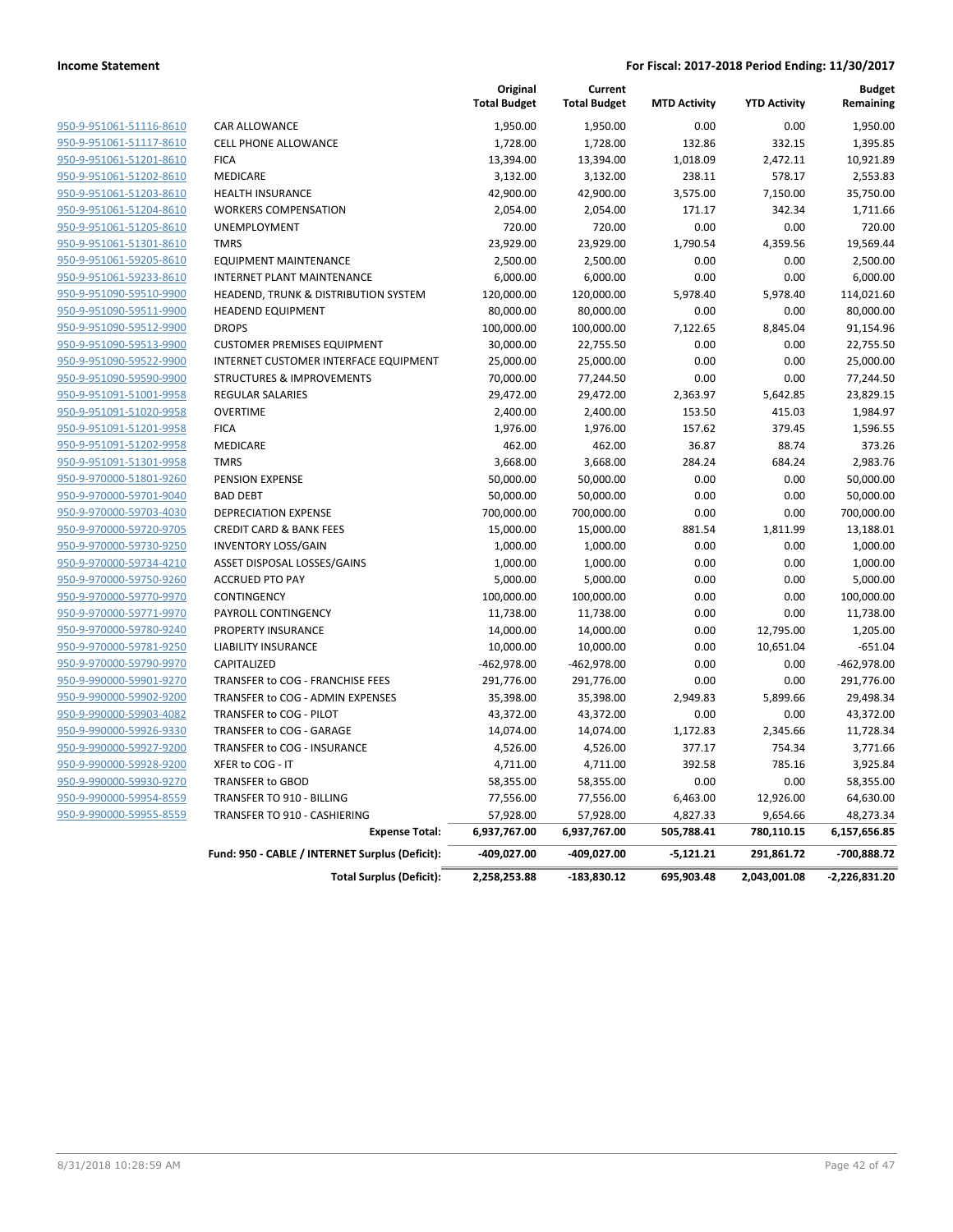|                         |                                                 | Original<br><b>Total Budget</b> | Current<br><b>Total Budget</b> | <b>MTD Activity</b> | <b>YTD Activity</b> | <b>Budget</b><br>Remaining |
|-------------------------|-------------------------------------------------|---------------------------------|--------------------------------|---------------------|---------------------|----------------------------|
| 950-9-951061-51116-8610 | CAR ALLOWANCE                                   | 1,950.00                        | 1,950.00                       | 0.00                | 0.00                | 1,950.00                   |
| 950-9-951061-51117-8610 | <b>CELL PHONE ALLOWANCE</b>                     | 1,728.00                        | 1,728.00                       | 132.86              | 332.15              | 1,395.85                   |
| 950-9-951061-51201-8610 | <b>FICA</b>                                     | 13,394.00                       | 13,394.00                      | 1,018.09            | 2,472.11            | 10,921.89                  |
| 950-9-951061-51202-8610 | <b>MEDICARE</b>                                 | 3,132.00                        | 3,132.00                       | 238.11              | 578.17              | 2,553.83                   |
| 950-9-951061-51203-8610 | <b>HEALTH INSURANCE</b>                         | 42,900.00                       | 42,900.00                      | 3,575.00            | 7,150.00            | 35,750.00                  |
| 950-9-951061-51204-8610 | <b>WORKERS COMPENSATION</b>                     | 2,054.00                        | 2,054.00                       | 171.17              | 342.34              | 1,711.66                   |
| 950-9-951061-51205-8610 | UNEMPLOYMENT                                    | 720.00                          | 720.00                         | 0.00                | 0.00                | 720.00                     |
| 950-9-951061-51301-8610 | <b>TMRS</b>                                     | 23,929.00                       | 23,929.00                      | 1,790.54            | 4,359.56            | 19,569.44                  |
| 950-9-951061-59205-8610 | <b>EQUIPMENT MAINTENANCE</b>                    | 2,500.00                        | 2,500.00                       | 0.00                | 0.00                | 2,500.00                   |
| 950-9-951061-59233-8610 | <b>INTERNET PLANT MAINTENANCE</b>               | 6,000.00                        | 6,000.00                       | 0.00                | 0.00                | 6,000.00                   |
| 950-9-951090-59510-9900 | HEADEND, TRUNK & DISTRIBUTION SYSTEM            | 120,000.00                      | 120,000.00                     | 5,978.40            | 5,978.40            | 114,021.60                 |
| 950-9-951090-59511-9900 | <b>HEADEND EQUIPMENT</b>                        | 80,000.00                       | 80,000.00                      | 0.00                | 0.00                | 80,000.00                  |
| 950-9-951090-59512-9900 | <b>DROPS</b>                                    | 100,000.00                      | 100,000.00                     | 7,122.65            | 8,845.04            | 91,154.96                  |
| 950-9-951090-59513-9900 | <b>CUSTOMER PREMISES EQUIPMENT</b>              | 30,000.00                       | 22,755.50                      | 0.00                | 0.00                | 22,755.50                  |
| 950-9-951090-59522-9900 | INTERNET CUSTOMER INTERFACE EQUIPMENT           | 25,000.00                       | 25,000.00                      | 0.00                | 0.00                | 25,000.00                  |
| 950-9-951090-59590-9900 | <b>STRUCTURES &amp; IMPROVEMENTS</b>            | 70,000.00                       | 77,244.50                      | 0.00                | 0.00                | 77,244.50                  |
| 950-9-951091-51001-9958 | <b>REGULAR SALARIES</b>                         | 29,472.00                       | 29,472.00                      | 2,363.97            | 5,642.85            | 23,829.15                  |
| 950-9-951091-51020-9958 | <b>OVERTIME</b>                                 | 2,400.00                        | 2,400.00                       | 153.50              | 415.03              | 1,984.97                   |
| 950-9-951091-51201-9958 | <b>FICA</b>                                     | 1,976.00                        | 1,976.00                       | 157.62              | 379.45              | 1,596.55                   |
| 950-9-951091-51202-9958 | <b>MEDICARE</b>                                 | 462.00                          | 462.00                         | 36.87               | 88.74               | 373.26                     |
| 950-9-951091-51301-9958 | <b>TMRS</b>                                     | 3,668.00                        | 3,668.00                       | 284.24              | 684.24              | 2,983.76                   |
| 950-9-970000-51801-9260 | PENSION EXPENSE                                 | 50,000.00                       | 50,000.00                      | 0.00                | 0.00                | 50,000.00                  |
| 950-9-970000-59701-9040 | <b>BAD DEBT</b>                                 | 50,000.00                       | 50,000.00                      | 0.00                | 0.00                | 50,000.00                  |
| 950-9-970000-59703-4030 | <b>DEPRECIATION EXPENSE</b>                     | 700,000.00                      | 700,000.00                     | 0.00                | 0.00                | 700,000.00                 |
| 950-9-970000-59720-9705 | <b>CREDIT CARD &amp; BANK FEES</b>              | 15,000.00                       | 15,000.00                      | 881.54              | 1,811.99            | 13,188.01                  |
| 950-9-970000-59730-9250 | <b>INVENTORY LOSS/GAIN</b>                      | 1,000.00                        | 1,000.00                       | 0.00                | 0.00                | 1,000.00                   |
| 950-9-970000-59734-4210 | ASSET DISPOSAL LOSSES/GAINS                     | 1,000.00                        | 1,000.00                       | 0.00                | 0.00                | 1,000.00                   |
| 950-9-970000-59750-9260 | <b>ACCRUED PTO PAY</b>                          | 5,000.00                        | 5,000.00                       | 0.00                | 0.00                | 5,000.00                   |
| 950-9-970000-59770-9970 | CONTINGENCY                                     | 100,000.00                      | 100,000.00                     | 0.00                | 0.00                | 100,000.00                 |
| 950-9-970000-59771-9970 | PAYROLL CONTINGENCY                             | 11,738.00                       | 11,738.00                      | 0.00                | 0.00                | 11,738.00                  |
| 950-9-970000-59780-9240 | PROPERTY INSURANCE                              | 14,000.00                       | 14,000.00                      | 0.00                | 12,795.00           | 1,205.00                   |
| 950-9-970000-59781-9250 | <b>LIABILITY INSURANCE</b>                      | 10,000.00                       | 10,000.00                      | 0.00                | 10,651.04           | $-651.04$                  |
| 950-9-970000-59790-9970 | CAPITALIZED                                     | $-462,978.00$                   | $-462,978.00$                  | 0.00                | 0.00                | $-462,978.00$              |
| 950-9-990000-59901-9270 | TRANSFER to COG - FRANCHISE FEES                | 291,776.00                      | 291,776.00                     | 0.00                | 0.00                | 291,776.00                 |
| 950-9-990000-59902-9200 | TRANSFER to COG - ADMIN EXPENSES                | 35,398.00                       | 35,398.00                      | 2,949.83            | 5,899.66            | 29,498.34                  |
| 950-9-990000-59903-4082 | TRANSFER to COG - PILOT                         | 43,372.00                       | 43,372.00                      | 0.00                | 0.00                | 43,372.00                  |
| 950-9-990000-59926-9330 | TRANSFER to COG - GARAGE                        | 14,074.00                       | 14,074.00                      | 1,172.83            | 2,345.66            | 11,728.34                  |
| 950-9-990000-59927-9200 | TRANSFER to COG - INSURANCE                     | 4,526.00                        | 4,526.00                       | 377.17              | 754.34              | 3,771.66                   |
| 950-9-990000-59928-9200 | XFER to COG - IT                                | 4,711.00                        | 4,711.00                       | 392.58              | 785.16              | 3,925.84                   |
| 950-9-990000-59930-9270 | <b>TRANSFER to GBOD</b>                         | 58,355.00                       | 58,355.00                      | 0.00                | 0.00                | 58,355.00                  |
| 950-9-990000-59954-8559 | TRANSFER TO 910 - BILLING                       | 77,556.00                       | 77,556.00                      | 6,463.00            | 12,926.00           | 64,630.00                  |
| 950-9-990000-59955-8559 | TRANSFER TO 910 - CASHIERING                    | 57,928.00                       | 57,928.00                      | 4,827.33            | 9,654.66            | 48,273.34                  |
|                         | <b>Expense Total:</b>                           | 6,937,767.00                    | 6,937,767.00                   | 505,788.41          | 780,110.15          | 6,157,656.85               |
|                         | Fund: 950 - CABLE / INTERNET Surplus (Deficit): | -409,027.00                     | -409,027.00                    | $-5,121.21$         | 291,861.72          | -700,888.72                |
|                         | <b>Total Surplus (Deficit):</b>                 | 2,258,253.88                    | $-183,830.12$                  | 695,903.48          | 2,043,001.08        | $-2,226,831.20$            |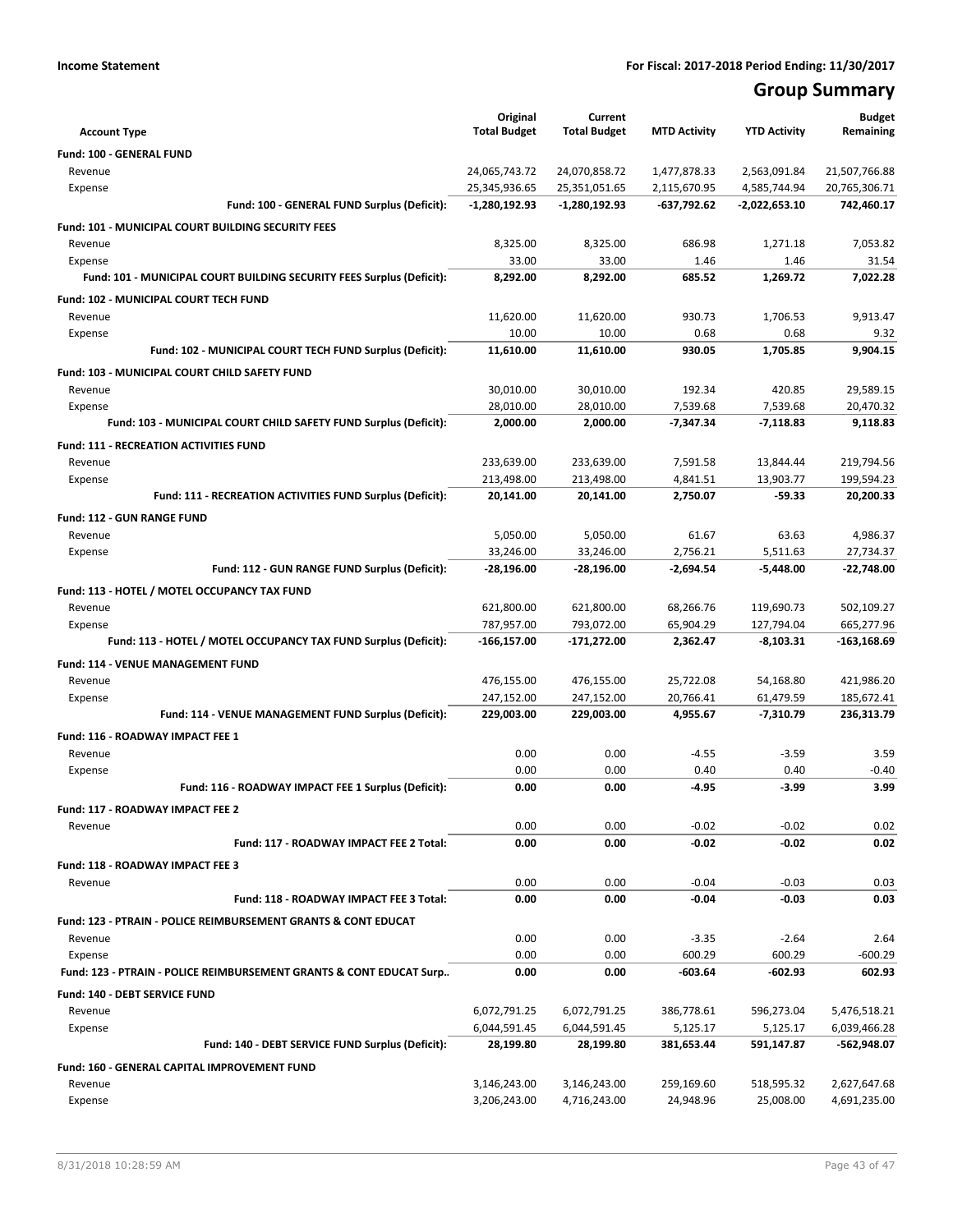# **Group Summary**

|                                                                                  | Original                       | Current                        |                             |                               | <b>Budget</b>               |
|----------------------------------------------------------------------------------|--------------------------------|--------------------------------|-----------------------------|-------------------------------|-----------------------------|
| <b>Account Type</b>                                                              | <b>Total Budget</b>            | <b>Total Budget</b>            | <b>MTD Activity</b>         | <b>YTD Activity</b>           | Remaining                   |
| Fund: 100 - GENERAL FUND                                                         |                                |                                |                             |                               |                             |
| Revenue                                                                          | 24,065,743.72<br>25,345,936.65 | 24,070,858.72                  | 1,477,878.33                | 2,563,091.84                  | 21,507,766.88               |
| Expense<br>Fund: 100 - GENERAL FUND Surplus (Deficit):                           | -1,280,192.93                  | 25,351,051.65<br>-1,280,192.93 | 2,115,670.95<br>-637,792.62 | 4,585,744.94<br>-2,022,653.10 | 20,765,306.71<br>742,460.17 |
|                                                                                  |                                |                                |                             |                               |                             |
| Fund: 101 - MUNICIPAL COURT BUILDING SECURITY FEES                               |                                |                                |                             |                               |                             |
| Revenue                                                                          | 8,325.00<br>33.00              | 8,325.00<br>33.00              | 686.98<br>1.46              | 1,271.18<br>1.46              | 7,053.82                    |
| Expense<br>Fund: 101 - MUNICIPAL COURT BUILDING SECURITY FEES Surplus (Deficit): | 8,292.00                       | 8,292.00                       | 685.52                      | 1,269.72                      | 31.54<br>7,022.28           |
|                                                                                  |                                |                                |                             |                               |                             |
| Fund: 102 - MUNICIPAL COURT TECH FUND                                            |                                |                                | 930.73                      |                               |                             |
| Revenue<br>Expense                                                               | 11,620.00<br>10.00             | 11,620.00<br>10.00             | 0.68                        | 1,706.53<br>0.68              | 9,913.47<br>9.32            |
| Fund: 102 - MUNICIPAL COURT TECH FUND Surplus (Deficit):                         | 11,610.00                      | 11,610.00                      | 930.05                      | 1,705.85                      | 9,904.15                    |
|                                                                                  |                                |                                |                             |                               |                             |
| Fund: 103 - MUNICIPAL COURT CHILD SAFETY FUND<br>Revenue                         | 30,010.00                      | 30,010.00                      | 192.34                      | 420.85                        | 29,589.15                   |
| Expense                                                                          | 28,010.00                      | 28,010.00                      | 7,539.68                    | 7,539.68                      | 20,470.32                   |
| Fund: 103 - MUNICIPAL COURT CHILD SAFETY FUND Surplus (Deficit):                 | 2,000.00                       | 2,000.00                       | $-7,347.34$                 | $-7,118.83$                   | 9,118.83                    |
|                                                                                  |                                |                                |                             |                               |                             |
| <b>Fund: 111 - RECREATION ACTIVITIES FUND</b>                                    |                                |                                |                             |                               |                             |
| Revenue<br>Expense                                                               | 233,639.00<br>213,498.00       | 233,639.00<br>213,498.00       | 7,591.58<br>4,841.51        | 13,844.44<br>13,903.77        | 219,794.56<br>199,594.23    |
| Fund: 111 - RECREATION ACTIVITIES FUND Surplus (Deficit):                        | 20,141.00                      | 20,141.00                      | 2.750.07                    | -59.33                        | 20.200.33                   |
|                                                                                  |                                |                                |                             |                               |                             |
| <b>Fund: 112 - GUN RANGE FUND</b>                                                |                                |                                |                             |                               |                             |
| Revenue                                                                          | 5,050.00<br>33,246.00          | 5,050.00<br>33,246.00          | 61.67<br>2,756.21           | 63.63<br>5,511.63             | 4,986.37<br>27,734.37       |
| Expense<br>Fund: 112 - GUN RANGE FUND Surplus (Deficit):                         | -28,196.00                     | -28,196.00                     | -2,694.54                   | $-5,448.00$                   | -22,748.00                  |
|                                                                                  |                                |                                |                             |                               |                             |
| Fund: 113 - HOTEL / MOTEL OCCUPANCY TAX FUND                                     |                                |                                |                             |                               |                             |
| Revenue                                                                          | 621,800.00                     | 621,800.00                     | 68,266.76                   | 119,690.73                    | 502,109.27                  |
| Expense<br>Fund: 113 - HOTEL / MOTEL OCCUPANCY TAX FUND Surplus (Deficit):       | 787,957.00<br>-166,157.00      | 793,072.00<br>-171,272.00      | 65,904.29<br>2,362.47       | 127,794.04<br>$-8,103.31$     | 665,277.96<br>-163,168.69   |
|                                                                                  |                                |                                |                             |                               |                             |
| Fund: 114 - VENUE MANAGEMENT FUND                                                |                                |                                |                             |                               |                             |
| Revenue                                                                          | 476,155.00<br>247,152.00       | 476,155.00<br>247,152.00       | 25,722.08<br>20,766.41      | 54,168.80<br>61,479.59        | 421,986.20<br>185,672.41    |
| Expense<br>Fund: 114 - VENUE MANAGEMENT FUND Surplus (Deficit):                  | 229,003.00                     | 229,003.00                     | 4,955.67                    | $-7,310.79$                   | 236,313.79                  |
|                                                                                  |                                |                                |                             |                               |                             |
| Fund: 116 - ROADWAY IMPACT FEE 1                                                 |                                |                                |                             |                               |                             |
| Revenue<br>Expense                                                               | 0.00<br>0.00                   | 0.00<br>0.00                   | $-4.55$<br>0.40             | $-3.59$<br>0.40               | 3.59<br>-0.40               |
| Fund: 116 - ROADWAY IMPACT FEE 1 Surplus (Deficit):                              | 0.00                           | 0.00                           | $-4.95$                     | $-3.99$                       | 3.99                        |
|                                                                                  |                                |                                |                             |                               |                             |
| <b>Fund: 117 - ROADWAY IMPACT FEE 2</b><br>Revenue                               |                                |                                | $-0.02$                     | $-0.02$                       |                             |
| Fund: 117 - ROADWAY IMPACT FEE 2 Total:                                          | 0.00<br>0.00                   | 0.00<br>0.00                   | $-0.02$                     | $-0.02$                       | 0.02<br>0.02                |
|                                                                                  |                                |                                |                             |                               |                             |
| Fund: 118 - ROADWAY IMPACT FEE 3                                                 |                                |                                |                             |                               |                             |
| Revenue                                                                          | 0.00                           | 0.00                           | $-0.04$                     | $-0.03$                       | 0.03                        |
| Fund: 118 - ROADWAY IMPACT FEE 3 Total:                                          | 0.00                           | 0.00                           | $-0.04$                     | $-0.03$                       | 0.03                        |
| Fund: 123 - PTRAIN - POLICE REIMBURSEMENT GRANTS & CONT EDUCAT                   |                                |                                |                             |                               |                             |
| Revenue                                                                          | 0.00                           | 0.00                           | $-3.35$                     | $-2.64$                       | 2.64                        |
| Expense                                                                          | 0.00                           | 0.00                           | 600.29                      | 600.29                        | $-600.29$                   |
| Fund: 123 - PTRAIN - POLICE REIMBURSEMENT GRANTS & CONT EDUCAT Surp              | 0.00                           | 0.00                           | -603.64                     | -602.93                       | 602.93                      |
| <b>Fund: 140 - DEBT SERVICE FUND</b>                                             |                                |                                |                             |                               |                             |
| Revenue                                                                          | 6,072,791.25                   | 6,072,791.25                   | 386,778.61                  | 596,273.04                    | 5,476,518.21                |
| Expense                                                                          | 6,044,591.45                   | 6,044,591.45                   | 5,125.17                    | 5,125.17                      | 6,039,466.28                |
| Fund: 140 - DEBT SERVICE FUND Surplus (Deficit):                                 | 28,199.80                      | 28,199.80                      | 381,653.44                  | 591,147.87                    | -562,948.07                 |
| Fund: 160 - GENERAL CAPITAL IMPROVEMENT FUND                                     |                                |                                |                             |                               |                             |
| Revenue                                                                          | 3,146,243.00                   | 3,146,243.00                   | 259,169.60                  | 518,595.32                    | 2,627,647.68                |
| Expense                                                                          | 3,206,243.00                   | 4,716,243.00                   | 24,948.96                   | 25,008.00                     | 4,691,235.00                |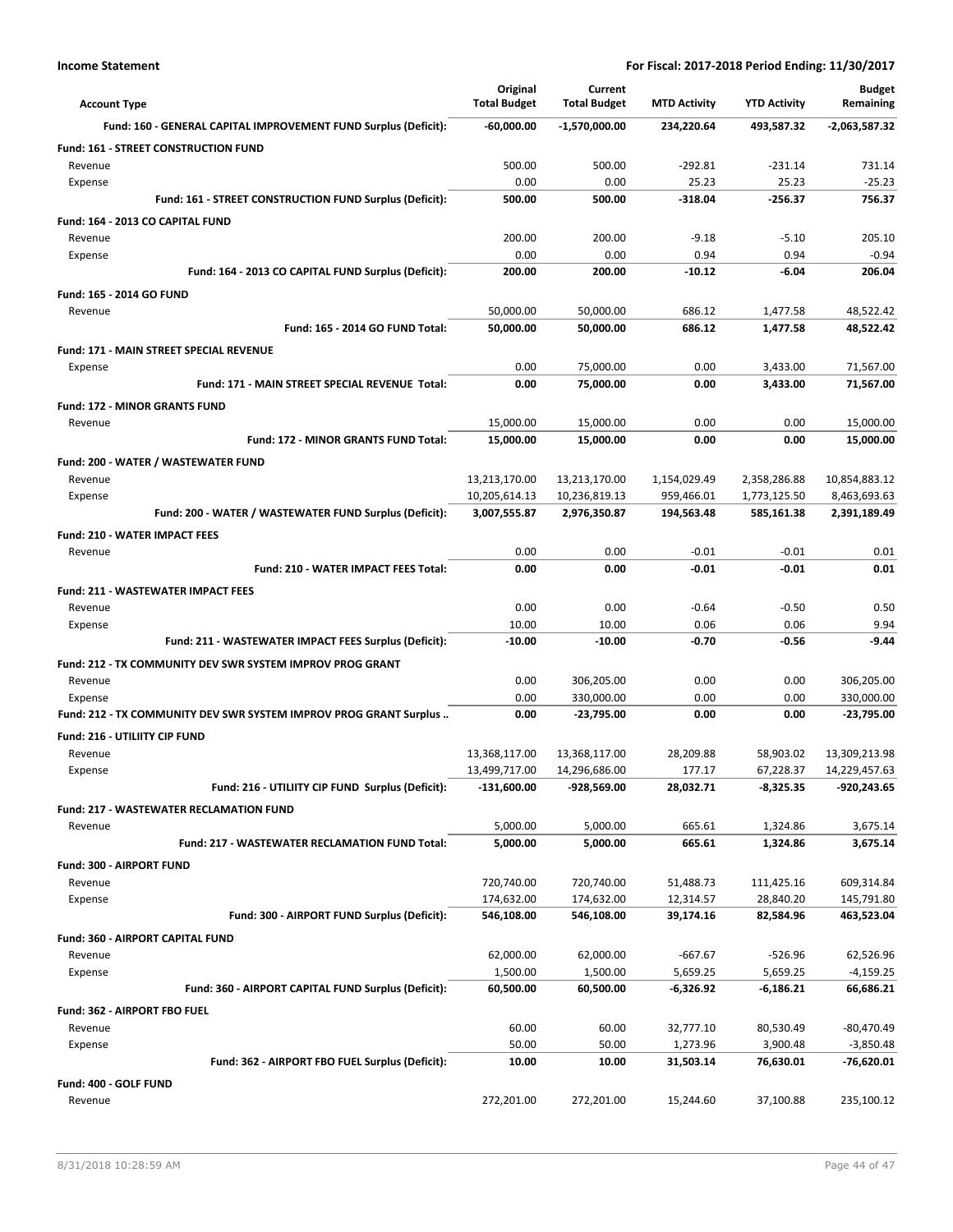| <b>Account Type</b>                                               | Original<br><b>Total Budget</b> | Current<br><b>Total Budget</b> | <b>MTD Activity</b> | <b>YTD Activity</b>  | <b>Budget</b><br>Remaining |
|-------------------------------------------------------------------|---------------------------------|--------------------------------|---------------------|----------------------|----------------------------|
| Fund: 160 - GENERAL CAPITAL IMPROVEMENT FUND Surplus (Deficit):   | -60,000.00                      | -1,570,000.00                  | 234,220.64          | 493,587.32           | -2,063,587.32              |
| Fund: 161 - STREET CONSTRUCTION FUND                              |                                 |                                |                     |                      |                            |
| Revenue                                                           | 500.00                          | 500.00                         | $-292.81$           | $-231.14$            | 731.14                     |
| Expense                                                           | 0.00                            | 0.00                           | 25.23               | 25.23                | $-25.23$                   |
| Fund: 161 - STREET CONSTRUCTION FUND Surplus (Deficit):           | 500.00                          | 500.00                         | -318.04             | $-256.37$            | 756.37                     |
| Fund: 164 - 2013 CO CAPITAL FUND                                  |                                 |                                |                     |                      |                            |
| Revenue                                                           | 200.00<br>0.00                  | 200.00<br>0.00                 | $-9.18$<br>0.94     | $-5.10$<br>0.94      | 205.10<br>$-0.94$          |
| Expense<br>Fund: 164 - 2013 CO CAPITAL FUND Surplus (Deficit):    | 200.00                          | 200.00                         | $-10.12$            | $-6.04$              | 206.04                     |
| Fund: 165 - 2014 GO FUND                                          |                                 |                                |                     |                      |                            |
| Revenue                                                           | 50,000.00                       | 50,000.00                      | 686.12              | 1,477.58             | 48,522.42                  |
| Fund: 165 - 2014 GO FUND Total:                                   | 50,000.00                       | 50,000.00                      | 686.12              | 1,477.58             | 48,522.42                  |
| <b>Fund: 171 - MAIN STREET SPECIAL REVENUE</b>                    |                                 |                                |                     |                      |                            |
| Expense                                                           | 0.00                            | 75,000.00                      | 0.00                | 3,433.00             | 71,567.00                  |
| Fund: 171 - MAIN STREET SPECIAL REVENUE Total:                    | 0.00                            | 75,000.00                      | 0.00                | 3,433.00             | 71,567.00                  |
| Fund: 172 - MINOR GRANTS FUND                                     |                                 |                                |                     |                      |                            |
| Revenue                                                           | 15,000.00                       | 15,000.00                      | 0.00                | 0.00                 | 15,000.00                  |
| Fund: 172 - MINOR GRANTS FUND Total:                              | 15,000.00                       | 15,000.00                      | 0.00                | 0.00                 | 15,000.00                  |
| Fund: 200 - WATER / WASTEWATER FUND                               |                                 |                                |                     |                      |                            |
| Revenue                                                           | 13,213,170.00                   | 13,213,170.00                  | 1,154,029.49        | 2,358,286.88         | 10,854,883.12              |
| Expense                                                           | 10,205,614.13                   | 10,236,819.13                  | 959,466.01          | 1,773,125.50         | 8,463,693.63               |
| Fund: 200 - WATER / WASTEWATER FUND Surplus (Deficit):            | 3,007,555.87                    | 2,976,350.87                   | 194,563.48          | 585,161.38           | 2,391,189.49               |
| <b>Fund: 210 - WATER IMPACT FEES</b>                              |                                 |                                |                     |                      |                            |
| Revenue<br><b>Fund: 210 - WATER IMPACT FEES Total:</b>            | 0.00<br>0.00                    | 0.00<br>0.00                   | $-0.01$<br>$-0.01$  | $-0.01$<br>$-0.01$   | 0.01<br>0.01               |
|                                                                   |                                 |                                |                     |                      |                            |
| <b>Fund: 211 - WASTEWATER IMPACT FEES</b><br>Revenue              | 0.00                            | 0.00                           | $-0.64$             | $-0.50$              | 0.50                       |
| Expense                                                           | 10.00                           | 10.00                          | 0.06                | 0.06                 | 9.94                       |
| Fund: 211 - WASTEWATER IMPACT FEES Surplus (Deficit):             | $-10.00$                        | $-10.00$                       | $-0.70$             | $-0.56$              | $-9.44$                    |
| Fund: 212 - TX COMMUNITY DEV SWR SYSTEM IMPROV PROG GRANT         |                                 |                                |                     |                      |                            |
| Revenue                                                           | 0.00                            | 306,205.00                     | 0.00                | 0.00                 | 306,205.00                 |
| Expense                                                           | 0.00                            | 330,000.00                     | 0.00                | 0.00                 | 330,000.00                 |
| Fund: 212 - TX COMMUNITY DEV SWR SYSTEM IMPROV PROG GRANT Surplus | 0.00                            | -23,795.00                     | 0.00                | 0.00                 | $-23,795.00$               |
| Fund: 216 - UTILIITY CIP FUND                                     |                                 |                                |                     |                      |                            |
| Revenue                                                           | 13,368,117.00                   | 13,368,117.00                  | 28,209.88           | 58,903.02            | 13,309,213.98              |
| Expense                                                           | 13,499,717.00                   | 14,296,686.00                  | 177.17              | 67,228.37            | 14,229,457.63              |
| Fund: 216 - UTILIITY CIP FUND Surplus (Deficit):                  | $-131,600.00$                   | -928,569.00                    | 28,032.71           | $-8,325.35$          | -920,243.65                |
| <b>Fund: 217 - WASTEWATER RECLAMATION FUND</b>                    |                                 |                                |                     |                      |                            |
| Revenue<br>Fund: 217 - WASTEWATER RECLAMATION FUND Total:         | 5,000.00<br>5,000.00            | 5,000.00<br>5,000.00           | 665.61<br>665.61    | 1,324.86<br>1,324.86 | 3,675.14<br>3,675.14       |
|                                                                   |                                 |                                |                     |                      |                            |
| Fund: 300 - AIRPORT FUND<br>Revenue                               | 720,740.00                      | 720,740.00                     | 51,488.73           | 111,425.16           | 609,314.84                 |
| Expense                                                           | 174,632.00                      | 174,632.00                     | 12,314.57           | 28,840.20            | 145,791.80                 |
| Fund: 300 - AIRPORT FUND Surplus (Deficit):                       | 546,108.00                      | 546,108.00                     | 39,174.16           | 82,584.96            | 463,523.04                 |
| Fund: 360 - AIRPORT CAPITAL FUND                                  |                                 |                                |                     |                      |                            |
| Revenue                                                           | 62,000.00                       | 62,000.00                      | $-667.67$           | $-526.96$            | 62,526.96                  |
| Expense                                                           | 1,500.00                        | 1,500.00                       | 5,659.25            | 5,659.25             | $-4,159.25$                |
| Fund: 360 - AIRPORT CAPITAL FUND Surplus (Deficit):               | 60,500.00                       | 60,500.00                      | -6,326.92           | $-6,186.21$          | 66,686.21                  |
| Fund: 362 - AIRPORT FBO FUEL                                      |                                 |                                |                     |                      |                            |
| Revenue                                                           | 60.00                           | 60.00                          | 32,777.10           | 80,530.49            | $-80,470.49$               |
| Expense                                                           | 50.00                           | 50.00                          | 1,273.96            | 3,900.48             | $-3,850.48$                |
| Fund: 362 - AIRPORT FBO FUEL Surplus (Deficit):                   | 10.00                           | 10.00                          | 31,503.14           | 76,630.01            | -76,620.01                 |
| Fund: 400 - GOLF FUND                                             |                                 |                                |                     |                      |                            |
| Revenue                                                           | 272,201.00                      | 272,201.00                     | 15,244.60           | 37,100.88            | 235,100.12                 |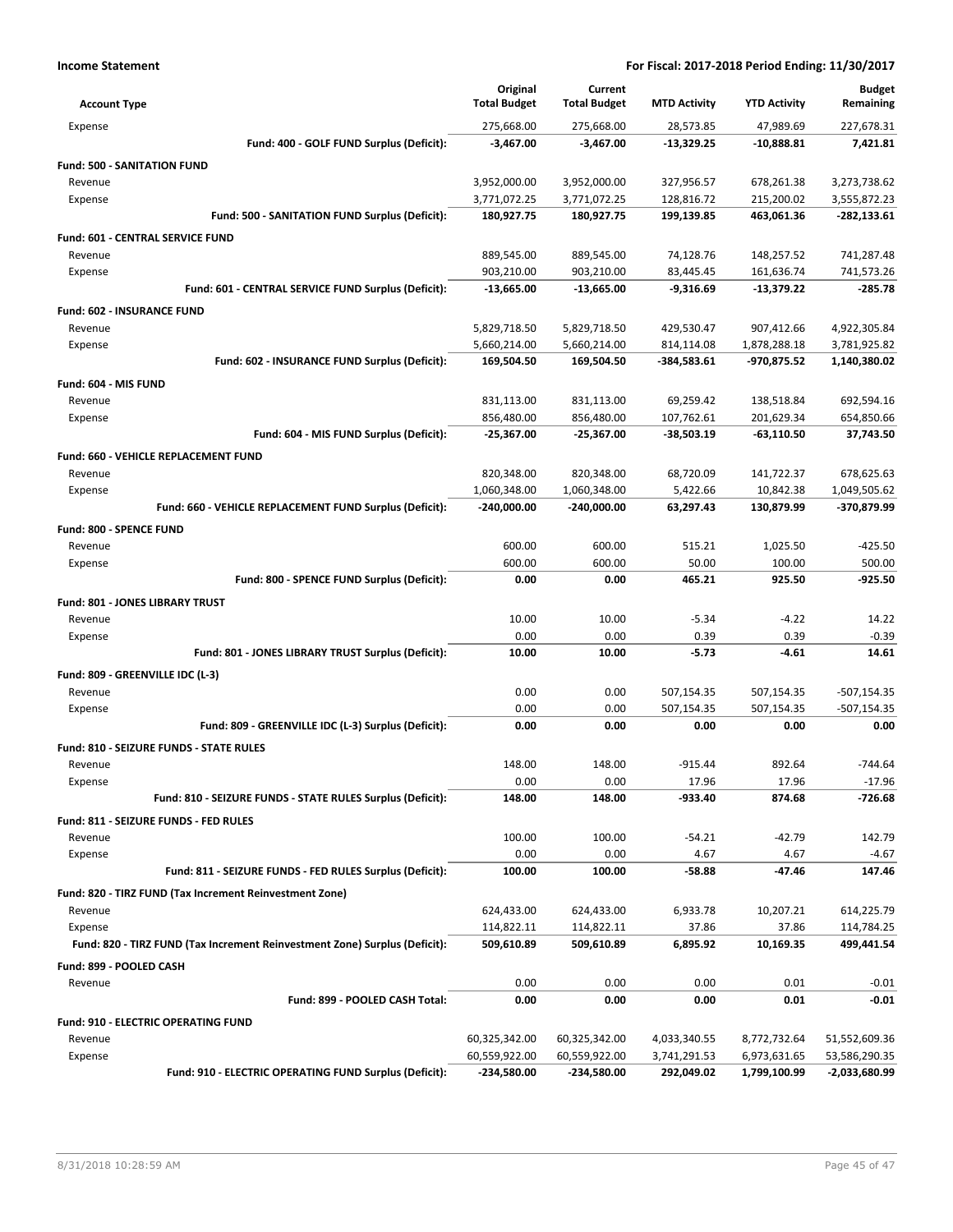| <b>Account Type</b>                                                        | Original<br><b>Total Budget</b> | Current<br><b>Total Budget</b> | <b>MTD Activity</b> | <b>YTD Activity</b>      | <b>Budget</b><br>Remaining |
|----------------------------------------------------------------------------|---------------------------------|--------------------------------|---------------------|--------------------------|----------------------------|
| Expense                                                                    | 275,668.00                      | 275,668.00                     | 28,573.85           | 47,989.69                | 227,678.31                 |
| Fund: 400 - GOLF FUND Surplus (Deficit):                                   | $-3,467.00$                     | $-3,467.00$                    | -13,329.25          | -10,888.81               | 7,421.81                   |
| <b>Fund: 500 - SANITATION FUND</b>                                         |                                 |                                |                     |                          |                            |
| Revenue                                                                    | 3,952,000.00                    | 3,952,000.00                   | 327,956.57          | 678,261.38               | 3,273,738.62               |
| Expense                                                                    | 3,771,072.25                    | 3,771,072.25                   | 128,816.72          | 215,200.02               | 3,555,872.23               |
| Fund: 500 - SANITATION FUND Surplus (Deficit):                             | 180,927.75                      | 180,927.75                     | 199,139.85          | 463,061.36               | $-282,133.61$              |
| <b>Fund: 601 - CENTRAL SERVICE FUND</b>                                    |                                 |                                |                     |                          |                            |
| Revenue                                                                    | 889,545.00                      | 889,545.00                     | 74,128.76           | 148,257.52               | 741,287.48                 |
| Expense                                                                    | 903,210.00                      | 903,210.00                     | 83,445.45           | 161,636.74               | 741,573.26                 |
| Fund: 601 - CENTRAL SERVICE FUND Surplus (Deficit):                        | $-13,665.00$                    | $-13,665.00$                   | $-9,316.69$         | -13,379.22               | $-285.78$                  |
| <b>Fund: 602 - INSURANCE FUND</b>                                          |                                 |                                |                     |                          |                            |
| Revenue                                                                    | 5,829,718.50                    | 5,829,718.50                   | 429,530.47          | 907,412.66               | 4,922,305.84               |
| Expense                                                                    | 5,660,214.00                    | 5,660,214.00                   | 814,114.08          | 1,878,288.18             | 3,781,925.82               |
| Fund: 602 - INSURANCE FUND Surplus (Deficit):                              | 169,504.50                      | 169,504.50                     | $-384,583.61$       | -970,875.52              | 1,140,380.02               |
|                                                                            |                                 |                                |                     |                          |                            |
| Fund: 604 - MIS FUND                                                       |                                 |                                | 69,259.42           |                          | 692,594.16                 |
| Revenue<br>Expense                                                         | 831,113.00<br>856,480.00        | 831,113.00<br>856,480.00       | 107,762.61          | 138,518.84<br>201,629.34 | 654,850.66                 |
| Fund: 604 - MIS FUND Surplus (Deficit):                                    | $-25,367.00$                    | $-25,367.00$                   | $-38,503.19$        | -63,110.50               | 37,743.50                  |
|                                                                            |                                 |                                |                     |                          |                            |
| Fund: 660 - VEHICLE REPLACEMENT FUND                                       |                                 |                                |                     |                          |                            |
| Revenue                                                                    | 820,348.00                      | 820,348.00                     | 68,720.09           | 141,722.37               | 678,625.63                 |
| Expense<br>Fund: 660 - VEHICLE REPLACEMENT FUND Surplus (Deficit):         | 1,060,348.00                    | 1,060,348.00                   | 5,422.66            | 10,842.38                | 1,049,505.62               |
|                                                                            | $-240,000.00$                   | -240,000.00                    | 63,297.43           | 130,879.99               | -370,879.99                |
| Fund: 800 - SPENCE FUND                                                    |                                 |                                |                     |                          |                            |
| Revenue                                                                    | 600.00                          | 600.00                         | 515.21              | 1,025.50                 | $-425.50$                  |
| Expense                                                                    | 600.00                          | 600.00                         | 50.00               | 100.00                   | 500.00                     |
| Fund: 800 - SPENCE FUND Surplus (Deficit):                                 | 0.00                            | 0.00                           | 465.21              | 925.50                   | $-925.50$                  |
| Fund: 801 - JONES LIBRARY TRUST                                            |                                 |                                |                     |                          |                            |
| Revenue                                                                    | 10.00                           | 10.00                          | $-5.34$             | $-4.22$                  | 14.22                      |
| Expense                                                                    | 0.00                            | 0.00                           | 0.39                | 0.39                     | $-0.39$                    |
| Fund: 801 - JONES LIBRARY TRUST Surplus (Deficit):                         | 10.00                           | 10.00                          | $-5.73$             | -4.61                    | 14.61                      |
| Fund: 809 - GREENVILLE IDC (L-3)                                           |                                 |                                |                     |                          |                            |
| Revenue                                                                    | 0.00                            | 0.00                           | 507,154.35          | 507,154.35               | $-507,154.35$              |
| Expense                                                                    | 0.00                            | 0.00                           | 507,154.35          | 507,154.35               | $-507,154.35$              |
| Fund: 809 - GREENVILLE IDC (L-3) Surplus (Deficit):                        | 0.00                            | 0.00                           | 0.00                | 0.00                     | 0.00                       |
| Fund: 810 - SEIZURE FUNDS - STATE RULES                                    |                                 |                                |                     |                          |                            |
| Revenue                                                                    | 148.00                          | 148.00                         | $-915.44$           | 892.64                   | $-744.64$                  |
| Expense                                                                    | 0.00                            | 0.00                           | 17.96               | 17.96                    | $-17.96$                   |
| Fund: 810 - SEIZURE FUNDS - STATE RULES Surplus (Deficit):                 | 148.00                          | 148.00                         | -933.40             | 874.68                   | $-726.68$                  |
| Fund: 811 - SEIZURE FUNDS - FED RULES                                      |                                 |                                |                     |                          |                            |
| Revenue                                                                    | 100.00                          | 100.00                         | $-54.21$            | $-42.79$                 | 142.79                     |
| Expense                                                                    | 0.00                            | 0.00                           | 4.67                | 4.67                     | $-4.67$                    |
| Fund: 811 - SEIZURE FUNDS - FED RULES Surplus (Deficit):                   | 100.00                          | 100.00                         | -58.88              | $-47.46$                 | 147.46                     |
| Fund: 820 - TIRZ FUND (Tax Increment Reinvestment Zone)                    |                                 |                                |                     |                          |                            |
| Revenue                                                                    | 624,433.00                      | 624,433.00                     | 6,933.78            | 10,207.21                | 614,225.79                 |
| Expense                                                                    | 114,822.11                      | 114,822.11                     | 37.86               | 37.86                    | 114,784.25                 |
| Fund: 820 - TIRZ FUND (Tax Increment Reinvestment Zone) Surplus (Deficit): | 509,610.89                      | 509,610.89                     | 6,895.92            | 10,169.35                | 499,441.54                 |
| Fund: 899 - POOLED CASH                                                    |                                 |                                |                     |                          |                            |
| Revenue                                                                    | 0.00                            | 0.00                           | 0.00                | 0.01                     | $-0.01$                    |
| Fund: 899 - POOLED CASH Total:                                             | 0.00                            | 0.00                           | 0.00                | 0.01                     | $-0.01$                    |
| <b>Fund: 910 - ELECTRIC OPERATING FUND</b>                                 |                                 |                                |                     |                          |                            |
| Revenue                                                                    | 60,325,342.00                   | 60,325,342.00                  | 4,033,340.55        | 8,772,732.64             | 51,552,609.36              |
| Expense                                                                    | 60,559,922.00                   | 60,559,922.00                  | 3,741,291.53        | 6,973,631.65             | 53,586,290.35              |
| Fund: 910 - ELECTRIC OPERATING FUND Surplus (Deficit):                     | -234,580.00                     | -234,580.00                    | 292,049.02          | 1,799,100.99             | -2,033,680.99              |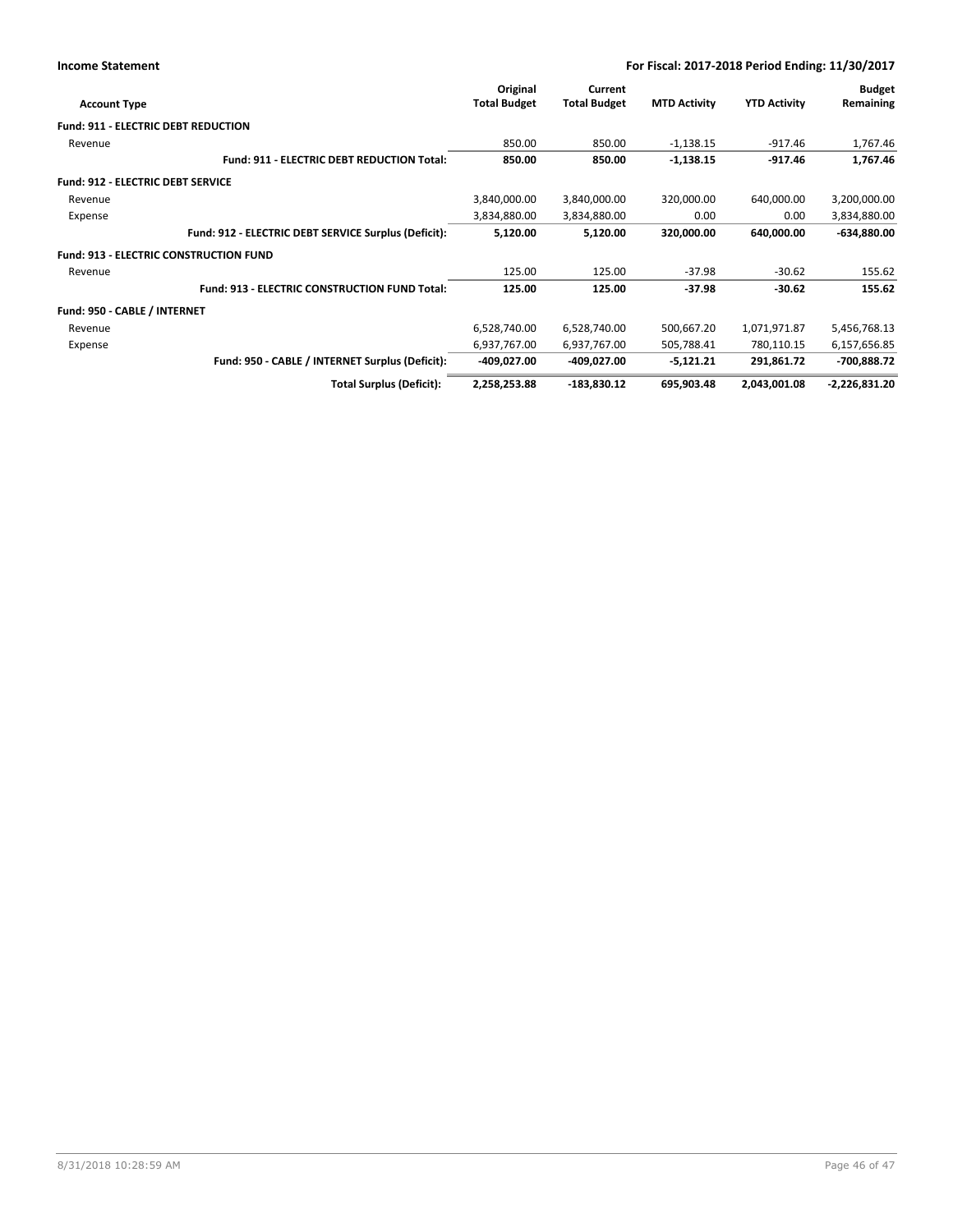|                                            |                                                      | Original            | Current             |                     |                     | <b>Budget</b>   |
|--------------------------------------------|------------------------------------------------------|---------------------|---------------------|---------------------|---------------------|-----------------|
| <b>Account Type</b>                        |                                                      | <b>Total Budget</b> | <b>Total Budget</b> | <b>MTD Activity</b> | <b>YTD Activity</b> | Remaining       |
| <b>Fund: 911 - ELECTRIC DEBT REDUCTION</b> |                                                      |                     |                     |                     |                     |                 |
| Revenue                                    |                                                      | 850.00              | 850.00              | $-1,138.15$         | $-917.46$           | 1,767.46        |
|                                            | <b>Fund: 911 - ELECTRIC DEBT REDUCTION Total:</b>    | 850.00              | 850.00              | $-1,138.15$         | $-917.46$           | 1,767.46        |
| <b>Fund: 912 - ELECTRIC DEBT SERVICE</b>   |                                                      |                     |                     |                     |                     |                 |
| Revenue                                    |                                                      | 3,840,000.00        | 3,840,000.00        | 320,000.00          | 640,000.00          | 3,200,000.00    |
| Expense                                    |                                                      | 3,834,880.00        | 3,834,880.00        | 0.00                | 0.00                | 3,834,880.00    |
|                                            | Fund: 912 - ELECTRIC DEBT SERVICE Surplus (Deficit): | 5,120.00            | 5,120.00            | 320,000.00          | 640,000.00          | $-634,880.00$   |
|                                            | <b>Fund: 913 - ELECTRIC CONSTRUCTION FUND</b>        |                     |                     |                     |                     |                 |
| Revenue                                    |                                                      | 125.00              | 125.00              | $-37.98$            | $-30.62$            | 155.62          |
|                                            | <b>Fund: 913 - ELECTRIC CONSTRUCTION FUND Total:</b> | 125.00              | 125.00              | $-37.98$            | $-30.62$            | 155.62          |
| Fund: 950 - CABLE / INTERNET               |                                                      |                     |                     |                     |                     |                 |
| Revenue                                    |                                                      | 6,528,740.00        | 6,528,740.00        | 500,667.20          | 1,071,971.87        | 5,456,768.13    |
| Expense                                    |                                                      | 6,937,767.00        | 6,937,767.00        | 505,788.41          | 780,110.15          | 6,157,656.85    |
|                                            | Fund: 950 - CABLE / INTERNET Surplus (Deficit):      | -409,027.00         | -409,027.00         | $-5,121.21$         | 291,861.72          | -700,888.72     |
|                                            | <b>Total Surplus (Deficit):</b>                      | 2,258,253.88        | -183,830.12         | 695,903.48          | 2,043,001.08        | $-2,226,831.20$ |